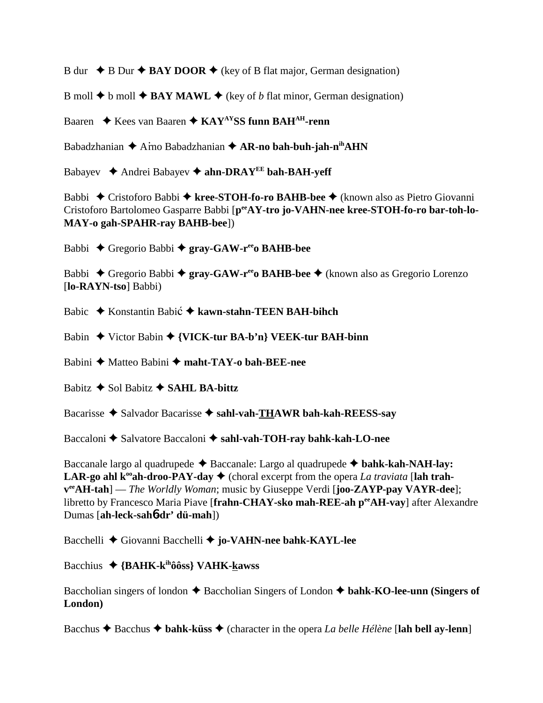B dur  $\rightarrow$  B Dur  $\rightarrow$  BAY DOOR  $\rightarrow$  (key of B flat major, German designation)

B moll  $\blacklozenge$  b moll  $\blacklozenge$  **BAY MAWL**  $\blacklozenge$  (key of *b* flat minor, German designation)

Baaren ◆ Kees van Baaren ◆ KAY<sup>AY</sup>SS funn BAH<sup>AH</sup>-renn

Babadzhanian **←** Arno Babadzhanian ← AR-no bah-buh-jah-n<sup>ih</sup>AHN

Babayev **→** Andrei Babayev → ahn-DRAY<sup>EE</sup> bah-BAH-yeff

Babbi Cristoforo Babbi **kree-STOH-fo-ro BAHB-bee** (known also as Pietro Giovanni Cristoforo Bartolomeo Gasparre Babbi [p<sup>ee</sup>AY-tro jo-VAHN-nee kree-STOH-fo-ro bar-toh-lo-**MAY-o gah-SPAHR-ray BAHB-bee**])

Babbi Gregorio Babbi **gray-GAW-reeo BAHB-bee**

Babbi **→** Gregorio Babbi → **gray-GAW-r<sup>ee</sup>o BAHB-bee** → (known also as Gregorio Lorenzo [**lo-RAYN-tso**] Babbi)

Babic ◆ Konstantin Babić ◆ kawn-stahn-TEEN BAH-bihch

Babin Victor Babin **{VICK-tur BA-b'n} VEEK-tur BAH-binn**

Babini ◆ Matteo Babini ◆ maht-TAY-o bah-BEE-nee

Babitz  $\triangle$  Sol Babitz  $\triangle$  **SAHL BA-bittz** 

Bacarisse **→** Salvador Bacarisse → sahl-vah-THAWR bah-kah-REESS-say

Baccaloni  $\triangle$  Salvatore Baccaloni  $\triangle$  sahl-vah-TOH-ray bahk-kah-LO-nee

Baccanale largo al quadrupede  $\triangle$  Baccanale: Largo al quadrupede  $\triangle$  bahk-kah-NAH-lay: **LAR-go ahl k<sup>oo</sup>ah-droo-PAY-day**  $\blacklozenge$  (choral excerpt from the opera *La traviata* [lah trah**veeAH-tah**] — *The Worldly Woman*; music by Giuseppe Verdi [**joo-ZAYP-pay VAYR-dee**]; libretto by Francesco Maria Piave [**frahn-CHAY-sko mah-REE-ah peeAH-vay**] after Alexandre Dumas [**ah-leck-sah**6**-dr' dü-mah**])

Bacchelli ◆ Giovanni Bacchelli ◆ jo-VAHN-nee bahk-KAYL-lee

Bacchius **{BAHK-kihôôss} VAHK-kawss**

Baccholian singers of london  $\triangle$  Baccholian Singers of London  $\triangle$  bahk-KO-lee-unn (Singers of **London)**

Bacchus  $\triangle$  Bacchus  $\triangle$  bahk-küss  $\triangle$  (character in the opera *La belle Hélène* [lah bell ay-lenn]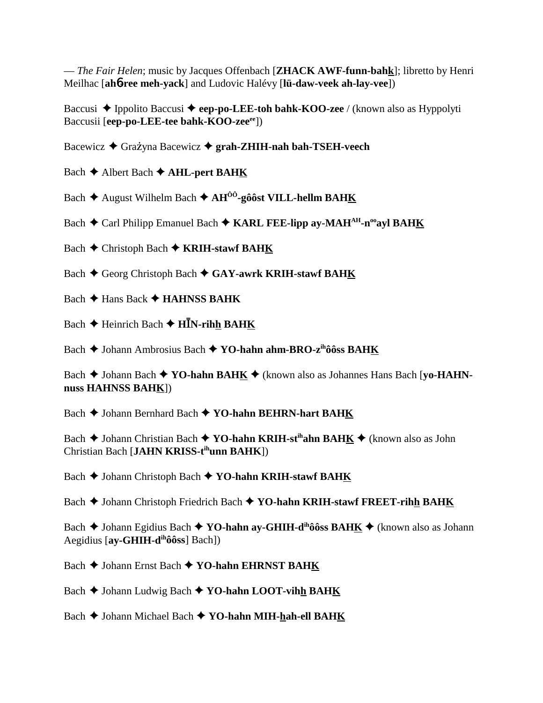— *The Fair Helen*; music by Jacques Offenbach [**ZHACK AWF-funn-bahk**]; libretto by Henri Meilhac [**ah**6**-ree meh-yack**] and Ludovic Halévy [**lü-daw-veek ah-lay-vee**])

Baccusi ◆ Ippolito Baccusi ◆ eep-po-LEE-toh bahk-KOO-zee / (known also as Hyppolyti Baccusii [eep-po-LEE-tee bahk-KOO-zee<sup>ee</sup>])

Bacewicz **→** Grażyna Bacewicz → grah-ZHIH-nah bah-TSEH-veech

Bach **←** Albert Bach ← AHL-pert BAHK

Bach **→** August Wilhelm Bach → AH<sup>ÔÔ</sup>-gôôst VILL-hellm BAHK

Bach **←** Carl Philipp Emanuel Bach ← KARL FEE-lipp ay-MAH<sup>AH</sup>-n<sup>oo</sup>ayl BAH<u>K</u>

Bach **←** Christoph Bach ← **KRIH-stawf BAH<u>K</u>** 

Bach  $\blacklozenge$  Georg Christoph Bach  $\blacklozenge$  GAY-awrk KRIH-stawf BAHK

Bach **← Hans Back ← HAHNSS BAHK** 

Bach  $\blacklozenge$  Heinrich Bach  $\blacklozenge$  **HN**-rihh BAHK

Bach **→** Johann Ambrosius Bach → YO-hahn ahm-BRO-z<sup>ih</sup>ôôss BAHK

Bach **→** Johann Bach ◆ **YO-hahn BAH<u>K</u>** ◆ (known also as Johannes Hans Bach [yo-HAHN**nuss HAHNSS BAHK**])

Bach **→** Johann Bernhard Bach ◆ **YO-hahn BEHRN-hart BAHK** 

Bach **→** Johann Christian Bach **→ YO-hahn KRIH-st<sup>ih</sup>ahn BAHK** → (known also as John Christian Bach [**JAHN KRISS-tihunn BAHK**])

Bach  $\blacklozenge$  Johann Christoph Bach  $\blacklozenge$  YO-hahn KRIH-stawf BAHK

Bach **→** Johann Christoph Friedrich Bach ◆ YO-hahn KRIH-stawf FREET-rihh BAHK

Bach **→** Johann Egidius Bach ◆ **YO-hahn ay-GHIH-d<sup>ih</sup>ôôss BAHK** ◆ (known also as Johann Aegidius [**ay-GHIH-dihôôss**] Bach])

Bach ◆ Johann Ernst Bach ◆ YO-hahn EHRNST BAHK

Bach ♦ Johann Ludwig Bach ♦ YO-hahn LOOT-vih**h BAHK** 

Bach  $\blacklozenge$  Johann Michael Bach  $\blacklozenge$  YO-hahn MIH-hah-ell BAHK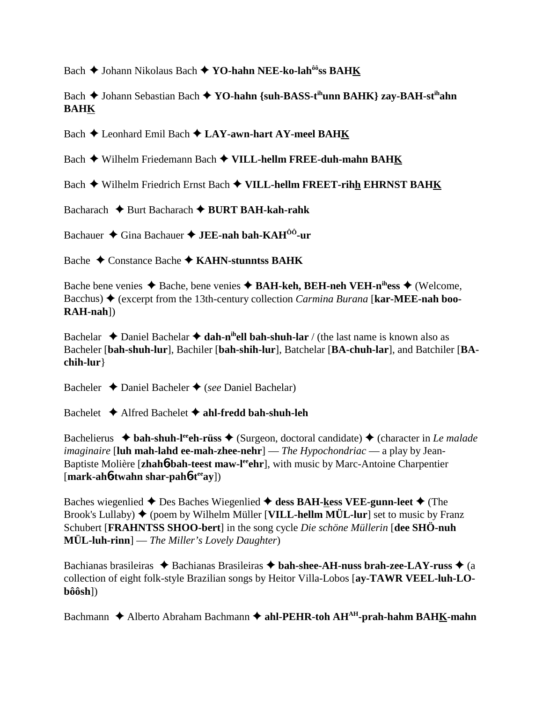Bach **→** Johann Nikolaus Bach ◆ YO-hahn NEE-ko-lah<sup>ôô</sup>ss BAHK

Bach **→** Johann Sebastian Bach → YO-hahn {suh-BASS-t<sup>ih</sup>unn BAHK} zay-BAH-st<sup>ih</sup>ahn **BAHK**

Bach  $\triangle$  Leonhard Emil Bach  $\triangle$  LAY-awn-hart AY-meel BAHK

Bach Wilhelm Friedemann Bach **VILL-hellm FREE-duh-mahn BAHK**

Bach **→** Wilhelm Friedrich Ernst Bach ◆ VILL-hellm FREET-rihh EHRNST BAHK

Bacharach **←** Burt Bacharach ← BURT BAH-kah-rahk

Bachauer Gina Bachauer **JEE-nah bah-KAHÔÔ-ur**

Bache Constance Bache **KAHN-stunntss BAHK**

Bache bene venies **→** Bache, bene venies **→ BAH-keh, BEH-neh VEH-n<sup>ih</sup>ess →** (Welcome, Bacchus)  $\triangle$  (excerpt from the 13th-century collection *Carmina Burana* [**kar-MEE-nah boo-RAH-nah**])

Bachelar  $\triangle$  Daniel Bachelar  $\triangle$  dah-n<sup>ih</sup>ell bah-shuh-lar / (the last name is known also as Bacheler [**bah-shuh-lur**], Bachiler [**bah-shih-lur**], Batchelar [**BA-chuh-lar**], and Batchiler [**BAchih-lur**}

Bacheler Daniel Bacheler (*see* Daniel Bachelar)

Bachelet Alfred Bachelet **ahl-fredd bah-shuh-leh**

Bachelierus **↓ bah-shuh-l<sup>ee</sup>eh-rüss ↓** (Surgeon, doctoral candidate) ♦ (character in *Le malade imaginaire* [**luh mah-lahd ee-mah-zhee-nehr**] — *The Hypochondriac* — a play by Jean-Baptiste Molière [zhah**6-bah-teest maw-l<sup>ee</sup>ehr**], with music by Marc-Antoine Charpentier [**mark-ah**6**-twahn shar-pah**6**-teeay**])

Baches wiegenlied  $\triangle$  Des Baches Wiegenlied  $\triangle$  dess BAH-kess VEE-gunn-leet  $\triangle$  (The Brook's Lullaby)  $\blacklozenge$  (poem by Wilhelm Müller [**VILL-hellm MÜL-lur**] set to music by Franz Schubert [**FRAHNTSS SHOO-bert**] in the song cycle *Die schöne Müllerin* [**dee SHÖ-nuh MÜL-luh-rinn**] — *The Miller's Lovely Daughter*)

Bachianas brasileiras **→** Bachianas Brasileiras → bah-shee-AH-nuss brah-zee-LAY-russ → (a collection of eight folk-style Brazilian songs by Heitor Villa-Lobos [**ay-TAWR VEEL-luh-LObôôsh**])

Bachmann  $\triangle$  Alberto Abraham Bachmann  $\triangle$  ahl-PEHR-toh AH<sup>AH</sup>-prah-hahm BAHK-mahn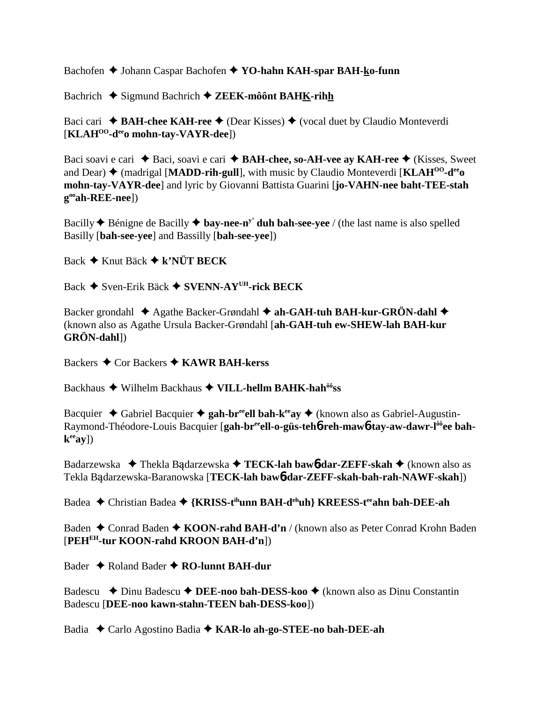Bachofen **→** Johann Caspar Bachofen → YO-hahn KAH-spar BAH-ko-funn

Bachrich ◆ Sigmund Bachrich ◆ ZEEK-môônt BAHK-rihh

Baci cari **↓ BAH-chee KAH-ree ◆** (Dear Kisses) ◆ (vocal duet by Claudio Monteverdi [**KLAHOO-deeo mohn-tay-VAYR-dee**])

Baci soavi e cari ◆ Baci, soavi e cari ◆ **BAH-chee, so-AH-vee ay KAH-ree** ◆ (Kisses, Sweet and Dear)  $\triangleq$  (madrigal [**MADD-rih-gull**], with music by Claudio Monteverdi [**KLAH<sup>00</sup>-d<sup>ee</sup>o**] **mohn-tay-VAYR-dee**] and lyric by Giovanni Battista Guarini [**jo-VAHN-nee baht-TEE-stah gooah-REE-nee**])

Bacilly  $\triangle$  Bénigne de Bacilly  $\triangle$  **bay-nee-n<sup>y</sup>** duh bah-see-yee / (the last name is also spelled Basilly [**bah-see-yee**] and Bassilly [**bah-see-yee**])

Back **→** Knut Bäck ◆ k'NÜT BECK

Back Sven-Erik Bäck **SVENN-AYUH-rick BECK**

Backer grondahl  $\triangle$  Agathe Backer-Grøndahl  $\triangle$  ah-GAH-tuh BAH-kur-GRÖN-dahl  $\triangle$ (known also as Agathe Ursula Backer-Grøndahl [**ah-GAH-tuh ew-SHEW-lah BAH-kur GRÖN-dahl**])

Backers **→** Cor Backers **→ KAWR BAH-kerss** 

Backhaus Wilhelm Backhaus **VILL-hellm BAHK-hahôôss**

Bacquier  $\triangle$  Gabriel Bacquier  $\triangle$  gah-br<sup>ee</sup>ell bah-k<sup>ee</sup>ay  $\triangle$  (known also as Gabriel-Augustin-Raymond-Théodore-Louis Bacquier [gah-br<sup>ee</sup>ell-o-güs-teh**6**-reh-maw6-tay-aw-dawr-l<sup>ôô</sup>ee bah $k^{ee}ay$ ])

Badarzewska ◆ Thekla Badarzewska ◆ TECK-lah bawb-dar-ZEFF-skah ◆ (known also as Tekla Bdarzewska-Baranowska [**TECK-lah baw**6**-dar-ZEFF-skah-bah-rah-NAWF-skah**])

Badea **←** Christian Badea ← {KRISS-t<sup>ih</sup>unn BAH-d<sup>eh</sup>uh} KREESS-t<sup>ee</sup>ahn bah-DEE-ah

Baden **←** Conrad Baden ← KOON-rahd BAH-d'n / (known also as Peter Conrad Krohn Baden [**PEHEH-tur KOON-rahd KROON BAH-d'n**])

Bader **→** Roland Bader **→ RO-lunnt BAH-dur** 

Badescu **→** Dinu Badescu → DEE-noo bah-DESS-koo → (known also as Dinu Constantin Badescu [**DEE-noo kawn-stahn-TEEN bah-DESS-koo**])

Badia Carlo Agostino Badia **KAR-lo ah-go-STEE-no bah-DEE-ah**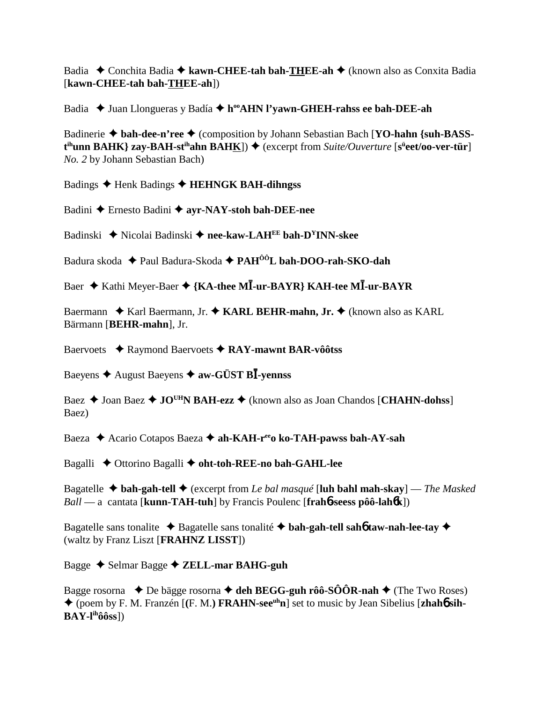Badia **←** Conchita Badia ← kawn-CHEE-tah bah-THEE-ah ← (known also as Conxita Badia [**kawn-CHEE-tah bah-THEE-ah**])

Badia ◆ Juan Llongueras y Badía ◆ h<sup>oo</sup>AHN l'yawn-GHEH-rahss ee bah-DEE-ah

Badinerie  $\triangle$  bah-dee-n'ree  $\triangle$  (composition by Johann Sebastian Bach [YO-hahn {suh-BASS**t**<sup>th</sup>unn BAHK} zay-BAH-st<sup>ih</sup>ahn BAH<u>K</u>]) ◆ (excerpt from *Suite/Ouverture* [s<sup>ü</sup>eet/oo-ver-tür] *No. 2* by Johann Sebastian Bach)

Badings ◆ Henk Badings ◆ HEHNGK BAH-dihngss

Badini Ernesto Badini **ayr-NAY-stoh bah-DEE-nee**

Badinski ◆ Nicolai Badinski ◆ nee-kaw-LAH<sup>EE</sup> bah-D<sup>Y</sup>INN-skee

Badura skoda Paul Badura-Skoda  **PAHÔÔL bah-DOO-rah-SKO-dah**

Baer ◆ Kathi Meyer-Baer ◆ {KA-thee M**I**-ur-BAYR} KAH-tee MI-ur-BAYR

Baermann ◆ Karl Baermann, Jr. ◆ KARL BEHR-mahn, Jr. ◆ (known also as KARL Bärmann [**BEHR-mahn**], Jr.

Baervoets ◆ Raymond Baervoets ◆ RAY-mawnt BAR-vôôtss

Baeyens August Baeyens **aw-GÜST B-yennss**

Baez **→** Joan Baez ◆ JO<sup>UH</sup>N BAH-ezz ◆ (known also as Joan Chandos [CHAHN-dohss] Baez)

Baeza ◆ Acario Cotapos Baeza ◆ ah-KAH-r<sup>ee</sup>o ko-TAH-pawss bah-AY-sah

Bagalli Ottorino Bagalli **oht-toh-REE-no bah-GAHL-lee**

Bagatelle **bah-gah-tell** (excerpt from *Le bal masqué* [**luh bahl mah-skay**] — *The Masked Ball* — a cantata [**kunn-TAH-tuh**] by Francis Poulenc [**frah**6**-seess pôô-lah**6**k**])

Bagatelle sans tonalite Bagatelle sans tonalité **bah-gah-tell sah**6 **taw-nah-lee-tay**  (waltz by Franz Liszt [**FRAHNZ LISST**])

Bagge Selmar Bagge **ZELL-mar BAHG-guh**

Bagge rosorna  $\blacklozenge$  De bägge rosorna  $\blacklozenge$  deh BEGG-guh rôô-SÔÔR-nah  $\blacklozenge$  (The Two Roses) ◆ (poem by F. M. Franzén [(F. M.) **FRAHN-see<sup>uh</sup>n**] set to music by Jean Sibelius [**zhah**6 sih-**BAY-lihôôss**])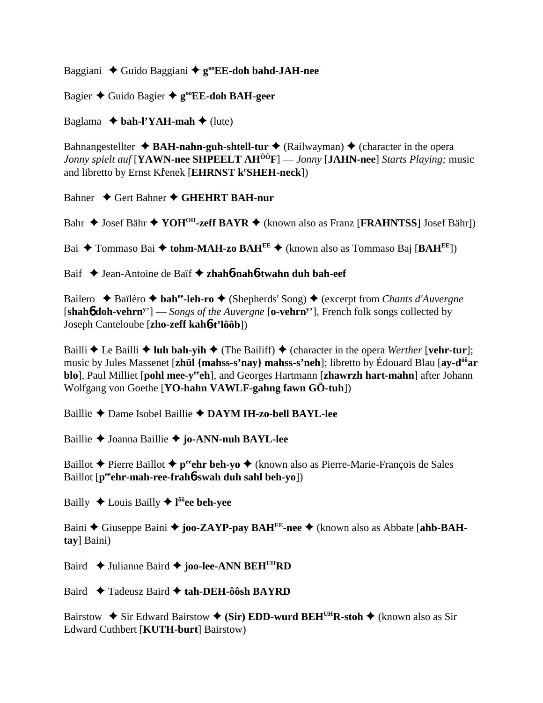Baggiani Guido Baggiani **gooEE-doh bahd-JAH-nee**

Bagier ◆ Guido Bagier ◆ g<sup>oo</sup>EE-doh BAH-geer

Baglama  $\rightarrow$  bah-l'YAH-mah  $\rightarrow$  (lute)

Bahnangestellter  $\triangle$  **BAH-nahn-guh-shtell-tur**  $\triangle$  (Railwayman)  $\triangle$  (character in the opera *Jonny spielt auf* [**YAWN-nee SHPEELT AHÔÔF**] — *Jonny* [**JAHN-nee**] *Starts Playing;* music and libretto by Ernst Křenek [EHRNST k<sup>r</sup>SHEH-neck])

Bahner **→ Gert Bahner → GHEHRT BAH-nur** 

Bahr ◆ Josef Bähr ◆ YOH<sup>OH</sup>-zeff BAYR ◆ (known also as Franz [**FRAHNTSS**] Josef Bähr])

Bai Tommaso Bai **tohm-MAH-zo BAHEE** (known also as Tommaso Baj [**BAHEE**])

Baif Jean-Antoine de Baïf  **zhah**6**-nah**6**-twahn duh bah-eef**

Bailero ◆ Baïlèro ◆ **bah<sup>ee</sup>-leh-ro** ◆ (Shepherds' Song) ◆ (excerpt from *Chants d'Auvergne* [shah6 doh-vehrn<sup>y</sup>'] — *Songs of the Auvergne* [o-vehrn<sup>y</sup>'], French folk songs collected by Joseph Canteloube [**zho-zeff kah**6**-t'lôôb**])

Bailli  $\triangle$  Le Bailli  $\triangle$  luh bah-yih  $\triangle$  (The Bailiff)  $\triangle$  (character in the opera *Werther* [vehr-tur]; music by Jules Massenet [**zhül {mahss-s'nay} mahss-s'neh**]; libretto by Édouard Blau [**ay-dôôar blo**], Paul Milliet [**pohl mee-y<sup>ee</sup>ch**], and Georges Hartmann [**zhawrzh hart-mahn**] after Johann Wolfgang von Goethe [**YO-hahn VAWLF-gahng fawn GÖ-tuh**])

Baillie Dame Isobel Baillie **DAYM IH-zo-bell BAYL-lee**

Baillie Joanna Baillie **jo-ANN-nuh BAYL-lee**

Baillot **→** Pierre Baillot → p<sup>ee</sup>chr beh-yo → (known also as Pierre-Marie-François de Sales Baillot [**peeehr-mah-ree-frah**6**-swah duh sahl beh-yo**])

Bailly Louis Bailly **l ôôee beh-yee**

Baini ◆ Giuseppe Baini ◆ joo-ZAYP-pay BAH<sup>EE</sup>-nee ◆ (known also as Abbate [ahb-BAH**tay**] Baini)

Baird **↓** Julianne Baird ◆ joo-lee-ANN BEH<sup>UH</sup>RD

Baird Tadeusz Baird **tah-DEH-ôôsh BAYRD**

Bairstow  $\div$  Sir Edward Bairstow  $\div$  (Sir) EDD-wurd BEH<sup>UH</sup>R-stoh  $\div$  (known also as Sir Edward Cuthbert [**KUTH-burt**] Bairstow)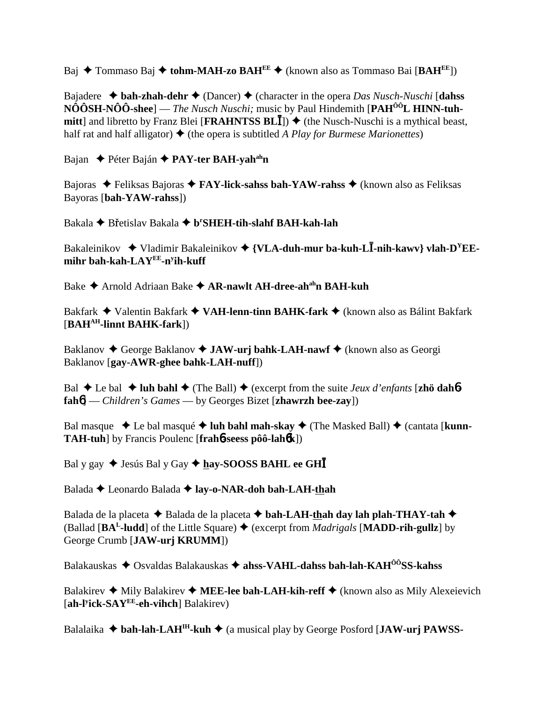Baj Tommaso Baj **tohm-MAH-zo BAHEE** (known also as Tommaso Bai [**BAHEE**])

Bajadere  **bah-zhah-dehr** (Dancer) (character in the opera *Das Nusch-Nuschi* [**dahss NÔÔSH-NÔÔ-shee**] — *The Nusch Nuschi;* music by Paul Hindemith [**PAHÔÔL HINN-tuhmitt**] and libretto by Franz Blei [**FRAHNTSS BL**]]  $\blacklozenge$  (the Nusch-Nuschi is a mythical beast, half rat and half alligator)  $\triangle$  (the opera is subtitled *A Play for Burmese Marionettes*)

Bajan **← Péter Baján ← PAY-ter BAH-yah<sup>ah</sup>n** 

Bajoras Feliksas Bajoras **FAY-lick-sahss bah-YAW-rahss** (known also as Feliksas Bayoras [**bah-YAW-rahss**])

Bakala **→** Břetislav Bakala ◆ b<sup>r</sup>SHEH-tih-slahf BAH-kah-lah

Bakaleinikov **→** Vladimir Bakaleinikov → {VLA-duh-mur ba-kuh-L**Ī-nih-kawv**} vlah-D<sup>Y</sup>EE**mihr bah-kah-LAYEE-ny ih-kuff**

Bake **→** Arnold Adriaan Bake → **AR-nawlt AH-dree-ah<sup>ah</sup>n BAH-kuh** 

Bakfark Valentin Bakfark **VAH-lenn-tinn BAHK-fark** (known also as Bálint Bakfark [**BAHAH-linnt BAHK-fark**])

Baklanov ◆ George Baklanov ◆ JAW-urj bahk-LAH-nawf ◆ (known also as Georgi Baklanov [**gay-AWR-ghee bahk-LAH-nuff**])

Bal  $\blacklozenge$  Le bal  $\blacklozenge$  **luh bahl**  $\blacklozenge$  (The Ball)  $\blacklozenge$  (excerpt from the suite *Jeux d'enfants* [**zhö dah<sup>6</sup>fah**6] — *Children's Games* — by Georges Bizet [**zhawrzh bee-zay**])

Bal masque  $\triangleleft$  Le bal masqué  $\triangleleft$  luh bahl mah-skay  $\triangleleft$  (The Masked Ball)  $\triangleleft$  (cantata [kunn-**TAH-tuh**] by Francis Poulenc [**frah**6**-seess pôô-lah**6**k**])

Bal y gay ◆ Jesús Bal y Gay ◆ hay-SOOSS BAHL ee GHI

Balada **←** Leonardo Balada ← lay-o-NAR-doh bah-LAH-thah

Balada de la placeta  $\blacklozenge$  Balada de la placeta  $\blacklozenge$  bah-LAH-thah day lah plah-THAY-tah  $\blacklozenge$ (Ballad [ $BA<sup>L</sup>$ -ludd] of the Little Square)  $\blacklozenge$  (excerpt from *Madrigals* [**MADD-rih-gullz**] by George Crumb [**JAW-urj KRUMM**])

Balakauskas Osvaldas Balakauskas **ahss-VAHL-dahss bah-lah-KAHÔÔSS-kahss**

Balakirev  $\triangleq$  Mily Balakirev  $\triangleq$  MEE-lee bah-LAH-kih-reff  $\triangleq$  (known also as Mily Alexeievich [**ah-ly ick-SAYEE-eh-vihch**] Balakirev)

Balalaika **bah-lah-LAHIH-kuh** (a musical play by George Posford [**JAW-urj PAWSS-**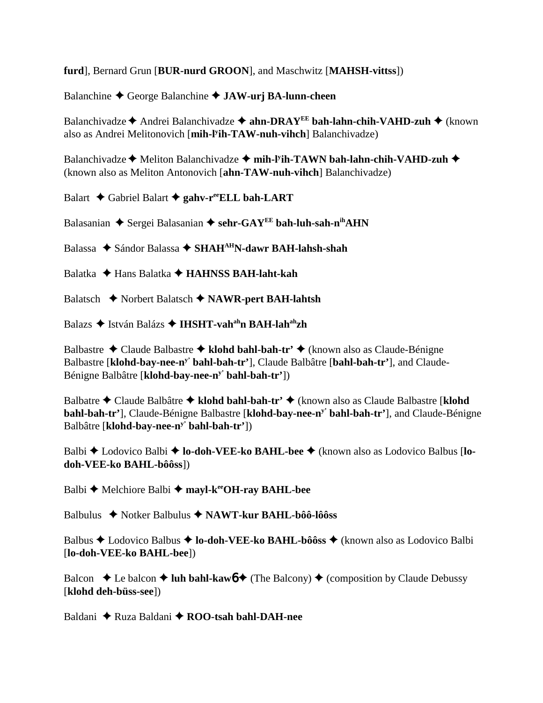**furd**], Bernard Grun [**BUR-nurd GROON**], and Maschwitz [**MAHSH-vittss**])

Balanchine George Balanchine **JAW-urj BA-lunn-cheen**

Balanchivadze ← Andrei Balanchivadze ← ahn-DRAY<sup>EE</sup> bah-lahn-chih-VAHD-zuh ← (known also as Andrei Melitonovich [**mih-ly ih-TAW-nuh-vihch**] Balanchivadze)

Balanchivadze **→** Meliton Balanchivadze → mih-l<sup>y</sup>ih-TAWN bah-lahn-chih-VAHD-zuh → (known also as Meliton Antonovich [**ahn-TAW-nuh-vihch**] Balanchivadze)

Balart **→** Gabriel Balart **→ gahv-reeELL bah-LART** 

Balasanian **→** Sergei Balasanian → sehr-GAY<sup>EE</sup> bah-luh-sah-n<sup>ih</sup>AHN

Balassa ◆ Sándor Balassa ◆ SHAH<sup>AH</sup>N-dawr BAH-lahsh-shah

Balatka Hans Balatka **HAHNSS BAH-laht-kah**

Balatsch Norbert Balatsch **NAWR-pert BAH-lahtsh**

Balazs ◆ István Balázs ◆ IHSHT-vah<sup>ah</sup>n BAH-lah<sup>ah</sup>zh

Balbastre Claude Balbastre **klohd bahl-bah-tr'** (known also as Claude-Bénigne Balbastre [**klohd-bay-nee-ny' bahl-bah-tr'**], Claude Balbâtre [**bahl-bah-tr'**], and Claude-Bénigne Balbâtre [**klohd-bay-nee-ny' bahl-bah-tr'**])

Balbatre Claude Balbâtre **klohd bahl-bah-tr'** (known also as Claude Balbastre [**klohd bahl-bah-tr'**], Claude-Bénigne Balbastre [**klohd-bay-nee-ny' bahl-bah-tr'**], and Claude-Bénigne Balbâtre [**klohd-bay-nee-ny' bahl-bah-tr'**])

Balbi ◆ Lodovico Balbi ◆ **lo-doh-VEE-ko BAHL-bee** ◆ (known also as Lodovico Balbus [**lodoh-VEE-ko BAHL-bôôss**])

Balbi **→** Melchiore Balbi → mayl-k<sup>ee</sup>OH-ray BAHL-bee

Balbulus Notker Balbulus **NAWT-kur BAHL-bôô-lôôss**

Balbus **←** Lodovico Balbus ← **lo-doh-VEE-ko BAHL-bôôss** ← (known also as Lodovico Balbi [**lo-doh-VEE-ko BAHL-bee**])

Balcon  $\triangle$  Le balcon  $\triangle$  luh bahl-kaw $6 \triangle$  (The Balcony)  $\triangle$  (composition by Claude Debussy [**klohd deh-büss-see**])

Baldani ◆ Ruza Baldani ◆ **ROO-tsah bahl-DAH-nee**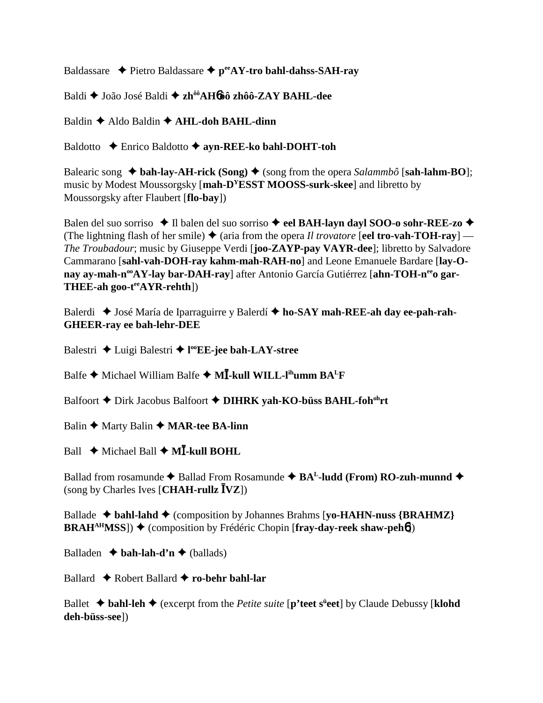Baldassare **←** Pietro Baldassare ← p<sup>ee</sup>AY-tro bahl-dahss-SAH-ray

Baldi João José Baldi **zhôôAH**6**ôô zhôô-ZAY BAHL-dee**

Baldin **←** Aldo Baldin ← **AHL-doh BAHL-dinn** 

Baldotto Enrico Baldotto **ayn-REE-ko bahl-DOHT-toh**

Balearic song  $\triangle$  bah-lay-AH-rick (Song)  $\triangle$  (song from the opera *Salammbô* [sah-lahm-BO]; music by Modest Moussorgsky [**mah-DYESST MOOSS-surk-skee**] and libretto by Moussorgsky after Flaubert [**flo-bay**])

Balen del suo sorriso **↓** Il balen del suo sorriso **→ eel BAH-layn dayl SOO-o sohr-REE-zo ◆** (The lightning flash of her smile)  $\triangle$  (aria from the opera *Il trovatore* [**eel tro-vah-TOH-rav**] — *The Troubadour*; music by Giuseppe Verdi [**joo-ZAYP-pay VAYR-dee**]; libretto by Salvadore Cammarano [**sahl-vah-DOH-ray kahm-mah-RAH-no**] and Leone Emanuele Bardare [**lay-O**nay ay-mah-n<sup>oo</sup>AY-lay bar-DAH-ray] after Antonio García Gutiérrez [ahn-TOH-n<sup>ee</sup>o gar-**THEE-ah goo-teeAYR-rehth**])

Balerdi ◆ José María de Iparraguirre y Balerdí ◆ ho-SAY mah-REE-ah day ee-pah-rah-**GHEER-ray ee bah-lehr-DEE**

Balestri Luigi Balestri **l ooEE-jee bah-LAY-stree**

Balfe **→** Michael William Balfe → M**I**-kull WILL-l<sup>ih</sup>umm BA<sup>L</sup>F

Balfoort  $\triangle$  Dirk Jacobus Balfoort  $\triangle$  **DIHRK yah-KO-büss BAHL-foh**<sup>oh</sup>rt

Balin **←** Marty Balin ← **MAR-tee BA-linn** 

Ball  $\leftrightarrow$  Michael Ball  $\leftrightarrow$  M**<sup>** $\overline{I}$ **-kull BOHL**</sup>

Ballad from rosamunde  $\blacklozenge$  Ballad From Rosamunde  $\blacklozenge$  BA<sup>L</sup>-ludd (From) RO-zuh-munnd  $\blacklozenge$ (song by Charles Ives [**CHAH-rullz VZ**])

Ballade  $\triangle$  bahl-lahd  $\triangle$  (composition by Johannes Brahms [**yo-HAHN-nuss**  ${BRAHMZ}$ } **BRAH<sup>AH</sup>MSS**])  $\blacklozenge$  (composition by Frédéric Chopin [fray-day-reek shaw-peh**6**])

Balladen  $\rightarrow$  **bah-lah-d'n**  $\rightarrow$  (ballads)

Ballard **↓** Robert Ballard **✦ ro-behr bahl-lar** 

Ballet **→ bahl-leh →** (excerpt from the *Petite suite* [**p'teet** s<sup>ii</sup>eet] by Claude Debussy [klohd **deh-büss-see**])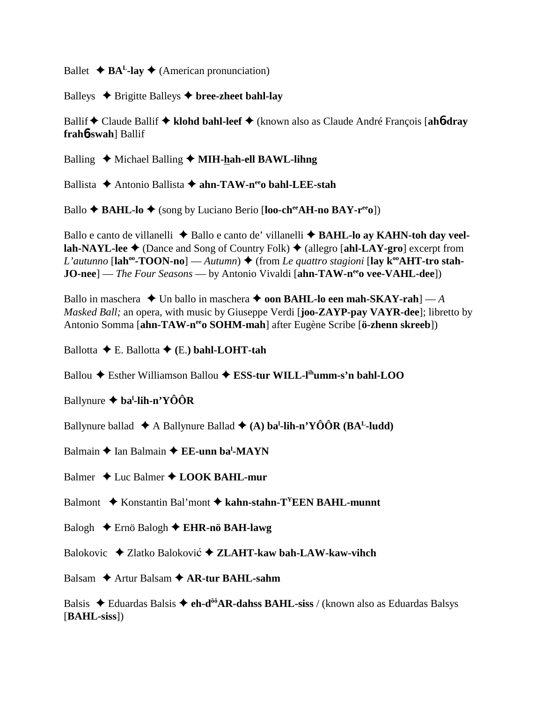Ballet  $\triangle$  **BA<sup>L</sup>-lay**  $\triangle$  (American pronunciation)

Balleys  $\triangle$  Brigitte Balleys  $\triangle$  bree-zheet bahl-lay

Ballif Claude Ballif  **klohd bahl-leef** (known also as Claude André François [**ah**6**-dray frah**6**-swah**] Ballif

Balling ◆ Michael Balling ◆ **MIH-hah-ell BAWL-lihng** 

Ballista **→** Antonio Ballista → ahn-TAW-n<sup>ee</sup>o bahl-LEE-stah

Ballo **↑ BAHL-lo ↑** (song by Luciano Berio [**loo-ch<sup>ee</sup>AH-no BAY-r<sup>ee</sup>o**])

Ballo e canto de villanelli  $\triangle$  Ballo e canto de' villanelli  $\triangle$  **BAHL-lo ay KAHN-toh day veellah-NAYL-lee ♦** (Dance and Song of Country Folk) ♦ (allegro [**ahl-LAY-gro**] excerpt from *L'autunno* [ $\text{lah}^{\text{oo}}\text{-}\text{TOON-nol}$  — *Autumn*)  $\blacklozenge$  (from *Le quattro stagioni* [ $\text{lay } k^{\text{oo}}\text{AHT-tro stah-}$ ] **JO-nee**] — *The Four Seasons* — by Antonio Vivaldi [ahn-TAW-n<sup>ee</sup>o vee-VAHL-dee])

Ballo in maschera  $\blacklozenge$  Un ballo in maschera  $\blacklozenge$  **oon BAHL-lo een mah-SKAY-rah**] — *A Masked Ball;* an opera, with music by Giuseppe Verdi [**joo-ZAYP-pay VAYR-dee**]; libretto by Antonio Somma [**ahn-TAW-neeo SOHM-mah**] after Eugène Scribe [**ö-zhenn skreeb**])

Ballotta E. Ballotta **(**E.**) bahl-LOHT-tah**

Ballou Esther Williamson Ballou **ESS-tur WILL-lihumm-s'n bahl-LOO**

Ballynure **bal -lih-n'YÔÔR**

Ballynure ballad ◆ A Ballynure Ballad ◆ (A) ba<sup>l</sup>-lih-n'YÔÔR (BA<sup>L</sup>-ludd)

Balmain ◆ Ian Balmain ◆ EE-unn ba<sup>l</sup>-MAYN

Balmer **↓** Luc Balmer ◆ **LOOK BAHL-mur** 

Balmont ◆ Konstantin Bal'mont ◆ kahn-stahn-T<sup>Y</sup>EEN BAHL-munnt

Balogh Ernö Balogh **EHR-nö BAH-lawg**

Balokovic ◆ Zlatko Baloković ◆ ZLAHT-kaw bah-LAW-kaw-vihch

Balsam **→** Artur Balsam ◆ **AR-tur BAHL-sahm** 

Balsis  $\triangle$  Eduardas Balsis  $\triangle$  **eh-d<sup>ôô</sup>AR-dahss BAHL-siss** / (known also as Eduardas Balsys [**BAHL-siss**])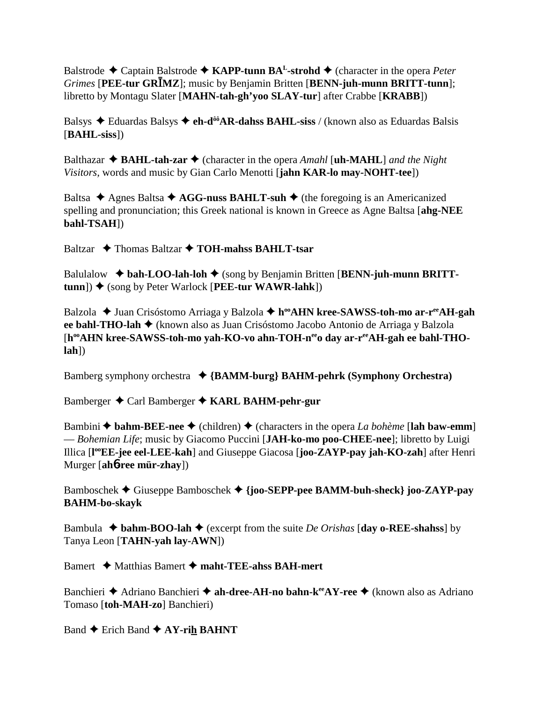Balstrode Captain Balstrode **KAPP-tunn BAL-strohd** (character in the opera *Peter Grimes* [**PEE-tur GRMZ**]; music by Benjamin Britten [**BENN-juh-munn BRITT-tunn**]; libretto by Montagu Slater [**MAHN-tah-gh'yoo SLAY-tur**] after Crabbe [**KRABB**])

Balsys Eduardas Balsys **eh-dôôAR-dahss BAHL-siss** / (known also as Eduardas Balsis [**BAHL-siss**])

Balthazar  $\triangle$  **BAHL-tah-zar**  $\triangle$  (character in the opera *Amahl* [**uh-MAHL**] *and the Night Visitors,* words and music by Gian Carlo Menotti [**jahn KAR-lo may-NOHT-tee**])

Baltsa  $\triangle$  Agnes Baltsa  $\triangle$  AGG-nuss BAHLT-suh  $\triangle$  (the foregoing is an Americanized spelling and pronunciation; this Greek national is known in Greece as Agne Baltsa [**ahg-NEE bahl-TSAH**])

Baltzar **→** Thomas Baltzar → **TOH-mahss BAHLT-tsar** 

Balulalow  $\triangleleft$  bah-LOO-lah-loh  $\triangleleft$  (song by Benjamin Britten [BENN-juh-munn BRITT**tunn**]) ♦ (song by Peter Warlock [PEE-tur WAWR-lahk])

Balzola ◆ Juan Crisóstomo Arriaga y Balzola ◆ h<sup>oo</sup>AHN kree-SAWSS-toh-mo ar-r<sup>ee</sup>AH-gah **ee bahl-THO-lah ♦** (known also as Juan Crisóstomo Jacobo Antonio de Arriaga y Balzola [h<sup>oo</sup>AHN kree-SAWSS-toh-mo yah-KO-vo ahn-TOH-neeo day ar-reeAH-gah ee bahl-THO**lah**])

Bamberg symphony orchestra **{BAMM-burg} BAHM-pehrk (Symphony Orchestra)**

Bamberger Carl Bamberger **KARL BAHM-pehr-gur**

Bambini  $\triangle$  bahm-BEE-nee  $\triangle$  (children)  $\triangle$  (characters in the opera *La bohème* [lah baw-emm] — *Bohemian Life*; music by Giacomo Puccini [**JAH-ko-mo poo-CHEE-nee**]; libretto by Luigi Illica [**l ooEE-jee eel-LEE-kah**] and Giuseppe Giacosa [**joo-ZAYP-pay jah-KO-zah**] after Henri Murger [**ah**6**-ree mür-zhay**])

Bamboschek Giuseppe Bamboschek **{joo-SEPP-pee BAMM-buh-sheck} joo-ZAYP-pay BAHM-bo-skayk**

Bambula  $\triangle$  **bahm-BOO-lah**  $\triangle$  (excerpt from the suite *De Orishas* [day o-REE-shahss] by Tanya Leon [**TAHN-yah lay-AWN**])

Bamert **→** Matthias Bamert → maht-TEE-ahss BAH-mert

Banchieri **→** Adriano Banchieri → **ah-dree-AH-no bahn-k<sup>ee</sup>AY-ree** → (known also as Adriano Tomaso [**toh-MAH-zo**] Banchieri)

Band  $\triangle$  Erich Band  $\triangle$  AY-rih BAHNT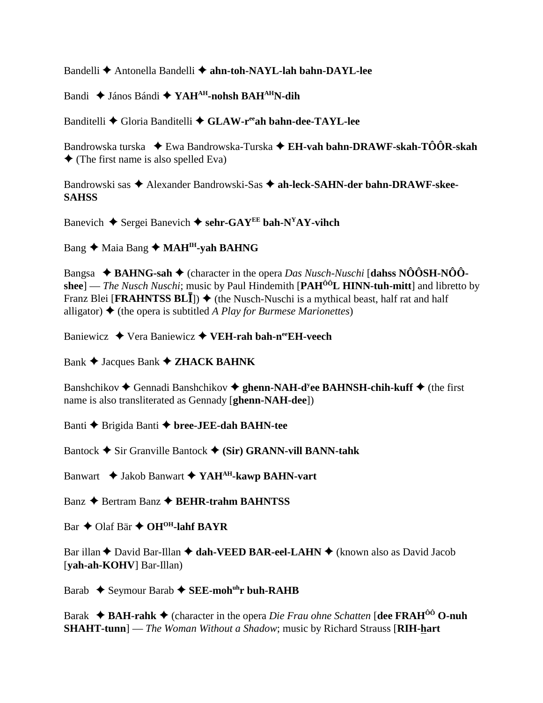Bandelli **←** Antonella Bandelli ← ahn-toh-NAYL-lah bahn-DAYL-lee

Bandi János Bándi **YAHAH-nohsh BAHAHN-dih**

Banditelli ◆ Gloria Banditelli ◆ GLAW-r<sup>ee</sup>ah bahn-dee-TAYL-lee

Bandrowska turska ◆ Ewa Bandrowska-Turska ◆ **EH-vah bahn-DRAWF-skah-TÔÔR-skah**  $\triangle$  (The first name is also spelled Eva)

Bandrowski sas  $\triangle$  Alexander Bandrowski-Sas  $\triangle$  ah-leck-SAHN-der bahn-DRAWF-skee-**SAHSS**

Banevich  $\blacklozenge$  Sergei Banevich  $\blacklozenge$  sehr-GAY<sup>EE</sup> bah-N<sup>Y</sup>AY-vihch

Bang ◆ Maia Bang ◆ MAH<sup>IH</sup>-yah BAHNG

Bangsa **BAHNG-sah** (character in the opera *Das Nusch-Nuschi* [**dahss NÔÔSH-NÔÔshee**] — *The Nusch Nuschi*; music by Paul Hindemith [**PAHÔÔL HINN-tuh-mitt**] and libretto by Franz Blei [**FRAHNTSS BLI**])  $\blacklozenge$  (the Nusch-Nuschi is a mythical beast, half rat and half alligator)  $\triangle$  (the opera is subtitled *A Play for Burmese Marionettes*)

Baniewicz **→** Vera Baniewicz **→ VEH-rah bah-n<sup>ee</sup>EH-veech** 

Bank  $\triangle$  Jacques Bank  $\triangle$  **ZHACK BAHNK** 

Banshchikov ◆ Gennadi Banshchikov ◆ ghenn-NAH-d<sup>y</sup>ee BAHNSH-chih-kuff ◆ (the first name is also transliterated as Gennady [**ghenn-NAH-dee**])

Banti **→** Brigida Banti → bree-JEE-dah BAHN-tee

Bantock  $\blacklozenge$  Sir Granville Bantock  $\blacklozenge$  (Sir) GRANN-vill BANN-tahk

Banwart  $\blacklozenge$  Jakob Banwart  $\blacklozenge$  **YAH<sup>AH</sup>-kawp BAHN-vart** 

Banz **→** Bertram Banz **→ BEHR-trahm BAHNTSS** 

 $Bar \triangleleft OIaf Bär \triangleleft OH<sup>OH</sup>-Iahf BAYR$ 

Bar illan ◆ David Bar-Illan ◆ dah-VEED BAR-eel-LAHN ◆ (known also as David Jacob [**yah-ah-KOHV**] Bar-Illan)

Barab ◆ Seymour Barab ◆ SEE-moh<sup>uh</sup>r buh-RAHB

Barak **BAH-rahk** (character in the opera *Die Frau ohne Schatten* [**dee FRAHÔÔ O-nuh SHAHT-tunn**] — *The Woman Without a Shadow*; music by Richard Strauss [**RIH-hart**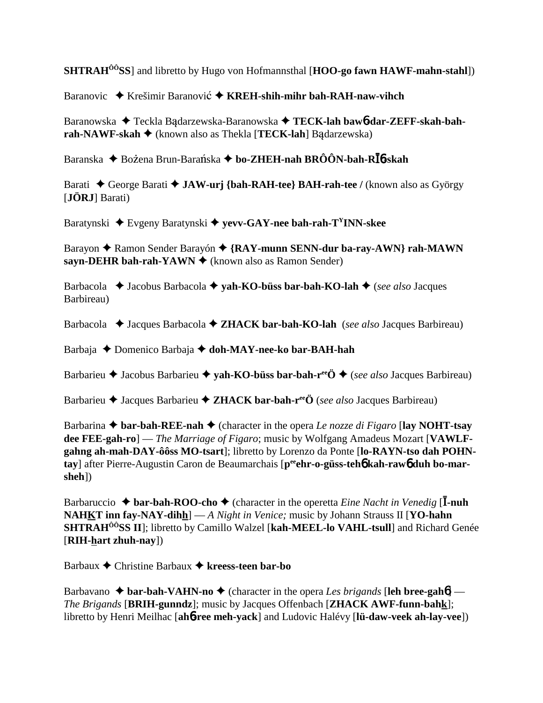**SHTRAHÔÔSS**] and libretto by Hugo von Hofmannsthal [**HOO-go fawn HAWF-mahn-stahl**])

Baranovic ◆ Krešimir Baranović ◆ KREH-shih-mihr bah-RAH-naw-vihch

Baranowska ◆ Teckla Badarzewska-Baranowska ◆ TECK-lah baw6-dar-ZEFF-skah-bah**rah-NAWF-skah ♦** (known also as Thekla [**TECK-lah**] Badarzewska)

Baranska ◆ Bożena Brun-Barańska ◆ bo-ZHEH-nah BRÔÔN-bah-R**Ī**6-skah

Barati ◆ George Barati ◆ JAW-urj {bah-RAH-tee} BAH-rah-tee / (known also as György [**JÖRJ**] Barati)

Baratynski Evgeny Baratynski **yevv-GAY-nee bah-rah-TYINN-skee**

Barayon **← Ramon Sender Barayón ← {RAY-munn SENN-dur ba-ray-AWN} rah-MAWN sayn-DEHR bah-rah-YAWN ♦** (known also as Ramon Sender)

Barbacola **→** Jacobus Barbacola → yah-KO-büss bar-bah-KO-lah → (*see also* Jacques Barbireau)

Barbacola Jacques Barbacola **ZHACK bar-bah-KO-lah** (*see also* Jacques Barbireau)

Barbaja Domenico Barbaja **doh-MAY-nee-ko bar-BAH-hah**

Barbarieu Jacobus Barbarieu **yah-KO-büss bar-bah-reeÖ** (*see also* Jacques Barbireau)

Barbarieu Jacques Barbarieu **ZHACK bar-bah-reeÖ** (*see also* Jacques Barbireau)

Barbarina  $\triangle$  bar-bah-REE-nah  $\triangle$  (character in the opera *Le nozze di Figaro* [lay NOHT-tsay **dee FEE-gah-ro**] — *The Marriage of Figaro*; music by Wolfgang Amadeus Mozart [**VAWLFgahng ah-mah-DAY-ôôss MO-tsart**]; libretto by Lorenzo da Ponte [**lo-RAYN-tso dah POHN**tay] after Pierre-Augustin Caron de Beaumarchais [peen**r-o-güss-teh6 kah-raw6 duh bo-marsheh**])

Barbaruccio  $\triangle$  **bar-bah-ROO-cho**  $\triangle$  (character in the operetta *Eine Nacht in Venedig* [I-nuh **NAHKT inn fay-NAY-dihh**] — *A Night in Venice;* music by Johann Strauss II [**YO-hahn SHTRAHÔÔSS II**]; libretto by Camillo Walzel [**kah-MEEL-lo VAHL-tsull**] and Richard Genée [**RIH-hart zhuh-nay**])

Barbaux Christine Barbaux **kreess-teen bar-bo**

Barbavano  $\triangle$  **bar-bah-VAHN-no**  $\triangle$  (character in the opera *Les brigands* [leh bree-gah**6**] — *The Brigands* [**BRIH-gunndz**]; music by Jacques Offenbach [**ZHACK AWF-funn-bahk**]; libretto by Henri Meilhac [**ah**6**-ree meh-yack**] and Ludovic Halévy [**lü-daw-veek ah-lay-vee**])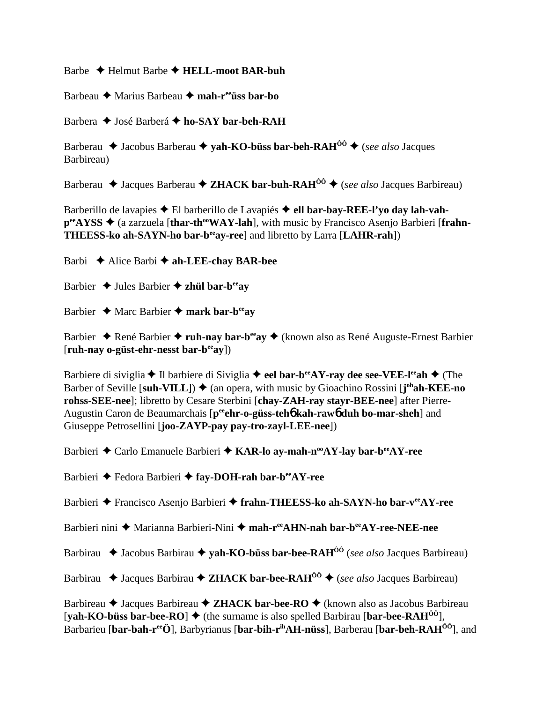Barbe Helmut Barbe **HELL-moot BAR-buh**

Barbeau Marius Barbeau **mah-reeüss bar-bo**

Barbera **→** José Barberá → ho-SAY bar-beh-RAH

Barberau **→** Jacobus Barberau → yah-KO-büss bar-beh-RAH<sup>ôô</sup> → (*see also* Jacques Barbireau)

Barberau  $\triangle$  Jacques Barberau  $\triangle$  **ZHACK bar-buh-RAH**<sup>ôô</sup>  $\triangle$  (*see also* Jacques Barbireau)

Barberillo de lavapies  $\triangle$  El barberillo de Lavapiés  $\triangle$  ell bar-bay-REE-l'yo day lah-vah**p<sup>ee</sup>AYSS ♦** (a zarzuela [thar-th<sup>oo</sup>WAY-lah], with music by Francisco Asenjo Barbieri [frahn-**THEESS-ko ah-SAYN-ho bar-beeay-ree**] and libretto by Larra [**LAHR-rah**])

Barbi Alice Barbi **ah-LEE-chay BAR-bee**

Barbier  $\triangle$  Jules Barbier  $\triangle$  zhül bar-b<sup>ee</sup>ay

Barbier **→** Marc Barbier → mark bar-b<sup>ee</sup>ay

Barbier René Barbier **ruh-nay bar-beeay** (known also as René Auguste-Ernest Barbier [**ruh-nay o-güst-ehr-nesst bar-beeay**])

Barbiere di siviglia **◆** Il barbiere di Siviglia ◆ eel bar-b<sup>ee</sup>AY-ray dee see-VEE-l<sup>ee</sup>ah ◆ (The Barber of Seville [suh-VILL]) ♦ (an opera, with music by Gioachino Rossini [j<sup>oh</sup>ah-KEE-no **rohss-SEE-nee**]; libretto by Cesare Sterbini [**chay-ZAH-ray stayr-BEE-nee**] after Pierre-Augustin Caron de Beaumarchais [p<sup>ee</sup>ehr-o-güss-teh**ó kah-rawó duh bo-mar-sheh**] and Giuseppe Petrosellini [**joo-ZAYP-pay pay-tro-zayl-LEE-nee**])

Barbieri **←** Carlo Emanuele Barbieri ← KAR-lo ay-mah-n<sup>oo</sup>AY-lay bar-b<sup>ee</sup>AY-ree

Barbieri **←** Fedora Barbieri ← fay-DOH-rah bar-beeAY-ree

Barbieri ◆ Francisco Asenjo Barbieri ◆ frahn-THEESS-ko ah-SAYN-ho bar-v<sup>ee</sup>AY-ree

Barbieri nini ◆ Marianna Barbieri-Nini ◆ mah-r<sup>ee</sup>AHN-nah bar-b<sup>ee</sup>AY-ree-NEE-nee

Barbirau **→** Jacobus Barbirau → **yah-KO-büss bar-bee-RAH<sup>ôô</sup>** (*see also* Jacques Barbireau)

Barbirau  $\triangle$  Jacques Barbirau  $\triangle$  **ZHACK bar-bee-RAH**<sup> $\hat{0}$ <sup>0</sup>  $\triangle$  (*see also* Jacques Barbireau)</sup>

Barbireau **→** Jacques Barbireau ◆ **ZHACK bar-bee-RO** ◆ (known also as Jacobus Barbireau  $[\text{vah-KO-büss bar-bee-RO}]$   $\blacklozenge$  (the surname is also spelled Barbirau  $[\text{bar-bee-RAH}^{00}]$ ), Barbarieu [**bar-bah-reeÖ**], Barbyrianus [**bar-bih-rihAH-nüss**], Barberau [**bar-beh-RAHÔÔ**], and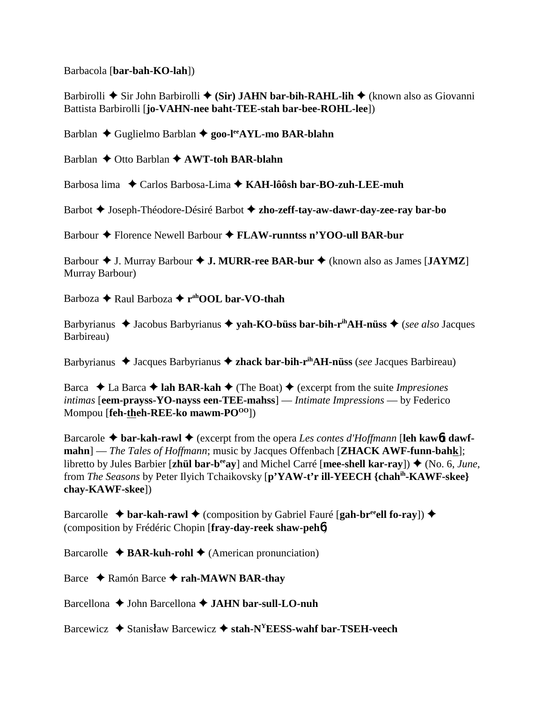Barbacola [**bar-bah-KO-lah**])

Barbirolli **→** Sir John Barbirolli ◆ (Sir) JAHN bar-bih-RAHL-lih ◆ (known also as Giovanni Battista Barbirolli [**jo-VAHN-nee baht-TEE-stah bar-bee-ROHL-lee**])

Barblan Guglielmo Barblan **goo-leeAYL-mo BAR-blahn**

Barblan **←** Otto Barblan ← AWT-toh BAR-blahn

Barbosa lima Carlos Barbosa-Lima **KAH-lôôsh bar-BO-zuh-LEE-muh**

Barbot Joseph-Théodore-Désiré Barbot **zho-zeff-tay-aw-dawr-day-zee-ray bar-bo**

Barbour Florence Newell Barbour **FLAW-runntss n'YOO-ull BAR-bur**

Barbour J. Murray Barbour **J. MURR-ree BAR-bur** (known also as James [**JAYMZ**] Murray Barbour)

Barboza **→** Raul Barboza → r<sup>ah</sup>OOL bar-VO-thah

Barbyrianus ◆ Jacobus Barbyrianus ◆ yah-KO-büss bar-bih-r<sup>ih</sup>AH-nüss ◆ (*see also* Jacques Barbireau)

Barbyrianus ◆ Jacques Barbyrianus ◆ zhack bar-bih-r<sup>ih</sup>AH-nüss (*see* Jacques Barbireau)

Barca  $\triangle$  La Barca  $\triangle$  **lah BAR-kah**  $\triangle$  (The Boat)  $\triangle$  (excerpt from the suite *Impresiones intimas* [**eem-prayss-YO-nayss een-TEE-mahss**] — *Intimate Impressions* — by Federico Mompou [**feh-theh-REE-ko mawm-PO<sup>00</sup>]**)

Barcarole **bar-kah-rawl** (excerpt from the opera *Les contes d'Hoffmann* [**leh kaw**6**t dawfmahn**] — *The Tales of Hoffmann*; music by Jacques Offenbach [**ZHACK AWF-funn-bahk**]; libretto by Jules Barbier [**zhül bar-beeay**] and Michel Carré [**mee-shell kar-ray**]) (No. 6, *June*, from *The Seasons* by Peter Ilyich Tchaikovsky [**p'YAW-t'r ill-YEECH {chahih-KAWF-skee} chay-KAWF-skee**])

Barcarolle  $\triangle$  **bar-kah-rawl**  $\triangle$  (composition by Gabriel Fauré [**gah-br<sup>ee</sup>ell fo-ray**])  $\triangle$ (composition by Frédéric Chopin [**fray-day-reek shaw-peh**6)

Barcarolle  $\triangle$  **BAR-kuh-rohl**  $\triangle$  (American pronunciation)

Barce **→** Ramón Barce → rah-MAWN BAR-thay

Barcellona **→** John Barcellona **→ JAHN bar-sull-LO-nuh** 

Barcewicz  $\triangle$  Stanisław Barcewicz  $\triangle$  stah-N<sup>Y</sup>EESS-wahf bar-TSEH-veech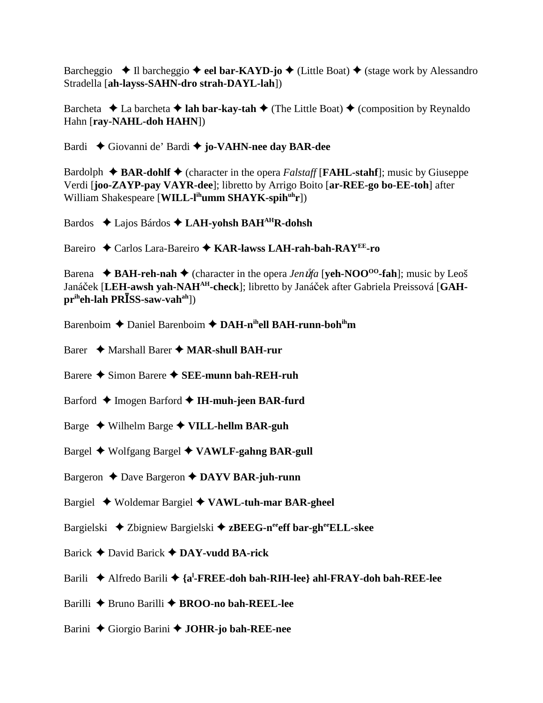Barcheggio  $\triangle$  Il barcheggio  $\triangle$  **eel bar-KAYD-jo**  $\triangle$  (Little Boat)  $\triangle$  (stage work by Alessandro Stradella [**ah-layss-SAHN-dro strah-DAYL-lah**])

Barcheta  $\triangle$  La barcheta  $\triangle$  **lah bar-kay-tah**  $\triangle$  (The Little Boat)  $\triangle$  (composition by Reynaldo Hahn [**ray-NAHL-doh HAHN**])

Bardi Giovanni de' Bardi **jo-VAHN-nee day BAR-dee**

Bardolph  $\triangle$  **BAR-dohlf**  $\triangle$  (character in the opera *Falstaff* [**FAHL-stahf**]; music by Giuseppe Verdi [**joo-ZAYP-pay VAYR-dee**]; libretto by Arrigo Boito [**ar-REE-go bo-EE-toh**] after William Shakespeare [WILL-l<sup>ih</sup>umm SHAYK-spih<sup>uh</sup>r])

Bardos Lajos Bárdos **LAH-yohsh BAHAHR-dohsh**

Bareiro Carlos Lara-Bareiro **KAR-lawss LAH-rah-bah-RAYEE-ro**

Barena  $\blacklozenge$  **BAH-reh-nah**  $\blacklozenge$  (character in the opera *Jen*  $\hat{u}$ *fa* [**yeh-NOO<sup>oo</sup>-fah**]; music by Leoš Janáček [LEH-awsh yah-NAH<sup>AH</sup>-check]; libretto by Janáček after Gabriela Preissová [GAH**priheh-lah PRSS-saw-vahah**])

- Barenboim **←** Daniel Barenboim ← DAH-n<sup>ih</sup>ell BAH-runn-boh<sup>ih</sup>m
- Barer Marshall Barer **MAR-shull BAH-rur**
- Barere **→** Simon Barere **→ SEE-munn bah-REH-ruh**
- Barford ◆ Imogen Barford ◆ IH-muh-jeen BAR-furd
- Barge Wilhelm Barge **VILL-hellm BAR-guh**
- Bargel Wolfgang Bargel **VAWLF-gahng BAR-gull**
- Bargeron ◆ Dave Bargeron ◆ DAYV BAR-juh-runn
- Bargiel Woldemar Bargiel **VAWL-tuh-mar BAR-gheel**
- Bargielski **→** Zbigniew Bargielski → zBEEG-n<sup>ee</sup>eff bar-gheeELL-skee
- Barick David Barick **DAY-vudd BA-rick**
- Barili Alfredo Barili **{al -FREE-doh bah-RIH-lee} ahl-FRAY-doh bah-REE-lee**
- Barilli **→** Bruno Barilli → **BROO-no bah-REEL-lee**
- Barini Giorgio Barini **JOHR-jo bah-REE-nee**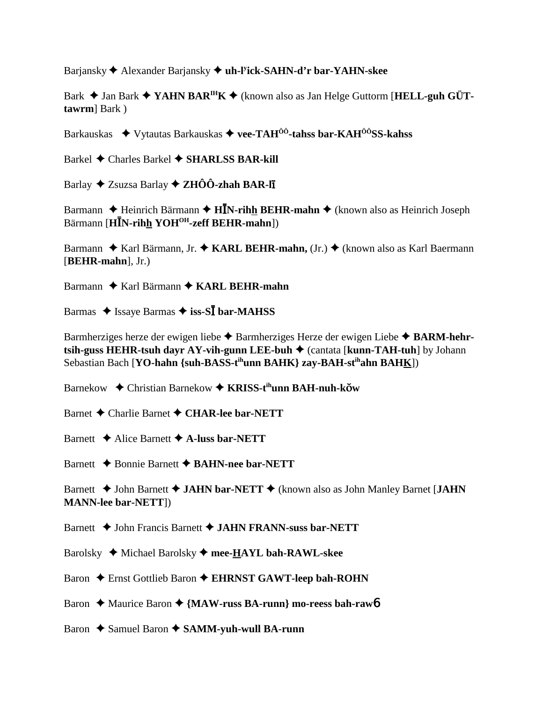Barjansky Alexander Barjansky **uh-ly ick-SAHN-d'r bar-YAHN-skee**

Bark **→** Jan Bark ◆ **YAHN BAR<sup>IH</sup>K ◆** (known also as Jan Helge Guttorm [**HELL-guh GÜTtawrm**] Bark )

Barkauskas Vytautas Barkauskas **vee-TAHÔÔ-tahss bar-KAHÔÔSS-kahss**

Barkel Charles Barkel **SHARLSS BAR-kill**

Barlay Zsuzsa Barlay **ZHÔÔ-zhah BAR-l**-

Barmann  $\triangle$  Heinrich Bärmann  $\triangle$  **HN**-rihh BEHR-mahn  $\triangle$  (known also as Heinrich Joseph Bärmann [**HN-rihh YOHOH-zeff BEHR-mahn**])

Barmann ◆ Karl Bärmann, Jr. ◆ KARL BEHR-mahn, (Jr.) ◆ (known also as Karl Baermann [**BEHR-mahn**], Jr.)

Barmann ◆ Karl Bärmann ◆ KARL BEHR-mahn

Barmas  $\triangle$  Issaye Barmas  $\triangle$  iss-S**I** bar-MAHSS

Barmherziges herze der ewigen liebe  $\triangle$  Barmherziges Herze der ewigen Liebe  $\triangle$  **BARM-hehrtsih-guss HEHR-tsuh dayr AY-vih-gunn LEE-buh ♦ (cantata [kunn-TAH-tuh] by Johann** Sebastian Bach [**YO-hahn {suh-BASS-tihunn BAHK} zay-BAH-stihahn BAHK**])

Barnekow ◆ Christian Barnekow ◆ KRISS-t<sup>ih</sup>unn BAH-nuh-k**ŏw** 

Barnet **←** Charlie Barnet ← CHAR-lee bar-NETT

Barnett **→** Alice Barnett **→ A-luss bar-NETT** 

Barnett **←** Bonnie Barnett ← **BAHN-nee bar-NETT** 

Barnett **→ John Barnett → JAHN bar-NETT →** (known also as John Manley Barnet [JAHN] **MANN-lee bar-NETT**])

Barnett  $\blacklozenge$  John Francis Barnett  $\blacklozenge$  JAHN FRANN-suss bar-NETT

Barolsky Michael Barolsky **mee-HAYL bah-RAWL-skee**

Baron  $\triangle$  Ernst Gottlieb Baron  $\triangle$  EHRNST GAWT-leep bah-ROHN

Baron ◆ Maurice Baron ◆ {MAW-russ BA-runn} mo-reess bah-raw**6** 

Baron **→** Samuel Baron **→ SAMM-yuh-wull BA-runn**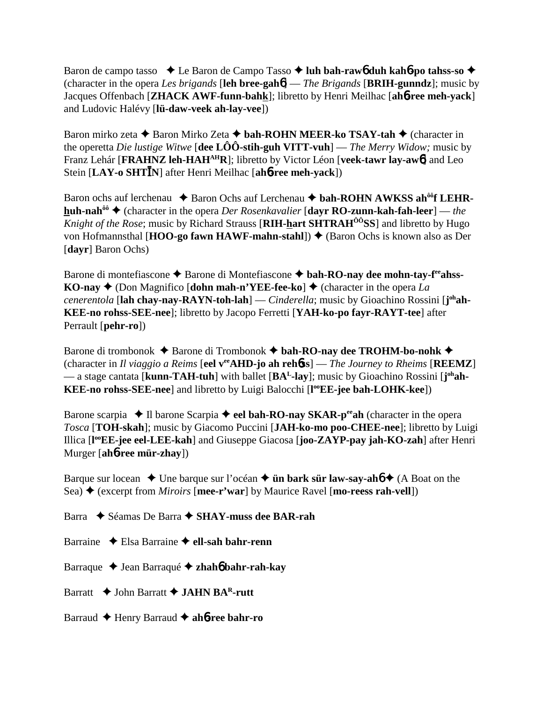Baron de campo tasso  $\rightarrow$  Le Baron de Campo Tasso  $\rightarrow$  luh bah-raw6 duh kah6-po tahss-so  $\rightarrow$ (character in the opera *Les brigands* [**leh bree-gah**6] — *The Brigands* [**BRIH-gunndz**]; music by Jacques Offenbach [**ZHACK AWF-funn-bahk**]; libretto by Henri Meilhac [**ah**6**-ree meh-yack**] and Ludovic Halévy [**lü-daw-veek ah-lay-vee**])

Baron mirko zeta **→** Baron Mirko Zeta **→ bah-ROHN MEER-ko TSAY-tah →** (character in the operetta *Die lustige Witwe* [**dee LÔÔ-stih-guh VITT-vuh**] — *The Merry Widow;* music by Franz Lehár [**FRAHNZ** leh-HAH<sup>AH</sup>R]; libretto by Victor Léon [**veek-tawr** lay-aw<sup>6</sup>] and Leo Stein [**LAY-o SHTN**] after Henri Meilhac [**ah**6**-ree meh-yack**])

Baron ochs auf lerchenau  $\triangle$  Baron Ochs auf Lerchenau  $\triangle$  bah-ROHN AWKSS ah<sup>ôô</sup>f LEHR**huh-nah<sup>ôô</sup> ♦ (character in the opera** *Der Rosenkavalier* **[davr RO-zunn-kah-fah-leer] —** *the Knight of the Rose*; music by Richard Strauss [**RIH-hart SHTRAH<sup>ôô</sup>SS**] and libretto by Hugo von Hofmannsthal [**HOO-go fawn HAWF-mahn-stahl**]) ♦ (Baron Ochs is known also as Der [**dayr**] Baron Ochs)

Barone di montefiascone  $\triangle$  Barone di Montefiascone  $\triangle$  bah-RO-nay dee mohn-tay-f<sup>ee</sup>ahss-**KO-nay**  $\blacklozenge$  (Don Magnifico [**dohn mah-n'YEE-fee-ko**]  $\blacklozenge$  (character in the opera *La cenerentola* [**lah chay-nay-RAYN-toh-lah**] — *Cinderella*; music by Gioachino Rossini [**j ohah-KEE-no rohss-SEE-nee**]; libretto by Jacopo Ferretti [**YAH-ko-po fayr-RAYT-tee**] after Perrault [**pehr-ro**])

Barone di trombonok  $\triangle$  Barone di Trombonok  $\triangle$  bah-RO-nay dee TROHM-bo-nohk  $\triangle$ (character in *Il viaggio a Reims* [**eel veeAHD-jo ah reh**6**ss**] — *The Journey to Rheims* [**REEMZ**] — a stage cantata [kunn-TAH-tuh] with ballet [BA<sup>L</sup>-lay]; music by Gioachino Rossini [j<sup>oh</sup>ah-KEE-no rohss-SEE-nee] and libretto by Luigi Balocchi [l<sup>oo</sup>EE-jee bah-LOHK-kee])

Barone scarpia  $\blacklozenge$  Il barone Scarpia  $\blacklozenge$  **eel bah-RO-nay SKAR-p<sup>ee</sup>ah** (character in the opera *Tosca* [**TOH-skah**]; music by Giacomo Puccini [**JAH-ko-mo poo-CHEE-nee**]; libretto by Luigi Illica [**l ooEE-jee eel-LEE-kah**] and Giuseppe Giacosa [**joo-ZAYP-pay jah-KO-zah**] after Henri Murger [**ah**6**-ree mür-zhay**])

Barque sur locean  $\triangle$  Une barque sur l'océan  $\triangle$  **ün bark sür law-say-ahó**  $\triangle$  (A Boat on the Sea)  $\triangle$  (excerpt from *Miroirs* [**mee-r'war**] by Maurice Ravel [**mo-reess rah-vell**])

Barra ◆ Séamas De Barra **◆ SHAY-muss dee BAR-rah** 

Barraine Elsa Barraine **ell-sah bahr-renn**

Barraque Jean Barraqué  **zhah**6 **bahr-rah-kay**

Barratt  $\rightarrow$  John Barratt  $\rightarrow$  JAHN BAR-rutt

Barraud **←** Henry Barraud ← ah**6-ree bahr-ro**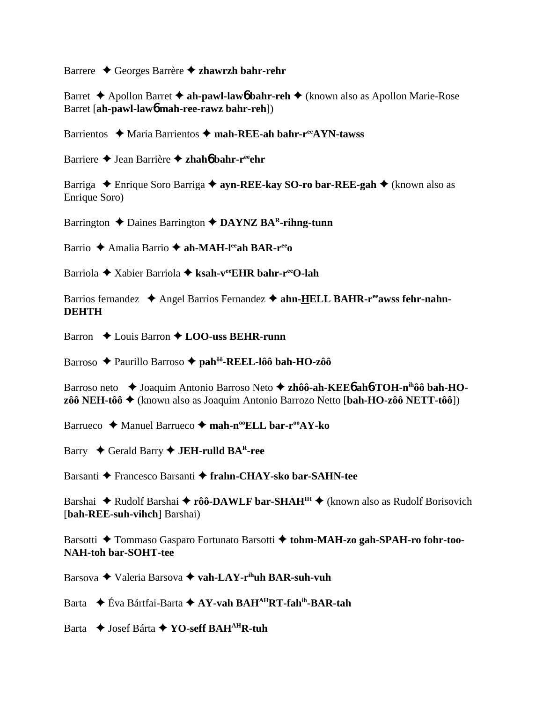Barrere Georges Barrère **zhawrzh bahr-rehr**

Barret **→** Apollon Barret **→ ah-pawl-law6** bahr-reh → (known also as Apollon Marie-Rose Barret [**ah-pawl-law**6 **mah-ree-rawz bahr-reh**])

Barrientos ◆ Maria Barrientos ◆ mah-REE-ah bahr-r<sup>ee</sup>AYN-tawss

Barriere ◆ Jean Barrière ◆ zhah**6** bahr-r<sup>ee</sup>ehr

Barriga  **←** Enrique Soro Barriga **← ayn-REE-kay SO-ro bar-REE-gah** ← (known also as Enrique Soro)

Barrington  $\triangle$  Daines Barrington  $\triangle$  **DAYNZ BA<sup>R</sup>-rihng-tunn** 

Barrio Amalia Barrio **ah-MAH-leeah BAR-reeo**

Barriola Xabier Barriola **ksah-veeEHR bahr-reeO-lah**

Barrios fernandez  $\triangle$  Angel Barrios Fernandez  $\triangle$  ahn-HELL BAHR-r<sup>ee</sup>awss fehr-nahn-**DEHTH**

Barron **←** Louis Barron ← **LOO-uss BEHR-runn** 

Barroso Paurillo Barroso **pahôô-REEL-lôô bah-HO-zôô**

Barroso neto **→** Joaquim Antonio Barroso Neto → zhôô-ah-KEE6 ah6-TOH-n<sup>ih</sup>ôô bah-HO**zôô NEH-tôô** (known also as Joaquim Antonio Barrozo Netto [**bah-HO-zôô NETT-tôô**])

Barrueco **→** Manuel Barrueco → mah-n<sup>oo</sup>ELL bar-r<sup>oo</sup>AY-ko

Barry Gerald Barry **JEH-rulld BAR-ree**

Barsanti Francesco Barsanti **frahn-CHAY-sko bar-SAHN-tee**

Barshai ◆ Rudolf Barshai ◆ rôô-DAWLF bar-SHAH<sup>IH</sup> ◆ (known also as Rudolf Borisovich [**bah-REE-suh-vihch**] Barshai)

Barsotti ◆ Tommaso Gasparo Fortunato Barsotti ◆ tohm-MAH-zo gah-SPAH-ro fohr-too-**NAH-toh bar-SOHT-tee**

Barsova Valeria Barsova **vah-LAY-rihuh BAR-suh-vuh**

Barta Éva Bártfai-Barta **AY-vah BAHAHRT-fahih-BAR-tah**

Barta **→** Josef Bárta **→ YO-seff BAH<sup>AH</sup>R-tuh**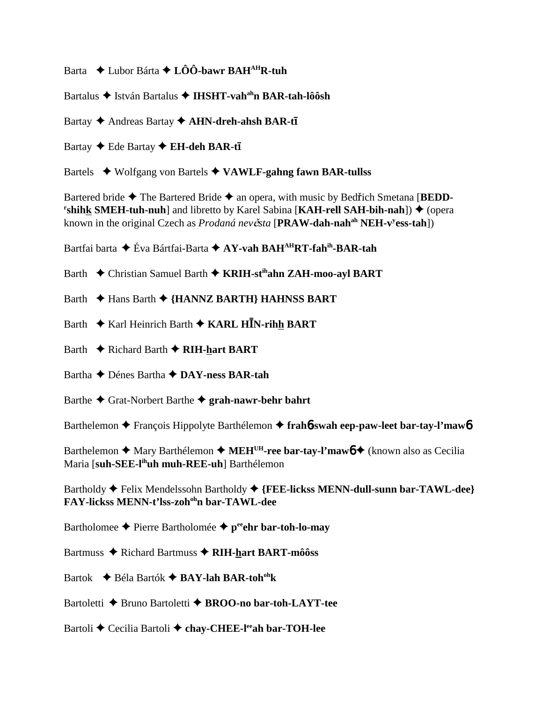Barta Lubor Bárta **LÔÔ-bawr BAHAHR-tuh**

Bartalus ◆ István Bartalus ◆ **IHSHT-vah<sup>ah</sup>n BAR-tah-lôôsh** 

Bartay ◆ Andreas Bartay ◆ AHN-dreh-ahsh BAR-t**ī** 

Bartay ◆ Ede Bartay ◆ **EH-deh BAR-tī** 

Bartels Wolfgang von Bartels **VAWLF-gahng fawn BAR-tullss**

Bartered bride  $\triangle$  The Bartered Bride  $\triangle$  an opera, with music by Bedfich Smetana [**BEDD**-**Finallyish:** SMEH-tuh-nuh] and libretto by Karel Sabina [KAH-rell SAH-bih-nah])  $\stackrel{\bullet}{\blacklozenge}$  (opera known in the original Czech as *Prodaná nevěsta* [PRAW-dah-nah<sup>ah</sup> NEH-v<sup>y</sup>ess-tah])

Bartfai barta Éva Bártfai-Barta **AY-vah BAHAHRT-fahih-BAR-tah**

Barth Christian Samuel Barth **KRIH-stihahn ZAH-moo-ayl BART**

Barth Hans Barth  **{HANNZ BARTH} HAHNSS BART**

- Barth **↓** Karl Heinrich Barth **↓ KARL HIN-rihh BART**
- Barth **←** Richard Barth ← RIH-hart BART

Bartha Dénes Bartha **DAY-ness BAR-tah**

Barthe Grat-Norbert Barthe **grah-nawr-behr bahrt**

Barthelemon François Hippolyte Barthélemon **frah**6**-swah eep-paw-leet bar-tay-l'maw**6

Barthelemon ◆ Mary Barthélemon ◆ MEH<sup>UH</sup>-ree bar-tay-l'maw<sup>6</sup> ◆ (known also as Cecilia Maria [**suh-SEE-lihuh muh-REE-uh**] Barthélemon

Bartholdy  $\blacklozenge$  Felix Mendelssohn Bartholdy  $\blacklozenge$  {FEE-lickss MENN-dull-sunn bar-TAWL-dee} **FAY-lickss MENN-t'lss-zohohn bar-TAWL-dee**

Bartholomee  $\triangle$  Pierre Bartholomée  $\triangle$  p<sup>ee</sup>ehr bar-toh-lo-may

Bartmuss ◆ Richard Bartmuss ◆ RIH-hart BART-môôss

Bartok Béla Bartók **BAY-lah BAR-tohohk**

Bartoletti **→** Bruno Bartoletti → **BROO-no bar-toh-LAYT-tee** 

Bartoli **←** Cecilia Bartoli ← chay-CHEE-lee har-TOH-lee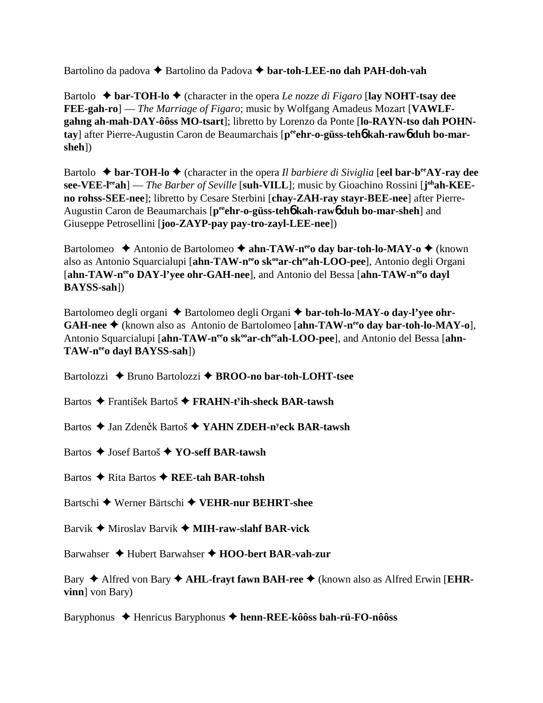Bartolino da padova **→** Bartolino da Padova **→ bar-toh-LEE-no dah PAH-doh-vah** 

Bartolo  $\triangle$  **bar-TOH-lo**  $\triangle$  (character in the opera *Le nozze di Figaro* [lay NOHT-tsay dee **FEE-gah-ro**] — *The Marriage of Figaro*; music by Wolfgang Amadeus Mozart [**VAWLFgahng ah-mah-DAY-ôôss MO-tsart**]; libretto by Lorenzo da Ponte [**lo-RAYN-tso dah POHN**tay] after Pierre-Augustin Caron de Beaumarchais [peehr-o-güss-teh**6** kah-raw6 duh bo-mar**sheh**])

Bartolo  $\triangle$  **bar-TOH-lo**  $\triangle$  (character in the opera *Il barbiere di Siviglia* [**eel bar-b<sup>ee</sup>AY-ray dee see-VEE-l<sup>ee</sup>ah**] — *The Barber of Seville* [**suh-VILL**]; music by Gioachino Rossini [**j**<sup>oh</sup>**ah-KEEno rohss-SEE-nee**]; libretto by Cesare Sterbini [**chay-ZAH-ray stayr-BEE-nee**] after Pierre-Augustin Caron de Beaumarchais [p<sup>ee</sup>ehr-o-güss-teh**6** kah-raw**6** duh bo-mar-sheh] and Giuseppe Petrosellini [**joo-ZAYP-pay pay-tro-zayl-LEE-nee**])

Bartolomeo ◆ Antonio de Bartolomeo ◆ ahn-TAW-n<sup>ee</sup>o day bar-toh-lo-MAY-o ◆ (known also as Antonio Squarcialupi [ahn-TAW-n<sup>ee</sup>o sk<sup>oo</sup>ar-ch<sup>ee</sup>ah-LOO-pee], Antonio degli Organi [ahn-TAW-n<sup>ee</sup>o DAY-l'yee ohr-GAH-nee], and Antonio del Bessa [ahn-TAW-n<sup>ee</sup>o dayl **BAYSS-sah**])

Bartolomeo degli organi  $\triangle$  Bartolomeo degli Organi  $\triangle$  bar-toh-lo-MAY-o day-l'vee ohr-**GAH-nee** (known also as Antonio de Bartolomeo [**ahn-TAW-neeo day bar-toh-lo-MAY-o**], Antonio Squarcialupi [ahn-TAW-n<sup>ee</sup>o sk<sup>oo</sup>ar-ch<sup>ee</sup>ah-LOO-pee], and Antonio del Bessa [ahn-**TAW-neeo dayl BAYSS-sah**])

- Bartolozzi **→** Bruno Bartolozzi → BROO-no bar-toh-LOHT-tsee
- Bartos František Bartoš **FRAHN-ty ih-sheck BAR-tawsh**
- Bartos ◆ Jan Zdeněk Bartoš ◆ YAHN ZDEH-n<sup>y</sup>eck BAR-tawsh
- Bartos Josef Bartoš **YO-seff BAR-tawsh**
- Bartos **→** Rita Bartos ◆ REE-tah BAR-tohsh
- Bartschi Werner Bärtschi **VEHR-nur BEHRT-shee**
- Barvik Miroslav Barvik  **MIH-raw-slahf BAR-vick**
- Barwahser **→** Hubert Barwahser → **HOO-bert BAR-vah-zur**

Bary ♦ Alfred von Bary ♦ AHL-frayt fawn BAH-ree ♦ (known also as Alfred Erwin [EHR**vinn**] von Bary)

Baryphonus Henricus Baryphonus **henn-REE-kôôss bah-rü-FO-nôôss**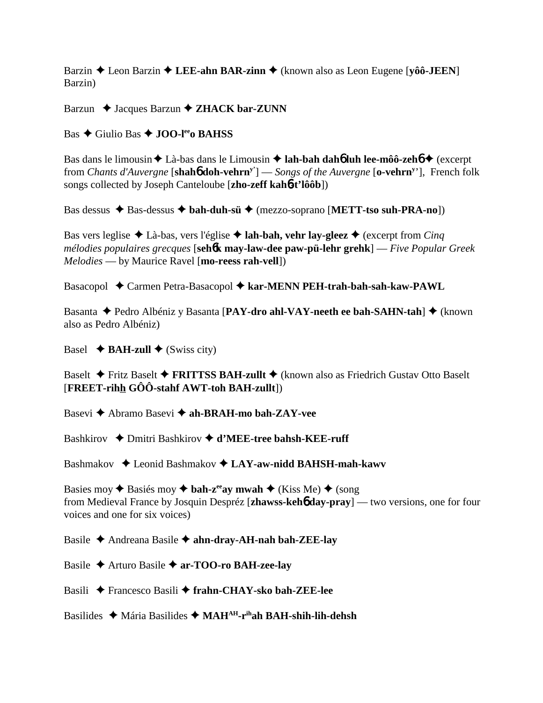Barzin Leon Barzin **LEE-ahn BAR-zinn** (known also as Leon Eugene [**yôô-JEEN**] Barzin)

Barzun **→** Jacques Barzun **→ ZHACK bar-ZUNN** 

Bas Giulio Bas **JOO-leeo BAHSS**

Bas dans le limousin **↓** Là-bas dans le Limousin **→ lah-bah dah6 luh lee-môô-zeh6 →** (excerpt from *Chants d'Auvergne* [**shah**6 **doh-vehrny'**] — *Songs of the Auvergne* [**o-vehrny** '], French folk songs collected by Joseph Canteloube [**zho-zeff kah**6**-t'lôôb**])

Bas dessus  $\triangle$  Bas-dessus  $\triangle$  bah-duh-sü  $\triangle$  (mezzo-soprano [METT-tso suh-PRA-no])

Bas vers leglise  $\triangle$  Là-bas, vers l'église  $\triangle$  **lah-bah, vehr lay-gleez**  $\triangle$  (excerpt from *Cinq mélodies populaires grecques* [**seh**6**k may-law-dee paw-pü-lehr grehk**] — *Five Popular Greek Melodies* — by Maurice Ravel [**mo-reess rah-vell**])

Basacopol ◆ Carmen Petra-Basacopol ◆ kar-MENN PEH-trah-bah-sah-kaw-PAWL

Basanta ◆ Pedro Albéniz y Basanta [PAY-dro ahl-VAY-neeth ee bah-SAHN-tah] ◆ (known also as Pedro Albéniz)

Basel  $\triangle$  **BAH-zull**  $\triangle$  (Swiss city)

Baselt **→** Fritz Baselt **→ FRITTSS BAH-zullt →** (known also as Friedrich Gustav Otto Baselt [**FREET-rihh GÔÔ-stahf AWT-toh BAH-zullt**])

Basevi **→** Abramo Basevi → ah-BRAH-mo bah-ZAY-vee

Bashkirov **→** Dmitri Bashkirov → **d'MEE-tree bahsh-KEE-ruff** 

Bashmakov **→** Leonid Bashmakov ◆ LAY-aw-nidd BAHSH-mah-kawv

Basies moy  $\triangle$  Basiés moy  $\triangle$  bah-z<sup>ee</sup>ay mwah  $\triangle$  (Kiss Me)  $\triangle$  (song from Medieval France by Josquin Despréz [**zhawss-keh**6 **day-pray**] — two versions, one for four voices and one for six voices)

Basile Andreana Basile **ahn-dray-AH-nah bah-ZEE-lay**

Basile Arturo Basile **ar-TOO-ro BAH-zee-lay**

Basili Francesco Basili **frahn-CHAY-sko bah-ZEE-lee**

Basilides ◆ Mária Basilides ◆ MAH<sup>AH</sup>-r<sup>ih</sup>ah BAH-shih-lih-dehsh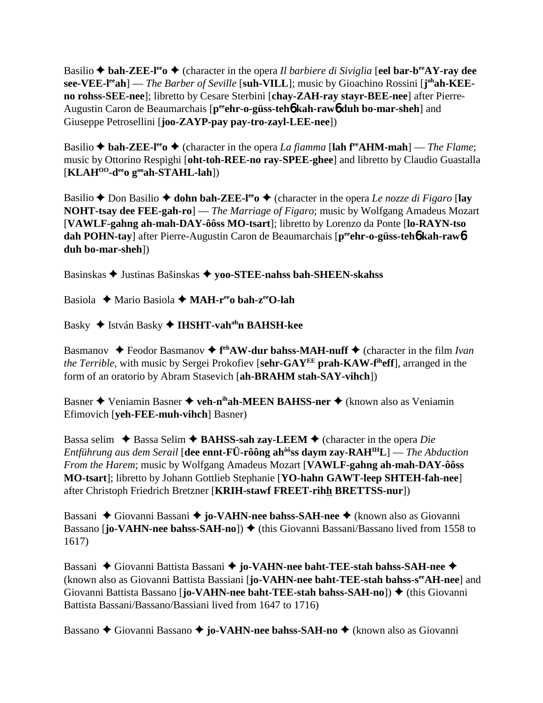Basilio  $\triangle$  bah-ZEE-l<sup>ee</sup>  $\triangle$  (character in the opera *Il barbiere di Siviglia* [eel bar-b<sup>ee</sup>AY-ray dee **see-VEE-l<sup>ee</sup>ah**] — *The Barber of Seville* [**suh-VILL**]; music by Gioachino Rossini [**j**<sup>oh</sup>**ah-KEEno rohss-SEE-nee**]; libretto by Cesare Sterbini [**chay-ZAH-ray stayr-BEE-nee**] after Pierre-Augustin Caron de Beaumarchais [p<sup>ee</sup>ehr-o-güss-teh**o** kah-rawo duh bo-mar-sheh] and Giuseppe Petrosellini [**joo-ZAYP-pay pay-tro-zayl-LEE-nee**])

Basilio  $\triangle$  **bah-ZEE-l<sup>ee</sup>o**  $\triangle$  (character in the opera *La fiamma* [lah f<sup>re</sup>AHM-mah] — *The Flame*; music by Ottorino Respighi [**oht-toh-REE-no ray-SPEE-ghee**] and libretto by Claudio Guastalla [**KLAHOO-deeo gooah-STAHL-lah**])

Basilio  $\triangle$  Don Basilio  $\triangle$  **dohn bah-ZEE-l<sup>ee</sup>o**  $\triangle$  (character in the opera *Le nozze di Figaro* [lay **NOHT-tsay dee FEE-gah-ro**] — *The Marriage of Figaro*; music by Wolfgang Amadeus Mozart [**VAWLF-gahng ah-mah-DAY-ôôss MO-tsart**]; libretto by Lorenzo da Ponte [**lo-RAYN-tso dah POHN-tay**] after Pierre-Augustin Caron de Beaumarchais [p<sup>ee</sup>ehr-o-güss-teh**6** kah-rawb] **duh bo-mar-sheh**])

Basinskas Justinas Bašinskas **yoo-STEE-nahss bah-SHEEN-skahss**

Basiola Mario Basiola **MAH-reeo bah-zeeO-lah**

Basky ◆ István Basky ◆ **IHSHT-vah<sup>ah</sup>n BAHSH-kee** 

Basmanov ◆ Feodor Basmanov ◆ f<sup>eh</sup>AW-dur bahss-MAH-nuff ◆ (character in the film *Ivan the Terrible*, with music by Sergei Prokofiev [**sehr-GAYEE prah-KAW-fiheff**], arranged in the form of an oratorio by Abram Stasevich [**ah-BRAHM stah-SAY-vihch**])

Basner **→** Veniamin Basner → veh-n<sup>ih</sup>ah-MEEN BAHSS-ner → (known also as Veniamin Efimovich [**yeh-FEE-muh-vihch**] Basner)

Bassa selim  $\triangle$  Bassa Selim  $\triangle$  **BAHSS-sah zay-LEEM**  $\triangle$  (character in the opera *Die Entführung aus dem Serail* [**dee ennt-FÜ-rôông ahôôss daym zay-RAHIHL**] — *The Abduction From the Harem*; music by Wolfgang Amadeus Mozart [**VAWLF-gahng ah-mah-DAY-ôôss MO-tsart**]; libretto by Johann Gottlieb Stephanie [**YO-hahn GAWT-leep SHTEH-fah-nee**] after Christoph Friedrich Bretzner [**KRIH-stawf FREET-rihh BRETTSS-nur**])

Bassani ◆ Giovanni Bassani ◆ **jo-VAHN-nee bahss-SAH-nee** ◆ (known also as Giovanni Bassano [**jo-VAHN-nee bahss-SAH-no**]) ♦ (this Giovanni Bassani/Bassano lived from 1558 to 1617)

Bassani ◆ Giovanni Battista Bassani ◆ jo-VAHN-nee baht-TEE-stah bahss-SAH-nee ◆ (known also as Giovanni Battista Bassiani [**jo-VAHN-nee baht-TEE-stah bahss-seeAH-nee**] and Giovanni Battista Bassano [**jo-VAHN-nee baht-TEE-stah bahss-SAH-no**]) ♦ (this Giovanni Battista Bassani/Bassano/Bassiani lived from 1647 to 1716)

Bassano ◆ Giovanni Bassano ◆ jo-VA**HN-nee bahss-SAH-no** ◆ (known also as Giovanni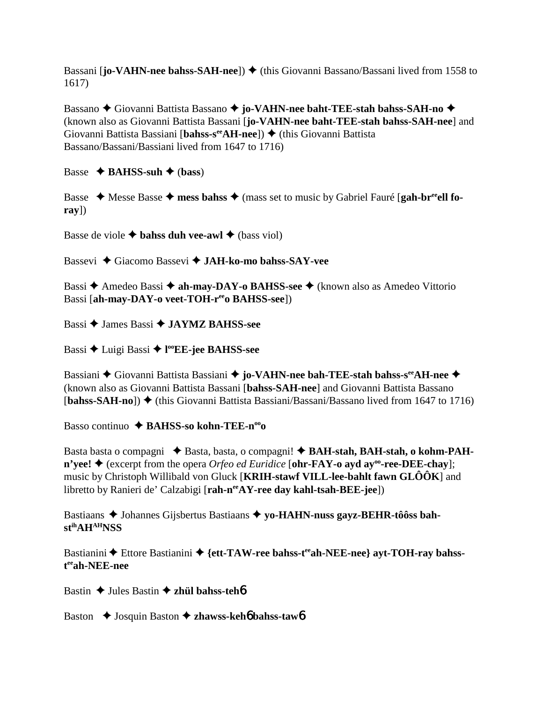Bassani [**jo-VAHN-nee bahss-SAH-nee**])  $\blacklozenge$  (this Giovanni Bassano/Bassani lived from 1558 to 1617)

Bassano **→** Giovanni Battista Bassano → **jo-VAHN-nee baht-TEE-stah bahss-SAH-no** → (known also as Giovanni Battista Bassani [**jo-VAHN-nee baht-TEE-stah bahss-SAH-nee**] and Giovanni Battista Bassiani [**bahss-s<sup>ee</sup>AH-nee**]) ♦ (this Giovanni Battista Bassano/Bassani/Bassiani lived from 1647 to 1716)

Basse  $\triangle$  **BAHSS-suh**  $\triangle$  (**bass**)

Basse ◆ Messe Basse ◆ mess bahss ◆ (mass set to music by Gabriel Fauré [gah-br<sup>ee</sup>ell fo**ray**])

Basse de viole  $\triangle$  **bahss duh vee-awl**  $\triangle$  (bass viol)

Bassevi Giacomo Bassevi **JAH-ko-mo bahss-SAY-vee**

Bassi **→** Amedeo Bassi **→ ah-may-DAY-o BAHSS-see** → (known also as Amedeo Vittorio Bassi [ah-may-DAY-o veet-TOH-r<sup>ee</sup>o BAHSS-see])

Bassi **→ James Bassi → JAYMZ BAHSS-see** 

Bassi Luigi Bassi **l ooEE-jee BAHSS-see**

Bassiani ◆ Giovanni Battista Bassiani ◆ jo-VAHN-nee bah-TEE-stah bahss-s<sup>ee</sup>AH-nee ◆ (known also as Giovanni Battista Bassani [**bahss-SAH-nee**] and Giovanni Battista Bassano [**bahss-SAH-no**]) (this Giovanni Battista Bassiani/Bassani/Bassano lived from 1647 to 1716)

Basso continuo ◆ **BAHSS-so kohn-TEE-n<sup>oo</sup>o** 

Basta basta o compagni ◆ Basta, basta, o compagni! ◆ BAH-stah, BAH-stah, o kohm-PAH- $\mathbf{n}'$ **yee!**  $\blacklozenge$  (excerpt from the opera *Orfeo ed Euridice* [**ohr-FAY-o ayd ay**<sup>°</sup> **ree-DEE-chay**]; music by Christoph Willibald von Gluck [**KRIH-stawf VILL-lee-bahlt fawn GLÔÔK**] and libretto by Ranieri de' Calzabigi [rah-n<sup>ee</sup>AY-ree day kahl-tsah-BEE-jee])

Bastiaans  $\triangle$  Johannes Gijsbertus Bastiaans  $\triangle$  yo-HAHN-nuss gayz-BEHR-tôôss bah**stihAHAHNSS**

Bastianini  $\triangle$  Ettore Bastianini  $\triangle$  {ett-TAW-ree bahss-t<sup>ee</sup>ah-NEE-nee} ayt-TOH-ray bahss**t eeah-NEE-nee**

Bastin **→** Jules Bastin **→ zhül bahss-teh**<sup>6</sup>

Baston **→** Josquin Baston **→ zhawss-keh6 bahss-taw6**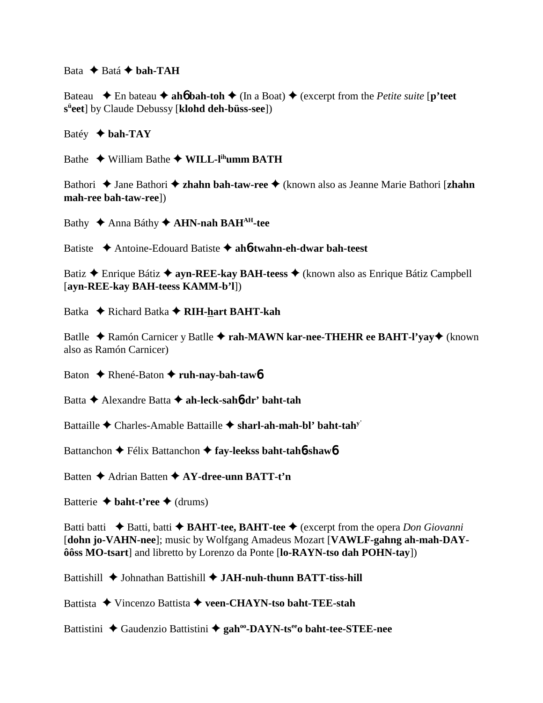Bata  $\triangle$  Batá  $\triangle$  bah-TAH

Bateau  $\blacklozenge$  En bateau  $\blacklozenge$  ah**6** bah-toh  $\blacklozenge$  (In a Boat)  $\blacklozenge$  (excerpt from the *Petite suite* [**p'teet sü eet**] by Claude Debussy [**klohd deh-büss-see**])

Batéy  $\blacklozenge$  **bah-TAY** 

Bathe **→** William Bathe ◆ **WILL-l<sup>ih</sup>umm BATH** 

Bathori ◆ Jane Bathori ◆ **zhahn bah-taw-ree** ◆ (known also as Jeanne Marie Bathori [**zhahn mah-ree bah-taw-ree**])

Bathy **↑ Anna Báthy ↑ AHN-nah BAH<sup>AH</sup>-tee** 

Batiste Antoine-Edouard Batiste **ah**6**-twahn-eh-dwar bah-teest**

Batiz Enrique Bátiz **ayn-REE-kay BAH-teess**  (known also as Enrique Bátiz Campbell [**ayn-REE-kay BAH-teess KAMM-b'l**])

Batka **← Richard Batka ← RIH-hart BAHT-kah** 

Batlle ◆ Ramón Carnicer y Batlle ◆ rah-MAWN kar-nee-THEHR ee BAHT-l'yay ◆ (known also as Ramón Carnicer)

Baton **←** Rhené-Baton ← ruh-nay-bah-tawb

Batta Alexandre Batta **ah-leck-sah**6**-dr' baht-tah**

Battaille Charles-Amable Battaille **sharl-ah-mah-bl' baht-tahy**'

Battanchon **←** Félix Battanchon ← fay-leekss baht-tah**6**-shaw**6** 

Batten **→** Adrian Batten **→ AY-dree-unn BATT-t'n** 

Batterie  $\triangle$  **baht-t'ree**  $\triangle$  (drums)

Batti batti  $\triangle$  Batti, batti  $\triangle$  **BAHT-tee, BAHT-tee**  $\triangle$  (excerpt from the opera *Don Giovanni* [**dohn jo-VAHN-nee**]; music by Wolfgang Amadeus Mozart [**VAWLF-gahng ah-mah-DAYôôss MO-tsart**] and libretto by Lorenzo da Ponte [**lo-RAYN-tso dah POHN-tay**])

Battishill  $\blacklozenge$  Johnathan Battishill  $\blacklozenge$  JAH-nuh-thunn BATT-tiss-hill

Battista Vincenzo Battista **veen-CHAYN-tso baht-TEE-stah**

Battistini ◆ Gaudenzio Battistini ◆ gah<sup>oo</sup>-DAYN-ts<sup>ee</sup>o baht-tee-STEE-nee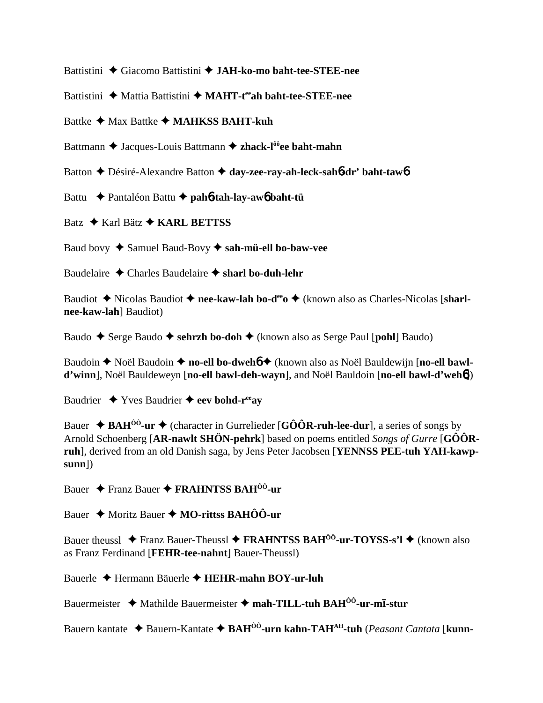Battistini ◆ Giacomo Battistini ◆ JAH-ko-mo baht-tee-STEE-nee

Battistini ◆ Mattia Battistini ◆ MAHT-t<sup>ee</sup>ah baht-tee-STEE-nee

Battke **←** Max Battke ← **MAHKSS BAHT-kuh** 

Battmann  $\triangle$  Jacques-Louis Battmann  $\triangle$  zhack-l<sup>ôô</sup>ee baht-mahn

Batton Désiré-Alexandre Batton **day-zee-ray-ah-leck-sah**6**-dr' baht-taw**6

Battu Pantaléon Battu **pah**6**-tah-lay-aw**6 **baht-tü**

Batz **→ Karl Bätz → KARL BETTSS** 

Baud bovy Samuel Baud-Bovy **sah-mü-ell bo-baw-vee**

Baudelaire **↓** Charles Baudelaire **✦ sharl bo-duh-lehr** 

Baudiot **→** Nicolas Baudiot → nee-kaw-lah bo-d<sup>ee</sup>o → (known also as Charles-Nicolas [sharl**nee-kaw-lah**] Baudiot)

Baudo **→** Serge Baudo **→ sehrzh bo-doh →** (known also as Serge Paul [**pohl**] Baudo)

Baudoin ◆ Noël Baudoin ◆ no-ell bo-dweh**6** ◆ (known also as Noël Bauldewijn [no-ell bawl**d'winn**], Noël Bauldeweyn [**no-ell bawl-deh-wayn**], and Noël Bauldoin [**no-ell bawl-d'weh**6])

Baudrier  $\rightarrow$  Yves Baudrier  $\rightarrow$  eev bohd-r<sup>ee</sup>ay

Bauer  $\triangle$  **BAH<sup>ôô</sup>-ur**  $\triangle$  (character in Gurrelieder [GÔÔR-ruh-lee-dur], a series of songs by Arnold Schoenberg [**AR-nawlt SHÖN-pehrk**] based on poems entitled *Songs of Gurre* [**GÔÔRruh**], derived from an old Danish saga, by Jens Peter Jacobsen [**YENNSS PEE-tuh YAH-kawpsunn**])

Bauer Franz Bauer **FRAHNTSS BAHÔÔ-ur**

Bauer Moritz Bauer **MO-rittss BAHÔÔ-ur**

Bauer theussl **→** Franz Bauer-Theussl → FRAHNTSS BAH<sup>ôô</sup>-ur-TOYSS-s'l → (known also as Franz Ferdinand [**FEHR-tee-nahnt**] Bauer-Theussl)

Bauerle Hermann Bäuerle **HEHR-mahn BOY-ur-luh**

Bauermeister  $\rightarrow$  Mathilde Bauermeister  $\rightarrow$  mah-TILL-tuh BAH<sup>ôô</sup>-ur-mī-stur

Bauern kantate Bauern-Kantate **BAHÔÔ-urn kahn-TAHAH-tuh** (*Peasant Cantata* [**kunn-**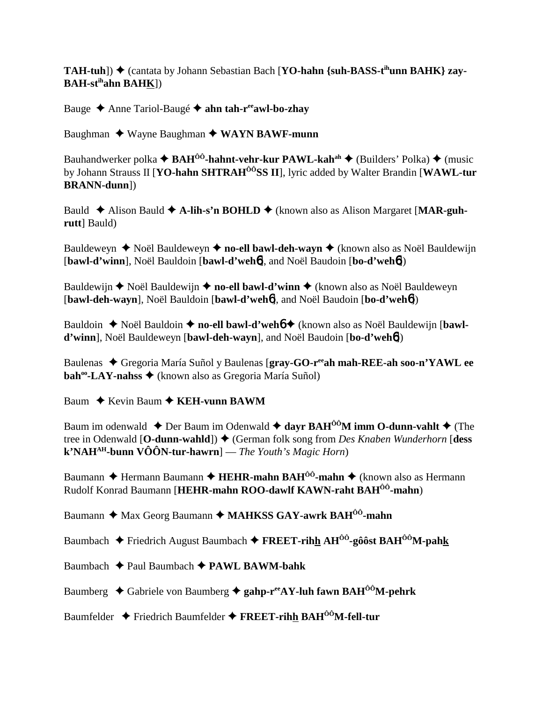**TAH-tuh**]) ♦ (cantata by Johann Sebastian Bach [**YO-hahn** {suh-BASS-t<sup>ih</sup>unn BAHK} zay-**BAH-stihahn BAHK**])

Bauge Anne Tariol-Baugé **ahn tah-reeawl-bo-zhay**

Baughman ◆ Wayne Baughman ◆ WAYN BAWF-munn

Bauhandwerker polka  $\triangleq$  **BAH<sup>ôô</sup>-hahnt-vehr-kur PAWL-kah<sup>ah</sup>**  $\triangleq$  (Builders' Polka)  $\triangleq$  (music by Johann Strauss II [**YO-hahn SHTRAHÔÔSS II**], lyric added by Walter Brandin [**WAWL-tur BRANN-dunn**])

Bauld ◆ Alison Bauld ◆ A-lih-s'n BOHLD ◆ (known also as Alison Margaret [MAR-guh**rutt**] Bauld)

Bauldeweyn ◆ Noël Bauldeweyn ◆ no-ell bawl-deh-wayn ◆ (known also as Noël Bauldewijn [**bawl-d'winn**], Noël Bauldoin [**bawl-d'weh**6], and Noël Baudoin [**bo-d'weh**6])

Bauldewijn **◆** Noël Bauldewijn ◆ no-ell bawl-d'winn ◆ (known also as Noël Bauldeweyn [**bawl-deh-wayn**], Noël Bauldoin [**bawl-d'weh**6], and Noël Baudoin [**bo-d'weh**6])

Bauldoin ◆ Noël Bauldoin ◆ no-ell bawl-d'weh**6** ◆ (known also as Noël Bauldewijn [bawl**d'winn**], Noël Bauldeweyn [**bawl-deh-wayn**], and Noël Baudoin [**bo-d'weh**6])

Baulenas  $\blacklozenge$  Gregoria María Suñol y Baulenas [gray-GO-r<sup>ee</sup>ah mah-REE-ah soo-n'YAWL ee **bah<sup>∞</sup>-LAY-nahss ◆** (known also as Gregoria María Suñol)

Baum **← Kevin Baum ← KEH-vunn BAWM** 

Baum im odenwald  $\triangle$  Der Baum im Odenwald  $\triangle$  dayr BAH<sup>ôô</sup>M imm O-dunn-vahlt  $\triangle$  (The tree in Odenwald [**O-dunn-wahld**]) ♦ (German folk song from *Des Knaben Wunderhorn* [**dess k'NAHAH-bunn VÔÔN-tur-hawrn**] — *The Youth's Magic Horn*)

Baumann **←** Hermann Baumann ← **HEHR-mahn BAH<sup>ÔÔ</sup>-mahn** ← (known also as Hermann Rudolf Konrad Baumann [**HEHR-mahn ROO-dawlf KAWN-raht BAHÔÔ-mahn**)

Baumann  $\triangle$  Max Georg Baumann  $\triangle$  MAHKSS GAY-awrk BAH<sup>ôô</sup>-mahn

Baumbach  $\div$  Friedrich August Baumbach  $\div$  **FREET-rihh AH<sup>ÔÔ</sup>-gôôst BAH<sup>ÔÔ</sup>M-pahk** 

- Baumbach Paul Baumbach **PAWL BAWM-bahk**
- Baumberg  $\triangle$  Gabriele von Baumberg  $\triangle$  gahp-r<sup>ee</sup>AY-luh fawn BAH<sup>00</sup>M-pehrk
- Baumfelder Friedrich Baumfelder **FREET-rihh BAHÔÔM-fell-tur**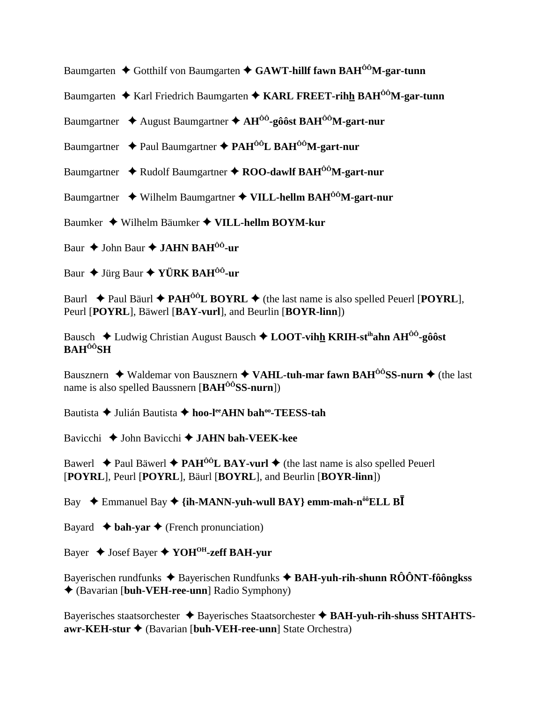Baumgarten **→** Gotthilf von Baumgarten ◆ GAWT-hillf fawn BAH<sup>00</sup>M-gar-tunn

Baumgarten  $\triangleq$  Karl Friedrich Baumgarten  $\triangleq$  KARL FREET-rihh BAH<sup> $\hat{0}$ ô</sup>M-gar-tunn

Baumgartner August Baumgartner **AHÔÔ-gôôst BAHÔÔM-gart-nur**

Baumgartner **→** Paul Baumgartner → PAH<sup>ÔÔ</sup>L BAH<sup>ÔÔ</sup>M-gart-nur

Baumgartner ◆ Rudolf Baumgartner ◆ ROO-dawlf BAH<sup>ôô</sup>M-gart-nur

Baumgartner Wilhelm Baumgartner **VILL-hellm BAHÔÔM-gart-nur**

Baumker Wilhelm Bäumker **VILL-hellm BOYM-kur**

Baur ◆ John Baur ◆ **JAHN BAH<sup>ôô</sup>-ur** 

Baur ◆ Jürg Baur ◆ **YÜRK BAH<sup>ôô</sup>-ur** 

Baurl  $\triangle$  Paul Bäurl  $\triangle$  **PAH<sup>ôô</sup>L BOYRL**  $\triangle$  (the last name is also spelled Peuerl [**POYRL**], Peurl [**POYRL**], Bäwerl [**BAY-vurl**], and Beurlin [**BOYR-linn**])

Bausch **→** Ludwig Christian August Bausch → **LOOT-vihh KRIH-st<sup>ih</sup>ahn AH<sup>ôô</sup>-gôôst BAHÔÔSH**

Bausznern **→** Waldemar von Bausznern → VAHL-tuh-mar fawn BAH<sup>ÔÔ</sup>SS-nurn → (the last name is also spelled Baussnern [**BAHÔÔSS-nurn**])

Bautista **→** Julián Bautista → hoo-l<sup>ee</sup>AHN bah<sup>oo</sup>-TEESS-tah

Bavicchi **→** John Bavicchi **→ JAHN bah-VEEK-kee** 

Bawerl  $\triangle$  Paul Bäwerl  $\triangle$  **PAH<sup>ôô</sup>L BAY-vurl**  $\triangle$  (the last name is also spelled Peuerl [**POYRL**], Peurl [**POYRL**], Bäurl [**BOYRL**], and Beurlin [**BOYR-linn**])

Bay  $\rightarrow$  Emmanuel Bay  $\rightarrow$  {ih-MANN-yuh-wull BAY} emm-mah-n<sup>ôô</sup>ELL B**I** 

Bayard  $\triangleleft$  **bah-yar**  $\triangleleft$  (French pronunciation)

Bayer Josef Bayer **YOHOH-zeff BAH-yur**

Bayerischen rundfunks ◆ Bayerischen Rundfunks ◆ BAH-yuh-rih-shunn RÔÔNT-fôôngkss (Bavarian [**buh-VEH-ree-unn**] Radio Symphony)

Bayerisches staatsorchester  $\triangle$  Bayerisches Staatsorchester  $\triangle$  BAH-yuh-rih-shuss SHTAHTS**awr-KEH-stur** (Bavarian [**buh-VEH-ree-unn**] State Orchestra)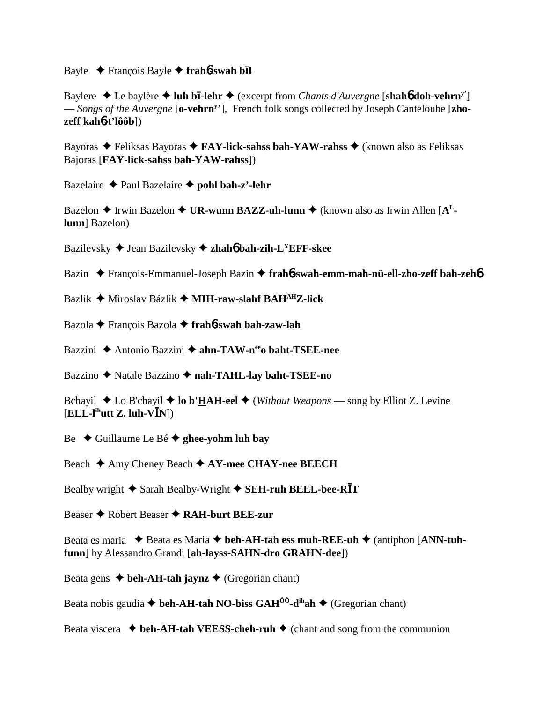**Bayle** ◆ François Bayle ◆ frah**6-swah bl** 

**Baylere ♦ Le baylère ♦ luh bī-lehr ♦** (excerpt from *Chants d'Auvergne* [shah**6** doh-vehrn<sup>y'</sup>] — *Songs of the Auvergne* [**o-vehrny** '], French folk songs collected by Joseph Canteloube [**zhozeff kah**6**-t'lôôb**])

Bayoras Feliksas Bayoras **FAY-lick-sahss bah-YAW-rahss** (known also as Feliksas Bajoras [**FAY-lick-sahss bah-YAW-rahss**])

Bazelaire Paul Bazelaire **pohl bah-z'-lehr**

Bazelon ◆ Irwin Bazelon ◆ UR-wunn BAZZ-uh-lunn ◆ (known also as Irwin Allen [A<sup>L</sup>**lunn**] Bazelon)

Bazilevsky Jean Bazilevsky **zhah**6 **bah-zih-LYEFF-skee**

Bazin François-Emmanuel-Joseph Bazin **frah**6**-swah-emm-mah-nü-ell-zho-zeff bah-zeh**6

Bazlik Miroslav Bázlik **MIH-raw-slahf BAHAHZ-lick**

Bazola François Bazola **frah**6**-swah bah-zaw-lah**

Bazzini ◆ Antonio Bazzini ◆ ahn-TAW-n<sup>ee</sup>o baht-TSEE-nee

Bazzino Natale Bazzino **nah-TAHL-lay baht-TSEE-no**

Bchayil  $\triangle$  Lo B'chayil  $\triangle$  **lo b'HAH-eel**  $\triangle$  (*Without Weapons* — song by Elliot Z. Levine  $[ELL-I<sup>ih</sup>utt Z. luh-V<sup>T</sup>N])$ 

Be Guillaume Le Bé **ghee-yohm luh bay**

Beach **→** Amy Cheney Beach **→ AY-mee CHAY-nee BEECH** 

Bealby wright  $\triangle$  Sarah Bealby-Wright  $\triangle$  **SEH-ruh BEEL-bee-RI**T

Beaser **→** Robert Beaser **→ RAH-burt BEE-zur** 

Beata es maria ◆ Beata es Maria ◆ beh-AH-tah ess muh-REE-uh ◆ (antiphon [ANN-tuh**funn**] by Alessandro Grandi [**ah-layss-SAHN-dro GRAHN-dee**])

Beata gens  $\triangle$  beh-AH-tah jaynz  $\triangle$  (Gregorian chant)

Beata nobis gaudia  $\blacklozenge$  beh-AH-tah NO-biss GAH<sup>00</sup>-d<sup>ih</sup>ah  $\blacklozenge$  (Gregorian chant)

Beata viscera  $\triangleleft$  beh-AH-tah VEESS-cheh-ruh  $\triangleleft$  (chant and song from the communion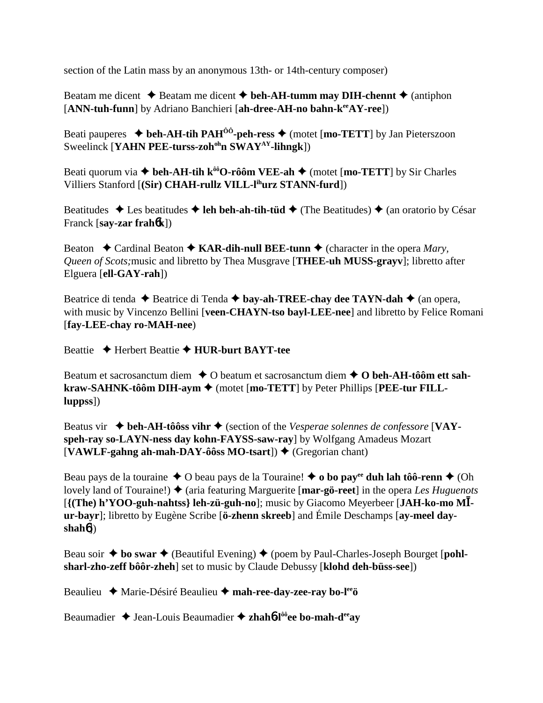section of the Latin mass by an anonymous 13th- or 14th-century composer)

Beatam me dicent  $\triangle$  Beatam me dicent  $\triangle$  beh-AH-tumm may DIH-chennt  $\triangle$  (antiphon [**ANN-tuh-funn**] by Adriano Banchieri [**ah-dree-AH-no bahn-keeAY-ree**])

Beati pauperes  $\blacklozenge$  beh-AH-tih PAH<sup> $\hat{o}\hat{o}$ </sup>-peh-ress  $\blacklozenge$  (motet [mo-TETT] by Jan Pieterszoon Sweelinck [**YAHN PEE-turss-zoh<sup>oh</sup>n SWAY<sup>AY</sup>-lihngk**])

Beati quorum via  $\triangleq$  beh-AH-tih k<sup>oo</sup>O-rôôm VEE-ah  $\triangleq$  (motet [mo-TETT] by Sir Charles Villiers Stanford [**(Sir) CHAH-rullz VILL-lihurz STANN-furd**])

Beatitudes  $\triangle$  Les beatitudes  $\triangle$  leh beh-ah-tih-tüd  $\triangle$  (The Beatitudes)  $\triangle$  (an oratorio by César Franck [**say-zar frah**6**k**])

Beaton  $\triangle$  Cardinal Beaton  $\triangle$  **KAR-dih-null BEE-tunn**  $\triangle$  (character in the opera *Mary*, *Queen of Scots;*music and libretto by Thea Musgrave [**THEE-uh MUSS-grayv**]; libretto after Elguera [**ell-GAY-rah**])

Beatrice di tenda **→** Beatrice di Tenda **→ bay-ah-TREE-chay dee TAYN-dah** → (an opera, with music by Vincenzo Bellini [**veen-CHAYN-tso bayl-LEE-nee**] and libretto by Felice Romani [**fay-LEE-chay ro-MAH-nee**)

Beattie Herbert Beattie **HUR-burt BAYT-tee**

Beatum et sacrosanctum diem **↓** O beatum et sacrosanctum diem **↓ O beh-AH-tôôm ett sahkraw-SAHNK-tôôm DIH-aym ♦** (motet [mo-TETT] by Peter Phillips [PEE-tur FILL**luppss**])

Beatus vir **→ beh-AH-tôôss vihr →** (section of the *Vesperae solennes de confessore* [**VAYspeh-ray so-LAYN-ness day kohn-FAYSS-saw-ray**] by Wolfgang Amadeus Mozart  $[VAWLF-gahng ah-mah-DAY-ôôss MO-tsart]$   $\blacklozenge$  (Gregorian chant)

Beau pays de la touraine  $\triangle$  O beau pays de la Touraine!  $\triangle$  o bo pay<sup>ee</sup> duh lah tôô-renn  $\triangle$  (Oh lovely land of Touraine!) ♦ (aria featuring Marguerite [**mar-gö-reet**] in the opera *Les Huguenots* [**{(The) h'YOO-guh-nahtss} leh-zü-guh-no**]; music by Giacomo Meyerbeer [**JAH-ko-mo M ur-bayr**]; libretto by Eugène Scribe [**ö-zhenn skreeb**] and Émile Deschamps [**ay-meel dayshah**6])

Beau soir  $\triangle$  bo swar  $\triangle$  (Beautiful Evening)  $\triangle$  (poem by Paul-Charles-Joseph Bourget [**pohlsharl-zho-zeff bôôr-zheh**] set to music by Claude Debussy [**klohd deh-büss-see**])

Beaulieu Marie-Désiré Beaulieu **mah-ree-day-zee-ray bo-leeö**

Beaumadier **→** Jean-Louis Beaumadier → zhah**6**-l<sup>ôô</sup>ee bo-mah-d<sup>ee</sup>av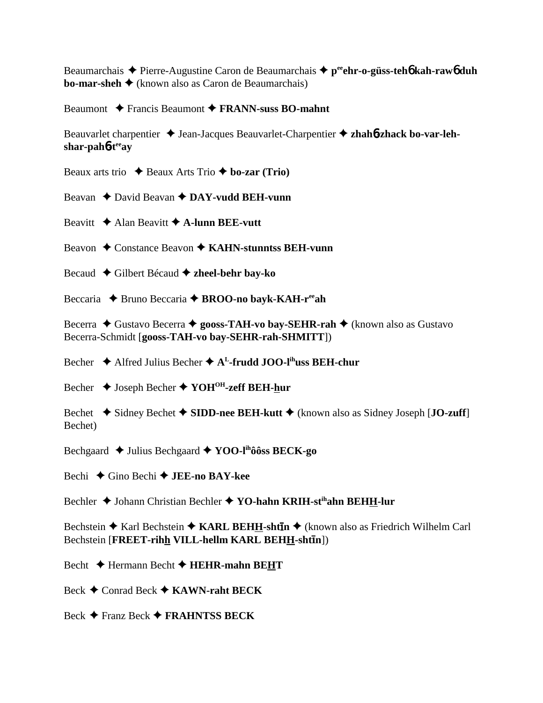Beaumarchais **→** Pierre-Augustine Caron de Beaumarchais ◆ p<sup>ee</sup>ehr-o-güss-teh**6** kah-raw6 duh **bo-mar-sheh →** (known also as Caron de Beaumarchais)

Beaumont **→** Francis Beaumont → **FRANN-suss BO-mahnt** 

Beauvarlet charpentier ◆ Jean-Jacques Beauvarlet-Charpentier ◆ zhah6-zhack bo-var-leh**shar-pah**6**-teeay**

Beaux arts trio  $\triangle$  Beaux Arts Trio  $\triangle$  **bo-zar (Trio)** 

Beavan **→** David Beavan **→ DAY-vudd BEH-vunn** 

Beavitt  $\triangle$  Alan Beavitt  $\triangle$  A-lunn BEE-vutt

Beavon **←** Constance Beavon ← KAHN-stunntss BEH-vunn

- Becaud Gilbert Bécaud **zheel-behr bay-ko**
- Beccaria **→** Bruno Beccaria → **BROO-no bayk-KAH-r<sup>ee</sup>ah**

Becerra ◆ Gustavo Becerra ◆ gooss-TAH-vo bay-SEHR-rah ◆ (known also as Gustavo Becerra-Schmidt [**gooss-TAH-vo bay-SEHR-rah-SHMITT**])

Becher  $\triangle$  Alfred Julius Becher  $\triangle$  A<sup>L</sup>-frudd JOO-l<sup>ih</sup>uss BEH-chur

Becher Joseph Becher **YOHOH-zeff BEH-hur**

Bechet **→** Sidney Bechet → SIDD-nee BEH-kutt → (known also as Sidney Joseph [**JO-zuff**] Bechet)

Bechgaard **→** Julius Bechgaard → **YOO-l<sup>ih</sup>ôôss BECK-go** 

Bechi Gino Bechi **JEE-no BAY-kee**

Bechler ◆ Johann Christian Bechler ◆ YO-hahn KRIH-st<sup>ih</sup>ahn BEHH-lur

Bechstein ◆ Karl Bechstein ◆ KARL BEHH-sht**īn** ◆ (known also as Friedrich Wilhelm Carl Bechstein [FREET-rihh VILL-hellm KARL BEHH-shtin])

Becht  $\triangle$  Hermann Becht  $\triangle$  **HEHR-mahn BEHT** 

Beck Conrad Beck **KAWN-raht BECK**

Beck Franz Beck **FRAHNTSS BECK**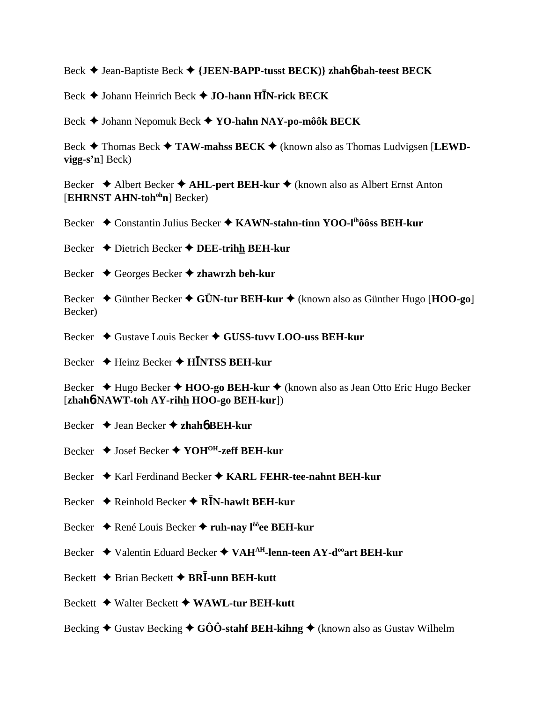Beck Jean-Baptiste Beck  **{JEEN-BAPP-tusst BECK)} zhah**6**-bah-teest BECK**

Beck Johann Heinrich Beck **JO-hann HN-rick BECK**

Beck Johann Nepomuk Beck **YO-hahn NAY-po-môôk BECK**

Beck **→** Thomas Beck → TAW-mahss BECK → (known also as Thomas Ludvigsen [LEWD**vigg-s'n**] Beck)

Becker **→** Albert Becker **→ AHL-pert BEH-kur →** (known also as Albert Ernst Anton [**EHRNST AHN-toh<sup>oh</sup>n**] Becker)

Becker **→** Constantin Julius Becker → KAWN-stahn-tinn YOO-l<sup>ih</sup>ôôss BEH-kur

Becker Dietrich Becker **DEE-trihh BEH-kur**

Becker Georges Becker **zhawrzh beh-kur**

Becker Günther Becker **GÜN-tur BEH-kur** (known also as Günther Hugo [**HOO-go**] Becker)

Becker ◆ Gustave Louis Becker ◆ GUSS-tuvv LOO-uss BEH-kur

Becker **→** Heinz Becker ◆ H**INTSS BEH-kur** 

Becker ◆ Hugo Becker ◆ **HOO-go BEH-kur** ◆ (known also as Jean Otto Eric Hugo Becker [**zhah**6**-NAWT-toh AY-rihh HOO-go BEH-kur**])

- Becker Jean Becker **zhah**6 **BEH-kur**
- Becker **→** Josef Becker ◆ YOH<sup>OH</sup>-zeff BEH-kur
- Becker ♦ Karl Ferdinand Becker ♦ KARL FEHR-tee-nahnt BEH-kur
- Becker **→** Reinhold Becker → R**I**N-hawlt BEH-kur
- Becker ◆ René Louis Becker ◆ ruh-nay l<sup>ôô</sup>ee BEH-kur
- Becker ◆ Valentin Eduard Becker ◆ VAH<sup>AH</sup>-lenn-teen AY-d<sup>oo</sup>art BEH-kur
- Beckett **→** Brian Beckett **→ BRI-unn BEH-kutt**
- Beckett Walter Beckett **WAWL-tur BEH-kutt**
- Becking  $\triangle$  Gustav Becking  $\triangle$  GÔÔ-stahf BEH-kihng  $\triangle$  (known also as Gustav Wilhelm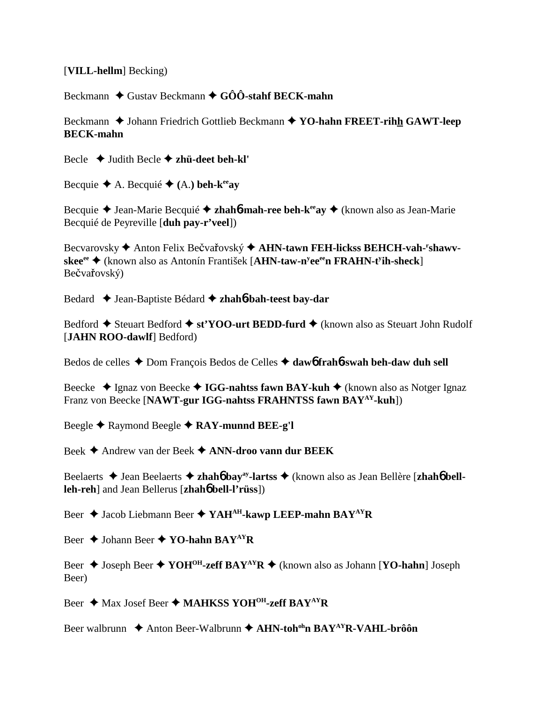## [**VILL-hellm**] Becking)

Beckmann **→** Gustav Beckmann → GÔÔ-stahf BECK-mahn

Beckmann ◆ Johann Friedrich Gottlieb Beckmann ◆ YO-hahn FREET-rihh GAWT-leep **BECK-mahn**

Becle Judith Becle **zhü-deet beh-kl'**

Becquie  $\blacklozenge$  A. Becquie  $\blacklozenge$  (A.) beh-k<sup>ee</sup>ay

Becquie ◆ Jean-Marie Becquié ◆ **zhah6-mah-ree beh-k<sup>ee</sup>ay ◆** (known also as Jean-Marie Becquié de Peyreville [**duh pay-r'veel**])

Becvarovsky  $\blacklozenge$  Anton Felix Bečvařovský  $\blacklozenge$  AHN-tawn FEH-lickss BEHCH-vah-<sup>r</sup>shawv**skee<sup>ee</sup> ◆ (known also as Antonín František [AHN-taw-n<sup>y</sup>ee<sup>ee</sup>n FRAHN-t<sup>y</sup>ih-sheck]** Bečvařovský)

Bedard Jean-Baptiste Bédard **zhah**6**-bah-teest bay-dar**

Bedford ◆ Steuart Bedford ◆ st'YOO-urt BEDD-furd ◆ (known also as Steuart John Rudolf [**JAHN ROO-dawlf**] Bedford)

Bedos de celles ◆ Dom François Bedos de Celles ◆ daw6 frah6-swah beh-daw duh sell

Beecke ◆ Ignaz von Beecke ◆ **IGG-nahtss fawn BAY-kuh ◆** (known also as Notger Ignaz Franz von Beecke [**NAWT-gur IGG-nahtss FRAHNTSS fawn BAYAY-kuh**])

Beegle **→** Raymond Beegle **→ RAY-munnd BEE-g'l** 

Beek Andrew van der Beek **ANN-droo vann dur BEEK**

Beelaerts **→** Jean Beelaerts ◆ zhah**6** bay<sup>ay</sup>-lartss ◆ (known also as Jean Bellère [zhah**6** bell**leh-reh**] and Jean Bellerus [**zhah**6 **bell-l'rüss**])

Beer  $\triangle$  Jacob Liebmann Beer  $\triangle$  YAH<sup>AH</sup>-kawp LEEP-mahn BAY<sup>AY</sup>R

Beer **→** Johann Beer **→ YO-hahn BAY<sup>AY</sup>R** 

Beer **→** Joseph Beer → **YOH<sup>OH</sup>-zeff BAY<sup>AY</sup>R** → (known also as Johann [**YO-hahn**] Joseph Beer)

Beer **→** Max Josef Beer ◆ MAHKSS YOH<sup>OH</sup>-zeff BAY<sup>AY</sup>R

Beer walbrunn ◆ Anton Beer-Walbrunn ◆ AHN-toh<sup>oh</sup>n BAY<sup>AY</sup>R-VAHL-brôôn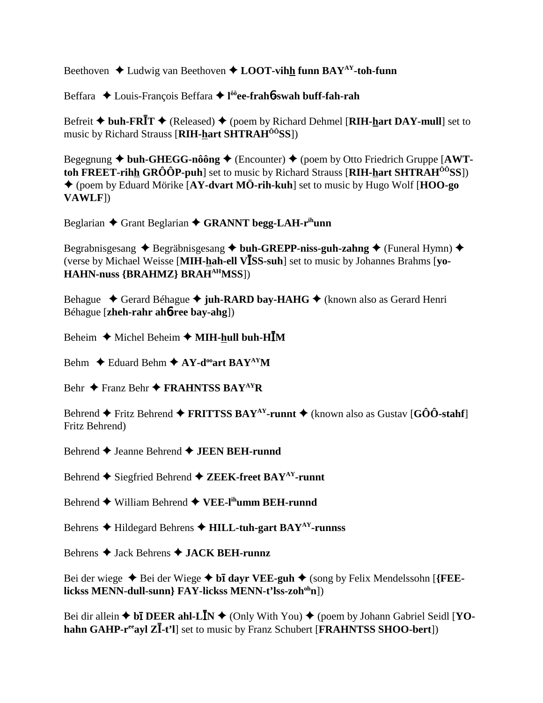Beethoven **→** Ludwig van Beethoven ◆ **LOOT-vihh funn BAY<sup>AY</sup>-toh-funn** 

Beffara Louis-François Beffara **l ôôee-frah**6**-swah buff-fah-rah**

Befreit  $\blacklozenge$  buh-FR**I**T  $\blacklozenge$  (Released)  $\blacklozenge$  (poem by Richard Dehmel [RIH-hart DAY-mull] set to music by Richard Strauss [**RIH-hart SHTRAHÔÔSS**])

Begegnung ◆ buh-GHEGG-nôông ◆ (Encounter) ◆ (poem by Otto Friedrich Gruppe [AWT**toh FREET-rihh GRÔÔP-puh**] set to music by Richard Strauss [**RIH-hart SHTRAHÔÔSS**]) (poem by Eduard Mörike [**AY-dvart MÖ-rih-kuh**] set to music by Hugo Wolf [**HOO-go VAWLF**])

Beglarian ◆ Grant Beglarian ◆ GRANNT begg-LAH-r<sup>ih</sup>unn

Begrabnisgesang ◆ Begräbnisgesang ◆ buh-GREPP-niss-guh-zahng ◆ (Funeral Hymn) ◆ (verse by Michael Weisse [**MIH-hah-ell VSS-suh**] set to music by Johannes Brahms [**yo-HAHN-nuss {BRAHMZ} BRAHAHMSS**])

Behague  **←** Gerard Béhague ← juh-RARD bay-HAHG ← (known also as Gerard Henri Béhague [**zheh-rahr ah**6**-ree bay-ahg**])

Beheim  $\triangle$  Michel Beheim  $\triangle$  **MIH-hull buh-HIM** 

Behm  $\triangle$  Eduard Behm  $\triangle$  AY-d<sup>oo</sup>art BAY<sup>AY</sup>M

Behr **←** Franz Behr ← FRAHNTSS BAY<sup>AY</sup>R

Behrend  $\blacklozenge$  Fritz Behrend  $\blacklozenge$  **FRITTSS BAY<sup>AY</sup>-runnt**  $\blacklozenge$  (known also as Gustav [GÔÔ-stahf] Fritz Behrend)

Behrend **←** Jeanne Behrend ← **JEEN BEH-runnd** 

Behrend  $\blacklozenge$  Siegfried Behrend  $\blacklozenge$  **ZEEK-freet BAY<sup>AY</sup>-runnt** 

Behrend **→** William Behrend → VEE-l<sup>ih</sup>umm BEH-runnd

Behrens **→** Hildegard Behrens → **HILL-tuh-gart BAY<sup>AY</sup>-runnss** 

Behrens Jack Behrens **JACK BEH-runnz**

Bei der wiege ◆ Bei der Wiege ◆ bī dayr VEE-guh ◆ (song by Felix Mendelssohn [{FEE**lickss MENN-dull-sunn} FAY-lickss MENN-t'lss-zohohn**])

Bei dir allein  $\triangle$  b**i** DEER ahl-L**I**N  $\triangle$  (Only With You)  $\triangle$  (poem by Johann Gabriel Seidl [YO**hahn GAHP-r<sup>ee</sup>ayl Z<sup>***I***</sup>-t'l**] set to music by Franz Schubert [**FRAHNTSS SHOO-bert**])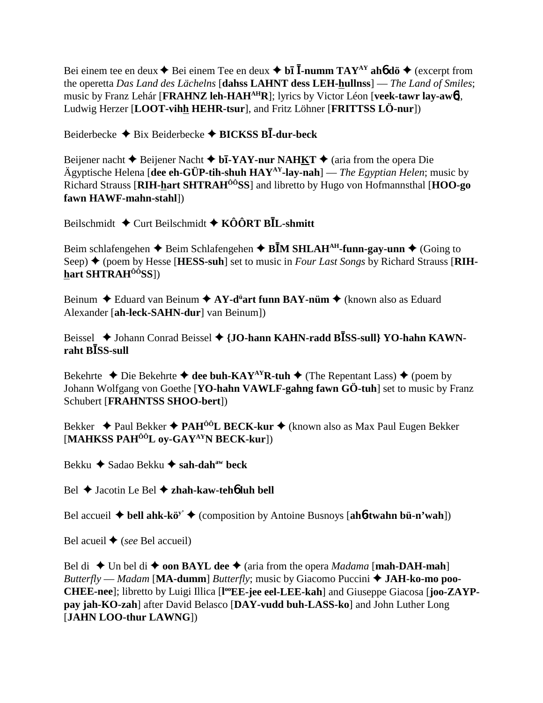Bei einem tee en deux ◆ Bei einem Tee en deux ◆ bī **Ī-numm TAY**<sup>AY</sup> ah6 dö ◆ (excerpt from the operetta *Das Land des Lächelns* [**dahss LAHNT dess LEH-hullnss**] — *The Land of Smiles*; music by Franz Lehár [**FRAHNZ leh-HAHAHR**]; lyrics by Victor Léon [**veek-tawr lay-aw**6], Ludwig Herzer [**LOOT-vihh HEHR-tsur**], and Fritz Löhner [**FRITTSS LÖ-nur**])

Beiderbecke Bix Beiderbecke **BICKSS B-dur-beck**

Beijener nacht ◆ Beijener Nacht ◆ b**ī-YAY-nur NAHKT** ◆ (aria from the opera Die Ägyptische Helena [**dee eh-GÜP-tih-shuh HAYAY-lay-nah**] — *The Egyptian Helen*; music by Richard Strauss [**RIH-hart SHTRAHÔÔSS**] and libretto by Hugo von Hofmannsthal [**HOO-go fawn HAWF-mahn-stahl**])

Beilschmidt Curt Beilschmidt **KÔÔRT BL-shmitt**

Beim schlafengehen  $\triangle$  Beim Schlafengehen  $\triangle$  B**IM SHLAH<sup>AH</sup>-funn-gay-unn**  $\triangle$  (Going to Seep) ♦ (poem by Hesse [**HESS-suh**] set to music in *Four Last Songs* by Richard Strauss [RIH**hart SHTRAHÔÔSS**])

Beinum ◆ Eduard van Beinum ◆ AY-d<sup>ü</sup>art funn BAY-nüm ◆ (known also as Eduard Alexander [**ah-leck-SAHN-dur**] van Beinum])

Beissel ◆ Johann Conrad Beissel ◆ {**JO-hann KAHN-radd BISS-sull**} **YO-hahn KAWN**raht **B***B***SS-sull** 

Bekehrte  $\triangle$  Die Bekehrte  $\triangle$  dee buh-KAY<sup>AY</sup>R-tuh  $\triangle$  (The Repentant Lass)  $\triangle$  (poem by Johann Wolfgang von Goethe [**YO-hahn VAWLF-gahng fawn GÖ-tuh**] set to music by Franz Schubert [**FRAHNTSS SHOO-bert**])

Bekker **→** Paul Bekker → PAH<sup>ÔÔ</sup>L BECK-kur → (known also as Max Paul Eugen Bekker [**MAHKSS PAHÔÔL oy-GAYAYN BECK-kur**])

Bekku **→** Sadao Bekku → sah-dah<sup>aw</sup> beck

Bel Jacotin Le Bel **zhah-kaw-teh**6 **luh bell**

Bel accueil **→ bell ahk-kö<sup>y'</sup> →** (composition by Antoine Busnoys [ah**6-twahn bü-n'wah**])

Bel acueil  $\blacklozenge$  (*see* Bel accueil)

Bel di  $\blacklozenge$  Un bel di  $\blacklozenge$  **oon BAYL dee**  $\blacklozenge$  (aria from the opera *Madama* [**mah-DAH-mah**] *Butterfly* — *Madam* [**MA-dumm**] *Butterfly*; music by Giacomo Puccini **JAH-ko-mo poo-**CHEE-nee]; libretto by Luigi Illica [l<sup>oo</sup>EE-jee eel-LEE-kah] and Giuseppe Giacosa [joo-ZAYP**pay jah-KO-zah**] after David Belasco [**DAY-vudd buh-LASS-ko**] and John Luther Long [**JAHN LOO-thur LAWNG**])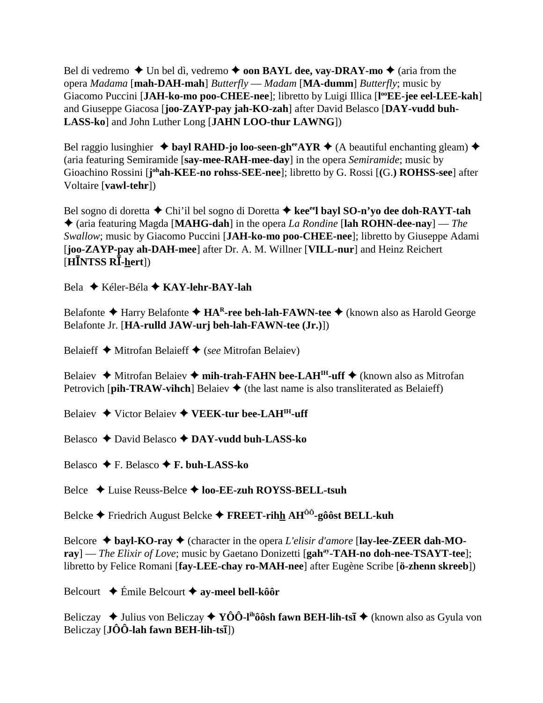Bel di vedremo  $\blacklozenge$  Un bel dì, vedremo  $\blacklozenge$  **oon BAYL dee, vay-DRAY-mo**  $\blacklozenge$  (aria from the opera *Madama* [**mah-DAH-mah**] *Butterfly* — *Madam* [**MA-dumm**] *Butterfly*; music by Giacomo Puccini [JAH-ko-mo poo-CHEE-nee]; libretto by Luigi Illica [l<sup>oo</sup>EE-jee eel-LEE-kah] and Giuseppe Giacosa [**joo-ZAYP-pay jah-KO-zah**] after David Belasco [**DAY-vudd buh-LASS-ko**] and John Luther Long [**JAHN LOO-thur LAWNG**])

Bel raggio lusinghier  $\triangleq$  bayl RAHD-jo loo-seen-gh<sup>ee</sup>AYR  $\triangleq$  (A beautiful enchanting gleam)  $\triangleq$ (aria featuring Semiramide [**say-mee-RAH-mee-day**] in the opera *Semiramide*; music by Gioachino Rossini [joh**ah-KEE-no rohss-SEE-nee**]; libretto by G. Rossi [(G.) **ROHSS-see**] after Voltaire [**vawl-tehr**])

Bel sogno di doretta **→** Chi'il bel sogno di Doretta → kee<sup>ee</sup>l bayl SO-n'yo dee doh-RAYT-tah (aria featuring Magda [**MAHG-dah**] in the opera *La Rondine* [**lah ROHN-dee-nay**] — *The Swallow*; music by Giacomo Puccini [**JAH-ko-mo poo-CHEE-nee**]; libretto by Giuseppe Adami [**joo-ZAYP-pay ah-DAH-mee**] after Dr. A. M. Willner [**VILL-nur**] and Heinz Reichert [**HNTSS R-hert**])

Bela Kéler-Béla **KAY-lehr-BAY-lah**

Belafonte **→** Harry Belafonte → HAR-ree beh-lah-FAWN-tee → (known also as Harold George Belafonte Jr. [**HA-rulld JAW-urj beh-lah-FAWN-tee (Jr.)**])

Belaieff Mitrofan Belaieff (*see* Mitrofan Belaiev)

Belaiev  $\triangle$  Mitrofan Belaiev  $\triangle$  mih-trah-FAHN bee-LAH<sup>IH</sup>-uff  $\triangle$  (known also as Mitrofan Petrovich [**pih-TRAW-vihch**] Belaiev  $\blacklozenge$  (the last name is also transliterated as Belaieff)

Belaiev **→** Victor Belaiev ◆ VEEK-tur bee-LAH<sup>IH</sup>-uff

Belasco **→** David Belasco **→ DAY-vudd buh-LASS-ko** 

Belasco F. Belasco **F. buh-LASS-ko**

Belce Luise Reuss-Belce **loo-EE-zuh ROYSS-BELL-tsuh**

Belcke Friedrich August Belcke **FREET-rihh AHÔÔ-gôôst BELL-kuh**

Belcore **bayl-KO-ray** (character in the opera *L'elisir d'amore* [**lay-lee-ZEER dah-MOray**] — *The Elixir of Love*; music by Gaetano Donizetti [gah<sup>ay</sup>-TAH-no doh-nee-TSAYT-tee]; libretto by Felice Romani [**fay-LEE-chay ro-MAH-nee**] after Eugène Scribe [**ö-zhenn skreeb**])

Belcourt Émile Belcourt **ay-meel bell-kôôr**

Beliczay ◆ Julius von Beliczay ◆ YÔÔ-l<sup>ih</sup>ôô**sh fawn BEH-lih-tsī** ◆ (known also as Gyula von Beliczay [**JÔÔ-lah fawn BEH-lih-tsī**])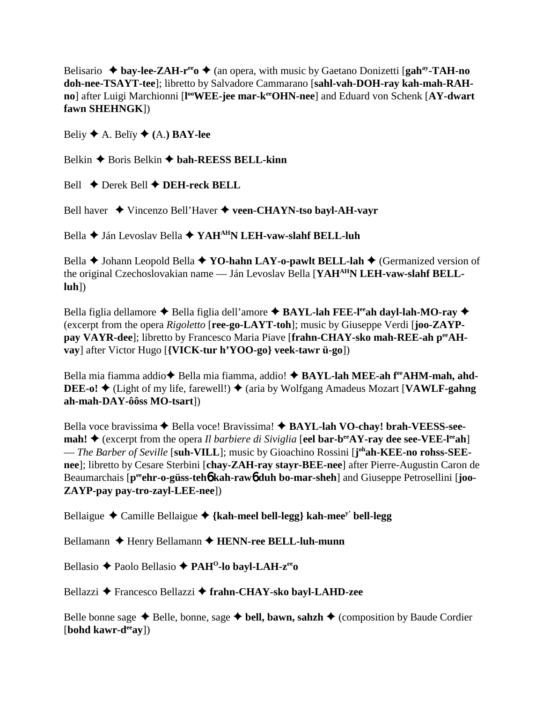Belisario  $\triangle$  bay-lee-ZAH-r<sup>ee</sup>  $\triangle$  (an opera, with music by Gaetano Donizetti [gah<sup>ay</sup>-TAH-no **doh-nee-TSAYT-tee**]; libretto by Salvadore Cammarano [**sahl-vah-DOH-ray kah-mah-RAHno**] after Luigi Marchionni [l<sup>oo</sup>WEE-jee mar-keeOHN-nee] and Eduard von Schenk [AY-dwart **fawn SHEHNGK**])

Beliy  $\blacklozenge$  A. Beliy  $\blacklozenge$  (A.) **BAY-lee** 

Belkin **→** Boris Belkin **→ bah-REESS BELL-kinn** 

Bell Derek Bell **DEH-reck BELL**

Bell haver **→** Vincenzo Bell'Haver → veen-CHAYN-tso bayl-AH-vavr

Bella **←** Ján Levoslav Bella ← YAH<sup>AH</sup>N LEH-vaw-slahf BELL-luh

Bella **→** Johann Leopold Bella **→ YO-hahn LAY-o-pawlt BELL-lah →** (Germanized version of the original Czechoslovakian name — Ján Levoslav Bella [**YAHAHN LEH-vaw-slahf BELLluh**])

Bella figlia dellamore ◆ Bella figlia dell'amore ◆ BAYL-lah FEE-l<sup>ee</sup>ah dayl-lah-MO-ray ◆ (excerpt from the opera *Rigoletto* [**ree-go-LAYT-toh**]; music by Giuseppe Verdi [**joo-ZAYPpay VAYR-dee**]; libretto by Francesco Maria Piave [frahn-CHAY-sko mah-REE-ah p<sup>ee</sup>AH**vay**] after Victor Hugo [**{VICK-tur h'YOO-go} veek-tawr ü-go**])

Bella mia fiamma addio◆ Bella mia fiamma, addio! ◆ BAYL-lah MEE-ah f<sup>ee</sup>AHM-mah, ahd-**DEE-o!**  $\blacklozenge$  (Light of my life, farewell!)  $\blacklozenge$  (aria by Wolfgang Amadeus Mozart [**VAWLF-gahng ah-mah-DAY-ôôss MO-tsart**])

Bella voce bravissima **←** Bella voce! Bravissima! ◆ **BAYL-lah VO-chay! brah-VEESS-seemah!**  $\triangle$  (excerpt from the opera *Il barbiere di Siviglia* [eel **bar-b<sup>ee</sup>AY-ray dee see-VEE-l<sup>ee</sup>ah**] — *The Barber of Seville* [suh-VILL]; music by Gioachino Rossini [j<sup>oh</sup>ah-KEE-no rohss-SEE**nee**]; libretto by Cesare Sterbini [**chay-ZAH-ray stayr-BEE-nee**] after Pierre-Augustin Caron de Beaumarchais [p<sup>ee</sup>ehr-o-güss-teh**6** kah-rawb duh bo-mar-sheh] and Giuseppe Petrosellini [joo-**ZAYP-pay pay-tro-zayl-LEE-nee**])

Bellaigue  $\triangle$  Camille Bellaigue  $\triangle$  {kah-meel bell-legg} kah-mee<sup>y'</sup> bell-legg

Bellamann ◆ Henry Bellamann ◆ HENN-ree BELL-luh-munn

Bellasio Paolo Bellasio **PAHO-lo bayl-LAH-zeeo**

Bellazzi Francesco Bellazzi **frahn-CHAY-sko bayl-LAHD-zee**

Belle bonne sage  $\triangle$  Belle, bonne, sage  $\triangle$  bell, bawn, sahzh  $\triangle$  (composition by Baude Cordier [**bohd kawr-deeay**])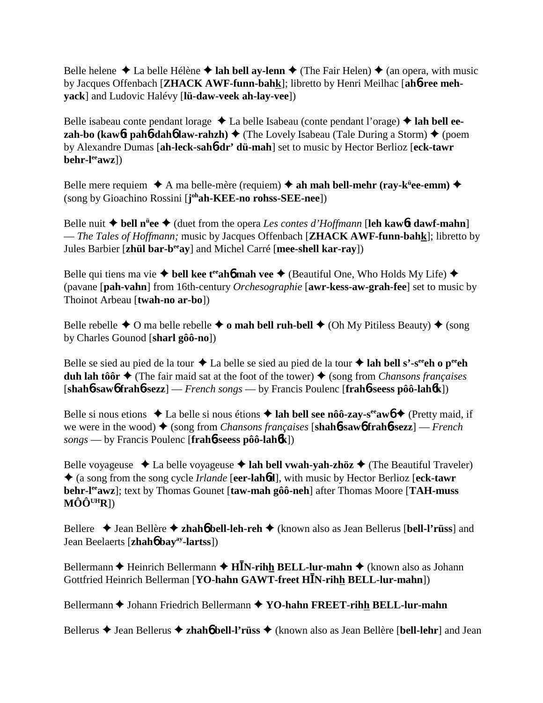Belle helene  $\triangle$  La belle Hélène  $\triangle$  lah bell ay-lenn  $\triangle$  (The Fair Helen)  $\triangle$  (an opera, with music by Jacques Offenbach [**ZHACK AWF-funn-bahk**]; libretto by Henri Meilhac [**ah**6**-ree mehyack**] and Ludovic Halévy [**lü-daw-veek ah-lay-vee**])

Belle isabeau conte pendant lorage **→** La belle Isabeau (conte pendant l'orage) **→ lah bell eezah-bo (kaw6t pah6-dah6 law-rahzh) ♦ (The Lovely Isabeau (Tale During a Storm) ♦ (poem** by Alexandre Dumas [**ah-leck-sah**6**-dr' dü-mah**] set to music by Hector Berlioz [**eck-tawr behr-leeawz**])

Belle mere requiem ◆ A ma belle-mère (requiem) ◆ ah mah bell-mehr (ray-k<sup>ü</sup>ee-emm) ◆ (song by Gioachino Rossini [**j ohah-KEE-no rohss-SEE-nee**])

Belle nuit **bell nü ee** (duet from the opera *Les contes d'Hoffmann* [**leh kaw**6**t dawf-mahn**] — *The Tales of Hoffmann;* music by Jacques Offenbach [**ZHACK AWF-funn-bahk**]; libretto by Jules Barbier [**zhül bar-beeay**] and Michel Carré [**mee-shell kar-ray**])

Belle qui tiens ma vie  $\triangle$  bell kee t<sup>ee</sup> ah**6** mah vee  $\triangle$  (Beautiful One, Who Holds My Life)  $\triangle$ (pavane [**pah-vahn**] from 16th-century *Orchesographie* [**awr-kess-aw-grah-fee**] set to music by Thoinot Arbeau [**twah-no ar-bo**])

Belle rebelle  $\triangle$  O ma belle rebelle  $\triangle$  o mah bell ruh-bell  $\triangle$  (Oh My Pitiless Beauty)  $\triangle$  (song by Charles Gounod [**sharl gôô-no**])

Belle se sied au pied de la tour  $\triangle$  La belle se sied au pied de la tour  $\triangle$  lah bell s'-s<sup>ee</sup>eh o p<sup>ee</sup>eh **duh lah tôôr**  $\triangle$  (The fair maid sat at the foot of the tower)  $\triangle$  (song from *Chansons françaises* [**shah**6**-saw**6 **frah**6**-sezz**] — *French songs* — by Francis Poulenc [**frah**6**-seess pôô-lah**6**k**])

Belle si nous etions  $\triangle$  La belle si nous étions  $\triangle$  lah bell see nôô-zay-s<sup>ee</sup> aw 6  $\triangle$  (Pretty maid, if we were in the wood) ♦ (song from *Chansons françaises* [shah**6-saw6 frah6-sezz**] — *French songs* — by Francis Poulenc [**frah**6**-seess pôô-lah**6**k**])

Belle voyageuse  $\triangleleft$  La belle voyageuse  $\triangleleft$  lah bell vwah-yah-zhöz  $\triangleleft$  (The Beautiful Traveler) (a song from the song cycle *Irlande* [**eer-lah**6**d**], with music by Hector Berlioz [**eck-tawr behr-leeawz**]; text by Thomas Gounet [**taw-mah gôô-neh**] after Thomas Moore [**TAH-muss MÔÔUHR**])

Bellere Jean Bellère **zhah**6 **bell-leh-reh** (known also as Jean Bellerus [**bell-l'rüss**] and Jean Beelaerts [**zhah**6 **bayay-lartss**])

Bellermann  $\triangle$  Heinrich Bellermann  $\triangle$  H**IN-rihh BELL-lur-mahn**  $\triangle$  (known also as Johann Gottfried Heinrich Bellerman [**YO-hahn GAWT-freet HN-rihh BELL-lur-mahn**])

Bellermann  $\triangle$  Johann Friedrich Bellermann  $\triangle$  YO-hahn FREET-rihh BELL-lur-mahn

Bellerus Jean Bellerus **zhah**6 **bell-l'rüss** (known also as Jean Bellère [**bell-lehr**] and Jean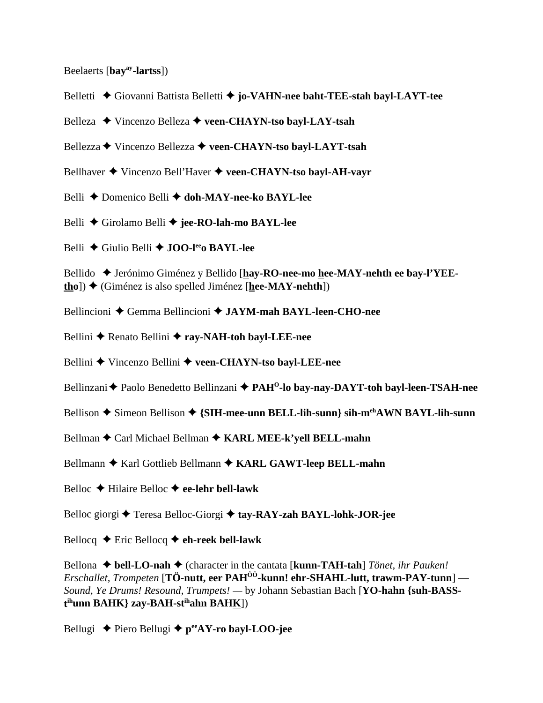Beelaerts [**bayay-lartss**])

- Belletti Giovanni Battista Belletti **jo-VAHN-nee baht-TEE-stah bayl-LAYT-tee**
- Belleza Vincenzo Belleza **veen-CHAYN-tso bayl-LAY-tsah**
- Bellezza **→** Vincenzo Bellezza → veen-CHAYN-tso bayl-LAYT-tsah
- Bellhaver Vincenzo Bell'Haver **veen-CHAYN-tso bayl-AH-vayr**
- Belli ◆ Domenico Belli **◆ doh-MAY-nee-ko BAYL-lee**
- Belli Girolamo Belli **jee-RO-lah-mo BAYL-lee**
- Belli Giulio Belli **JOO-leeo BAYL-lee**

Bellido ◆ Jerónimo Giménez y Bellido [hay-RO-nee-mo hee-MAY-nehth ee bay-l'YEE**tho**])  $\triangle$  (Giménez is also spelled Jiménez [**hee-MAY-nehth**])

- Bellincioni Gemma Bellincioni **JAYM-mah BAYL-leen-CHO-nee**
- Bellini **←** Renato Bellini ← ray-NAH-toh bavl-LEE-nee
- Bellini Vincenzo Bellini **veen-CHAYN-tso bayl-LEE-nee**
- Bellinzani **←** Paolo Benedetto Bellinzani ← PAH<sup>O</sup>-lo bay-nay-DAYT-toh bayl-leen-TSAH-nee
- Bellison  $\triangle$  Simeon Bellison  $\triangle$  {SIH-mee-unn BELL-lih-sunn} sih-m<sup>eh</sup>AWN BAYL-lih-sunn
- Bellman **←** Carl Michael Bellman ← **KARL MEE-k'yell BELL-mahn**
- Bellmann  $\triangle$  Karl Gottlieb Bellmann  $\triangle$  KARL GAWT-leep BELL-mahn
- Belloc Hilaire Belloc **ee-lehr bell-lawk**
- Belloc giorgi **←** Teresa Belloc-Giorgi ← tay-RAY-zah BAYL-lohk-JOR-jee
- Bellocq  $\triangle$  Eric Bellocq  $\triangle$  eh-reek bell-lawk

Bellona **bell-LO-nah** (character in the cantata [**kunn-TAH-tah**] *Tönet, ihr Pauken! Erschallet, Trompeten* [**TÖ-nutt, eer PAHÔÔ-kunn! ehr-SHAHL-lutt, trawm-PAY-tunn**] — *Sound, Ye Drums! Resound, Trumpets! —* by Johann Sebastian Bach [**YO-hahn {suh-BASSt ihunn BAHK} zay-BAH-stihahn BAHK**])

Bellugi **→** Piero Bellugi ◆ p<sup>ee</sup>AY-ro bayl-LOO-jee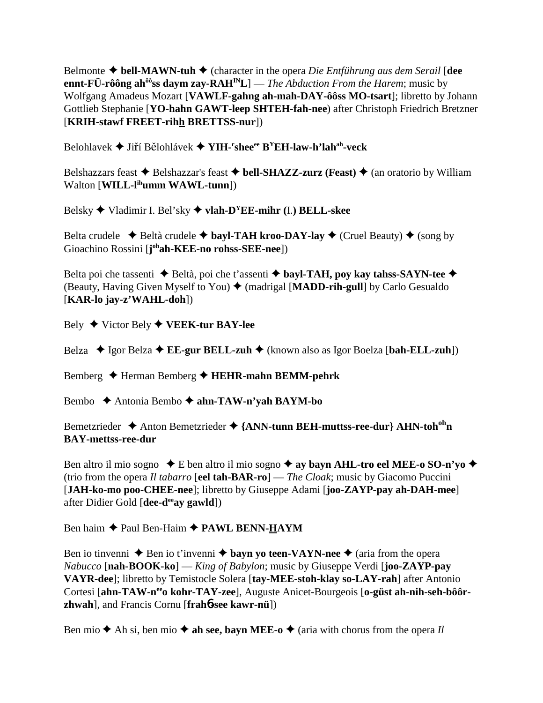Belmonte  $\triangle$  bell-MAWN-tuh  $\triangle$  (character in the opera *Die Entführung aus dem Serail* [dee ennt-FÜ-rôông ah<sup>ôô</sup>ss daym zay-RAH<sup>IN</sup>L] — *The Abduction From the Harem*; music by Wolfgang Amadeus Mozart [VAWLF-gahng ah-mah-DAY-ôôss MO-tsart]; libretto by Johann Gottlieb Stephanie [YO-hahn GAWT-leep SHTEH-fah-nee) after Christoph Friedrich Bretzner [KRIH-stawf FREET-rihh BRETTSS-nur])

Belohlavek  $\blacklozenge$  Jiří Bělohlávek  $\blacklozenge$  YIH-'shee<sup>ee</sup> B<sup>Y</sup>EH-law-h'lah<sup>ah</sup>-veck

Belshazzars feast  $\triangle$  Belshazzar's feast  $\triangle$  bell-SHAZZ-zurz (Feast)  $\triangle$  (an oratorio by William Walton [WILL-lihumm WAWL-tunn])

Belsky  $\blacklozenge$  Vladimir I. Bel'sky  $\blacklozenge$  vlah-D<sup>Y</sup>EE-mihr (I.) BELL-skee

Belta crudele  $\rightarrow$  Beltà crudele  $\rightarrow$  bayl-TAH kroo-DAY-lay  $\rightarrow$  (Cruel Beauty)  $\rightarrow$  (song by Gioachino Rossini [johah-KEE-no rohss-SEE-nee])

Belta poi che tassenti  $\triangle$  Beltà, poi che t'assenti  $\triangle$  bayl-TAH, poy kay tahss-SAYN-tee  $\triangle$ (Beauty, Having Given Myself to You)  $\blacklozenge$  (madrigal [MADD-rih-gull] by Carlo Gesualdo  $[KAR-lo$  jay-z'WAHL-doh])

Bely  $\blacklozenge$  Victor Bely  $\blacklozenge$  VEEK-tur BAY-lee

Belza  $\triangle$  Igor Belza  $\triangle$  EE-gur BELL-zuh  $\triangle$  (known also as Igor Boelza [bah-ELL-zuh])

Bemberg ← Herman Bemberg ← HEHR-mahn BEMM-pehrk

Bembo  $\triangle$  Antonia Bembo  $\triangle$  ahn-TAW-n'yah BAYM-bo

Bemetzrieder  $\triangle$  Anton Bemetzrieder  $\triangle$  {ANN-tunn BEH-muttss-ree-dur} AHN-toh<sup>oh</sup>n **BAY-mettss-ree-dur** 

Ben altro il mio sogno  $\bullet$  E ben altro il mio sogno  $\bullet$  ay bayn AHL-tro eel MEE-o SO-n'yo  $\bullet$ (trio from the opera *Il tabarro* [eel tah-BAR-ro] — *The Cloak*; music by Giacomo Puccini [JAH-ko-mo poo-CHEE-nee]; libretto by Giuseppe Adami [joo-ZAYP-pay ah-DAH-mee] after Didier Gold [dee-d<sup>ee</sup>ay gawld])

Ben haim ◆ Paul Ben-Haim ◆ PAWL BENN-HAYM

Ben io tinvenni  $\triangle$  Ben io t'invenni  $\triangle$  bayn vo teen-VAYN-nee  $\triangle$  (aria from the opera Nabucco [nah-BOOK-ko] — King of Babylon; music by Giuseppe Verdi [joo-ZAYP-pay VAYR-dee]; libretto by Temistocle Solera [tay-MEE-stoh-klay so-LAY-rah] after Antonio Cortesi [ahn-TAW-n<sup>ee</sup>o kohr-TAY-zee], Auguste Anicet-Bourgeois [o-güst ah-nih-seh-bôôr**zhwah**], and Francis Cornu [frah**6-see kawr-nü**])

Ben mio  $\triangle$  Ah si, ben mio  $\triangle$  ah see, bayn MEE-o  $\triangle$  (aria with chorus from the opera Il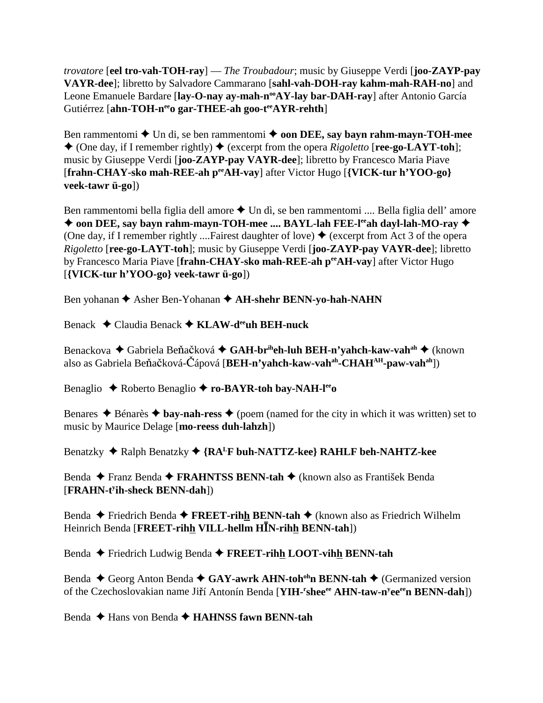*trovatore* [**eel tro-vah-TOH-ray**] — *The Troubadour*; music by Giuseppe Verdi [**joo-ZAYP-pay VAYR-dee**]; libretto by Salvadore Cammarano [**sahl-vah-DOH-ray kahm-mah-RAH-no**] and Leone Emanuele Bardare [lay-O-nay ay-mah-n<sup>oo</sup>AY-lay bar-DAH-ray] after Antonio García Gutiérrez [ahn-TOH-n<sup>ee</sup>o gar-THEE-ah goo-t<sup>ee</sup>AYR-rehth]

Ben rammentomi  $\triangle$  Un di, se ben rammentomi  $\triangle$  **oon DEE, say bayn rahm-mayn-TOH-mee**  $\triangle$  (One day, if I remember rightly)  $\triangle$  (excerpt from the opera *Rigoletto* [**ree-go-LAYT-toh**]; music by Giuseppe Verdi [**joo-ZAYP-pay VAYR-dee**]; libretto by Francesco Maria Piave [**frahn-CHAY-sko mah-REE-ah peeAH-vay**] after Victor Hugo [**{VICK-tur h'YOO-go} veek-tawr ü-go**])

Ben rammentomi bella figlia dell amore  $\triangle$  Un dì, se ben rammentomi .... Bella figlia dell' amore ◆ oon DEE, say bayn rahm-mayn-TOH-mee .... BAYL-lah FEE-l<sup>ee</sup>ah dayl-lah-MO-ray ◆ (One day, if I remember rightly ....Fairest daughter of love)  $\blacklozenge$  (excerpt from Act 3 of the opera *Rigoletto* [**ree-go-LAYT-toh**]; music by Giuseppe Verdi [**joo-ZAYP-pay VAYR-dee**]; libretto by Francesco Maria Piave [frahn-CHAY-sko mah-REE-ah per AH-vay] after Victor Hugo [**{VICK-tur h'YOO-go} veek-tawr ü-go**])

Ben yohanan **◆** Asher Ben-Yohanan ◆ AH-shehr BENN-yo-hah-NAHN

Benack Claudia Benack **KLAW-deeuh BEH-nuck**

Benackova ♦ Gabriela Beňačková ♦ **GAH-br<sup>ih</sup>eh-luh BEH-n'yahch-kaw-vah<sup>ah</sup> ♦** (known also as Gabriela Beňačková-Čápová [**BEH-n'yahch-kaw-vah<sup>ah</sup>-CHAH<sup>AH</sup>-paw-vah<sup>ah</sup>])** 

Benaglio ◆ Roberto Benaglio ◆ ro-BAYR-toh bay-NAH-l<sup>ee</sup>o

Benares  $\triangle$  Bénarès  $\triangle$  bay-nah-ress  $\triangle$  (poem (named for the city in which it was written) set to music by Maurice Delage [**mo-reess duh-lahzh**])

Benatzky ◆ Ralph Benatzky ◆ {RA<sup>L</sup>F buh-NATTZ-kee} RAHLF beh-NAHTZ-kee

Benda Franz Benda **FRAHNTSS BENN-tah** (known also as František Benda [**FRAHN-ty ih-sheck BENN-dah**])

Benda **←** Friedrich Benda ← **FREET-rihh BENN-tah** ← (known also as Friedrich Wilhelm Heinrich Benda [**FREET-rihh VILL-hellm HN-rihh BENN-tah**])

Benda Friedrich Ludwig Benda **FREET-rihh LOOT-vihh BENN-tah**

Benda ◆ Georg Anton Benda ◆ GAY-awrk AHN-toh<sup>oh</sup>n BENN-tah ◆ (Germanized version of the Czechoslovakian name Jiří Antonín Benda [YIH-<sup>r</sup>shee<sup>ee</sup> AHN-taw-n<sup>y</sup>ee<sup>ee</sup>n BENN-dah])

Benda **→** Hans von Benda → **HAHNSS fawn BENN-tah**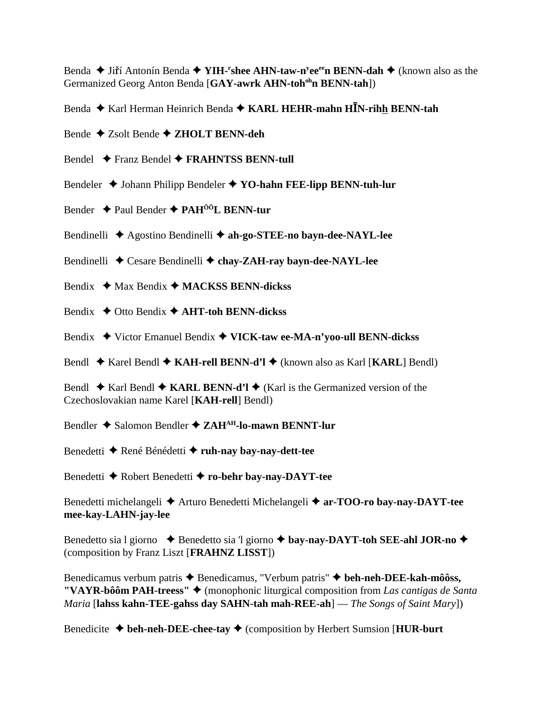Benda ◆ Jiří Antonín Benda ◆ YIH-<sup>r</sup>shee AHN-taw-n<sup>y</sup>ee<sup>ee</sup>n BENN-dah ◆ (known also as the Germanized Georg Anton Benda [**GAY-awrk AHN-tohohn BENN-tah**])

Benda Karl Herman Heinrich Benda **KARL HEHR-mahn HN-rihh BENN-tah**

Bende Zsolt Bende **ZHOLT BENN-deh**

Bendel **←** Franz Bendel ← FRAHNTSS BENN-tull

Bendeler **↓** Johann Philipp Bendeler ◆ YO-hahn FEE-lipp BENN-tuh-lur

Bender Paul Bender **PAHÔÔL BENN-tur**

Bendinelli **→** Agostino Bendinelli → ah-go-STEE-no bayn-dee-NAYL-lee

Bendinelli  $\triangle$  Cesare Bendinelli  $\triangle$  chay-ZAH-ray bayn-dee-NAYL-lee

Bendix **→** Max Bendix → **MACKSS BENN-dickss** 

Bendix **→** Otto Bendix **→ AHT-toh BENN-dickss** 

Bendix Victor Emanuel Bendix **VICK-taw ee-MA-n'yoo-ull BENN-dickss**

Bendl Karel Bendl **KAH-rell BENN-d'l** (known also as Karl [**KARL**] Bendl)

Bendl  $\blacklozenge$  Karl Bendl  $\blacklozenge$  KARL BENN-d'l  $\blacklozenge$  (Karl is the Germanized version of the Czechoslovakian name Karel [**KAH-rell**] Bendl)

Bendler **→** Salomon Bendler → ZAH<sup>AH</sup>-lo-mawn BENNT-lur

Benedetti René Bénédetti **ruh-nay bay-nay-dett-tee**

Benedetti Robert Benedetti **ro-behr bay-nay-DAYT-tee**

Benedetti michelangeli **◆** Arturo Benedetti Michelangeli **◆ ar-TOO-ro bay-nay-DAYT-tee mee-kay-LAHN-jay-lee**

Benedetto sia l giorno  $\triangle$  Benedetto sia 'l giorno  $\triangle$  **bay-nay-DAYT-toh SEE-ahl JOR-no**  $\triangle$ (composition by Franz Liszt [**FRAHNZ LISST**])

Benedicamus verbum patris **→** Benedicamus, "Verbum patris" **→ beh-neh-DEE-kah-môôss, "VAYR-bôôm PAH-treess"** ♦ (monophonic liturgical composition from *Las cantigas de Santa Maria* [**lahss kahn-TEE-gahss day SAHN-tah mah-REE-ah**] — *The Songs of Saint Mary*])

Benedicite  $\triangleleft$  beh-neh-DEE-chee-tay  $\triangleleft$  (composition by Herbert Sumsion [**HUR-burt**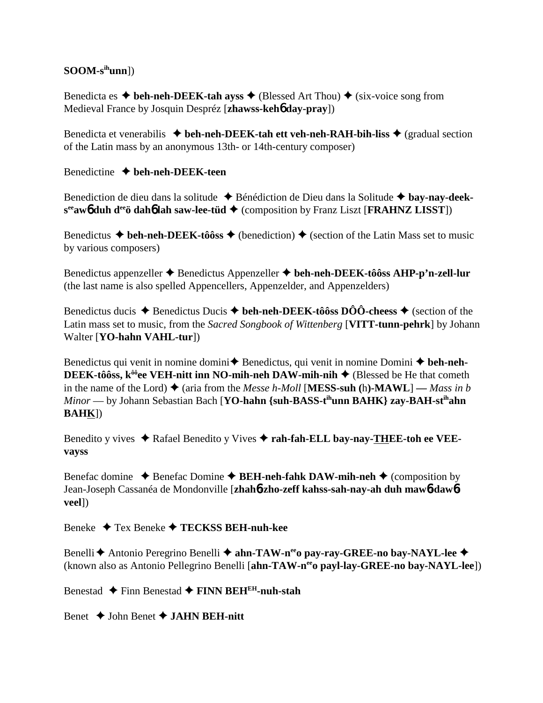## $SOOM-s<sup>ih</sup>unn]$

Benedicta es  $\triangle$  beh-neh-DEEK-tah ayss  $\triangle$  (Blessed Art Thou)  $\triangle$  (six-voice song from Medieval France by Josquin Despréz [zhawss-keho day-pray])

Benedicta et venerabilis  $\triangleq$  beh-neh-DEEK-tah ett veh-neh-RAH-bih-liss  $\triangleq$  (gradual section of the Latin mass by an anonymous 13th- or 14th-century composer)

Benedictine  $\blacklozenge$  beh-neh-DEEK-teen

Benediction de dieu dans la solitude  $\triangle$  Bénédiction de Dieu dans la Solitude  $\triangle$  bay-nay-deek $s^{ee}$ aw $\phi$  duh d<sup>ee</sup> dah $\phi$  lah saw-lee-tüd  $\blacklozenge$  (composition by Franz Liszt [FRAHNZ LISST])

Benedictus  $\blacklozenge$  beh-neh-DEEK-tôôss  $\blacklozenge$  (benediction)  $\blacklozenge$  (section of the Latin Mass set to music by various composers)

Benedictus appenzeller ◆ Benedictus Appenzeller ◆ beh-neh-DEEK-tôôss AHP-p'n-zell-lur (the last name is also spelled Appencellers, Appenzelder, and Appenzelders)

Benedictus ducis  $\triangle$  Benedictus Ducis  $\triangle$  beh-neh-DEEK-tôôss DÔÔ-cheess  $\triangle$  (section of the Latin mass set to music, from the Sacred Songbook of Wittenberg [VITT-tunn-pehrk] by Johann Walter [YO-hahn VAHL-tur])

Benedictus qui venit in nomine domini $\triangle$  Benedictus, qui venit in nomine Domini  $\triangle$  beh-neh-**DEEK-tôôss, k<sup>ôô</sup>ee VEH-nitt inn NO-mih-neh DAW-mih-nih**  $\triangle$  (Blessed be He that cometh in the name of the Lord)  $\triangle$  (aria from the *Messe h-Moll* [**MESS-suh** (h)-**MAWL**] — Mass in b  $Minor$  — by Johann Sebastian Bach [YO-hahn {suh-BASS-t<sup>ih</sup>unn BAHK} zay-BAH-st<sup>ih</sup>ahn  $BAHK$ ])

Benedito y vives ◆ Rafael Benedito y Vives ◆ rah-fah-ELL bay-nav-THEE-toh ee VEEvayss

Benefac domine  $\triangle$  Benefac Domine  $\triangle$  BEH-neh-fahk DAW-mih-neh  $\triangle$  (composition by Jean-Joseph Cassanéa de Mondonville [zhaho-zho-zeff kahss-sah-nav-ah duh mawo-dawoveel])

Beneke  $\triangle$  Tex Beneke  $\triangle$  TECKSS BEH-nuh-kee

Benelli ← Antonio Peregrino Benelli ← ahn-TAW-n<sup>ee</sup>o pay-ray-GREE-no bay-NAYL-lee ← (known also as Antonio Pellegrino Benelli [ahn-TAW-n<sup>ee</sup>o payl-lay-GREE-no bay-NAYL-lee])

Benestad  $\triangle$  Finn Benestad  $\triangle$  FINN BEH<sup>EH</sup>-nuh-stah

Benet  $\triangle$  John Benet  $\triangle$  JAHN BEH-nitt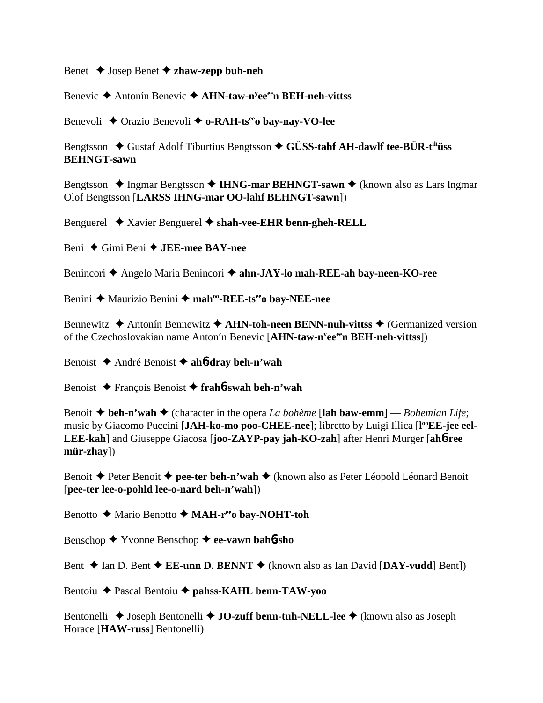Benet Josep Benet **zhaw-zepp buh-neh**

Benevic Antonín Benevic **AHN-taw-ny eeeen BEH-neh-vittss**

Benevoli ◆ Orazio Benevoli ◆ o-RAH-ts<sup>ee</sup>o bay-nay-VO-lee

Bengtsson  $\blacklozenge$  Gustaf Adolf Tiburtius Bengtsson  $\blacklozenge$  GÜSS-tahf AH-dawlf tee-BÜR-t<sup>ih</sup>uss **BEHNGT-sawn**

Bengtsson ◆ Ingmar Bengtsson ◆ **IHNG-mar BEHNGT-sawn** ◆ (known also as Lars Ingmar Olof Bengtsson [**LARSS IHNG-mar OO-lahf BEHNGT-sawn**])

Benguerel Xavier Benguerel **shah-vee-EHR benn-gheh-RELL**

Beni Gimi Beni **JEE-mee BAY-nee**

Benincori ◆ Angelo Maria Benincori ◆ ahn-JAY-lo mah-REE-ah bay-neen-KO-ree

Benini **→** Maurizio Benini → mah<sup>oo</sup>-REE-ts<sup>ee</sup>o bay-NEE-nee

Bennewitz **→** Antonín Bennewitz **→ AHN-toh-neen BENN-nuh-vittss →** (Germanized version of the Czechoslovakian name Antonín Benevic [**AHN-taw-ny eeeen BEH-neh-vittss**])

Benoist André Benoist **ah**6**-dray beh-n'wah**

Benoist François Benoist **frah**6**-swah beh-n'wah**

Benoit  $\blacklozenge$  **beh-n'wah**  $\blacklozenge$  (character in the opera *La bohème* [lah baw-emm] — *Bohemian Life*; music by Giacomo Puccini [JAH-ko-mo poo-CHEE-nee]; libretto by Luigi Illica [l<sup>oo</sup>EE-jee eel-**LEE-kah**] and Giuseppe Giacosa [**joo-ZAYP-pay jah-KO-zah**] after Henri Murger [**ah**6**-ree mür-zhay**])

Benoit **←** Peter Benoit ← **pee-ter beh-n'wah** ← (known also as Peter Léopold Léonard Benoit [**pee-ter lee-o-pohld lee-o-nard beh-n'wah**])

Benotto **→** Mario Benotto → MAH-r<sup>ee</sup>o bay-NOHT-toh

Benschop Yvonne Benschop **ee-vawn bah**6**-sho**

Bent  $\triangle$  Ian D. Bent  $\triangle$  **EE-unn D. BENNT**  $\triangle$  (known also as Ian David [DAY-vudd] Bent])

Bentoiu Pascal Bentoiu **pahss-KAHL benn-TAW-yoo**

Bentonelli **→** Joseph Bentonelli → **JO-zuff benn-tuh-NELL-lee** → (known also as Joseph Horace [**HAW-russ**] Bentonelli)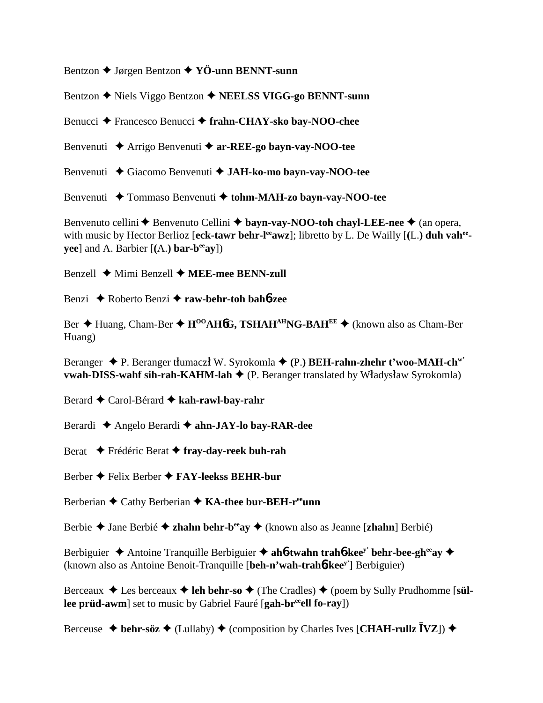Bentzon Jørgen Bentzon **YÖ-unn BENNT-sunn**

Bentzon **→** Niels Viggo Bentzon **→ NEELSS VIGG-go BENNT-sunn** 

Benucci Francesco Benucci **frahn-CHAY-sko bay-NOO-chee**

Benvenuti Arrigo Benvenuti **ar-REE-go bayn-vay-NOO-tee**

Benvenuti **→** Giacomo Benvenuti → JAH-ko-mo bayn-vay-NOO-tee

Benvenuti **→** Tommaso Benvenuti → tohm-MAH-zo bayn-vay-NOO-tee

Benvenuto cellini **←** Benvenuto Cellini ← bayn-vay-NOO-toh chayl-LEE-nee ← (an opera, with music by Hector Berlioz [eck-tawr behr-l<sup>ee</sup>awz]; libretto by L. De Wailly [(L.) duh vah<sup>ee</sup>**yee**] and A. Barbier  $[(A.)\mathbf{bar}\text{-}\mathbf{b}^{\text{ee}}\textbf{av}])$ 

Benzell **→** Mimi Benzell **→ MEE-mee BENN-zull** 

Benzi Roberto Benzi **raw-behr-toh bah**6**-zee**

Ber **→** Huang, Cham-Ber → H<sup>OO</sup>AH6G, TSHAH<sup>AH</sup>NG-BAH<sup>EE</sup> → (known also as Cham-Ber Huang)

Beranger **→** P. Beranger tłumaczł W. Syrokomla ← (P.) **BEH-rahn-zhehr t'woo-MAH-ch<sup>w'</sup> vwah-DISS-wahf sih-rah-KAHM-lah ♦** (P. Beranger translated by Władysław Syrokomla)

Berard Carol-Bérard **kah-rawl-bay-rahr**

Berardi Angelo Berardi **ahn-JAY-lo bay-RAR-dee**

Berat Frédéric Berat **fray-day-reek buh-rah**

Berber Felix Berber **FAY-leekss BEHR-bur**

Berberian **←** Cathy Berberian ← **KA-thee bur-BEH-r<sup>ee</sup>unn** 

Berbie Jane Berbié **zhahn behr-beeay** (known also as Jeanne [**zhahn**] Berbié)

Berbiguier **→** Antoine Tranquille Berbiguier → ah**6**-twahn trah**6**-kee<sup>y</sup> behr-bee-gh<sup>ee</sup>ay → (known also as Antoine Benoit-Tranquille [**beh-n'wah-trah**6**-keey'**] Berbiguier)

Berceaux  $\triangleleft$  Les berceaux  $\triangleleft$  leh behr-so  $\triangleleft$  (The Cradles)  $\triangleleft$  (poem by Sully Prudhomme [s**üllee prüd-awm**] set to music by Gabriel Fauré [gah-br<sup>ee</sup>ell fo-ray])

Berceuse  $\blacklozenge$  **behr-söz**  $\blacklozenge$  (Lullaby)  $\blacklozenge$  (composition by Charles Ives [**CHAH-rullz**  $\bar{I}VZ$ ])  $\blacklozenge$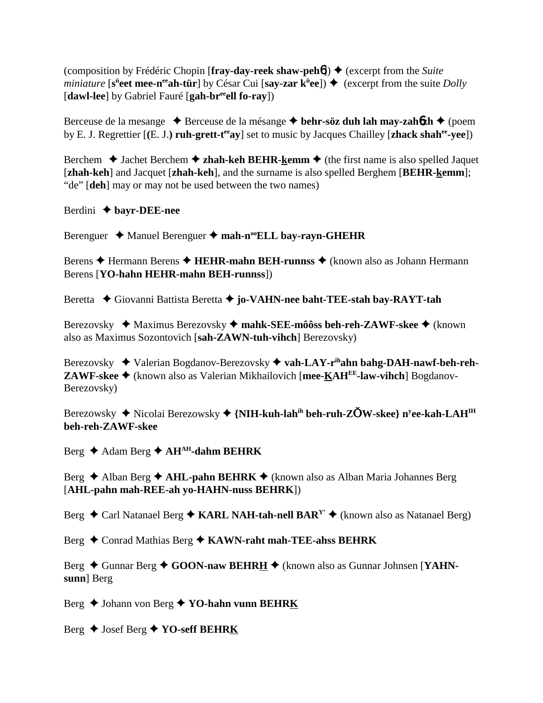(composition by Frédéric Chopin [fray-day-reek shaw-peh**6**])  $\blacklozenge$  (excerpt from the *Suite*  $\hat{m}$ *miniature* [s<sup>ii</sup>eet mee-n<sup>ee</sup>ah-tür] by César Cui [say-zar k<sup>ü</sup>ee])  $\triangleq$  (excerpt from the suite *Dolly* [**dawl-lee**] by Gabriel Fauré [**gah-breeell fo-ray**])

Berceuse de la mesange ◆ Berceuse de la mésange ◆ behr-söz duh lah may-zah6zh ◆ (poem by E. J. Regrettier [**(**E. J.**) ruh-grett-teeay**] set to music by Jacques Chailley [**zhack shahee-yee**])

Berchem  $\triangle$  Jachet Berchem  $\triangle$  **zhah-keh BEHR-kemm**  $\triangle$  (the first name is also spelled Jaquet [**zhah-keh**] and Jacquet [**zhah-keh**], and the surname is also spelled Berghem [**BEHR-kemm**]; "de" [**deh**] may or may not be used between the two names)

Berdini **bayr-DEE-nee**

Berenguer ◆ Manuel Berenguer ◆ mah-n<sup>oo</sup>ELL bay-rayn-GHEHR

Berens **→** Hermann Berens → **HEHR-mahn BEH-runnss** → (known also as Johann Hermann Berens [**YO-hahn HEHR-mahn BEH-runnss**])

Beretta  **←** Giovanni Battista Beretta ← jo-VAHN-nee baht-TEE-stah bay-RAYT-tah

Berezovsky ◆ Maximus Berezovsky ◆ mahk-SEE-môôss beh-reh-ZAWF-skee ◆ (known also as Maximus Sozontovich [**sah-ZAWN-tuh-vihch**] Berezovsky)

Berezovsky ◆ Valerian Bogdanov-Berezovsky ◆ vah-LAY-r<sup>ih</sup>ahn bahg-DAH-nawf-beh-reh-**ZAWF-skee** (known also as Valerian Mikhailovich [**mee-KAHEE-law-vihch**] Bogdanov-Berezovsky)

Berezowsky ◆ Nicolai Berezowsky ◆ {**NIH-kuh-lah<sup>ih</sup> beh-ruh-ZŎW-skee} n<sup>y</sup>ee-kah-LAH<sup>IH</sup> beh-reh-ZAWF-skee**

Berg ◆ Adam Berg ◆ AH<sup>AH</sup>-dahm BEHRK

Berg **←** Alban Berg ← AHL-pahn BEHRK ← (known also as Alban Maria Johannes Berg [**AHL-pahn mah-REE-ah yo-HAHN-nuss BEHRK**])

Berg  $\triangle$  Carl Natanael Berg  $\triangle$  KARL NAH-tah-nell BAR<sup>Y</sup>'  $\triangle$  (known also as Natanael Berg)

Berg  $\triangle$  Conrad Mathias Berg  $\triangle$  KAWN-raht mah-TEE-ahss BEHRK

Berg ♦ Gunnar Berg ♦ GOON-naw BEHRH ♦ (known also as Gunnar Johnsen [YAHN**sunn**] Berg

Berg Johann von Berg **YO-hahn vunn BEHRK**

Berg Josef Berg **YO-seff BEHRK**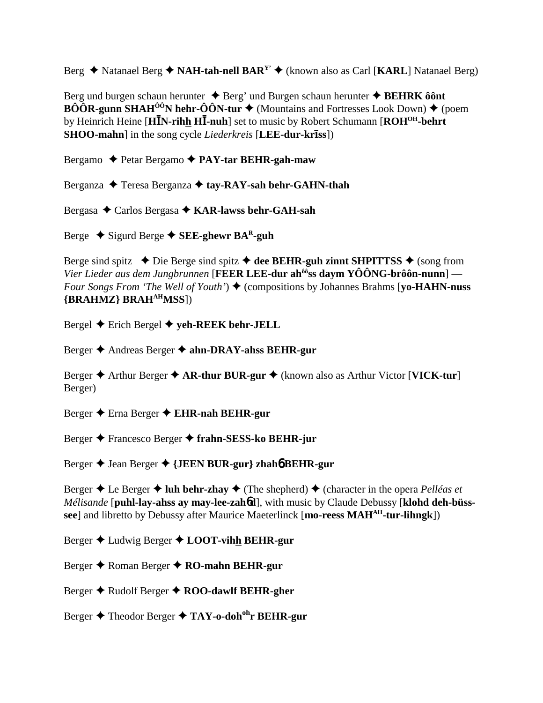Berg  $\triangle$  Natanael Berg  $\triangle$  NAH-tah-nell BAR<sup>Y</sup>'  $\triangle$  (known also as Carl [KARL] Natanael Berg)

Berg und burgen schaun herunter  $\triangle$  Berg' und Burgen schaun herunter  $\triangle$  BEHRK ô ont  $\angle B\hat{O}\hat{O}R$ -gunn SHAH<sup> $\hat{O} \hat{O}N$ </sup> hehr- $\hat{O}\hat{O}N$ -tur  $\blacklozenge$  (Mountains and Fortresses Look Down)  $\blacklozenge$  (poem by Heinrich Heine [HIN-rihh HI-nuh] set to music by Robert Schumann [ROH<sup>OH</sup>-behrt] **SHOO-mahn** in the song cycle *Liederkreis* [LEE-dur-kriss])

Bergamo ◆ Petar Bergamo ◆ PAY-tar BEHR-gah-maw

Berganza  $\triangle$  Teresa Berganza  $\triangle$  tay-RAY-sah behr-GAHN-thah

Bergasa ◆ Carlos Bergasa ◆ KAR-lawss behr-GAH-sah

Berge  $\triangle$  Sigurd Berge  $\triangle$  SEE-ghewr BA<sup>R</sup>-guh

Berge sind spitz  $\triangle$  Die Berge sind spitz  $\triangle$  dee BEHR-guh zinnt SHPITTSS  $\triangle$  (song from Vier Lieder aus dem Jungbrunnen [FEER LEE-dur ah<sup>ôô</sup>ss daym YÔÔNG-brôôn-nunn] — Four Songs From 'The Well of Youth')  $\blacklozenge$  (compositions by Johannes Brahms [yo-HAHN-nuss] {BRAHMZ} BRAH<sup>AH</sup>MSS])

Bergel  $\triangle$  Erich Bergel  $\triangle$  yeh-REEK behr-JELL

Berger ♦ Andreas Berger ♦ ahn-DRAY-ahss BEHR-gur

Berger  $\triangle$  Arthur Berger  $\triangle$  AR-thur BUR-gur  $\triangle$  (known also as Arthur Victor [VICK-tur] Berger)

Berger  $\triangle$  Erna Berger  $\triangle$  EHR-nah BEHR-gur

Berger ◆ Francesco Berger ◆ frahn-SESS-ko BEHR-jur

Berger ♦ Jean Berger ♦ {JEEN BUR-gur} zhahó BEHR-gur

Berger  $\triangle$  Le Berger  $\triangle$  luh behr-zhay  $\triangle$  (The shepherd)  $\triangle$  (character in the opera *Pelléas et* Mélisande [puhl-lay-ahss ay may-lee-zahod], with music by Claude Debussy [klohd deh-büsssee] and libretto by Debussy after Maurice Maeterlinck [mo-reess MAH<sup>AH</sup>-tur-lihngk])

Berger  $\triangle$  Ludwig Berger  $\triangle$  LOOT-vihh BEHR-gur

Berger  $\triangle$  Roman Berger  $\triangle$  RO-mahn BEHR-gur

Berger  $\triangle$  Rudolf Berger  $\triangle$  ROO-dawlf BEHR-gher

Berger  $\triangle$  Theodor Berger  $\triangle$  TAY-o-doh<sup>oh</sup>r BEHR-gur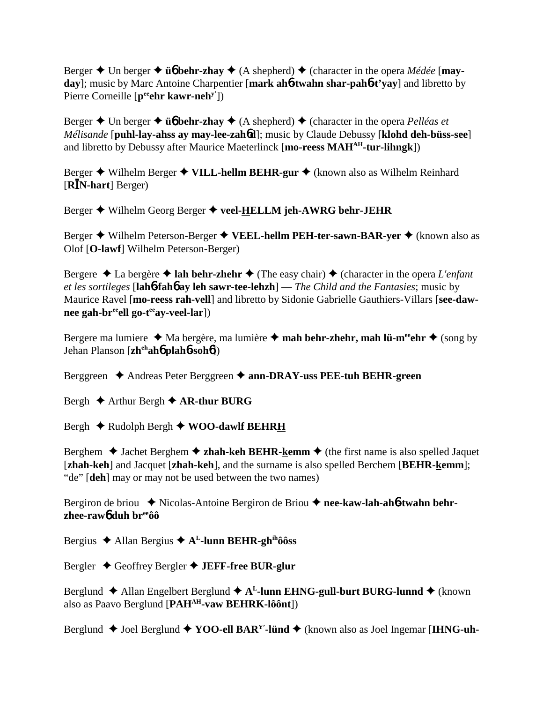Berger  $\triangle$  Un berger  $\triangle$  **ü<sub>6</sub>** behr-zhay  $\triangle$  (A shepherd)  $\triangle$  (character in the opera *Médée* [may**day**]; music by Marc Antoine Charpentier [**mark ah**6**-twahn shar-pah**6**-t'yay**] and libretto by Pierre Corneille [p<sup>ee</sup>ehr kawr-neh<sup>y'</sup>])

Berger  $\triangle$  Un berger  $\triangle$  **üb behr-zhay**  $\triangle$  (A shepherd)  $\triangle$  (character in the opera *Pelléas et Mélisande* [**puhl-lay-ahss ay may-lee-zah**6**d**]; music by Claude Debussy [**klohd deh-büss-see**] and libretto by Debussy after Maurice Maeterlinck [**mo-reess MAHAH-tur-lihngk**])

Berger **→** Wilhelm Berger **→ VILL-hellm BEHR-gur →** (known also as Wilhelm Reinhard [**RN-hart**] Berger)

Berger Wilhelm Georg Berger **veel-HELLM jeh-AWRG behr-JEHR**

Berger **→** Wilhelm Peterson-Berger → VEEL-hellm PEH-ter-sawn-BAR-yer → (known also as Olof [**O-lawf**] Wilhelm Peterson-Berger)

Bergere  $\triangle$  La bergère  $\triangle$  lah behr-zhehr  $\triangle$  (The easy chair)  $\triangle$  (character in the opera *L'enfant et les sortileges* [**lah**6**-fah**6 **ay leh sawr-tee-lehzh**] — *The Child and the Fantasies*; music by Maurice Ravel [**mo-reess rah-vell**] and libretto by Sidonie Gabrielle Gauthiers-Villars [**see-daw**nee gah-br<sup>ee</sup>ell go-t<sup>ee</sup>ay-veel-lar])

Bergere ma lumiere  $\triangleleft$  Ma bergère, ma lumière  $\triangleleft$  mah behr-zhehr, mah lü-m<sup>ee</sup>ehr  $\triangleq$  (song by Jehan Planson [**zhehah**6 **plah**6**-soh**6])

Berggreen Andreas Peter Berggreen **ann-DRAY-uss PEE-tuh BEHR-green**

Bergh  $\triangle$  Arthur Bergh  $\triangle$  AR-thur BURG

Bergh  $\triangle$  Rudolph Bergh  $\triangle$  WOO-dawlf BEHRH

Berghem  $\triangle$  Jachet Berghem  $\triangle$  zhah-keh BEHR-kemm  $\triangle$  (the first name is also spelled Jaquet [**zhah-keh**] and Jacquet [**zhah-keh**], and the surname is also spelled Berchem [**BEHR-kemm**]; "de" [**deh**] may or may not be used between the two names)

Bergiron de briou ◆ Nicolas-Antoine Bergiron de Briou ◆ nee-kaw-lah-ah**6-twahn behrzhee-raw**6 **duh breeôô**

Bergius Allan Bergius **AL-lunn BEHR-ghihôôss**

Bergler Geoffrey Bergler **JEFF-free BUR-glur**

Berglund  $\triangle$  Allan Engelbert Berglund  $\triangle$  A<sup>L</sup>-lunn EHNG-gull-burt BURG-lunnd  $\triangle$  (known also as Paavo Berglund [**PAHAH-vaw BEHRK-lôônt**])

Berglund  $\blacklozenge$  Joel Berglund  $\blacklozenge$  **YOO-ell BAR<sup>Y</sup>**-lünd  $\blacklozenge$  (known also as Joel Ingemar [**IHNG-uh**-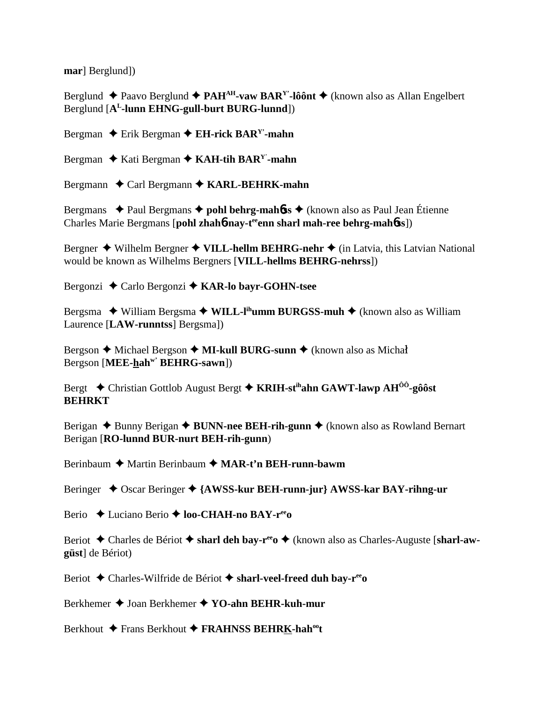marl Berglund])

Berglund  $\triangle$  Paavo Berglund  $\triangle$  PAH<sup>AH</sup>-vaw BAR<sup>Y</sup>-lôônt  $\triangle$  (known also as Allan Engelbert Berglund [A<sup>L</sup>-lunn EHNG-gull-burt BURG-lunnd])

Bergman  $\triangle$  Erik Bergman  $\triangle$  EH-rick BAR<sup>Y</sup>-mahn

Bergman  $\triangle$  Kati Bergman  $\triangle$  KAH-tih BAR<sup>Y</sup>-mahn

Bergmann  $\triangle$  Carl Bergmann  $\triangle$  KARL-BEHRK-mahn

Bergmans  $\rightarrow$  Paul Bergmans  $\rightarrow$  pohl behrg-mahbs  $\rightarrow$  (known also as Paul Jean Étienne) Charles Marie Bergmans [pohl zhah6-nay-t<sup>ee</sup>enn sharl mah-ree behrg-mah6ss])

Bergner  $\blacklozenge$  Wilhelm Bergner  $\blacklozenge$  VILL-hellm BEHRG-nehr  $\blacklozenge$  (in Latvia, this Latvian National would be known as Wilhelms Bergners [VILL-hellms BEHRG-nehrss])

Bergonzi ◆ Carlo Bergonzi ◆ KAR-lo bayr-GOHN-tsee

Bergsma  $\blacklozenge$  William Bergsma  $\blacklozenge$  WILL-I<sup>th</sup>umm BURGSS-muh  $\blacklozenge$  (known also as William Laurence [LAW-runntss] Bergsma])

Bergson ◆ Michael Bergson ◆ MI-kull BURG-sunn ◆ (known also as Michał Bergson [MEE-hah<sup>w'</sup> BEHRG-sawn])

Bergt  $\div$  Christian Gottlob August Bergt  $\div$  KRIH-st<sup>ih</sup>ahn GAWT-lawp AH<sup>00</sup>-gôôst **BEHRKT** 

Berigan  $\triangle$  Bunny Berigan  $\triangle$  BUNN-nee BEH-rih-gunn  $\triangle$  (known also as Rowland Bernart Berigan [RO-lunnd BUR-nurt BEH-rih-gunn)

Berinbaum  $\triangle$  Martin Berinbaum  $\triangle$  MAR-t'n BEH-runn-bawm

Beringer  $\triangle$  Oscar Beringer  $\triangle$  {AWSS-kur BEH-runn-jur} AWSS-kar BAY-rihng-ur

Berio  $\triangle$  Luciano Berio  $\triangle$  loo-CHAH-no BAY-r<sup>ee</sup>o

Beriot  $\triangle$  Charles de Bériot  $\triangle$  sharl deh bay-r<sup>ee</sup>  $\triangle$  (known also as Charles-Auguste [sharl-awgüst] de Bériot)

Beriot ◆ Charles-Wilfride de Bériot ◆ sharl-veel-freed duh bay-r<sup>ee</sup>o

Berkhemer ◆ Joan Berkhemer ◆ YO-ahn BEHR-kuh-mur

Berkhout ◆ Frans Berkhout ◆ FRAHNSS BEHRK-hah<sup>oo</sup>t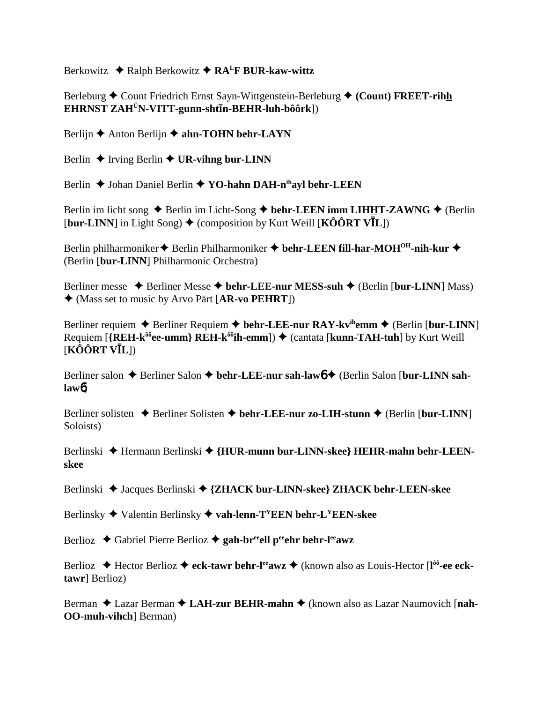Berkowitz **→** Ralph Berkowitz → RA<sup>L</sup>F BUR-kaw-wittz

Berleburg **←** Count Friedrich Ernst Sayn-Wittgenstein-Berleburg ← (Count) FREET-rihh  $\mathbf{EHR}\mathbf{NST}$  ZAH<sup>Ü</sup>N-VITT-gunn-shtīn-BEHR-luh-bôôrk])

Berlijn **←** Anton Berlijn ← ahn-TOHN behr-LAYN

Berlin  $\triangle$  Irving Berlin  $\triangle$  UR-vihng bur-LINN

Berlin **↓** Johan Daniel Berlin **↓ YO-hahn DAH-n<sup>ih</sup>ayl behr-LEEN** 

Berlin im licht song  $\triangle$  Berlin im Licht-Song  $\triangle$  behr-LEEN imm LIHHT-ZAWNG  $\triangle$  (Berlin  $[\text{bur-LINN}]$  in Light Song)  $\blacklozenge$  (composition by Kurt Weill  $[\text{KÔÔRT VIL}]$ )

Berlin philharmoniker ◆ Berlin Philharmoniker ◆ behr-LEEN fill-har-MOH<sup>OH</sup>-nih-kur ◆ (Berlin [**bur-LINN**] Philharmonic Orchestra)

Berliner messe ◆ Berliner Messe ◆ behr-LEE-nur MESS-suh ◆ (Berlin [bur-LINN] Mass) (Mass set to music by Arvo Pärt [**AR-vo PEHRT**])

Berliner requiem  $\triangle$  Berliner Requiem  $\triangle$  behr-LEE-nur RAY-kv<sup>ih</sup>emm  $\triangle$  (Berlin [bur-LINN] Requiem [**{REH-k<sup>ôô</sup>ee-umm} REH-k<sup>ôô</sup>ih-emm**]) ♦ (cantata [**kunn-TAH-tuh**] by Kurt Weill [**KÔÔRT VL**])

Berliner salon ♦ Berliner Salon ♦ behr-LEE-nur sah-law**6 ♦** (Berlin Salon [bur-LINN sah**law**6)

Berliner solisten  $\triangle$  Berliner Solisten  $\triangle$  behr-LEE-nur zo-LIH-stunn  $\triangle$  (Berlin [bur-LINN] Soloists)

Berlinski ◆ Hermann Berlinski ◆ {HUR-munn bur-LINN-skee} HEHR-mahn behr-LEEN**skee**

Berlinski Jacques Berlinski **{ZHACK bur-LINN-skee} ZHACK behr-LEEN-skee**

Berlinsky **→** Valentin Berlinsky ◆ vah-lenn-T<sup>Y</sup>EEN behr-L<sup>Y</sup>EEN-skee

Berlioz ◆ Gabriel Pierre Berlioz ◆ gah-br<sup>ee</sup>ell peehr behr-l<sup>ee</sup>awz

Berlioz ◆ Hector Berlioz ◆ eck-tawr behr-l<sup>ee</sup>awz ◆ (known also as Louis-Hector [l<sup>ôô</sup>-ee eck**tawr**] Berlioz)

Berman ◆ Lazar Berman ◆ LAH-zur BEHR-mahn ◆ (known also as Lazar Naumovich [nah-**OO-muh-vihch**] Berman)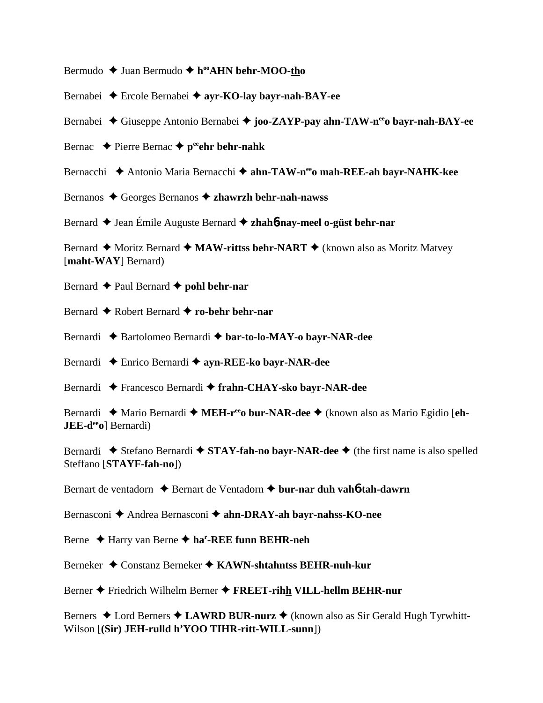Bermudo **→** Juan Bermudo ◆ h<sup>oo</sup>AHN behr-MOO-tho

Bernabei Ercole Bernabei **ayr-KO-lay bayr-nah-BAY-ee**

Bernabei ◆ Giuseppe Antonio Bernabei ◆ **joo-ZAYP-pay ahn-TAW-n<sup>ee</sup>o bayr-nah-BAY-ee** 

Bernac  $\rightarrow$  Pierre Bernac  $\rightarrow$  p<sup>ee</sup>ehr behr-nahk

Bernacchi **→** Antonio Maria Bernacchi → ahn-TAW-n<sup>ee</sup>o mah-REE-ah bayr-NAHK-kee

Bernanos Georges Bernanos **zhawrzh behr-nah-nawss**

Bernard ◆ Jean Émile Auguste Bernard ◆ zhah**6-nay-meel o-güst behr-nar** 

Bernard  $\triangle$  Moritz Bernard  $\triangle$  **MAW-rittss behr-NART**  $\triangle$  (known also as Moritz Matvey [**maht-WAY**] Bernard)

Bernard  $\triangle$  Paul Bernard  $\triangle$  **pohl behr-nar** 

Bernard Robert Bernard **ro-behr behr-nar**

Bernardi **→** Bartolomeo Bernardi → bar-to-lo-MAY-o bayr-NAR-dee

Bernardi Enrico Bernardi **ayn-REE-ko bayr-NAR-dee**

Bernardi Francesco Bernardi **frahn-CHAY-sko bayr-NAR-dee**

Bernardi ◆ Mario Bernardi ◆ MEH-r<sup>ee</sup>o bur-NAR-dee ◆ (known also as Mario Egidio [eh-**JEE-d<sup>ee</sup><sub>0</sub>**] Bernardi)

Bernardi  $\blacklozenge$  Stefano Bernardi  $\blacklozenge$  **STAY-fah-no bayr-NAR-dee**  $\blacklozenge$  (the first name is also spelled Steffano [**STAYF-fah-no**])

Bernart de ventadorn Bernart de Ventadorn **bur-nar duh vah**6**-tah-dawrn**

Bernasconi **→** Andrea Bernasconi → ahn-DRAY-ah bayr-nahss-KO-nee

Berne Harry van Berne **har -REE funn BEHR-neh**

Berneker **→** Constanz Berneker → KAWN-shtahntss BEHR-nuh-kur

Berner Friedrich Wilhelm Berner **FREET-rihh VILL-hellm BEHR-nur**

Berners ◆ Lord Berners ◆ LAWRD BUR-nurz ◆ (known also as Sir Gerald Hugh Tyrwhitt-Wilson [**(Sir) JEH-rulld h'YOO TIHR-ritt-WILL-sunn**])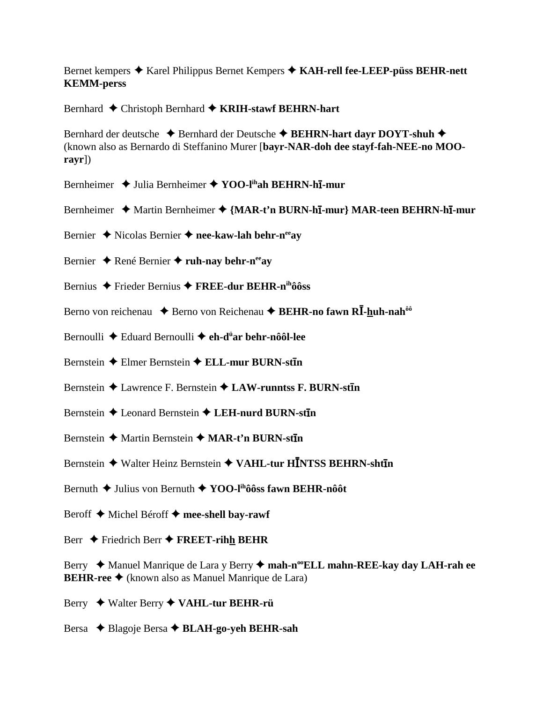Bernet kempers  $\triangle$  Karel Philippus Bernet Kempers  $\triangle$  KAH-rell fee-LEEP-puss BEHR-nett **KEMM-perss** 

Bernhard ♦ Christoph Bernhard ♦ KRIH-stawf BEHRN-hart

Bernhard der deutsche ◆ Bernhard der Deutsche ◆ BEHRN-hart dayr DOYT-shuh ◆ (known also as Bernardo di Steffanino Murer [bayr-NAR-doh dee stayf-fah-NEE-no MOO $ravr$ ]

- Bernheimer  $\rightarrow$  Julia Bernheimer  $\rightarrow$  YOO-l<sup>ih</sup>ah BEHRN-h**I-mur**
- Bernheimer ◆ Martin Bernheimer ◆ {MAR-t'n BURN-hī-mur} MAR-teen BEHRN-hī-mur
- Bernier ◆ Nicolas Bernier ◆ nee-kaw-lah behr-n<sup>ee</sup>av
- Bernier  $\triangle$  René Bernier  $\triangle$  ruh-nay behr-n<sup>ee</sup> ay
- Bernius  $\triangle$  Frieder Bernius  $\triangle$  FREE-dur BEHR-n<sup>ih</sup>ôôss
- Berno von reichenau ◆ Berno von Reichenau ◆ BEHR-no fawn RĪ-huh-nah<sup>ôô</sup>
- Bernoulli ◆ Eduard Bernoulli ◆ eh-d<sup>ü</sup>ar behr-nôôl-lee
- Bernstein  $\triangle$  Elmer Bernstein  $\triangle$  ELL-mur BURN-stin
- Bernstein  $\triangle$  Lawrence F. Bernstein  $\triangle$  LAW-runntss F. BURN-stin
- Bernstein ♦ Leonard Bernstein ♦ LEH-nurd BURN-stin
- Bernstein ♦ Martin Bernstein ♦ MAR-t'n BURN-stin
- Bernstein ♦ Walter Heinz Bernstein ♦ VAHL-tur HĪNTSS BEHRN-shtīn
- Bernuth  $\triangle$  Julius von Bernuth  $\triangle$  YOO-l<sup>ih</sup>ôôss fawn BEHR-nôôt
- Beroff ♦ Michel Béroff ♦ mee-shell bay-rawf
- Berr  $\triangle$  Friedrich Berr  $\triangle$  FREET-rihh BEHR

Berry ◆ Manuel Manrique de Lara y Berry ◆ mah-n<sup>oo</sup>ELL mahn-REE-kay day LAH-rah ee **BEHR-ree**  $\triangle$  (known also as Manuel Manrique de Lara)

- Berry ◆ Walter Berry ◆ VAHL-tur BEHR-rü
- Bersa  $\triangle$  Blagoje Bersa  $\triangle$  BLAH-go-yeh BEHR-sah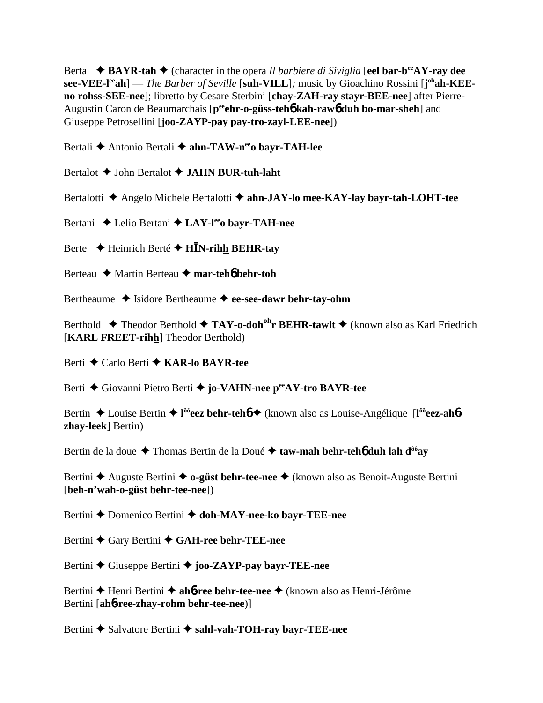Berta **← BAYR-tah ←** (character in the opera *Il barbiere di Siviglia* [eel bar-b<sup>ee</sup>AY-ray dee **see-VEE-l<sup>ee</sup>ah**] — *The Barber of Seville* [suh-VILL]; music by Gioachino Rossini [j<sup>oh</sup>ah-KEE**no rohss-SEE-nee**]; libretto by Cesare Sterbini [**chay-ZAH-ray stayr-BEE-nee**] after Pierre-Augustin Caron de Beaumarchais [p<sup>ee</sup>ehr-o-güss-teh**o** kah-rawo duh bo-mar-sheh] and Giuseppe Petrosellini [**joo-ZAYP-pay pay-tro-zayl-LEE-nee**])

Bertali **→** Antonio Bertali → ahn-TAW-n<sup>ee</sup>o bayr-TAH-lee

Bertalot John Bertalot **JAHN BUR-tuh-laht**

Bertalotti **←** Angelo Michele Bertalotti ← ahn-JAY-lo mee-KAY-lay bayr-tah-LOHT-tee

Bertani **←** Lelio Bertani ← LAY-l<sup>ee</sup>o bayr-TAH-nee

Berte  $\rightarrow$  Heinrich Berté  $\rightarrow$  H**I**N-rihh BEHR-tay

Berteau **→** Martin Berteau → mar-teh**6** behr-toh

Bertheaume  $\triangle$  Isidore Bertheaume  $\triangle$  ee-see-dawr behr-tay-ohm

Berthold **← Theodor Berthold ← TAY-o-doh<sup>oh</sup>r BEHR-tawlt ←** (known also as Karl Friedrich [**KARL FREET-rihh**] Theodor Berthold)

Berti Carlo Berti **KAR-lo BAYR-tee**

Berti **←** Giovanni Pietro Berti ← jo-VAHN-nee p<sup>ee</sup>AY-tro BAYR-tee

Bertin ◆ Louise Bertin ◆ l<sup>ôô</sup>eez behr-teh**ó** ◆ (known also as Louise-Angélique [l<sup>ôô</sup>eez-ah**ózhay-leek**] Bertin)

Bertin de la doue ◆ Thomas Bertin de la Doué ◆ taw-mah behr-teh**6** duh lah d<sup>ôô</sup>ay

Bertini **←** Auguste Bertini **← o-güst behr-tee-nee** ← (known also as Benoit-Auguste Bertini [**beh-n'wah-o-güst behr-tee-nee**])

Bertini **←** Domenico Bertini ← doh-MAY-nee-ko bayr-TEE-nee

Bertini ◆ Gary Bertini ◆ GAH-ree behr-TEE-nee

Bertini Giuseppe Bertini **joo-ZAYP-pay bayr-TEE-nee**

Bertini **→** Henri Bertini → ah**6-ree behr-tee-nee** → (known also as Henri-Jérôme Bertini [**ah**6**-ree-zhay-rohm behr-tee-nee**)]

Bertini  $\triangle$  Salvatore Bertini  $\triangle$  sahl-vah-TOH-ray bayr-TEE-nee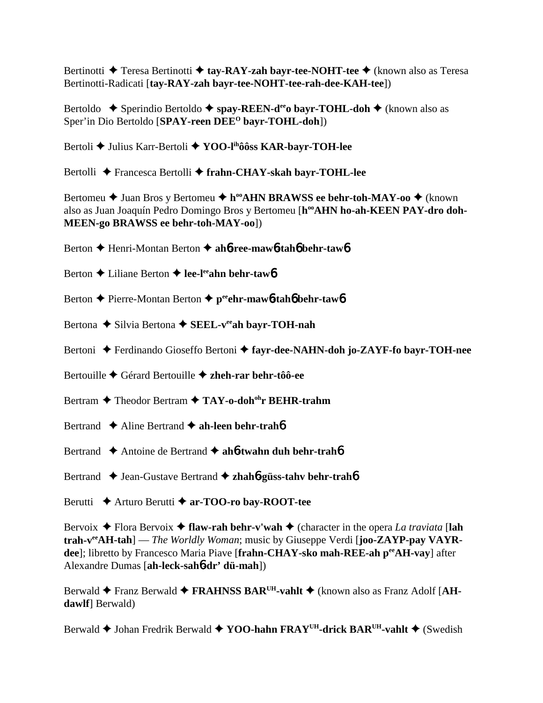Bertinotti **→** Teresa Bertinotti → tay-RAY-zah bayr-tee-NOHT-tee → (known also as Teresa Bertinotti-Radicati [**tay-RAY-zah bayr-tee-NOHT-tee-rah-dee-KAH-tee**])

Bertoldo **→** Sperindio Bertoldo → spay-REEN-d<sup>ee</sup>o bayr-TOHL-doh → (known also as Sper'in Dio Bertoldo [**SPAY-reen DEEO bayr-TOHL-doh**])

Bertoli **→** Julius Karr-Bertoli → YOO-l<sup>ih</sup>ôôss KAR-bayr-TOH-lee

Bertolli ◆ Francesca Bertolli ◆ frahn-CHAY-skah bayr-TOHL-lee

Bertomeu **→** Juan Bros y Bertomeu ◆ h<sup>oo</sup>AHN BRAWSS ee behr-toh-MAY-oo ◆ (known also as Juan Joaquín Pedro Domingo Bros y Bertomeu [h<sup>oo</sup>AHN ho-ah-KEEN PAY-dro doh-**MEEN-go BRAWSS ee behr-toh-MAY-oo**])

- Berton Henri-Montan Berton **ah**6**-ree-maw**6**-tah**6 **behr-taw**6
- Berton **←** Liliane Berton ← lee-l<sup>ee</sup>ahn behr-taw6
- Berton Pierre-Montan Berton **peeehr-maw**6**-tah**6 **behr-taw**6
- Bertona ◆ Silvia Bertona ◆ SEEL-v<sup>ee</sup>ah bayr-TOH-nah
- Bertoni ◆ Ferdinando Gioseffo Bertoni ◆ fayr-dee-NAHN-doh jo-ZAYF-fo bayr-TOH-nee
- Bertouille Gérard Bertouille **zheh-rar behr-tôô-ee**
- Bertram **→** Theodor Bertram → TAY-o-doh<sup>oh</sup>r BEHR-trahm
- Bertrand **→** Aline Bertrand **→ ah-leen behr-trah<sup>6</sup>**
- Bertrand ◆ Antoine de Bertrand ◆ ah**6-twahn duh behr-trah6**
- Bertrand ◆ Jean-Gustave Bertrand ◆ zhah**6-güss-tahv behr-trah6**
- Berutti **→** Arturo Berutti → ar-TOO-ro bay-ROOT-tee

Bervoix  $\triangle$  Flora Bervoix  $\triangle$  flaw-rah behr-v'wah  $\triangle$  (character in the opera *La traviata* [lah **trah-veeAH-tah**] — *The Worldly Woman*; music by Giuseppe Verdi [**joo-ZAYP-pay VAYRdee**]; libretto by Francesco Maria Piave [frahn-CHAY-sko mah-REE-ah peeAH-vay] after Alexandre Dumas [**ah-leck-sah**6**-dr' dü-mah**])

Berwald ◆ Franz Berwald ◆ FRAHNSS BAR<sup>UH</sup>-vahlt ◆ (known also as Franz Adolf [AH**dawlf**] Berwald)

Berwald **→** Johan Fredrik Berwald **→ YOO-hahn FRAY<sup>UH</sup>-drick BAR<sup>UH</sup>-vahlt →** (Swedish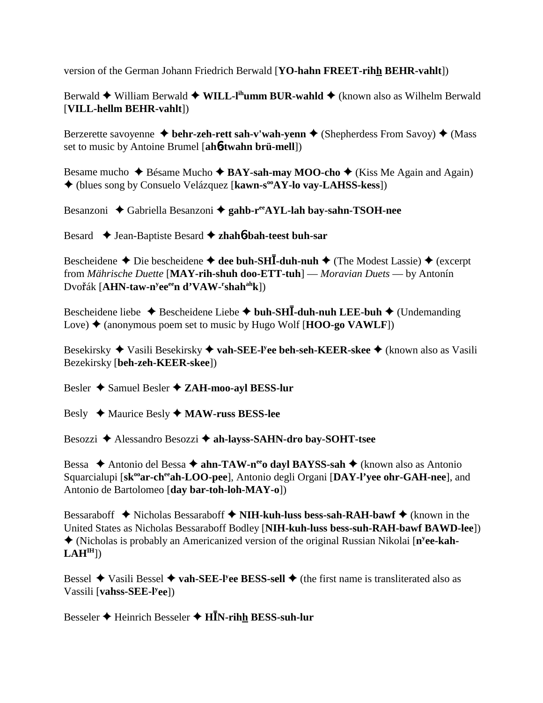version of the German Johann Friedrich Berwald [**YO-hahn FREET-rihh BEHR-vahlt**])

Berwald ◆ William Berwald ◆ WILL-I<sup>ih</sup>umm BUR-wahld ◆ (known also as Wilhelm Berwald [**VILL-hellm BEHR-vahlt**])

Berzerette savoyenne **↓ behr-zeh-rett sah-v'wah-yenn ◆** (Shepherdess From Savoy) ◆ (Mass set to music by Antoine Brumel [**ah**6**-twahn brü-mell**])

Besame mucho  $\triangle$  Bésame Mucho  $\triangle$  **BAY-sah-may MOO-cho**  $\triangle$  (Kiss Me Again and Again) (blues song by Consuelo Velázquez [**kawn-sooAY-lo vay-LAHSS-kess**])

Besanzoni **→** Gabriella Besanzoni → gahb-r<sup>ee</sup>AYL-lah bay-sahn-TSOH-nee

Besard ◆ Jean-Baptiste Besard ◆ zhah**6**-bah-teest buh-sar

Bescheidene  $\triangle$  Die bescheidene  $\triangle$  dee buh-SH**I**-duh-nuh  $\triangle$  (The Modest Lassie)  $\triangle$  (excerpt from *Mährische Duette* [**MAY-rih-shuh doo-ETT-tuh**] — *Moravian Duets* — by Antonín Dvo<mark>řák [AHN-taw-n<sup>y</sup>ee<sup>ee</sup>n d'VAW-<sup>r</sup>shah<sup>ah</sup>k])</mark>

Bescheidene liebe  $\triangle$  Bescheidene Liebe  $\triangle$  buh-SH**I**-duh-nuh LEE-buh  $\triangle$  (Undemanding Love)  $\triangle$  (anonymous poem set to music by Hugo Wolf [**HOO-go VAWLF**])

Besekirsky Vasili Besekirsky **vah-SEE-ly ee beh-seh-KEER-skee** (known also as Vasili Bezekirsky [**beh-zeh-KEER-skee**])

Besler **→** Samuel Besler **→ ZAH-moo-ayl BESS-lur** 

Besly Maurice Besly **MAW-russ BESS-lee**

Besozzi Alessandro Besozzi **ah-layss-SAHN-dro bay-SOHT-tsee**

Bessa ◆ Antonio del Bessa ◆ **ahn-TAW-n<sup>ee</sup>o dayl BAYSS-sah ◆** (known also as Antonio Squarcialupi [sk<sup>oo</sup>ar-ch<sup>ee</sup>ah-LOO-pee], Antonio degli Organi [DAY-l'yee ohr-GAH-nee], and Antonio de Bartolomeo [**day bar-toh-loh-MAY-o**])

Bessaraboff  $\blacklozenge$  Nicholas Bessaraboff  $\blacklozenge$  **NIH-kuh-luss bess-sah-RAH-bawf**  $\blacklozenge$  (known in the United States as Nicholas Bessaraboff Bodley [**NIH-kuh-luss bess-suh-RAH-bawf BAWD-lee**]) (Nicholas is probably an Americanized version of the original Russian Nikolai [**ny ee-kah-** $LAH<sup>IH</sup>$ ])

Bessel ◆ Vasili Bessel ◆ vah-SEE-l<sup>y</sup>ee BESS-sell ◆ (the first name is transliterated also as Vassili [**vahss-SEE-ly ee**])

Besseler Heinrich Besseler **HN-rihh BESS-suh-lur**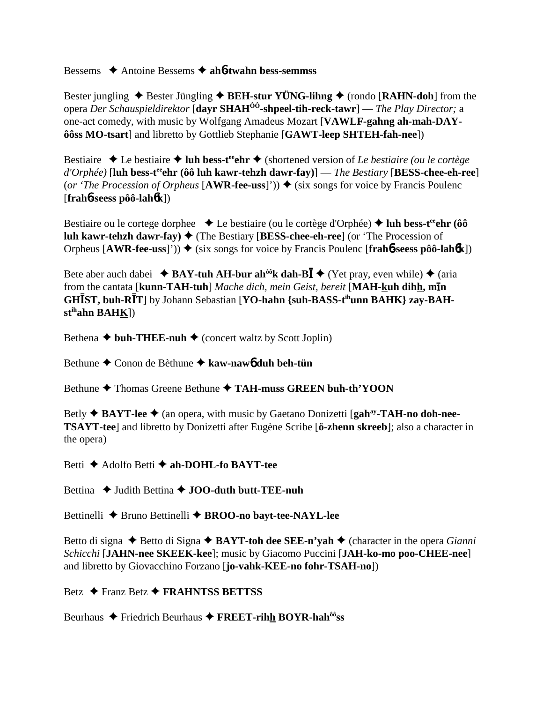Bessems Antoine Bessems **ah**6**-twahn bess-semmss**

Bester jungling  $\triangle$  Bester Jüngling  $\triangle$  **BEH-stur YÜNG-lihng**  $\triangle$  (rondo [**RAHN-doh**] from the opera *Der Schauspieldirektor* [**dayr SHAHÔÔ-shpeel-tih-reck-tawr**] — *The Play Director;* a one-act comedy, with music by Wolfgang Amadeus Mozart [**VAWLF-gahng ah-mah-DAYôôss MO-tsart**] and libretto by Gottlieb Stephanie [**GAWT-leep SHTEH-fah-nee**])

Bestiaire ◆ Le bestiaire ◆ luh bess-t<sup>ee</sup>chr ◆ (shortened version of *Le bestiaire (ou le cortège d'Orphée)* [**luh bess-teeehr (ôô luh kawr-tehzh dawr-fay)**] — *The Bestiary* [**BESS-chee-eh-ree**] (*or 'The Procession of Orpheus* [AWR-fee-uss]'))  $\blacklozenge$  (six songs for voice by Francis Poulenc [**frah**6**-seess pôô-lah**6**k**])

Bestiaire ou le cortege dorphee  $\bullet$  Le bestiaire (ou le cortège d'Orphée)  $\bullet$  luh bess-t<sup>ee</sup>ehr (ôô **luh kawr-tehzh dawr-fay) ♦ (The Bestiary [BESS-chee-eh-ree] (or 'The Procession of** Orpheus  $[AWR-free-uss]')$   $\blacklozenge$  (six songs for voice by Francis Poulenc  $[frah6-seess pôô-lah6k]$ )

Bete aber auch dabei  $\triangle$  **BAY-tuh AH-bur ah<sup>ôô</sup>k dah-B** $\overline{I}$   $\triangle$  (Yet pray, even while)  $\triangle$  (aria from the cantata [**kunn-TAH-tuh**] *Mache dich, mein Geist, bereit* [**MAH-kuh dihh, min GHST, buh-RT**] by Johann Sebastian [**YO-hahn {suh-BASS-tihunn BAHK} zay-BAHstihahn BAHK**])

Bethena  $\triangleleft$  buh-THEE-nuh  $\triangleleft$  (concert waltz by Scott Joplin)

Bethune Conon de Bèthune **kaw-naw**6 **duh beh-tün**

Bethune  $\triangle$  Thomas Greene Bethune  $\triangle$  TAH-muss GREEN buh-th'YOON

Betly ◆ **BAYT-lee ◆** (an opera, with music by Gaetano Donizetti [gah<sup>ay</sup>-TAH-no doh-nee-**TSAYT-tee**] and libretto by Donizetti after Eugène Scribe [**ö-zhenn skreeb**]; also a character in the opera)

Betti **→** Adolfo Betti **→ ah-DOHL-fo BAYT-tee** 

Bettina **→** Judith Bettina → **JOO-duth butt-TEE-nuh** 

Bettinelli ◆ Bruno Bettinelli ◆ BROO-no bayt-tee-NAYL-lee

Betto di signa  $\triangle$  Betto di Signa  $\triangle$  BAYT-toh dee SEE-n'yah  $\triangle$  (character in the opera *Gianni Schicchi* [**JAHN-nee SKEEK-kee**]; music by Giacomo Puccini [**JAH-ko-mo poo-CHEE-nee**] and libretto by Giovacchino Forzano [**jo-vahk-KEE-no fohr-TSAH-no**])

Betz **←** Franz Betz ← FRAHNTSS BETTSS

Beurhaus ◆ Friedrich Beurhaus ◆ FREET-rihh BOYR-hah<sup>ôô</sup>ss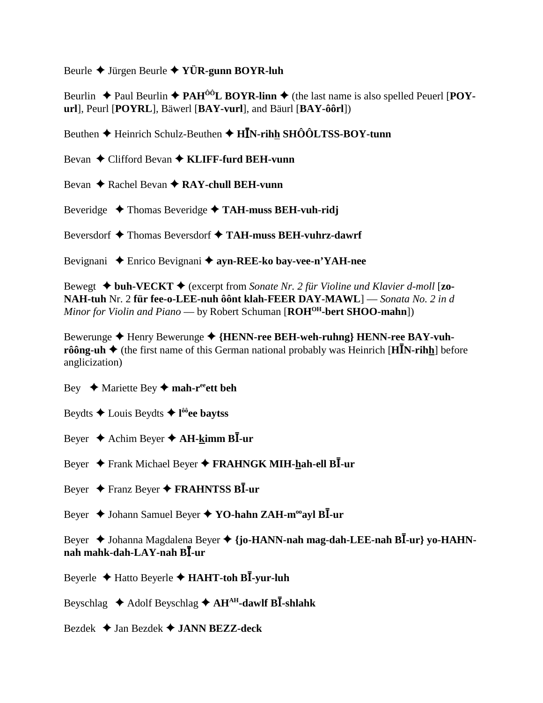Beurle  $\blacklozenge$  Jürgen Beurle  $\blacklozenge$  YÜR-gunn BOYR-luh

Beurlin  $\triangle$  Paul Beurlin  $\triangle$  PAH<sup>ô0</sup>L BOYR-linn  $\triangle$  (the last name is also spelled Peuerl [POYurl], Peurl [POYRL], Bäwerl [BAY-vurl], and Bäurl [BAY-ôôrl])

Beuthen  $\triangle$  Heinrich Schulz-Beuthen  $\triangle$  HIN-rihh SHÔÔLTSS-BOY-tunn

Bevan  $\triangle$  Clifford Bevan  $\triangle$  KLIFF-furd BEH-vunn

Bevan  $\triangle$  Rachel Bevan  $\triangle$  RAY-chull BEH-vunn

Beveridge  $\rightarrow$  Thomas Beveridge  $\rightarrow$  TAH-muss BEH-vuh-ridj

Beversdorf  $\triangle$  Thomas Beversdorf  $\triangle$  TAH-muss BEH-vuhrz-dawrf

Bevignani ◆ Enrico Bevignani ◆ ayn-REE-ko bay-vee-n'YAH-nee

Bewegt  $\triangleleft$  buh-VECKT  $\triangleleft$  (excerpt from Sonate Nr. 2 für Violine und Klavier d-moll [zo-NAH-tuh Nr. 2 für fee-o-LEE-nuh ôônt klah-FEER DAY-MAWL] — Sonata No. 2 in d Minor for Violin and Piano — by Robert Schuman  $[ROH<sup>OH</sup>$ -bert SHOO-mahn])

Bewerunge ◆ Henry Bewerunge ◆ {HENN-ree BEH-weh-ruhng} HENN-ree BAY-vuhrôông-uh  $\triangleq$  (the first name of this German national probably was Heinrich [HIN-rihh] before anglicization)

Bey  $\leftrightarrow$  Mariette Bey  $\leftrightarrow$  mah-r<sup>ee</sup>ett beh

Beydts  $\triangle$  Louis Beydts  $\triangle$  l<sup>ôô</sup>ee baytss

Beyer  $\triangle$  Achim Beyer  $\triangle$  AH-kimm BI-ur

Beyer ← Frank Michael Beyer ← FRAHNGK MIH-hah-ell BI-ur

Beyer  $\triangle$  Franz Beyer  $\triangle$  FRAHNTSS BI-ur

Beyer  $\triangle$  Johann Samuel Beyer  $\triangle$  YO-hahn ZAH-m<sup>oo</sup>ayl BI-ur

Beyer → Johanna Magdalena Beyer → {jo-HANN-nah mag-dah-LEE-nah BĪ-ur} vo-HAHNnah mahk-dah-LAY-nah BI-ur

Beyerle  $\triangle$  Hatto Beyerle  $\triangle$  HAHT-toh BI-yur-luh

Beyschlag  $\triangle$  Adolf Beyschlag  $\triangle$  AH<sup>AH</sup>-dawlf BI-shlahk

Bezdek  $\triangle$  Jan Bezdek  $\triangle$  JANN BEZZ-deck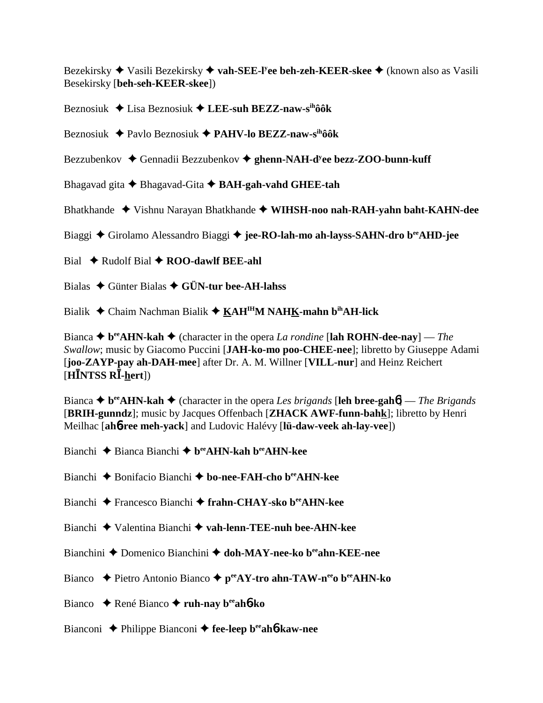Bezekirsky Vasili Bezekirsky **vah-SEE-ly ee beh-zeh-KEER-skee** (known also as Vasili Besekirsky [**beh-seh-KEER-skee**])

Beznosiuk Lisa Beznosiuk **LEE-suh BEZZ-naw-sihôôk**

Beznosiuk Pavlo Beznosiuk **PAHV-lo BEZZ-naw-sihôôk**

Bezzubenkov ◆ Gennadii Bezzubenkov ◆ ghenn-NAH-d<sup>y</sup>ee bezz-ZOO-bunn-kuff

Bhagavad gita Bhagavad-Gita **BAH-gah-vahd GHEE-tah**

Bhatkhande Vishnu Narayan Bhatkhande **WIHSH-noo nah-RAH-yahn baht-KAHN-dee**

Biaggi Girolamo Alessandro Biaggi **jee-RO-lah-mo ah-layss-SAHN-dro beeAHD-jee**

Bial **→** Rudolf Bial ◆ **ROO-dawlf BEE-ahl** 

Bialas Günter Bialas **GÜN-tur bee-AH-lahss**

Bialik Chaim Nachman Bialik **KAHIHM NAHK-mahn bihAH-lick**

Bianca  $\triangle$  **b**<sup>ee</sup>**AHN-kah**  $\triangle$  (character in the opera *La rondine* [lah **ROHN-dee-nay**] — *The Swallow*; music by Giacomo Puccini [**JAH-ko-mo poo-CHEE-nee**]; libretto by Giuseppe Adami [**joo-ZAYP-pay ah-DAH-mee**] after Dr. A. M. Willner [**VILL-nur**] and Heinz Reichert  $[HINTSS R\bar{I} - hert])$ 

Bianca  $\triangle$  b<sup>ee</sup>AHN-kah  $\triangle$  (character in the opera *Les brigands* [leh bree-gah**6**] — *The Brigands* [**BRIH-gunndz**]; music by Jacques Offenbach [**ZHACK AWF-funn-bahk**]; libretto by Henri Meilhac [**ah**6**-ree meh-yack**] and Ludovic Halévy [**lü-daw-veek ah-lay-vee**])

Bianchi Bianca Bianchi **beeAHN-kah beeAHN-kee**

Bianchi Bonifacio Bianchi **bo-nee-FAH-cho beeAHN-kee**

- Bianchi Francesco Bianchi **frahn-CHAY-sko beeAHN-kee**
- Bianchi Valentina Bianchi **vah-lenn-TEE-nuh bee-AHN-kee**
- Bianchini **→** Domenico Bianchini → doh-MAY-nee-ko b<sup>ee</sup>ahn-KEE-nee
- Bianco **← Pietro Antonio Bianco ← p<sup>ee</sup>AY-tro ahn-TAW-n<sup>ee</sup>o b<sup>ee</sup>AHN-ko**
- Bianco René Bianco **ruh-nay beeah**6**-ko**
- Bianconi Philippe Bianconi **fee-leep beeah**6**-kaw-nee**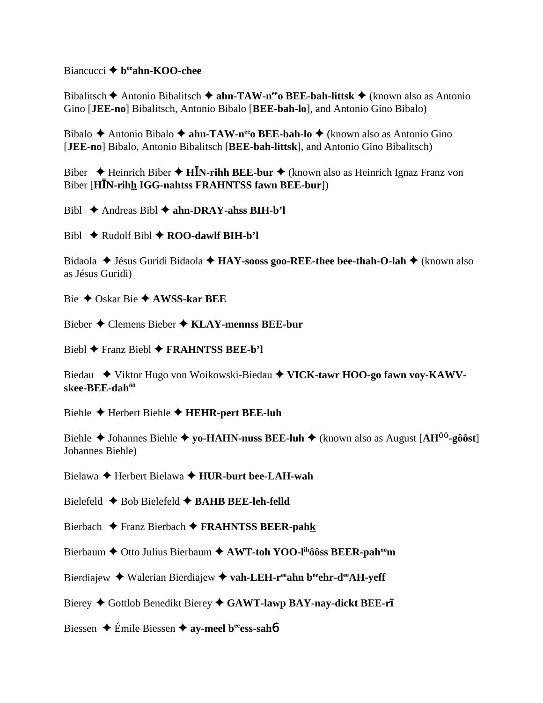#### Biancucci **→** b<sup>ee</sup>ahn-KOO-chee

Bibalitsch **→** Antonio Bibalitsch → **ahn-TAW-n<sup>ee</sup>o BEE-bah-littsk** → (known also as Antonio Gino [**JEE-no**] Bibalitsch, Antonio Bibalo [**BEE-bah-lo**], and Antonio Gino Bibalo)

Bibalo **←** Antonio Bibalo ← **ahn-TAW-n<sup>ee</sup>o BEE-bah-lo** ← (known also as Antonio Gino [**JEE-no**] Bibalo, Antonio Bibalitsch [**BEE-bah-littsk**], and Antonio Gino Bibalitsch)

Biber  $\rightarrow$  Heinrich Biber  $\rightarrow$  **HN**-rihh BEE-bur  $\rightarrow$  (known also as Heinrich Ignaz Franz von Biber [**HN-rihh IGG-nahtss FRAHNTSS fawn BEE-bur**])

Bibl Andreas Bibl **ahn-DRAY-ahss BIH-b'l**

 $Bibl \triangleleft Rudolf Bibl \triangleleft ROO-dawlf BIH-b'l$ 

Bidaola ◆ Jésus Guridi Bidaola ◆ **HAY-sooss goo-REE-thee bee-thah-O-lah** ◆ (known also as Jésus Guridi)

Bie Oskar Bie **AWSS-kar BEE**

Bieber Clemens Bieber **KLAY-mennss BEE-bur**

Biebl Franz Biebl **FRAHNTSS BEE-b'l**

Biedau ◆ Viktor Hugo von Woikowski-Biedau ◆ VICK-tawr HOO-go fawn voy-KAWV**skee-BEE-dahôô**

Biehle Herbert Biehle **HEHR-pert BEE-luh**

Biehle Johannes Biehle **yo-HAHN-nuss BEE-luh** (known also as August [**AHÔÔ-gôôst**] Johannes Biehle)

Bielawa Herbert Bielawa **HUR-burt bee-LAH-wah**

Bielefeld Bob Bielefeld **BAHB BEE-leh-felld**

Bierbach Franz Bierbach **FRAHNTSS BEER-pahk**

Bierbaum  $\triangle$  Otto Julius Bierbaum  $\triangle$  AWT-toh YOO-l<sup>ih</sup>ôôss BEER-pah<sup>oo</sup>m

Bierdiajew **→** Walerian Bierdiajew → vah-LEH-reeahn beechr-deeAH-yeff

Bierey  $\blacklozenge$  Gottlob Benedikt Bierey  $\blacklozenge$  GAWT-lawp BAY-nay-dickt BEE-ri

Biessen **→** Émile Biessen **→ ay-meel b<sup>ee</sup>ess-sah6**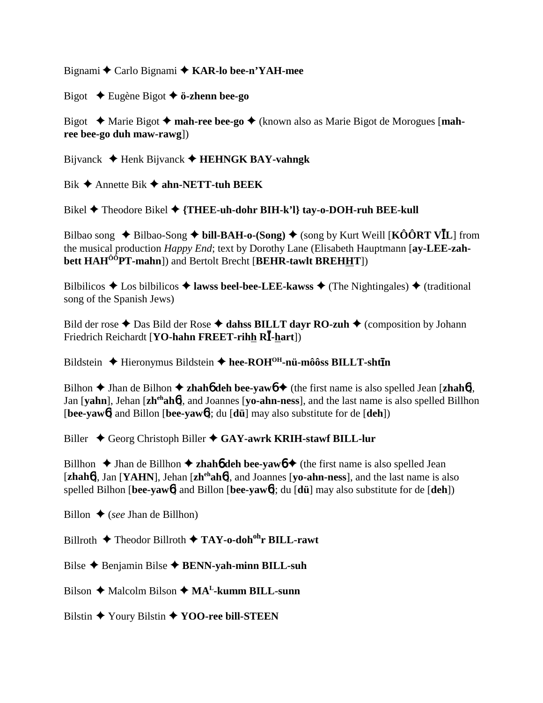Bignami  $\triangle$  Carlo Bignami  $\triangle$  KAR-lo bee-n'YAH-mee

Bigot  $\triangle$  Eugène Bigot  $\triangle$  ö-zhenn bee-go

Bigot  $\triangle$  Marie Bigot  $\triangle$  mah-ree bee-go  $\triangle$  (known also as Marie Bigot de Morogues [mahree bee-go duh maw-rawg])

Bijvanck  $\blacklozenge$  Henk Bijvanck  $\blacklozenge$  HEHNGK BAY-vahngk

Bik  $\triangle$  Annette Bik  $\triangle$  ahn-NETT-tuh BEEK

Bikel  $\blacklozenge$  Theodore Bikel  $\blacklozenge$  {THEE-uh-dohr BIH-k'l} tay-o-DOH-ruh BEE-kull

Bilbao song  $\triangle$  Bilbao-Song  $\triangle$  bill-BAH-o-(Song)  $\triangle$  (song by Kurt Weill [KÔÔRT VIL] from the musical production *Happy End*; text by Dorothy Lane (Elisabeth Hauptmann [ay-LEE-zahbett HAH<sup>00</sup>PT-mahn]) and Bertolt Brecht [BEHR-tawlt BREHHT])

Bilbilicos  $\triangle$  Los bilbilicos  $\triangle$  lawss beel-bee-LEE-kawss  $\triangle$  (The Nightingales)  $\triangle$  (traditional song of the Spanish Jews)

Bild der rose  $\triangle$  Das Bild der Rose  $\triangle$  dahss BILLT dayr RO-zuh  $\triangle$  (composition by Johann Friedrich Reichardt [YO-hahn FREET-rihh RI-hart])

Bildstein  $\triangle$  Hieronymus Bildstein  $\triangle$  hee-ROH<sup>OH</sup>-nü-môôss BILLT-shtin

Bilhon  $\triangle$  Jhan de Bilhon  $\triangle$  zhaho deh bee-vawo  $\triangle$  (the first name is also spelled Jean [zhaho], Jan [vahn], Jehan [zh<sup>eh</sup>aho], and Joannes [vo-ahn-ness], and the last name is also spelled Billhon [bee-yaw6] and Billon [bee-yaw6]; du [dü] may also substitute for de  $[deh]$ ]

Biller  $\triangle$  Georg Christoph Biller  $\triangle$  GAY-awrk KRIH-stawf BILL-lur

Billhon  $\triangle$  Jhan de Billhon  $\triangle$  zhaho deh bee-yawo  $\triangle$  (the first name is also spelled Jean [ $zhah6$ ], Jan [YAHN], Jehan [ $zh<sup>eh</sup>ah6$ ], and Joannes [yo- $ahn-ness$ ], and the last name is also spelled Bilhon [bee-yaw6] and Billon [bee-yaw6]; du  $\left[ \frac{d\ddot{u}}{du} \right]$  may also substitute for de  $\left[ \frac{d\ddot{u}}{du} \right]$ 

Billon  $\bullet$  (see Jhan de Billhon)

Billroth  $\blacklozenge$  Theodor Billroth  $\blacklozenge$  TAY-o-doh<sup>oh</sup>r BILL-rawt

Bilse  $\triangle$  Benjamin Bilse  $\triangle$  BENN-yah-minn BILL-suh

Bilson  $\triangle$  Malcolm Bilson  $\triangle$  MA<sup>L</sup>-kumm BILL-sunn

Bilstin  $\blacklozenge$  Youry Bilstin  $\blacklozenge$  YOO-ree bill-STEEN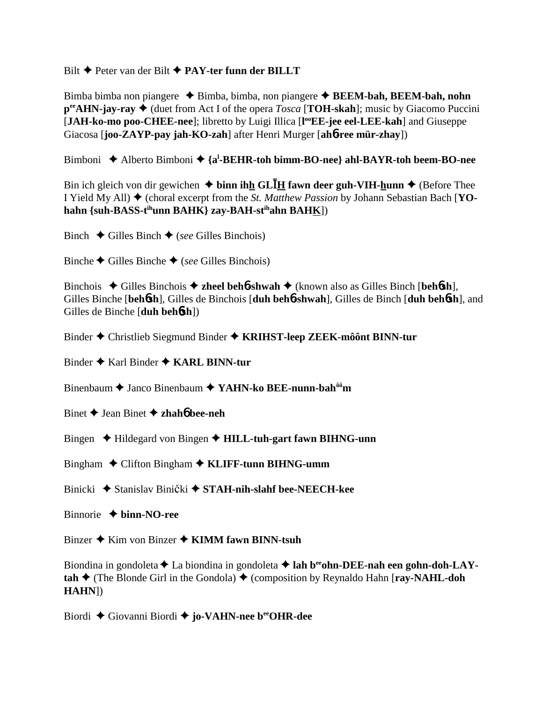### Bilt Peter van der Bilt **PAY-ter funn der BILLT**

Bimba bimba non piangere  $\triangle$  Bimba, bimba, non piangere  $\triangle$  **BEEM-bah, BEEM-bah, nohn**  $p^{\text{ee}}$ **AHN-jay-ray**  $\blacklozenge$  (duet from Act I of the opera *Tosca* [**TOH-skah**]; music by Giacomo Puccini [JAH-ko-mo poo-CHEE-nee]; libretto by Luigi Illica [l<sup>oo</sup>EE-jee eel-LEE-kah] and Giuseppe Giacosa [**joo-ZAYP-pay jah-KO-zah**] after Henri Murger [**ah**6**-ree mür-zhay**])

Bimboni ◆ Alberto Bimboni ◆ {a<sup>l</sup>-BEHR-toh bimm-BO-nee} ahl-BAYR-toh beem-BO-nee

Bin ich gleich von dir gewichen  $\triangle$  binn ihh GL**I**H fawn deer guh-VIH-hunn  $\triangle$  (Before Thee I Yield My All) (choral excerpt from the *St. Matthew Passion* by Johann Sebastian Bach [**YOhahn {suh-BASS-tihunn BAHK} zay-BAH-stihahn BAHK**])

Binch  $\triangle$  Gilles Binch  $\triangle$  (*see* Gilles Binchois)

Binche  $\blacklozenge$  Gilles Binchois)

Binchois Gilles Binchois **zheel beh**6**-shwah** (known also as Gilles Binch [**beh**6**sh**], Gilles Binche [**beh**6**sh**], Gilles de Binchois [**duh beh**6**-shwah**], Gilles de Binch [**duh beh**6**sh**], and Gilles de Binche [**duh beh**6**sh**])

Binder Christlieb Siegmund Binder **KRIHST-leep ZEEK-môônt BINN-tur**

Binder Karl Binder **KARL BINN-tur**

Binenbaum Janco Binenbaum **YAHN-ko BEE-nunn-bahôôm**

Binet Jean Binet **zhah**6 **bee-neh**

Bingen **→** Hildegard von Bingen → **HILL-tuh-gart fawn BIHNG-unn** 

Bingham Clifton Bingham **KLIFF-tunn BIHNG-umm**

Binicki ◆ Stanislav Binički ◆ S**TAH-nih-slahf bee-NEECH-kee** 

Binnorie  **binn-NO-ree**

Binzer **→** Kim von Binzer **→ KIMM fawn BINN-tsuh** 

Biondina in gondoleta **↓** La biondina in gondoleta **→ lah b<sup>ee</sup>ohn-DEE-nah een gohn-doh-LAYtah ♦ (The Blonde Girl in the Gondola) ♦ (composition by Reynaldo Hahn [<b>ray-NAHL-doh**] **HAHN**])

Biordi Giovanni Biordi **jo-VAHN-nee beeOHR-dee**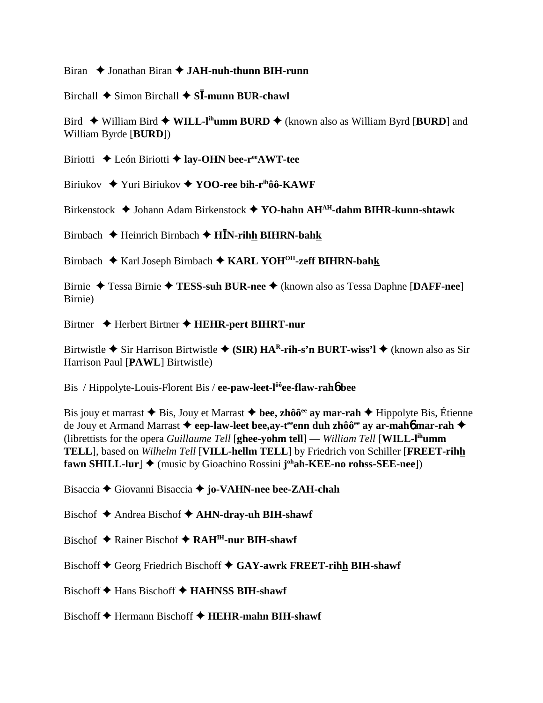Biran ◆ Jonathan Biran **◆ JAH-nuh-thunn BIH-runn** 

Birchall  $\triangle$  Simon Birchall  $\triangle$  S**I**-munn BUR-chawl

Bird  $\blacklozenge$  William Bird  $\blacklozenge$  WILL-l<sup>ih</sup>umm BURD  $\blacklozenge$  (known also as William Byrd [BURD] and William Byrde [**BURD**])

Biriotti **←** León Biriotti ← lay-OHN bee-r<sup>ee</sup>AWT-tee

Biriukov **→** Yuri Biriukov → **YOO-ree bih-r**<sup>ih</sup>ôô-**KAWF** 

Birkenstock Johann Adam Birkenstock **YO-hahn AHAH-dahm BIHR-kunn-shtawk**

Birnbach Heinrich Birnbach **HN-rihh BIHRN-bahk**

Birnbach Karl Joseph Birnbach **KARL YOHOH-zeff BIHRN-bahk**

Birnie Tessa Birnie **TESS-suh BUR-nee** (known also as Tessa Daphne [**DAFF-nee**] Birnie)

Birtner ♦ Herbert Birtner ♦ HEHR-pert BIHRT-nur

Birtwistle  $\triangle$  Sir Harrison Birtwistle  $\triangle$  (SIR) HA<sup>R</sup>-rih-s'n BURT-wiss'l  $\triangle$  (known also as Sir Harrison Paul [**PAWL**] Birtwistle)

Bis / Hippolyte-Louis-Florent Bis / **ee-paw-leet-lôôee-flaw-rah**6 **bee**

Bis jouy et marrast  $\triangle$  Bis, Jouy et Marrast  $\triangle$  bee, zhôô<sup>ee</sup> ay mar-rah  $\triangle$  Hippolyte Bis, Étienne de Jouy et Armand Marrast **← eep-law-leet bee,ay-t<sup>ee</sup>enn duh zhôô<sup>ee</sup> ay ar-mah<sup>6</sup> mar-rah ←** (librettists for the opera *Guillaume Tell* [**ghee-yohm tell**] — *William Tell* [**WILL-lihumm TELL**], based on *Wilhelm Tell* [**VILL-hellm TELL**] by Friedrich von Schiller [**FREET-rihh fawn SHILL-lur**] ◆ (music by Gioachino Rossini **j**<sup>oh</sup>**ah-KEE-no rohss-SEE-nee**])

Bisaccia Giovanni Bisaccia **jo-VAHN-nee bee-ZAH-chah**

- Bischof Andrea Bischof **AHN-dray-uh BIH-shawf**
- Bischof **→** Rainer Bischof **→ RAH<sup>IH</sup>-nur BIH-shawf**

Bischoff  $\blacklozenge$  Georg Friedrich Bischoff  $\blacklozenge$  GAY-awrk FREET-rihh BIH-shawf

Bischoff  $\blacklozenge$  Hans Bischoff  $\blacklozenge$  **HAHNSS BIH-shawf** 

Bischoff **◆** Hermann Bischoff ◆ **HEHR-mahn BIH-shawf**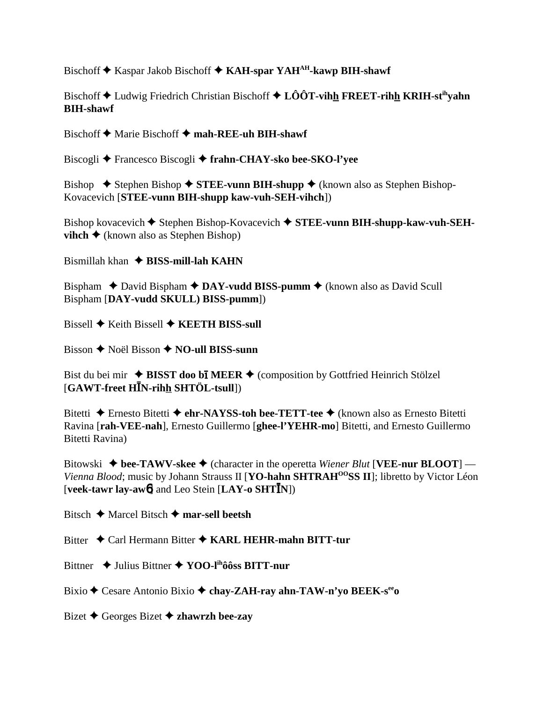Bischoff  $\triangle$  Kaspar Jakob Bischoff  $\triangle$  KAH-spar YAH<sup>AH</sup>-kawp BIH-shawf

Bischoff ♦ Ludwig Friedrich Christian Bischoff ♦ LÔÔT-vihh FREET-rihh KRIH-st<sup>ih</sup>vahn **BIH-shawf**

Bischoff  $\triangle$  Marie Bischoff  $\triangle$  mah-REE-uh BIH-shawf

Biscogli Francesco Biscogli **frahn-CHAY-sko bee-SKO-l'yee**

Bishop  $\blacklozenge$  Stephen Bishop  $\blacklozenge$  **STEE-vunn BIH-shupp**  $\blacklozenge$  (known also as Stephen Bishop-Kovacevich [**STEE-vunn BIH-shupp kaw-vuh-SEH-vihch**])

Bishop kovacevich  $\blacklozenge$  Stephen Bishop-Kovacevich  $\blacklozenge$  STEE-vunn BIH-shupp-kaw-vuh-SEH**vihch**  $\triangle$  (known also as Stephen Bishop)

Bismillah khan **BISS-mill-lah KAHN**

Bispham  $\triangle$  David Bispham  $\triangle$  DAY-vudd BISS-pumm  $\triangle$  (known also as David Scull Bispham [**DAY-vudd SKULL) BISS-pumm**])

Bissell **♦ Keith Bissell ♦ KEETH BISS-sull** 

Bisson **←** Noël Bisson ← NO-ull BISS-sunn

Bist du bei mir  $\triangle$  **BISST doo bi MEER**  $\triangle$  (composition by Gottfried Heinrich Stölzel [**GAWT-freet HN-rihh SHTÖL-tsull**])

Bitetti **←** Ernesto Bitetti ← **ehr-NAYSS-toh bee-TETT-tee** ← (known also as Ernesto Bitetti Ravina [**rah-VEE-nah**], Ernesto Guillermo [**ghee-l'YEHR-mo**] Bitetti, and Ernesto Guillermo Bitetti Ravina)

Bitowski  $\blacklozenge$  bee-TAWV-skee  $\blacklozenge$  (character in the operetta *Wiener Blut* [VEE-nur BLOOT] — *Vienna Blood*; music by Johann Strauss II [**YO-hahn SHTRAH<sup>00</sup>SS II**]; libretto by Victor Léon [**veek-tawr lay-aw**6] and Leo Stein [**LAY-o SHTN**])

Bitsch Marcel Bitsch **mar-sell beetsh**

Bitter ◆ Carl Hermann Bitter ◆ KARL HEHR-mahn BITT-tur

Bittner ◆ Julius Bittner ◆ YOO-l<sup>ih</sup>ôôss BITT-nur

Bixio ◆ Cesare Antonio Bixio ◆ chay-ZAH-ray ahn-TAW-n'yo BEEK-s<sup>ee</sup>o

Bizet Georges Bizet **zhawrzh bee-zay**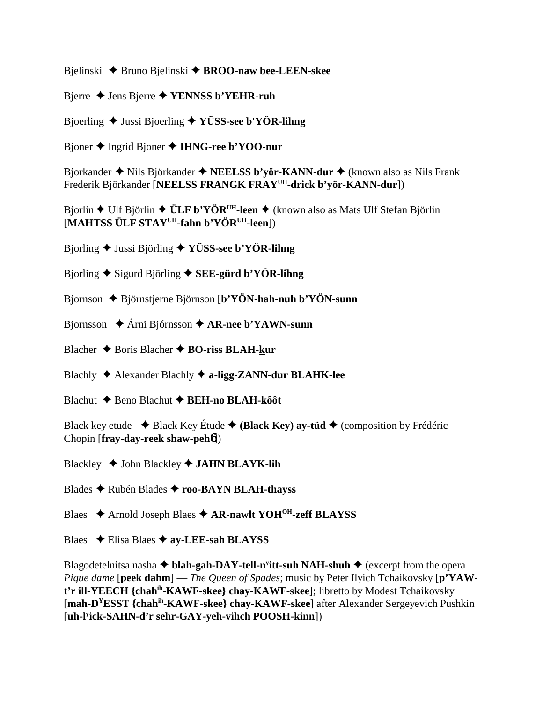Bjelinski Bruno Bjelinski **BROO-naw bee-LEEN-skee**

Bjerre  $\triangle$  Jens Bjerre  $\triangle$  **YENNSS b'YEHR-ruh** 

Bjoerling Jussi Bjoerling **YÜSS-see b'YÖR-lihng**

Bjoner Ingrid Bjoner **IHNG-ree b'YOO-nur**

Bjorkander ◆ Nils Björkander ◆ **NEELSS b'yör-KANN-dur ◆** (known also as Nils Frank Frederik Björkander [**NEELSS FRANGK FRAYUH-drick b'yör-KANN-dur**])

Bjorlin ◆ Ulf Björlin ◆ **ÜLF b'YÖR<sup>UH</sup>-leen** ◆ (known also as Mats Ulf Stefan Björlin [**MAHTSS ÜLF STAYUH-fahn b'YÖRUH-leen**])

Bjorling Jussi Björling **YÜSS-see b'YÖR-lihng**

Bjorling Sigurd Björling **SEE-gürd b'YÖR-lihng**

- Bjornson Björnstjerne Björnson [**b'YÖN-hah-nuh b'YÖN-sunn**
- Bjornsson Árni Bjórnsson **AR-nee b'YAWN-sunn**
- Blacher **→** Boris Blacher **→ BO-riss BLAH-kur**
- Blachly Alexander Blachly **a-ligg-ZANN-dur BLAHK-lee**
- Blachut **←** Beno Blachut ← BEH-no BLAH-kôôt

Black key etude  $\triangle$  Black Key Étude  $\triangle$  (Black Key) ay-tüd  $\triangle$  (composition by Frédéric Chopin [**fray-day-reek shaw-peh**6])

Blackley **→ John Blackley → JAHN BLAYK-lih** 

Blades Rubén Blades **roo-BAYN BLAH-thayss**

Blaes **→** Arnold Joseph Blaes → **AR-nawlt YOH<sup>OH</sup>-zeff BLAYSS** 

Blaes Elisa Blaes **ay-LEE-sah BLAYSS**

Blagodetelnitsa nasha **→ blah-gah-DAY-tell-n<sup>y</sup>itt-suh NAH-shuh →** (excerpt from the opera *Pique dame* [**peek dahm**] — *The Queen of Spades*; music by Peter Ilyich Tchaikovsky [**p'YAWt'r ill-YEECH {chahih-KAWF-skee} chay-KAWF-skee**]; libretto by Modest Tchaikovsky [**mah-DYESST {chahih-KAWF-skee} chay-KAWF-skee**] after Alexander Sergeyevich Pushkin [**uh-ly ick-SAHN-d'r sehr-GAY-yeh-vihch POOSH-kinn**])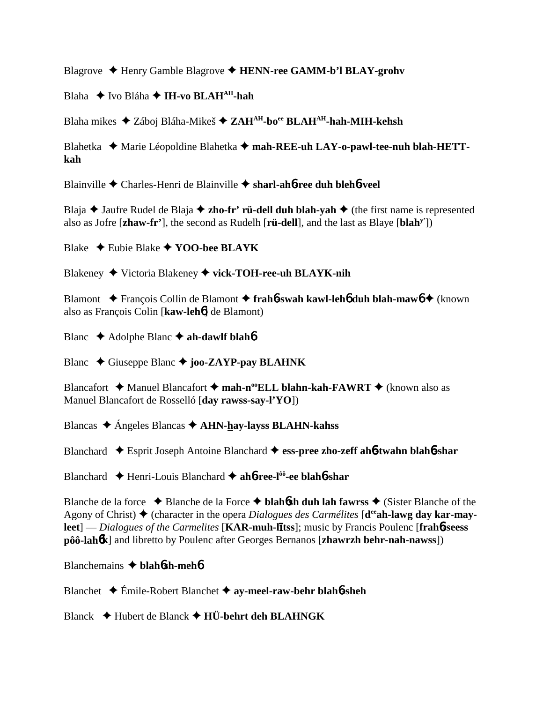Blagrove ♦ Henry Gamble Blagrove ♦ HENN-ree GAMM-b'l BLAY-grohv

Blaha **→** Ivo Bláha → I**H-vo BLAH<sup>AH</sup>-hah** 

Blaha mikes Záboj Bláha-Mikeš **ZAHAH-boee BLAHAH-hah-MIH-kehsh**

Blahetka ◆ Marie Léopoldine Blahetka ◆ mah-REE-uh LAY-o-pawl-tee-nuh blah-HETT**kah**

Blainville Charles-Henri de Blainville **sharl-ah**6**-ree duh bleh**6**-veel**

Blaja  $\triangle$  Jaufre Rudel de Blaja  $\triangle$  zho-fr' rü-dell duh blah-yah  $\triangle$  (the first name is represented also as Jofre [**zhaw-fr'**], the second as Rudelh [**rü-dell**], and the last as Blaye [**blahy'**])

Blake Eubie Blake **YOO-bee BLAYK**

Blakeney Victoria Blakeney **vick-TOH-ree-uh BLAYK-nih**

Blamont François Collin de Blamont **frah**6**-swah kawl-leh**6 **duh blah-maw**6 (known also as François Colin [**kaw-leh**6] de Blamont)

Blanc **→** Adolphe Blanc **→ ah-dawlf blah<sup>6</sup>** 

Blanc  $\triangle$  Giuseppe Blanc  $\triangle$  **joo-ZAYP-pay BLAHNK** 

Blancafort **→** Manuel Blancafort → mah-n<sup>oo</sup>ELL blahn-kah-FAWRT → (known also as Manuel Blancafort de Rosselló [**day rawss-say-l'YO**])

Blancas Ángeles Blancas **AHN-hay-layss BLAHN-kahss**

Blanchard Esprit Joseph Antoine Blanchard **ess-pree zho-zeff ah**6**-twahn blah**6**-shar**

Blanchard Henri-Louis Blanchard **ah**6**-ree-lôô-ee blah**6**-shar**

Blanche de la force  $\triangle$  Blanche de la Force  $\triangle$  **blahósh duh lah fawrss**  $\triangle$  (Sister Blanche of the Agony of Christ) ◆ (character in the opera *Dialogues des Carmélites* [**d<sup>ee</sup>ah-lawg day kar-may**leet] — *Dialogues of the Carmelites* [KAR-muh-litss]; music by Francis Poulenc [frah6-seess **pôô-lah**6**k**] and libretto by Poulenc after Georges Bernanos [**zhawrzh behr-nah-nawss**])

Blanchemains  **blah**6**sh-meh**6

Blanchet Émile-Robert Blanchet **ay-meel-raw-behr blah**6**-sheh**

Blanck Hubert de Blanck **HÜ-behrt deh BLAHNGK**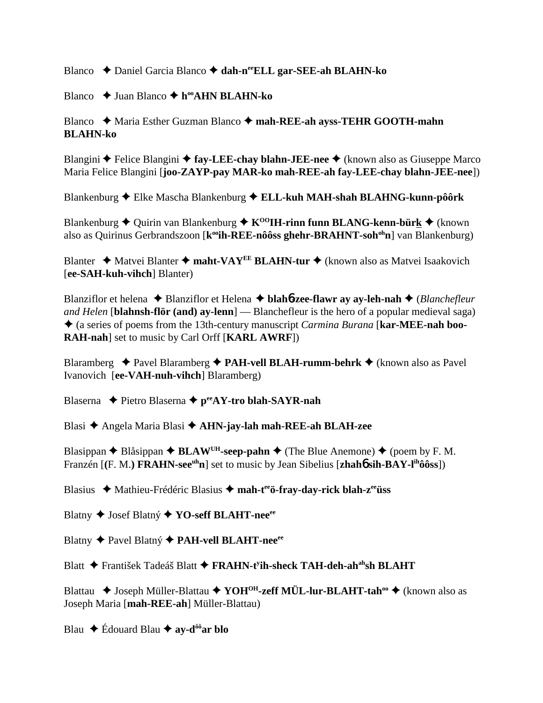Blanco Daniel Garcia Blanco **dah-neeELL gar-SEE-ah BLAHN-ko**

Blanco **→** Juan Blanco **→ h<sup>oo</sup>AHN BLAHN-ko** 

# Blanco ◆ Maria Esther Guzman Blanco ◆ mah-REE-ah ayss-TEHR GOOTH-mahn **BLAHN-ko**

Blangini **◆** Felice Blangini ◆ fay-LEE-chay blahn-JEE-nee ◆ (known also as Giuseppe Marco Maria Felice Blangini [**joo-ZAYP-pay MAR-ko mah-REE-ah fay-LEE-chay blahn-JEE-nee**])

Blankenburg Elke Mascha Blankenburg **ELL-kuh MAH-shah BLAHNG-kunn-pôôrk**

Blankenburg  $\triangleq$  Quirin van Blankenburg  $\triangleq$  K<sup>oo</sup>IH-rinn funn BLANG-kenn-bürk  $\triangleq$  (known also as Quirinus Gerbrandszoon [k<sup>oo</sup>ih-REE-nôôss ghehr-BRAHNT-soh<sup>oh</sup>n] van Blankenburg)

Blanter **→** Matvei Blanter → maht-VAY<sup>EE</sup> BLAHN-tur → (known also as Matvei Isaakovich [**ee-SAH-kuh-vihch**] Blanter)

Blanziflor et helena Blanziflor et Helena  **blah**6**-zee-flawr ay ay-leh-nah** (*Blanchefleur and Helen* [**blahnsh-flör (and) ay-lenn**] — Blanchefleur is the hero of a popular medieval saga) (a series of poems from the 13th-century manuscript *Carmina Burana* [**kar-MEE-nah boo-RAH-nah**] set to music by Carl Orff [**KARL AWRF**])

Blaramberg  $\triangle$  Pavel Blaramberg  $\triangle$  **PAH-vell BLAH-rumm-behrk**  $\triangle$  (known also as Pavel Ivanovich [**ee-VAH-nuh-vihch**] Blaramberg)

Blaserna **←** Pietro Blaserna ← p<sup>ee</sup>AY-tro blah-SAYR-nah

Blasi Angela Maria Blasi **AHN-jay-lah mah-REE-ah BLAH-zee**

Blasippan  $\triangle$  Blåsippan  $\triangle$  **BLAW<sup>UH</sup>-seep-pahn**  $\triangle$  (The Blue Anemone)  $\triangle$  (poem by F. M. Franzén [(F. M.) **FRAHN-see<sup>uh</sup>n**] set to music by Jean Sibelius [**zhah6** sih-BAY-l<sup>ih</sup>ôôss])

Blasius Mathieu-Frédéric Blasius **mah-teeö-fray-day-rick blah-zeeüss**

Blatny ◆ Josef Blatný ◆ YO-seff BLAHT-nee<sup>ee</sup>

Blatny ◆ Pavel Blatný ◆ PAH-vell BLAHT-nee<sup>ee</sup>

Blatt ◆ František Tadeáš Blatt ◆ FRAHN-t<sup>y</sup>ih-sheck TAH-deh-ah<sup>ah</sup>sh BLAHT

Blattau ◆ Joseph Müller-Blattau ◆ YOH<sup>OH</sup>-zeff MÜL-lur-BLAHT-tah<sup>oo</sup> ◆ (known also as Joseph Maria [**mah-REE-ah**] Müller-Blattau)

Blau  $\div$  Édouard Blau  $\div$  av-d<sup>ôô</sup>ar blo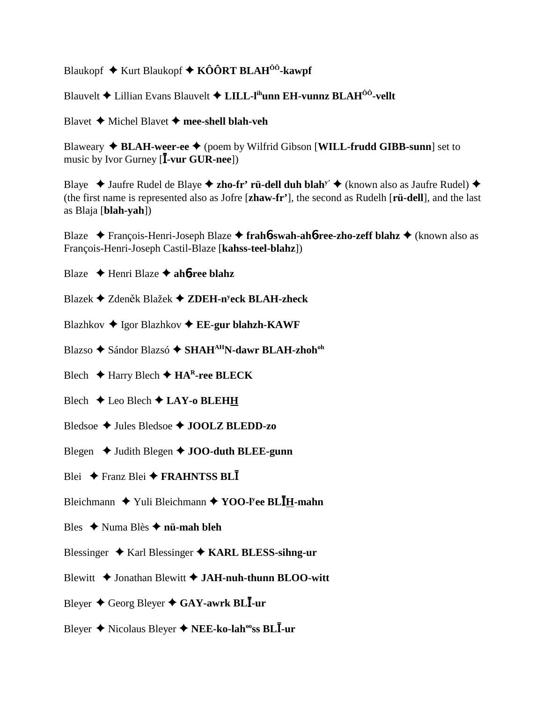Blaukopf  $\triangle$  Kurt Blaukopf  $\triangle$  KÔÔRT BLAH<sup>ôô</sup>-kawpf

Blauvelt  $\triangle$  Lillian Evans Blauvelt  $\triangle$  LILL-l<sup>ih</sup>unn EH-vunnz BLAH<sup>00</sup>-vellt

Blavet  $\blacklozenge$  Michel Blavet  $\blacklozenge$  mee-shell blah-veh

Blaweary  $\triangle$  BLAH-weer-ee  $\triangle$  (poem by Wilfrid Gibson [WILL-frudd GIBB-sunn] set to music by Ivor Gurney  $[\bar{I}$ -vur GUR-nee])

Blaye  $\triangle$  Jaufre Rudel de Blaye  $\triangle$  zho-fr' rü-dell duh blah<sup>y'</sup>  $\triangle$  (known also as Jaufre Rudel)  $\triangle$ (the first name is represented also as Jofre [zhaw-fr'], the second as Rudelh [rü-dell], and the last as Blaja [blah-vah])

Blaze  $\rightarrow$  François-Henri-Joseph Blaze  $\rightarrow$  fraho-swah-aho-ree-zho-zeff blahz  $\rightarrow$  (known also as François-Henri-Joseph Castil-Blaze [kahss-teel-blahz])

Blaze  $\triangle$  Henri Blaze  $\triangle$  ah**ó-ree blahz** 

Blazek  $\triangle$  Zdeněk Blažek  $\triangle$  ZDEH-n<sup>y</sup>eck BLAH-zheck

Blazhkov  $\triangle$  Igor Blazhkov  $\triangle$  EE-gur blahzh-KAWF

Blazso ◆ Sándor Blazsó ◆ SHAH<sup>AH</sup>N-dawr BLAH-zhoh<sup>oh</sup>

Blech  $\blacklozenge$  Harry Blech  $\blacklozenge$  HA<sup>R</sup>-ree BLECK

Blech  $\triangle$  Leo Blech  $\triangle$  LAY-o BLEHH

Bledsoe  $\triangle$  Jules Bledsoe  $\triangle$  JOOLZ BLEDD-zo

Blegen  $\triangleleft$  Judith Blegen  $\triangleleft$  JOO-duth BLEE-gunn

Blei  $\div$  Franz Blei  $\div$  FRAHNTSS BLI

Bleichmann  $\blacklozenge$  Yuli Bleichmann  $\blacklozenge$  YOO-I'ee BLIH-mahn

Bles  $\triangle$  Numa Blès  $\triangle$  nü-mah bleh

Blessinger  $\triangle$  Karl Blessinger  $\triangle$  KARL BLESS-sihng-ur

Blewitt  $\triangle$  Jonathan Blewitt  $\triangle$  JAH-nuh-thunn BLOO-witt

Bleyer  $\triangle$  Georg Bleyer  $\triangle$  GAY-awrk BLI-ur

Bleyer ♦ Nicolaus Bleyer ♦ NEE-ko-lah<sup>oo</sup>ss BLI-ur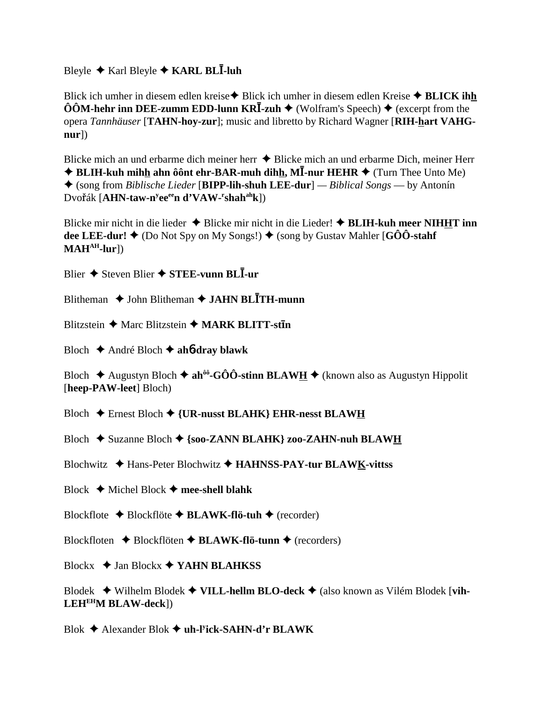Bleyle ◆ Karl Bleyle ◆ KARL BLĪ-luh

Blick ich umher in diesem edlen kreise ♦ Blick ich umher in diesem edlen Kreise ♦ BLICK ihh  $\hat{O}\hat{O}M$ -hehr inn DEE-zumm EDD-lunn KR $\bar{I}$ -zuh  $\blacklozenge$  (Wolfram's Speech)  $\blacklozenge$  (excerpt from the opera Tannhäuser [TAHN-hoy-zur]; music and libretto by Richard Wagner [RIH-hart VAHG $nur$ )

Blicke mich an und erbarme dich meiner herr  $\triangle$  Blicke mich an und erbarme Dich, meiner Herr  $\triangle$  BLIH-kuh mihh ahn ôônt ehr-BAR-muh dihh, MI-nur HEHR  $\triangle$  (Turn Thee Unto Me)  $\triangle$  (song from *Biblische Lieder* [BIPP-lih-shuh LEE-dur] — *Biblical Songs* — by Antonín Dvořák [AHN-taw-n<sup>y</sup>ee<sup>ee</sup>n d'VAW-'shah<sup>ah</sup>k])

Blicke mir nicht in die lieder  $\triangle$  Blicke mir nicht in die Lieder!  $\triangle$  BLIH-kuh meer NIHHT inn dee LEE-dur!  $\blacklozenge$  (Do Not Spy on My Songs!)  $\blacklozenge$  (song by Gustav Mahler [GÔÔ-stahf  $MAH<sup>AH</sup>$ -lur])

Blier  $\triangle$  Steven Blier  $\triangle$  STEE-vunn BLI-ur

Blitheman  $\triangle$  John Blitheman  $\triangle$  JAHN BLITH-munn

Blitzstein  $\triangle$  Marc Blitzstein  $\triangle$  MARK BLITT-stin

Bloch  $\triangle$  André Bloch  $\triangle$  ah*b***-dray blawk** 

Bloch  $\triangle$  Augustyn Bloch  $\triangle$  ah<sup>ôo</sup>-GÔÔ-stinn BLAW<u>H</u>  $\triangle$  (known also as Augustyn Hippolit [heep-PAW-leet] Bloch)

Bloch ← Ernest Bloch ← {UR-nusst BLAHK} EHR-nesst BLAWH

Bloch  $\triangle$  Suzanne Bloch  $\triangle$  {soo-ZANN BLAHK} zoo-ZAHN-nuh BLAWH

Blochwitz ♦ Hans-Peter Blochwitz ♦ HAHNSS-PAY-tur BLAWK-vittss

Block  $\blacklozenge$  Michel Block  $\blacklozenge$  mee-shell blahk

Blockflote  $\triangle$  Blockflöte  $\triangle$  BLAWK-flö-tuh  $\triangle$  (recorder)

Blockfloten  $\triangle$  Blockflöten  $\triangle$  BLAWK-flö-tunn  $\triangle$  (recorders)

Blockx  $\triangleleft$  Jan Blockx  $\triangleleft$  YAHN BLAHKSS

Blodek  $\blacklozenge$  Wilhelm Blodek  $\blacklozenge$  VILL-hellm BLO-deck  $\blacklozenge$  (also known as Vilém Blodek [vih- $LEH<sup>EH</sup>M BLAW-deck<sup>1</sup>)$ 

Blok  $\triangle$  Alexander Blok  $\triangle$  uh-l<sup>y</sup>ick-SAHN-d'r BLAWK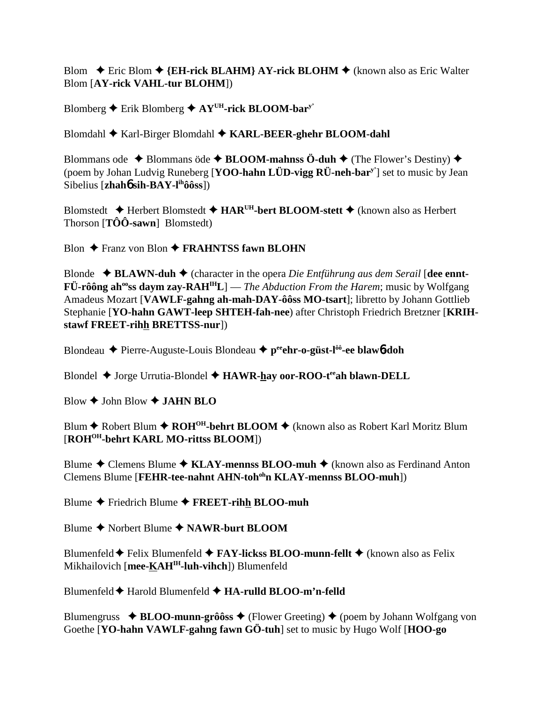Blom  $\div$  Eric Blom  $\div$  {EH-rick BLAHM} AY-rick BLOHM  $\div$  (known also as Eric Walter Blom [AY-rick VAHL-tur BLOHM])

Blomberg  $\triangle$  Erik Blomberg  $\triangle$  AY<sup>UH</sup>-rick BLOOM-bar<sup>y</sup>'

Blomdahl  $\blacklozenge$  Karl-Birger Blomdahl  $\blacklozenge$  KARL-BEER-ghehr BLOOM-dahl

Blommans ode  $\triangle$  Blommans öde  $\triangle$  BLOOM-mahnss Ö-duh  $\triangle$  (The Flower's Destiny)  $\triangle$ (poem by Johan Ludvig Runeberg [YOO-hahn LÜD-vigg RÜ-neh-bar<sup>y'</sup>] set to music by Jean Sibelius [ $zhah6\sin-BAY-I<sup>ih</sup>ôôss$ ])

Blomstedt  $\triangle$  Herbert Blomstedt  $\triangle$  HAR<sup>UH</sup>-bert BLOOM-stett  $\triangle$  (known also as Herbert Thorson  $[T\hat{O}\hat{O}$ -sawn Blomstedt)

Blon  $\triangle$  Franz von Blon  $\triangle$  FRAHNTSS fawn BLOHN

Blonde  $\triangleleft$  BLAWN-duh  $\triangleleft$  (character in the opera *Die Entführung aus dem Serail* [dee ennt- $\mathbf{F} \ddot{\mathbf{U}}$ -rôông ah<sup>oo</sup>ss daym zay-RAH<sup>IH</sup>L] — *The Abduction From the Harem*; music by Wolfgang Amadeus Mozart [VAWLF-gahng ah-mah-DAY-ôôss MO-tsart]; libretto by Johann Gottlieb Stephanie [YO-hahn GAWT-leep SHTEH-fah-nee) after Christoph Friedrich Bretzner [KRIHstawf FREET-rihh BRETTSS-nur])

Blondeau  $\blacklozenge$  Pierre-Auguste-Louis Blondeau  $\blacklozenge$  p<sup>ee</sup>ehr-o-güst-l<sup>ôô</sup>-ee blaw<sup>6</sup>-doh

Blondel ◆ Jorge Urrutia-Blondel ◆ HAWR-hay oor-ROO-tee ah blawn-DELL

Blow  $\bigstar$  John Blow  $\bigstar$  JAHN BLO

Blum ◆ Robert Blum ◆ ROH<sup>OH</sup>-behrt BLOOM ◆ (known also as Robert Karl Moritz Blum [ROH<sup>OH</sup>-behrt KARL MO-rittss BLOOM])

Blume  $\triangle$  Clemens Blume  $\triangle$  KLAY-mennss BLOO-muh  $\triangle$  (known also as Ferdinand Anton Clemens Blume [FEHR-tee-nahnt AHN-toh<sup>oh</sup>n KLAY-mennss BLOO-muh])

Blume  $\blacklozenge$  Friedrich Blume  $\blacklozenge$  FREET-rihh BLOO-muh

Blume  $\triangle$  Norbert Blume  $\triangle$  NAWR-burt BLOOM

Blumenfeld  $\blacklozenge$  Felix Blumenfeld  $\blacklozenge$  FAY-lickss BLOO-munn-fellt  $\blacklozenge$  (known also as Felix Mikhailovich [mee-KAH<sup>IH</sup>-luh-vihch]) Blumenfeld

Blumenfeld  $\blacklozenge$  Harold Blumenfeld  $\blacklozenge$  HA-rulld BLOO-m'n-felld

Blumengruss  $\triangle$  BLOO-munn-grôôss  $\triangle$  (Flower Greeting)  $\triangle$  (poem by Johann Wolfgang von Goethe [YO-hahn VAWLF-gahng fawn GÖ-tuh] set to music by Hugo Wolf [HOO-go]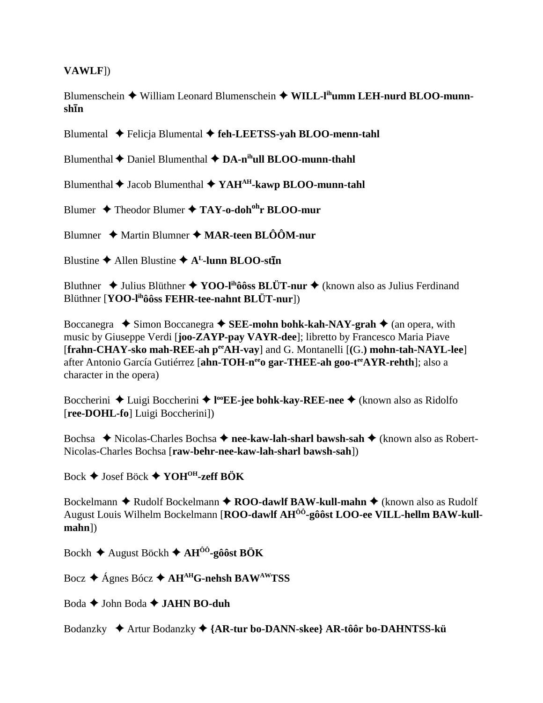### **VAWLF**I)

Blumenschein  $\blacklozenge$  William Leonard Blumenschein  $\blacklozenge$  WILL-I<sup>th</sup>umm LEH-nurd BLOO-munnshīn

Blumental ◆ Felicja Blumental ◆ feh-LEETSS-yah BLOO-menn-tahl

Blumenthal  $\bigstar$  Daniel Blumenthal  $\bigstar$  DA-n<sup>ih</sup>ull BLOO-munn-thahl

Blumenthal  $\blacklozenge$  Jacob Blumenthal  $\blacklozenge$  YAH<sup>AH</sup>-kawp BLOO-munn-tahl

Blumer  $\triangle$  Theodor Blumer  $\triangle$  TAY-o-doh<sup>oh</sup>r BLOO-mur

Blumner  $\triangle$  Martin Blumner  $\triangle$  MAR-teen BLOOM-nur

Blustine  $\triangle$  Allen Blustine  $\triangle$  A<sup>L</sup>-lunn BLOO-stin

Bluthner  $\triangleq$  Julius Blüthner  $\triangleq$  YOO-I<sup>ih</sup>ôôss BLÜT-nur  $\triangleq$  (known also as Julius Ferdinand Blüthner [YOO-I<sup>ih</sup>ôôss FEHR-tee-nahnt BLÜT-nur])

Boccanegra  $\triangle$  Simon Boccanegra  $\triangle$  SEE-mohn bohk-kah-NAY-grah  $\triangle$  (an opera, with music by Giuseppe Verdi [**joo-ZAYP-pay VAYR-dee**]; libretto by Francesco Maria Piave [frahn-CHAY-sko mah-REE-ah pee AH-vay] and G. Montanelli [(G.) mohn-tah-NAYL-lee] after Antonio García Gutiérrez [ahn-TOH-n<sup>ee</sup> gar-THEE-ah goo-t<sup>ee</sup>AYR-rehth]; also a character in the opera)

Boccherini  $\triangle$  Luigi Boccherini  $\triangle$  l<sup>oo</sup>EE-jee bohk-kay-REE-nee  $\triangle$  (known also as Ridolfo [ree-DOHL-fo] Luigi Boccherini])

Bochsa  $\triangle$  Nicolas-Charles Bochsa  $\triangle$  nee-kaw-lah-sharl bawsh-sah  $\triangle$  (known also as Robert-Nicolas-Charles Bochsa [raw-behr-nee-kaw-lah-sharl bawsh-sah])

Bock  $\triangleq$  Josef Böck  $\triangleq$  YOH<sup>OH</sup>-zeff BÖK

Bockelmann  $\triangle$  Rudolf Bockelmann  $\triangle$  ROO-dawlf BAW-kull-mahn  $\triangle$  (known also as Rudolf August Louis Wilhelm Bockelmann [ROO-dawlf AH<sup>ôô</sup>-gôôst LOO-ee VILL-hellm BAW-kull- $$ 

Bockh  $\triangle$  August Böckh  $\triangle$  AH<sup> $\hat{0}$ 0-gôost BÖK</sup>

Bocz ◆ Ágnes Bócz ◆ AH<sup>AH</sup>G-nehsh BAW<sup>AW</sup>TSS

Boda  $\blacklozenge$  John Boda  $\blacklozenge$  JAHN BO-duh

Bodanzky ◆ Artur Bodanzky ◆ {AR-tur bo-DANN-skee} AR-tôôr bo-DAHNTSS-kü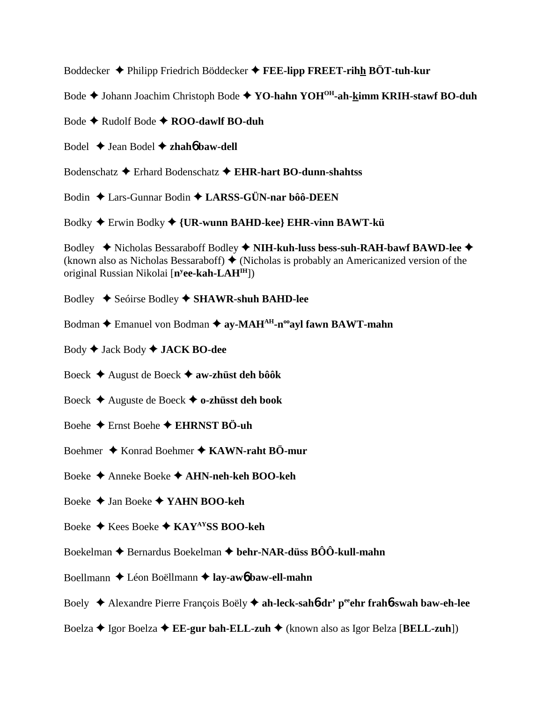Boddecker Philipp Friedrich Böddecker **FEE-lipp FREET-rihh BÖT-tuh-kur**

Bode ♦ Johann Joachim Christoph Bode ♦ YO-hahn YOH<sup>OH</sup>-ah-kimm KRIH-stawf BO-duh

Bode **← Rudolf Bode ← ROO-dawlf BO-duh** 

Bodel Jean Bodel **zhah**6 **baw-dell**

Bodenschatz Erhard Bodenschatz **EHR-hart BO-dunn-shahtss**

Bodin Lars-Gunnar Bodin **LARSS-GÜN-nar bôô-DEEN**

Bodky Erwin Bodky  **{UR-wunn BAHD-kee} EHR-vinn BAWT-kü**

Bodley ◆ Nicholas Bessaraboff Bodley ◆ NIH-kuh-luss bess-suh-RAH-bawf BAWD-lee ◆ (known also as Nicholas Bessaraboff)  $\blacklozenge$  (Nicholas is probably an Americanized version of the original Russian Nikolai [**ny ee-kah-LAHIH**])

- Bodley Seóirse Bodley **SHAWR-shuh BAHD-lee**
- Bodman **→** Emanuel von Bodman → ay-MAH<sup>AH</sup>-n<sup>oo</sup>ayl fawn BAWT-mahn
- Body Jack Body **JACK BO-dee**
- Boeck August de Boeck **aw-zhüst deh bôôk**
- Boeck Auguste de Boeck **o-zhüsst deh book**
- Boehe Ernst Boehe **EHRNST BÖ-uh**
- Boehmer **↓** Konrad Boehmer **✦ KAWN-raht BÖ-mur**
- Boeke Anneke Boeke  **AHN-neh-keh BOO-keh**
- Boeke Jan Boeke **YAHN BOO-keh**
- Boeke **→** Kees Boeke **→ KAY<sup>AY</sup>SS BOO-keh**
- Boekelman **→** Bernardus Boekelman → behr-NAR-düss BÔÔ-kull-mahn
- Boellmann Léon Boëllmann **lay-aw**6 **baw-ell-mahn**
- Boely Alexandre Pierre François Boëly **ah-leck-sah**6**-dr' peeehr frah**6**-swah baw-eh-lee**
- Boelza Igor Boelza **EE-gur bah-ELL-zuh** (known also as Igor Belza [**BELL-zuh**])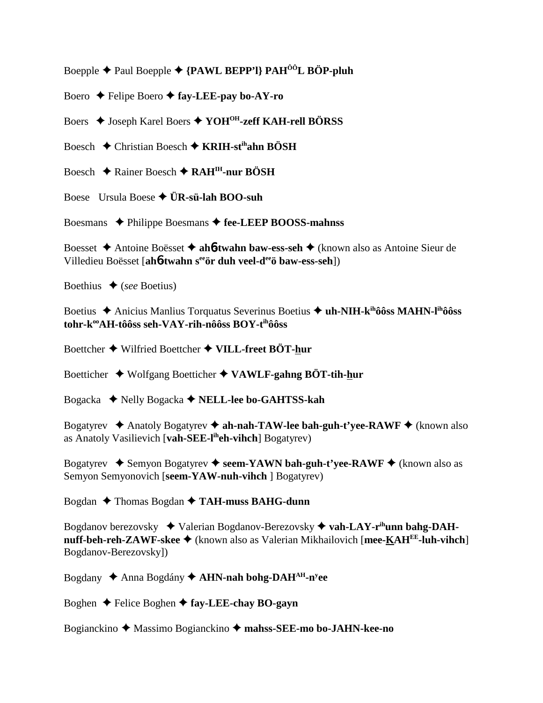Boepple Paul Boepple  **{PAWL BEPP'l} PAHÔÔL BÖP-pluh**

Boero Felipe Boero **fay-LEE-pay bo-AY-ro**

Boers ♦ Joseph Karel Boers ♦ YOH<sup>OH</sup>-zeff KAH-rell BÖRSS

Boesch Christian Boesch **KRIH-stihahn BÖSH**

Boesch **← Rainer Boesch ← RAH<sup>IH</sup>-nur BÖSH** 

Boese Ursula Boese **ÜR-sü-lah BOO-suh**

Boesmans ◆ Philippe Boesmans ◆ fee-LEEP BOOSS-mahnss

Boesset Antoine Boësset  **ah**6**-twahn baw-ess-seh** (known also as Antoine Sieur de Villedieu Boësset [**ah**6**-twahn seeör duh veel-deeö baw-ess-seh**])

Boethius  $\blacklozenge$  (*see* Boetius)

Boetius Anicius Manlius Torquatus Severinus Boetius **uh-NIH-kihôôss MAHN-lihôôss** tohr-k<sup>oo</sup>AH-tôôss seh-VAY-rih-nôôss BOY-t<sup>ih</sup>ôôss

Boettcher Wilfried Boettcher **VILL-freet BÖT-hur**

Boetticher Wolfgang Boetticher **VAWLF-gahng BÖT-tih-hur**

Bogacka Nelly Bogacka **NELL-lee bo-GAHTSS-kah**

Bogatyrev  $\triangle$  Anatoly Bogatyrev  $\triangle$  ah-nah-TAW-lee bah-guh-t'yee-RAWF  $\triangle$  (known also as Anatoly Vasilievich [**vah-SEE-liheh-vihch**] Bogatyrev)

Bogatyrev **→** Semyon Bogatyrev → seem-YAWN bah-guh-t'yee-RAWF → (known also as Semyon Semyonovich [**seem-YAW-nuh-vihch** ] Bogatyrev)

Bogdan Thomas Bogdan **TAH-muss BAHG-dunn**

Bogdanov berezovsky ◆ Valerian Bogdanov-Berezovsky ◆ vah-LAY-r<sup>ih</sup>unn bahg-DAH**nuff-beh-reh-ZAWF-skee ♦** (known also as Valerian Mikhailovich [mee-KAH<sup>EE</sup>-luh-vihch] Bogdanov-Berezovsky])

Bogdany ◆ Anna Bogdány ◆ **AHN-nah bohg-DAH<sup>AH</sup>-n<sup>y</sup>ee** 

Boghen Felice Boghen **fay-LEE-chay BO-gayn**

Bogianckino Massimo Bogianckino  **mahss-SEE-mo bo-JAHN-kee-no**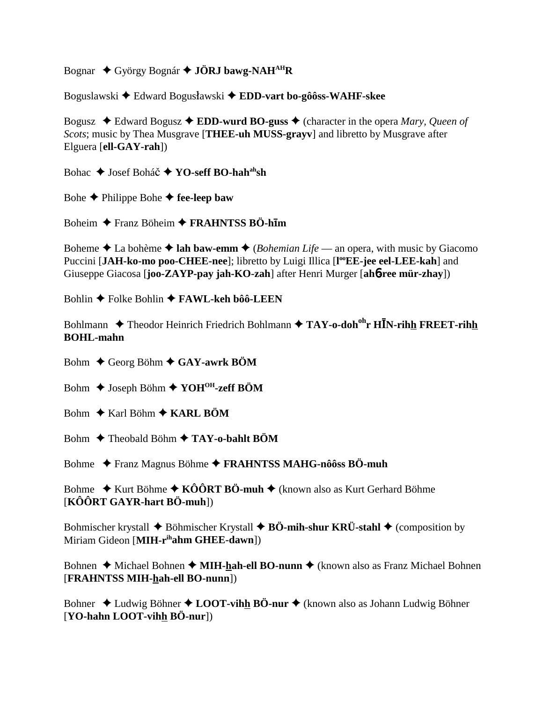Bognar  $\triangle$  György Bognár  $\triangle$  JÖRJ bawg-NAH<sup>AH</sup>R

Boguslawski ◆ Edward Bogusławski ◆ EDD-vart bo-gôôss-WAHF-skee

Bogusz  $\triangleleft$  Edward Bogusz  $\triangleleft$  EDD-wurd BO-guss  $\triangleleft$  (character in the opera *Mary, Queen of* Scots; music by Thea Musgrave [THEE-uh MUSS-grayv] and libretto by Musgrave after Elguera [ell-GAY-rah])

Bohac  $\triangle$  Josef Boháč  $\triangle$  YO-seff BO-hah<sup>ah</sup>sh

Bohe  $\blacklozenge$  Philippe Bohe  $\blacklozenge$  fee-leep baw

Boheim  $\triangle$  Franz Böheim  $\triangle$  FRAHNTSS BÖ-him

Boheme  $\triangle$  La bohème  $\triangle$  lah baw-emm  $\triangle$  (*Bohemian Life* — an opera, with music by Giacomo Puccini [JAH-ko-mo poo-CHEE-nee]; libretto by Luigi Illica [l<sup>oo</sup>EE-jee eel-LEE-kah] and Giuseppe Giacosa [joo-ZAYP-pay jah-KO-zah] after Henri Murger [ah6-ree mür-zhay])

Bohlin ◆ Folke Bohlin ◆ FAWL-keh bôô-LEEN

Bohlmann  $\triangle$  Theodor Heinrich Friedrich Bohlmann  $\triangle$  TAY-o-doh<sup>oh</sup>r HIN-rihh FREET-rihh **BOHL-mahn** 

Bohm  $\triangle$  Georg Böhm  $\triangle$  GAY-awrk BÖM

Bohm  $\triangle$  Joseph Böhm  $\triangle$  YOH<sup>OH</sup>-zeff BÖM

- Bohm  $\triangle$  Karl Böhm  $\triangle$  KARL BÖM
- Bohm  $\triangle$  Theobald Böhm  $\triangle$  TAY-o-bahlt BÖM

Bohme ◆ Franz Magnus Böhme ◆ FRAHNTSS MAHG-nôôss BÖ-muh

Bohme  $\triangle$  Kurt Böhme  $\triangle$  KÔÔRT BÖ-muh  $\triangle$  (known also as Kurt Gerhard Böhme  $[K\hat{O} \hat{O} R T GAYR\text{-}hart B\hat{O}\text{-}muh])$ 

Bohmischer krystall  $\blacklozenge$  Böhmischer Krystall  $\blacklozenge$  BÖ-mih-shur KRÜ-stahl  $\blacklozenge$  (composition by Miriam Gideon [MIH-rihahm GHEE-dawn])

Bohnen  $\triangle$  Michael Bohnen  $\triangle$  MIH-hah-ell BO-nunn  $\triangle$  (known also as Franz Michael Bohnen [FRAHNTSS MIH-hah-ell BO-nunn])

Bohner  $\triangle$  Ludwig Böhner  $\triangle$  LOOT-vihh BÖ-nur  $\triangle$  (known also as Johann Ludwig Böhner [YO-hahn LOOT-vihh BÖ-nur])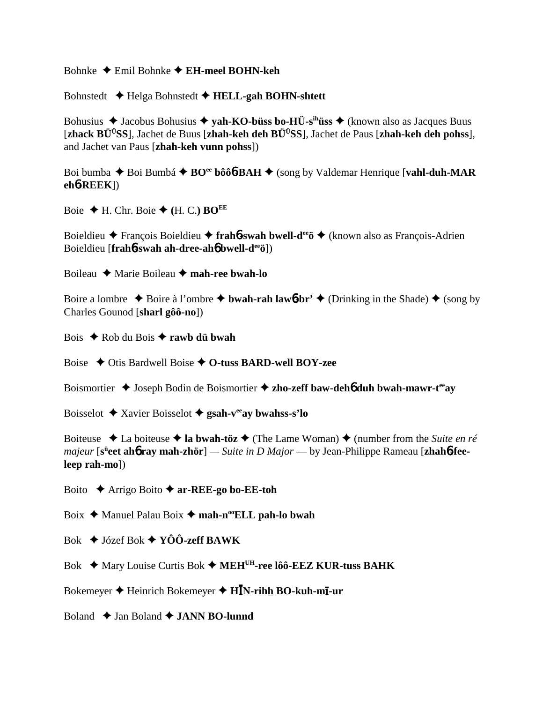Bohnke Emil Bohnke **EH-meel BOHN-keh**

Bohnstedt Helga Bohnstedt **HELL-gah BOHN-shtett**

Bohusius  $\triangle$  Jacobus Bohusius  $\triangle$  yah-KO-büss bo-HÜ-s<sup>ih</sup>üss  $\triangle$  (known also as Jacques Buus [**zhack BÜÜSS**], Jachet de Buus [**zhah-keh deh BÜÜSS**], Jachet de Paus [**zhah-keh deh pohss**], and Jachet van Paus [**zhah-keh vunn pohss**])

Boi bumba ◆ Boi Bumbá ◆ BO<sup>ee</sup> bôô**6**-BAH ◆ (song by Valdemar Henrique [**vahl-duh-MAR eh**6**-REEK**])

Boie  $\blacklozenge$  H. Chr. Boie  $\blacklozenge$  (H. C.) **BO**<sup>EE</sup>

Boieldieu François Boieldieu **frah**6**-swah bwell-deeö** (known also as François-Adrien Boieldieu [**frah**6**-swah ah-dree-ah**6 **bwell-deeö**])

Boileau Marie Boileau **mah-ree bwah-lo**

Boire a lombre  $\triangle$  Boire à l'ombre  $\triangle$  **bwah-rah law6-br'**  $\triangle$  (Drinking in the Shade)  $\triangle$  (song by Charles Gounod [**sharl gôô-no**])

Bois **→** Rob du Bois **→ rawb dü bwah** 

Boise **♦ Otis Bardwell Boise ♦ O-tuss BARD-well BOY-zee** 

Boismortier ◆ Joseph Bodin de Boismortier ◆ zho-zeff baw-deh6 duh bwah-mawr-t<sup>ee</sup>ay

Boisselot Xavier Boisselot **gsah-veeay bwahss-s'lo**

Boiteuse **↓** La boiteuse ◆ la bwah-töz ◆ (The Lame Woman) ◆ (number from the *Suite en ré majeur* [s<sup>ü</sup>eet ahb ray mah-zhör] — Suite in D Major — by Jean-Philippe Rameau [zhahb-fee**leep rah-mo**])

Boito Arrigo Boito **ar-REE-go bo-EE-toh**

Boix **→** Manuel Palau Boix → mah-n<sup>oo</sup>ELL pah-lo bwah

Bok Józef Bok **YÔÔ-zeff BAWK**

Bok **→** Mary Louise Curtis Bok → MEH<sup>UH</sup>-ree lôô-EEZ KUR-tuss BAHK

Bokemeyer ♦ Heinrich Bokemeyer ♦ **HĪN-rih<u>h</u> BO-kuh-mī-ur** 

Boland  $\rightarrow$  Jan Boland  $\rightarrow$  **JANN BO-lunnd**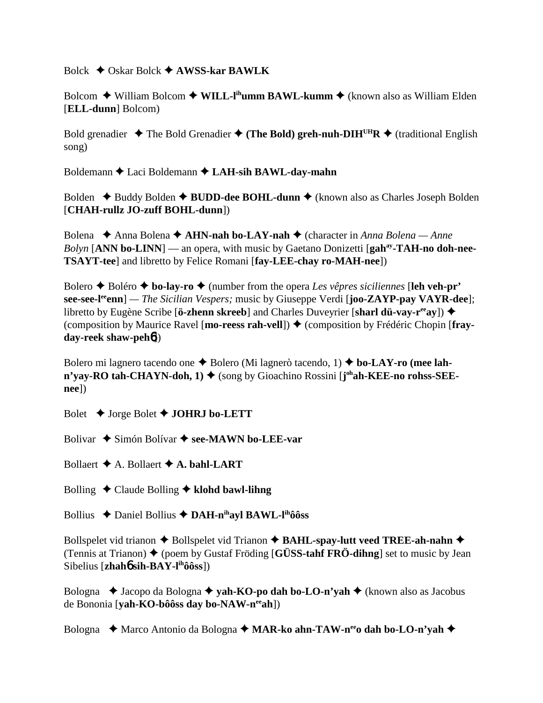### Bolck Oskar Bolck **AWSS-kar BAWLK**

Bolcom ◆ William Bolcom ◆ W**ILL-l<sup>ih</sup>umm BAWL-kumm ◆** (known also as William Elden [**ELL-dunn**] Bolcom)

Bold grenadier  $\triangle$  The Bold Grenadier  $\triangle$  (The Bold) greh-nuh-DIH<sup>UH</sup>R  $\triangle$  (traditional English song)

Boldemann Laci Boldemann **LAH-sih BAWL-day-mahn**

Bolden ◆ Buddy Bolden ◆ BUDD-dee BOHL-dunn ◆ (known also as Charles Joseph Bolden [**CHAH-rullz JO-zuff BOHL-dunn**])

Bolena ◆ Anna Bolena ◆ **AHN-nah bo-LAY-nah ◆** (character in *Anna Bolena — Anne* Bolyn [ANN bo-LINN] — an opera, with music by Gaetano Donizetti [gah<sup>ay</sup>-TAH-no doh-nee-**TSAYT-tee**] and libretto by Felice Romani [**fay-LEE-chay ro-MAH-nee**])

Bolero Boléro **bo-lay-ro** (number from the opera *Les vêpres siciliennes* [**leh veh-pr' see-see-leeenn**] *— The Sicilian Vespers;* music by Giuseppe Verdi [**joo-ZAYP-pay VAYR-dee**]; libretto by Eugène Scribe [**ö-zhenn skreeb**] and Charles Duveyrier [**sharl dü-vay-reeay**]) (composition by Maurice Ravel [**mo-reess rah-vell**]) ♦ (composition by Frédéric Chopin [**frayday-reek shaw-peh**6])

Bolero mi lagnero tacendo one **→** Bolero (Mi lagnerò tacendo, 1) **→ bo-LAY-ro (mee lahn'yay-RO tah-CHAYN-doh, 1) ♦** (song by Gioachino Rossini [j<sup>oh</sup>ah-KEE-no rohss-SEE**nee**])

Bolet Jorge Bolet **JOHRJ bo-LETT**

Bolivar **→** Simón Bolívar → see-MAWN bo-LEE-var

Bollaert  $\triangle$  A. Bollaert  $\triangle$  A. bahl-LART

- Bolling Claude Bolling **klohd bawl-lihng**
- Bollius Daniel Bollius **DAH-nihayl BAWL-lihôôss**

Bollspelet vid trianon  $\triangle$  Bollspelet vid Trianon  $\triangle$  **BAHL-spay-lutt veed TREE-ah-nahn**  $\triangle$ (Tennis at Trianon)  $\triangle$  (poem by Gustaf Fröding [**GÜSS-tahf FRÖ-dihng**] set to music by Jean Sibelius [**zhah**6 **sih-BAY-lihôôss**])

Bologna **→** Jacopo da Bologna → **yah-KO-po dah bo-LO-n'yah** → (known also as Jacobus de Bononia [**yah-KO-bôôss day bo-NAW-neeah**])

Bologna Marco Antonio da Bologna **MAR-ko ahn-TAW-neeo dah bo-LO-n'yah**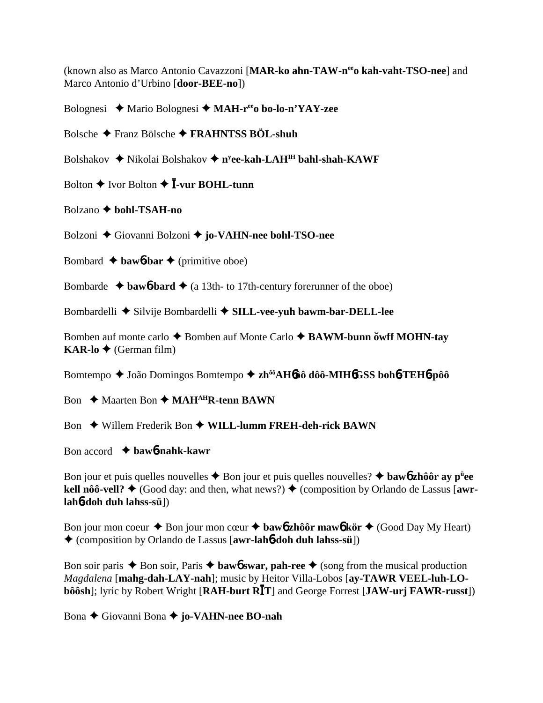(known also as Marco Antonio Cavazzoni [**MAR-ko ahn-TAW-neeo kah-vaht-TSO-nee**] and Marco Antonio d'Urbino [**door-BEE-no**])

Bolognesi Mario Bolognesi **MAH-reeo bo-lo-n'YAY-zee**

Bolsche Franz Bölsche **FRAHNTSS BÖL-shuh**

Bolshakov ◆ Nikolai Bolshakov ◆ n<sup>y</sup>**ee-kah-LAH<sup>IH</sup> bahl-shah-KAWF** 

Bolton  $\triangle$  Ivor Bolton  $\triangle$  **I**-vur BOHL-tunn

Bolzano **bohl-TSAH-no**

Bolzoni Giovanni Bolzoni  **jo-VAHN-nee bohl-TSO-nee**

Bombard  $\triangle$  **baw6-bar**  $\triangle$  (primitive oboe)

Bombarde  $\rightarrow$  **baw6-bard**  $\rightarrow$  (a 13th- to 17th-century forerunner of the oboe)

Bombardelli  $\triangle$  Silvije Bombardelli  $\triangle$  SILL-vee-vuh bawm-bar-DELL-lee

Bomben auf monte carlo  $\triangle$  Bomben auf Monte Carlo  $\triangle$  **BAWM-bunn over MOHN-tay KAR-lo ♦** (German film)

Bomtempo João Domingos Bomtempo **zhôôAH**6**ôô dôô-MIH**6**GSS boh**6**-TEH**6**-pôô**

Bon **← Maarten Bon ← MAH<sup>AH</sup>R-tenn BAWN** 

Bon **→** Willem Frederik Bon → WILL-lumm FREH-deh-rick BAWN

Bon accord **baw**6**-nahk-kawr**

Bon jour et puis quelles nouvelles Bon jour et puis quelles nouvelles? **baw**6 **zhôôr ay pü ee kell nôô-vell?**  $\blacklozenge$  (Good day: and then, what news?)  $\blacklozenge$  (composition by Orlando de Lassus [awr**lah**6**-doh duh lahss-sü**])

Bon jour mon coeur  $\triangle$  Bon jour mon cœur  $\triangle$  **baw6** zhôôr maw6 kör  $\triangle$  (Good Day My Heart) (composition by Orlando de Lassus [**awr-lah**6**-doh duh lahss-sü**])

Bon soir paris  $\triangle$  Bon soir, Paris  $\triangle$  **baw6** swar, pah-ree  $\triangle$  (song from the musical production *Magdalena* [**mahg-dah-LAY-nah**]; music by Heitor Villa-Lobos [**ay-TAWR VEEL-luh-LObôôsh**]; lyric by Robert Wright [RAH-burt R**I**T] and George Forrest [JAW-urj FAWR-russt])

Bona Giovanni Bona **jo-VAHN-nee BO-nah**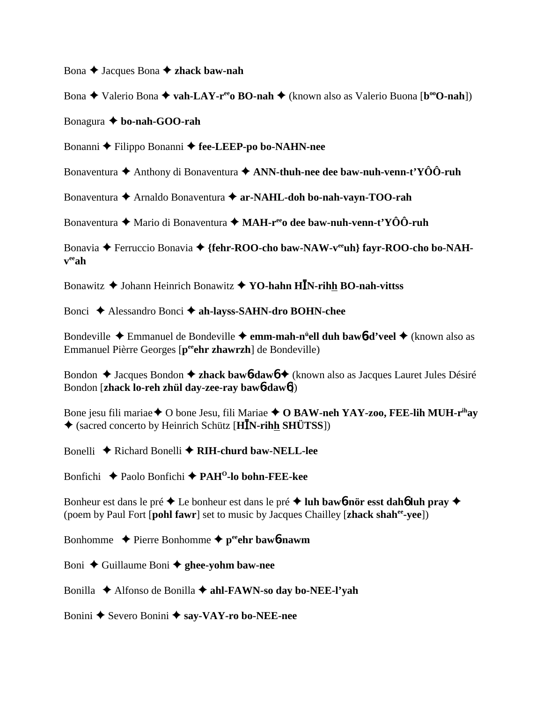Bona **→** Jacques Bona **→ zhack baw-nah** 

Bona **→** Valerio Bona → **vah-LAY-r<sup>ee</sup>o BO-nah** → (known also as Valerio Buona [**b**<sup>oo</sup>**O-nah**])

Bonagura **bo-nah-GOO-rah**

Bonanni **←** Filippo Bonanni ← fee-LEEP-po bo-NAHN-nee

Bonaventura **→** Anthony di Bonaventura → **ANN-thuh-nee dee baw-nuh-venn-t'YÔÔ-ruh** 

Bonaventura **←** Arnaldo Bonaventura ← ar-NAHL-doh bo-nah-vayn-TOO-rah

Bonaventura **→** Mario di Bonaventura → MAH-r<sup>ee</sup>o dee baw-nuh-venn-t'YÔÔ-ruh

Bonavia ◆ Ferruccio Bonavia ◆ {fehr-ROO-cho baw-NAW-v<sup>ee</sup>uh} fayr-ROO-cho bo-NAH**veeah**

Bonawitz **→** Johann Heinrich Bonawitz **→ YO-hahn HIN-rihh BO-nah-vittss** 

Bonci Alessandro Bonci **ah-layss-SAHN-dro BOHN-chee**

Bondeville Emmanuel de Bondeville **emm-mah-nü ell duh baw**6**-d'veel** (known also as Emmanuel Pièrre Georges [p<sup>ee</sup>ehr zhawrzh] de Bondeville)

Bondon ◆ Jacques Bondon ◆ **zhack baw6-daw6** ◆ (known also as Jacques Lauret Jules Désiré Bondon [**zhack lo-reh zhül day-zee-ray baw**6**-daw**6])

Bone jesu fili mariae **◆** O bone Jesu, fili Mariae ◆ O BAW-neh YAY-zoo, FEE-lih MUH-r<sup>ih</sup>ay (sacred concerto by Heinrich Schütz [**HN-rihh SHÜTSS**])

Bonelli **→** Richard Bonelli → RIH-churd baw-NELL-lee

Bonfichi Paolo Bonfichi **PAHO-lo bohn-FEE-kee**

Bonheur est dans le pré Le bonheur est dans le pré **luh baw**6**-nör esst dah**6 **luh pray**  (poem by Paul Fort [**pohl fawr**] set to music by Jacques Chailley [**zhack shahee-yee**])

Bonhomme  $\rightarrow$  Pierre Bonhomme  $\rightarrow$  p<sup>ee</sup>ehr baw6**-nawm** 

Boni ◆ Guillaume Boni **◆ ghee-yohm baw-nee** 

Bonilla **→** Alfonso de Bonilla **→ ahl-FAWN-so day bo-NEE-l'vah** 

Bonini **→** Severo Bonini **→ say-VAY-ro bo-NEE-nee**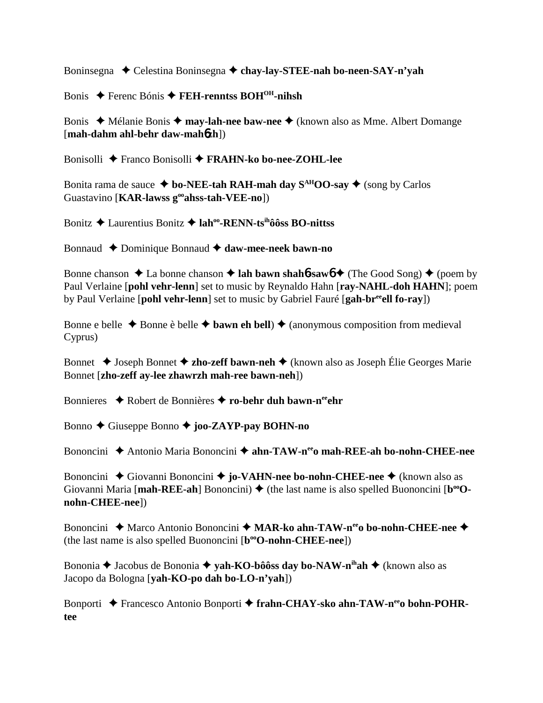Boninsegna Celestina Boninsegna **chay-lay-STEE-nah bo-neen-SAY-n'yah**

Bonis Ferenc Bónis **FEH-renntss BOHOH-nihsh**

Bonis ◆ Mélanie Bonis ◆ **may-lah-nee baw-nee** ◆ (known also as Mme. Albert Domange [**mah-dahm ahl-behr daw-mah**6**zh**])

Bonisolli Franco Bonisolli **FRAHN-ko bo-nee-ZOHL-lee**

Bonita rama de sauce  $\triangleq$  bo-NEE-tah RAH-mah day S<sup>AH</sup>OO-say  $\triangleq$  (song by Carlos Guastavino [**KAR-lawss gooahss-tah-VEE-no**])

Bonitz Laurentius Bonitz **lahoo-RENN-tsihôôss BO-nittss**

Bonnaud ◆ Dominique Bonnaud **◆ daw-mee-neek bawn-no** 

Bonne chanson  $\triangle$  La bonne chanson  $\triangle$  lah bawn shah**6**-saw $\phi$   $\triangle$  (The Good Song)  $\triangle$  (poem by Paul Verlaine [**pohl vehr-lenn**] set to music by Reynaldo Hahn [**ray-NAHL-doh HAHN**]; poem by Paul Verlaine [**pohl vehr-lenn**] set to music by Gabriel Fauré [**gah-breeell fo-ray**])

Bonne e belle  $\triangle$  Bonne è belle  $\triangle$  **bawn eh bell**)  $\triangle$  (anonymous composition from medieval Cyprus)

Bonnet **→** Joseph Bonnet **→ zho-zeff bawn-neh →** (known also as Joseph Élie Georges Marie Bonnet [**zho-zeff ay-lee zhawrzh mah-ree bawn-neh**])

Bonnieres ◆ Robert de Bonnières ◆ ro-behr duh bawn-n<sup>ee</sup>ehr

Bonno Giuseppe Bonno **joo-ZAYP-pay BOHN-no**

Bononcini Antonio Maria Bononcini **ahn-TAW-neeo mah-REE-ah bo-nohn-CHEE-nee**

Bononcini **→** Giovanni Bononcini → **jo-VAHN-nee bo-nohn-CHEE-nee** → (known also as Giovanni Maria [mah-REE-ah] Bononcini)  $\blacklozenge$  (the last name is also spelled Buononcini [b<sup>oo</sup>O**nohn-CHEE-nee**])

Bononcini ◆ Marco Antonio Bononcini ◆ MAR-ko ahn-TAW-n<sup>ee</sup>o bo-nohn-CHEE-nee ◆ (the last name is also spelled Buononcini [**b**<sup>oo</sup>**O-nohn-CHEE-nee**])

Bononia **→** Jacobus de Bononia → yah-KO-bôôss day bo-NAW-n<sup>ih</sup>ah → (known also as Jacopo da Bologna [**yah-KO-po dah bo-LO-n'yah**])

Bonporti ◆ Francesco Antonio Bonporti ◆ frahn-CHAY-sko ahn-TAW-n<sup>ee</sup>o bohn-POHR**tee**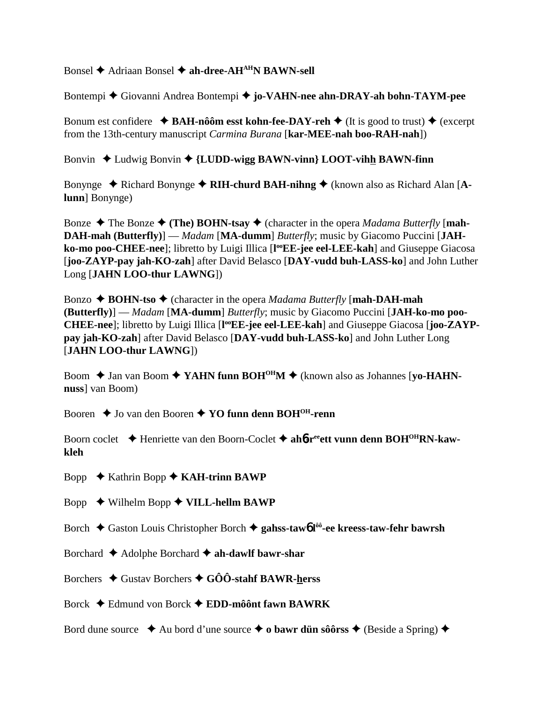Bonsel **→** Adriaan Bonsel → ah-dree-AH<sup>AH</sup>N BAWN-sell

Bontempi Giovanni Andrea Bontempi **jo-VAHN-nee ahn-DRAY-ah bohn-TAYM-pee**

Bonum est confidere  $\triangle$  **BAH-nôôm esst kohn-fee-DAY-reh**  $\triangle$  (It is good to trust)  $\triangle$  (excerpt from the 13th-century manuscript *Carmina Burana* [**kar-MEE-nah boo-RAH-nah**])

Bonvin Ludwig Bonvin **{LUDD-wigg BAWN-vinn} LOOT-vihh BAWN-finn**

Bonynge  $\blacklozenge$  Richard Bonynge  $\blacklozenge$  RIH-churd BAH-nihng  $\blacklozenge$  (known also as Richard Alan [A**lunn**] Bonynge)

Bonze  $\triangle$  The Bonze  $\triangle$  (The) BOHN-tsay  $\triangle$  (character in the opera *Madama Butterfly* [mah-**DAH-mah (Butterfly)**] — *Madam* [**MA-dumm**] *Butterfly*; music by Giacomo Puccini [**JAH**ko-mo poo-CHEE-nee]; libretto by Luigi Illica [l<sup>oo</sup>EE-jee eel-LEE-kah] and Giuseppe Giacosa [**joo-ZAYP-pay jah-KO-zah**] after David Belasco [**DAY-vudd buh-LASS-ko**] and John Luther Long [**JAHN LOO-thur LAWNG**])

Bonzo **→ BOHN-tso →** (character in the opera *Madama Butterfly* [mah-DAH-mah] **(Butterfly)**] — *Madam* [**MA-dumm**] *Butterfly*; music by Giacomo Puccini [**JAH-ko-mo poo-**CHEE-nee]; libretto by Luigi Illica [l<sup>oo</sup>EE-jee eel-LEE-kah] and Giuseppe Giacosa [joo-ZAYP**pay jah-KO-zah**] after David Belasco [**DAY-vudd buh-LASS-ko**] and John Luther Long [**JAHN LOO-thur LAWNG**])

Boom ◆ Jan van Boom ◆ YAHN funn BOH<sup>OH</sup>M ◆ (known also as Johannes [yo-HAHN**nuss**] van Boom)

Booren  $\triangle$  Jo van den Booren  $\triangle$  **YO funn denn BOH<sup>OH</sup>-renn** 

Boorn coclet **→** Henriette van den Boorn-Coclet → ah6-r<sup>ee</sup>ett vunn denn BOH<sup>OH</sup>RN-kaw**kleh**

Bopp Kathrin Bopp **KAH-trinn BAWP**

Bopp Wilhelm Bopp **VILL-hellm BAWP**

Borch **→** Gaston Louis Christopher Borch → gahss-taw6 l<sup>ôô</sup>-ee kreess-taw-fehr bawrsh

Borchard Adolphe Borchard **ah-dawlf bawr-shar**

Borchers Gustav Borchers **GÔÔ-stahf BAWR-herss**

Borck Edmund von Borck **EDD-môônt fawn BAWRK**

Bord dune source  $\triangle$  Au bord d'une source  $\triangle$  **o bawr dün sôôrss**  $\triangle$  (Beside a Spring)  $\triangle$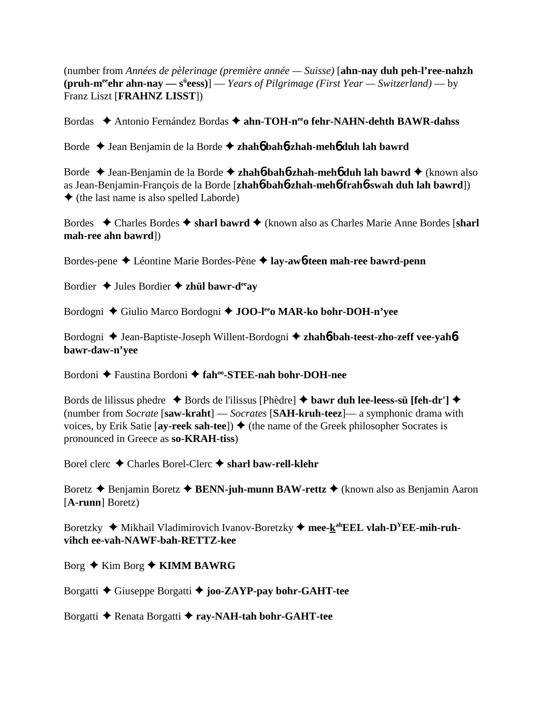(number from *Années de pèlerinage (première année — Suisse)* [**ahn-nay duh peh-l'ree-nahzh** (pruh-m<sup>ee</sup>ehr ahn-nay — s<sup>ü</sup>eess)] — *Years of Pilgrimage (First Year* — Switzerland) — by Franz Liszt [**FRAHNZ LISST**])

Bordas **→** Antonio Fernández Bordas → ahn-TOH-n<sup>ee</sup>o fehr-NAHN-dehth BAWR-dahss

Borde Jean Benjamin de la Borde **zhah**6 **bah**6**-zhah-meh**6 **duh lah bawrd**

Borde Jean-Benjamin de la Borde **zhah**6**-bah**6**-zhah-meh**6 **duh lah bawrd** (known also as Jean-Benjamin-François de la Borde [**zhah**6**-bah**6**-zhah-meh**6**-frah**6**-swah duh lah bawrd**])  $\triangle$  (the last name is also spelled Laborde)

Bordes Charles Bordes **sharl bawrd** (known also as Charles Marie Anne Bordes [**sharl mah-ree ahn bawrd**])

Bordes-pene Léontine Marie Bordes-Pène **lay-aw**6**-teen mah-ree bawrd-penn**

Bordier  $\triangle$  Jules Bordier  $\triangle$  zhül bawr-d<sup>ee</sup>ay

Bordogni ◆ Giulio Marco Bordogni ◆ **JOO-l<sup>ee</sup>o MAR-ko bohr-DOH-n'yee** 

Bordogni  $\triangle$  Jean-Baptiste-Joseph Willent-Bordogni  $\triangle$  **zhahó-bah-teest-zho-zeff vee-yahóbawr-daw-n'yee**

Bordoni Faustina Bordoni **fahoo-STEE-nah bohr-DOH-nee**

Bords de lilissus phedre  $\bullet$  Bords de l'ilissus [Phèdre]  $\bullet$  **bawr duh lee-leess-sü [feh-dr']**  $\bullet$ (number from *Socrate* [**saw-kraht**] — *Socrates* [**SAH-kruh-teez**]— a symphonic drama with voices, by Erik Satie  $[ay\text{-reek sah-tee}]) \triangleq$  (the name of the Greek philosopher Socrates is pronounced in Greece as **so-KRAH-tiss**)

Borel clerc Charles Borel-Clerc **sharl baw-rell-klehr**

Boretz **→** Benjamin Boretz **→ BENN-juh-munn BAW-rettz →** (known also as Benjamin Aaron [**A-runn**] Boretz)

Boretzky ◆ Mikhail Vladimirovich Ivanov-Boretzky ◆ mee-k<sup>ah</sup>EEL vlah-D<sup>Y</sup>EE-mih-ruh**vihch ee-vah-NAWF-bah-RETTZ-kee**

Borg  $\triangle$  Kim Borg  $\triangle$  KIMM BAWRG

Borgatti Giuseppe Borgatti **joo-ZAYP-pay bohr-GAHT-tee**

Borgatti Renata Borgatti **ray-NAH-tah bohr-GAHT-tee**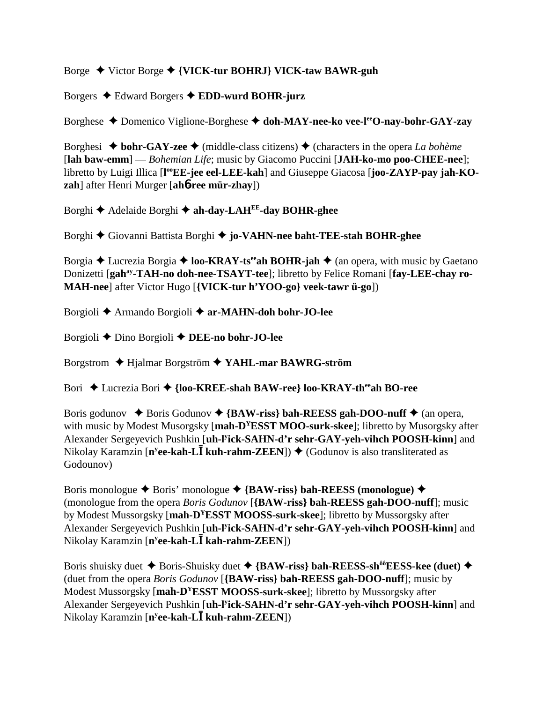# Borge Victor Borge **{VICK-tur BOHRJ} VICK-taw BAWR-guh**

Borgers Edward Borgers **EDD-wurd BOHR-jurz**

Borghese Domenico Viglione-Borghese **doh-MAY-nee-ko vee-leeO-nay-bohr-GAY-zay**

Borghesi  $\triangle$  **bohr-GAY-zee**  $\triangle$  (middle-class citizens)  $\triangle$  (characters in the opera *La bohème* [**lah baw-emm**] — *Bohemian Life*; music by Giacomo Puccini [**JAH-ko-mo poo-CHEE-nee**]; libretto by Luigi Illica [l<sup>oo</sup>EE-jee eel-LEE-kah] and Giuseppe Giacosa [joo-ZAYP-pay jah-KO**zah**] after Henri Murger [**ah**6**-ree mür-zhay**])

Borghi **←** Adelaide Borghi ← ah-day-LAH<sup>EE</sup>-day BOHR-ghee

Borghi Giovanni Battista Borghi  **jo-VAHN-nee baht-TEE-stah BOHR-ghee**

Borgia  $\triangle$  Lucrezia Borgia  $\triangle$  **loo-KRAY-ts**<sup>ee</sup>**ah BOHR-jah**  $\triangle$  (an opera, with music by Gaetano Donizetti [gah<sup>ay</sup>-TAH-no doh-nee-TSAYT-tee]; libretto by Felice Romani [fay-LEE-chay ro-**MAH-nee**] after Victor Hugo [**{VICK-tur h'YOO-go} veek-tawr ü-go**])

Borgioli Armando Borgioli **ar-MAHN-doh bohr-JO-lee**

Borgioli Dino Borgioli **DEE-no bohr-JO-lee**

Borgstrom Hjalmar Borgström **YAHL-mar BAWRG-ström**

Bori ◆ Lucrezia Bori ◆ {loo-KREE-shah BAW-ree} loo-KRAY-th<sup>ee</sup>ah BO-ree

Boris godunov  $\blacklozenge$  Boris Godunov  $\blacklozenge$  {BAW-riss} bah-REESS gah-DOO-nuff  $\blacklozenge$  (an opera, with music by Modest Musorgsky [**mah-D<sup>Y</sup>ESST MOO-surk-skee**]; libretto by Musorgsky after Alexander Sergeyevich Pushkin [**uh-ly ick-SAHN-d'r sehr-GAY-yeh-vihch POOSH-kinn**] and Nikolay Karamzin [n<sup>y</sup>ee-kah-L**I** kuh-rahm-ZEEN]) ♦ (Godunov is also transliterated as Godounov)

Boris monologue  $\triangle$  Boris' monologue  $\triangle$  {BAW-riss} bah-REESS (monologue)  $\triangle$ (monologue from the opera *Boris Godunov* [**{BAW-riss} bah-REESS gah-DOO-nuff**]; music by Modest Mussorgsky [**mah-DYESST MOOSS-surk-skee**]; libretto by Mussorgsky after Alexander Sergeyevich Pushkin [**uh-ly ick-SAHN-d'r sehr-GAY-yeh-vihch POOSH-kinn**] and Nikolay Karamzin [**ny ee-kah-L kah-rahm-ZEEN**])

Boris shuisky duet  $\blacklozenge$  Boris-Shuisky duet  $\blacklozenge$  {BAW-riss} bah-REESS-sh<sup>ôô</sup>EESS-kee (duet)  $\blacklozenge$ (duet from the opera *Boris Godunov* [**{BAW-riss} bah-REESS gah-DOO-nuff**]; music by Modest Mussorgsky [**mah-DYESST MOOSS-surk-skee**]; libretto by Mussorgsky after Alexander Sergeyevich Pushkin [**uh-ly ick-SAHN-d'r sehr-GAY-yeh-vihch POOSH-kinn**] and Nikolay Karamzin [**ny ee-kah-L kuh-rahm-ZEEN**])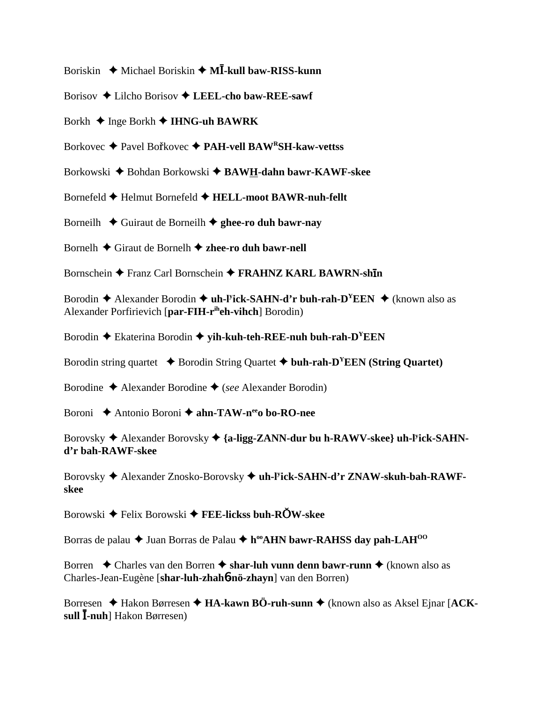- Boriskin ◆ Michael Boriskin ◆ M**I-kull baw-RISS-kunn**
- Borisov Lilcho Borisov **LEEL-cho baw-REE-sawf**
- Borkh Inge Borkh **IHNG-uh BAWRK**
- Borkovec ◆ Pavel Bořkovec ◆ PAH-vell BAW<sup>R</sup>SH-kaw-vettss
- Borkowski ◆ Bohdan Borkowski ◆ BAWH-dahn bawr-KAWF-skee
- Bornefeld Helmut Bornefeld **HELL-moot BAWR-nuh-fellt**
- Borneilh  $\triangle$  Guiraut de Borneilh  $\triangle$  ghee-ro duh bawr-nay
- Bornelh Giraut de Bornelh **zhee-ro duh bawr-nell**
- Bornschein ◆ Franz Carl Bornschein ◆ FRAHNZ KARL BAWRN-shin
- Borodin **→** Alexander Borodin ◆ **uh-l<sup>y</sup>ick-SAHN-d'r buh-rah-D<sup>Y</sup>EEN** ◆ (known also as Alexander Porfirievich [**par-FIH-riheh-vihch**] Borodin)
- Borodin **←** Ekaterina Borodin ← yih-kuh-teh-REE-nuh buh-rah-D<sup>Y</sup>EEN
- Borodin string quartet  $\rightarrow$  Borodin String Quartet  $\rightarrow$  buh-rah-D<sup>Y</sup>EEN (String Quartet)
- Borodine Alexander Borodine (*see* Alexander Borodin)
- Boroni **→** Antonio Boroni → **ahn-TAW-n<sup>ee</sup>o bo-RO-nee**
- Borovsky  $\triangle$  Alexander Borovsky  $\triangle$  {a-ligg-ZANN-dur bu h-RAWV-skee} uh-l<sup>y</sup>ick-SAHN**d'r bah-RAWF-skee**
- Borovsky Alexander Znosko-Borovsky **uh-ly ick-SAHN-d'r ZNAW-skuh-bah-RAWFskee**
- **Borowski ◆ Felix Borowski ◆ FEE-lickss buh-RÖW-skee**
- Borras de palau  $\triangle$  Juan Borras de Palau  $\triangle$  h<sup>oo</sup>AHN bawr-RAHSS day pah-LAH<sup>00</sup>
- Borren **↓** Charles van den Borren **↓ shar-luh vunn denn bawr-runn ↓** (known also as Charles-Jean-Eugène [**shar-luh-zhah**6**-nö-zhayn**] van den Borren)
- Borresen ◆ Hakon Børresen ◆ **HA-kawn BÖ-ruh-sunn ◆** (known also as Aksel Ejnar [**ACKsull -nuh**] Hakon Børresen)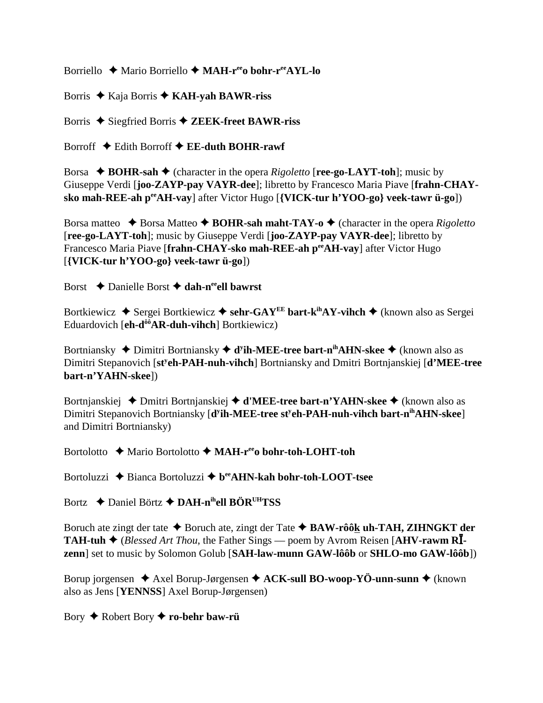Borriello ◆ Mario Borriello ◆ MA**H-r<sup>ee</sup>o bohr-r<sup>ee</sup>AYL-lo** 

Borris Kaja Borris **KAH-yah BAWR-riss**

Borris ◆ Siegfried Borris ◆ **ZEEK-freet BAWR-riss** 

Borroff Edith Borroff **EE-duth BOHR-rawf**

Borsa  $\triangle$  **BOHR-sah**  $\triangle$  (character in the opera *Rigoletto* [**ree-go-LAYT-toh**]; music by Giuseppe Verdi [**joo-ZAYP-pay VAYR-dee**]; libretto by Francesco Maria Piave [**frahn-CHAYsko mah-REE-ah peeAH-vay**] after Victor Hugo [**{VICK-tur h'YOO-go} veek-tawr ü-go**])

Borsa matteo  $\triangle$  Borsa Matteo  $\triangle$  **BOHR-sah maht-TAY-o**  $\triangle$  (character in the opera *Rigoletto* [**ree-go-LAYT-toh**]; music by Giuseppe Verdi [**joo-ZAYP-pay VAYR-dee**]; libretto by Francesco Maria Piave [**frahn-CHAY-sko mah-REE-ah peeAH-vay**] after Victor Hugo [**{VICK-tur h'YOO-go} veek-tawr ü-go**])

Borst **→** Danielle Borst → dah-n<sup>ee</sup>ell bawrst

Bortkiewicz ◆ Sergei Bortkiewicz ◆ sehr-GAY<sup>EE</sup> bart-k<sup>ih</sup>AY-vihch ◆ (known also as Sergei Eduardovich [**eh-dôôAR-duh-vihch**] Bortkiewicz)

Bortniansky ◆ Dimitri Bortniansky ◆ d<sup>y</sup>ih-MEE-tree bart-n<sup>ih</sup>AHN-skee ◆ (known also as Dimitri Stepanovich [**sty eh-PAH-nuh-vihch**] Bortniansky and Dmitri Bortnjanskiej [**d'MEE-tree bart-n'YAHN-skee**])

Bortnjanskiej ◆ Dmitri Bortnjanskiej ◆ **d'MEE-tree bart-n'YAHN-skee** ◆ (known also as Dimitri Stepanovich Bortniansky [**d<sup>y</sup>ih-MEE-tree st<sup>y</sup>eh-PAH-nuh-vihch bart-n<sup>ih</sup>AHN-skee**] and Dimitri Bortniansky)

Bortolotto **←** Mario Bortolotto ← MAH-r<sup>ee</sup>o bohr-toh-LOHT-toh

Bortoluzzi **→** Bianca Bortoluzzi → b<sup>ee</sup>AHN-kah bohr-toh-LOOT-tsee

Bortz Daniel Börtz **DAH-nihell BÖRUHTSS**

Boruch ate zingt der tate  $\triangle$  Boruch ate, zingt der Tate  $\triangle$  BAW-rôôk uh-TAH, ZIHNGKT der **TAH-tuh**  $\blacklozenge$  (*Blessed Art Thou*, the Father Sings — poem by Avrom Reisen [AHV-rawm RI**zenn**] set to music by Solomon Golub [**SAH-law-munn GAW-lôôb** or **SHLO-mo GAW-lôôb**])

Borup jorgensen ◆ Axel Borup-Jørgensen ◆ ACK-sull BO-woop-YÖ-unn-sunn ◆ (known also as Jens [**YENNSS**] Axel Borup-Jørgensen)

Bory Robert Bory **ro-behr baw-rü**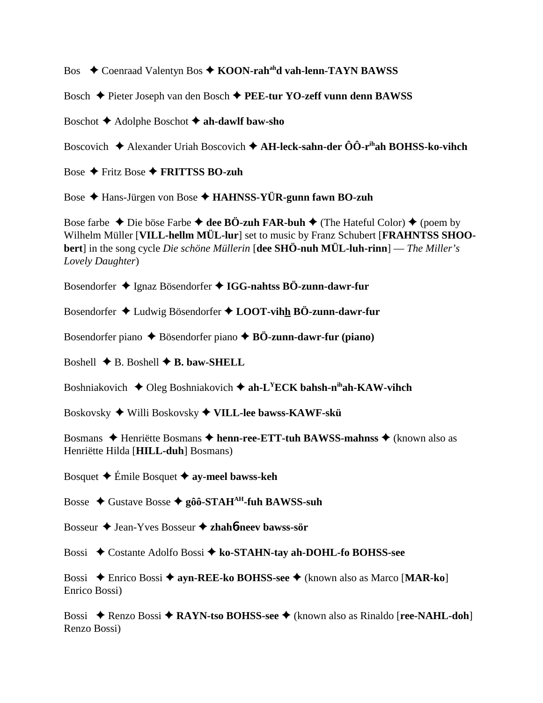Bos **→** Coenraad Valentyn Bos → KOON-rah<sup>ah</sup>d vah-lenn-TAYN BAWSS

Bosch Pieter Joseph van den Bosch **PEE-tur YO-zeff vunn denn BAWSS**

Boschot Adolphe Boschot **ah-dawlf baw-sho**

Boscovich Alexander Uriah Boscovich **AH-leck-sahn-der ÔÔ-rihah BOHSS-ko-vihch**

Bose Fritz Bose **FRITTSS BO-zuh**

Bose Hans-Jürgen von Bose **HAHNSS-YÜR-gunn fawn BO-zuh**

Bose farbe  $\triangle$  Die böse Farbe  $\triangle$  dee BÖ-zuh FAR-buh  $\triangle$  (The Hateful Color)  $\triangle$  (poem by Wilhelm Müller [**VILL-hellm MÜL-lur**] set to music by Franz Schubert [**FRAHNTSS SHOObert**] in the song cycle *Die schöne Müllerin* [**dee SHÖ-nuh MÜL-luh-rinn**] — *The Miller's Lovely Daughter*)

Bosendorfer Ignaz Bösendorfer **IGG-nahtss BÖ-zunn-dawr-fur**

Bosendorfer Ludwig Bösendorfer **LOOT-vihh BÖ-zunn-dawr-fur**

Bosendorfer piano **→** Bösendorfer piano **→ BÖ-zunn-dawr-fur (piano)** 

Boshell  $\blacklozenge$  B. Boshell  $\blacklozenge$  B. baw-SHELL

Boshniakovich  $\blacklozenge$  Oleg Boshniakovich  $\blacklozenge$  ah-L<sup>Y</sup>ECK bahsh-n<sup>ih</sup>ah-KAW-vihch

Boskovsky Willi Boskovsky **VILL-lee bawss-KAWF-skü**

Bosmans ◆ Henriëtte Bosmans ◆ henn-ree-ETT-tuh BAWSS-mahnss ◆ (known also as Henriëtte Hilda [**HILL-duh**] Bosmans)

Bosquet Émile Bosquet **ay-meel bawss-keh**

Bosse Gustave Bosse **gôô-STAHAH-fuh BAWSS-suh**

Bosseur Jean-Yves Bosseur **zhah**6**-neev bawss-sör**

Bossi Costante Adolfo Bossi **ko-STAHN-tay ah-DOHL-fo BOHSS-see**

Bossi Enrico Bossi **ayn-REE-ko BOHSS-see** (known also as Marco [**MAR-ko**] Enrico Bossi)

Bossi ◆ Renzo Bossi ◆ **RAYN-tso BOHSS-see** ◆ (known also as Rinaldo [**ree-NAHL-doh**] Renzo Bossi)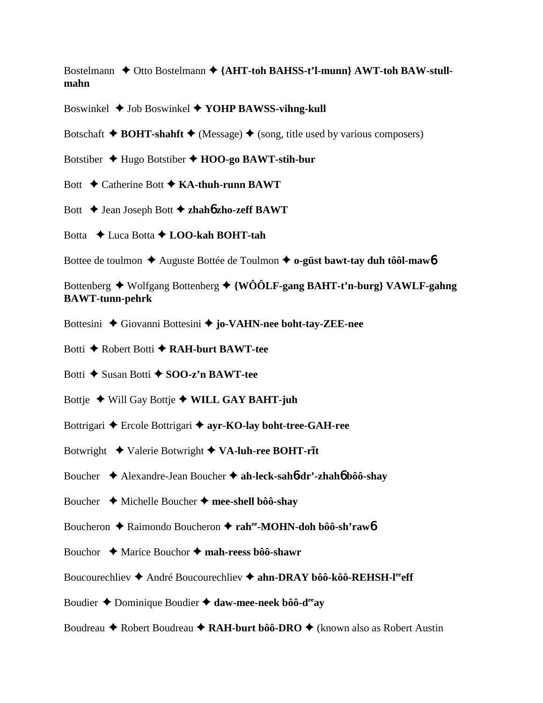Bostelmann  $\triangle$  Otto Bostelmann  $\triangle$  {AHT-toh BAHSS-t'l-munn} AWT-toh BAW-stull**mahn**

Boswinkel Job Boswinkel **YOHP BAWSS-vihng-kull**

Botschaft  $\triangle$  **BOHT-shahft**  $\triangle$  (Message)  $\triangle$  (song, title used by various composers)

Botstiber Hugo Botstiber **HOO-go BAWT-stih-bur**

Bott **← Catherine Bott ← KA-thuh-runn BAWT** 

Bott Jean Joseph Bott **zhah**6 **zho-zeff BAWT**

Botta Luca Botta **LOO-kah BOHT-tah**

Bottee de toulmon **→** Auguste Bottée de Toulmon **→ o-güst bawt-tay duh tôôl-maw6** 

Bottenberg Wolfgang Bottenberg **{WÔÔLF-gang BAHT-t'n-burg} VAWLF-gahng BAWT-tunn-pehrk**

Bottesini ◆ Giovanni Bottesini ◆ jo-VAHN-nee boht-tay-ZEE-nee

Botti **←** Robert Botti ← RAH-burt BAWT-tee

Botti **←** Susan Botti **← SOO-z'n BAWT-tee** 

Bottje Will Gay Bottje **WILL GAY BAHT-juh**

Bottrigari ◆ Ercole Bottrigari ◆ ayr-KO-lay boht-tree-GAH-ree

Botwright  $\triangleleft$  Valerie Botwright  $\triangleleft$  VA-luh-ree BOHT-rit

Boucher Alexandre-Jean Boucher **ah-leck-sah**6**-dr'-zhah**6 **bôô-shay**

Boucher Michelle Boucher **mee-shell bôô-shay**

Boucheron **→** Raimondo Boucheron → rahee-MOHN-doh bôô-sh'raw6

Bouchor **→** Marice Bouchor → mah-reess bôô-shawr

Boucourechliev **←** André Boucourechliev ← ahn-DRAY bôô-kôô-REHSH-l<sup>ee</sup>eff

Boudier ◆ Dominique Boudier ◆ daw-mee-neek bôô-d<sup>ee</sup>ay

Boudreau **→** Robert Boudreau ◆ **RAH-burt bôô-DRO** ◆ (known also as Robert Austin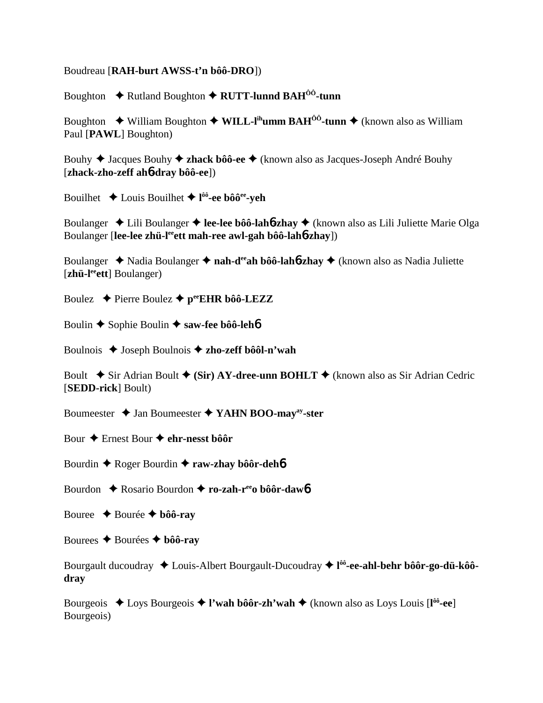### Boudreau [**RAH-burt AWSS-t'n bôô-DRO**])

Boughton ◆ Rutland Boughton ◆ RUTT-lunnd BAH<sup>ôô</sup>-tunn

Boughton  $\blacklozenge$  William Boughton  $\blacklozenge$  WILL-I<sup>ih</sup>umm BAH<sup>ôô</sup>-tunn  $\blacklozenge$  (known also as William Paul [**PAWL**] Boughton)

Bouhy Jacques Bouhy **zhack bôô-ee** (known also as Jacques-Joseph André Bouhy [**zhack-zho-zeff ah**6**-dray bôô-ee**])

Bouilhet Louis Bouilhet **l ôô-ee bôôee-yeh**

Boulanger ◆ Lili Boulanger ◆ lee-lee bôô-lah**6-zhay** ◆ (known also as Lili Juliette Marie Olga Boulanger [lee-lee zhü-l<sup>ee</sup>ett mah-ree awl-gah bôô-lah6-zhay])

Boulanger ◆ Nadia Boulanger ◆ nah-d<sup>ee</sup>ah bôô-lah**6-zhay** ◆ (known also as Nadia Juliette [zhü-l<sup>ee</sup>ett] Boulanger)

Boulez  $\rightarrow$  Pierre Boulez  $\rightarrow$  pee**EHR** bôô-LEZZ

Boulin **←** Sophie Boulin ← saw-fee bôô-leh**6** 

Boulnois Joseph Boulnois **zho-zeff bôôl-n'wah**

Boult  $\blacklozenge$  Sir Adrian Boult  $\blacklozenge$  (Sir) AY-dree-unn BOHLT  $\blacklozenge$  (known also as Sir Adrian Cedric [**SEDD-rick**] Boult)

Boumeester **↓** Jan Boumeester ◆ YAHN BOO-may<sup>ay</sup>-ster

Bour **→** Ernest Bour **→** ehr-nesst bôôr

Bourdin **←** Roger Bourdin ← raw-zhay bôôr-deh<sup>6</sup>

Bourdon **←** Rosario Bourdon ← ro-zah-r<sup>ee</sup>o bôôr-daw6

Bouree  $\triangle$  Bourée  $\triangle$  **bôô-ray** 

Bourees  $\triangle$  Bourées  $\triangle$  bôô-ray

Bourgault ducoudray Louis-Albert Bourgault-Ducoudray **l ôô-ee-ahl-behr bôôr-go-dü-kôôdray**

Bourgeois Loys Bourgeois **l'wah bôôr-zh'wah** (known also as Loys Louis [**l ôô-ee**] Bourgeois)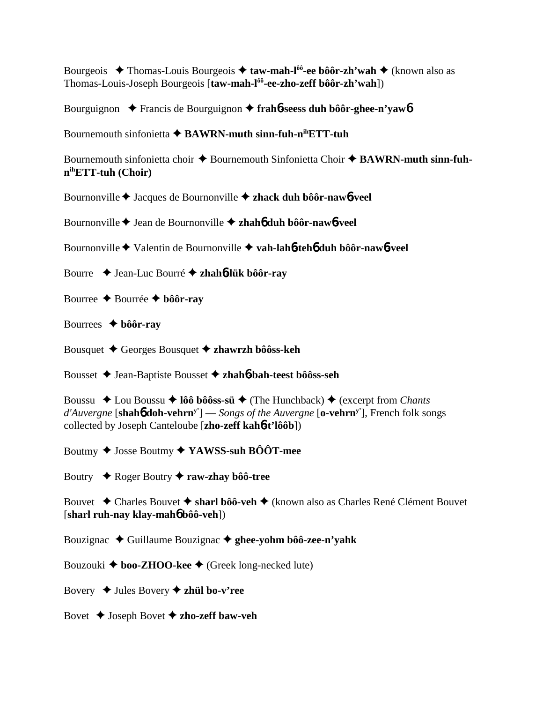Bourgeois **→** Thomas-Louis Bourgeois → taw-mah-l<sup>ôô</sup>-ee bôôr-zh'wah → (known also as Thomas-Louis-Joseph Bourgeois [**taw-mah-lôô-ee-zho-zeff bôôr-zh'wah**])

Bourguignon Francis de Bourguignon **frah**6**-seess duh bôôr-ghee-n'yaw**6

Bournemouth sinfonietta  $\triangle$  **BAWRN-muth sinn-fuh-n<sup>ih</sup>ETT-tuh** 

Bournemouth sinfonietta choir  $\triangle$  Bournemouth Sinfonietta Choir  $\triangle$  **BAWRN-muth sinn-fuhnihETT-tuh (Choir)**

Bournonville Jacques de Bournonville **zhack duh bôôr-naw**6**-veel**

Bournonville Jean de Bournonville **zhah**6 **duh bôôr-naw**6**-veel**

Bournonville Valentin de Bournonville **vah-lah**6**-teh**6 **duh bôôr-naw**6**-veel**

Bourre Jean-Luc Bourré  **zhah**6**-lük bôôr-ray**

- Bourree Bourrée **bôôr-ray**
- Bourrees **bôôr-ray**

Bousquet Georges Bousquet **zhawrzh bôôss-keh**

Bousset Jean-Baptiste Bousset **zhah**6**-bah-teest bôôss-seh**

Boussu **→** Lou Boussu → **lôô bôôss-sü** → (The Hunchback) → (excerpt from *Chants d'Auvergne* [**shah**6 **doh-vehrny'**] — *Songs of the Auvergne* [**o-vehrny'**], French folk songs collected by Joseph Canteloube [**zho-zeff kah**6**-t'lôôb**])

Boutmy Josse Boutmy **YAWSS-suh BÔÔT-mee**

Boutry **→** Roger Boutry **→ raw-zhay bôô-tree** 

Bouvet ◆ Charles Bouvet ◆ sharl bôô-veh ◆ (known also as Charles René Clément Bouvet [**sharl ruh-nay klay-mah**6 **bôô-veh**])

Bouzignac Guillaume Bouzignac **ghee-yohm bôô-zee-n'yahk**

Bouzouki **→ boo-ZHOO-kee** → (Greek long-necked lute)

Bovery **→** Jules Bovery **→ zhül bo-v'ree** 

Bovet  $\triangle$  Joseph Bovet  $\triangle$  zho-zeff baw-veh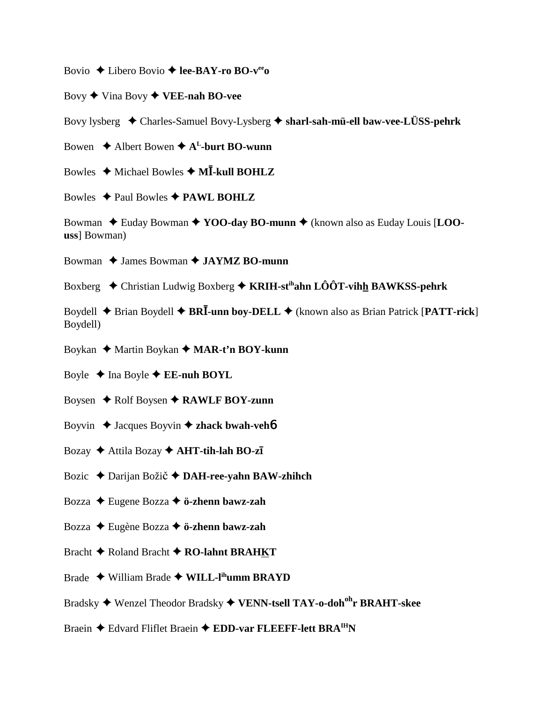Bovio  $\triangle$  Libero Bovio  $\triangle$  lee-BAY-ro BO-v<sup>ee</sup>

Bovy  $\blacklozenge$  Vina Bovy  $\blacklozenge$  VEE-nah BO-vee

Bovy lysberg  $\triangleleft$  Charles-Samuel Bovy-Lysberg  $\triangleleft$  sharl-sah-mü-ell baw-vee-LÜSS-pehrk

Bowen  $\triangle$  Albert Bowen  $\triangle$  A<sup>L</sup>-burt BO-wunn

Bowles  $\triangleleft$  Michael Bowles  $\triangleleft$  MI-kull BOHLZ

Bowles  $\triangle$  Paul Bowles  $\triangle$  PAWL BOHLZ

Bowman  $\triangle$  Euday Bowman  $\triangle$  YOO-day BO-munn  $\triangle$  (known also as Euday Louis [LOOuss1 Bowman)

Bowman  $\triangle$  James Bowman  $\triangle$  JAYMZ BO-munn

Boxberg  $\triangle$  Christian Ludwig Boxberg  $\triangle$  KRIH-st<sup>ih</sup>ahn LÔÔT-vihh BAWKSS-pehrk

Boydell  $\triangle$  Brian Boydell  $\triangle$  BRI-unn boy-DELL  $\triangle$  (known also as Brian Patrick [PATT-rick] Boydell)

Boykan ◆ Martin Boykan ◆ MAR-t'n BOY-kunn

Boyle  $\triangle$  Ina Boyle  $\triangle$  EE-nuh BOYL

Boysen  $\triangle$  Rolf Boysen  $\triangle$  RAWLF BOY-zunn

Boyvin  $\triangle$  Jacques Boyvin  $\triangle$  zhack bwah-veh**b** 

Bozay  $\blacklozenge$  Attila Bozay  $\blacklozenge$  AHT-tih-lah BO-zī

Bozic  $\triangle$  Darijan Božič  $\triangle$  DAH-ree-yahn BAW-zhihch

Bozza  $\triangle$  Eugene Bozza  $\triangle$  ö-zhenn bawz-zah

Bozza  $\triangle$  Eugène Bozza  $\triangle$  ö-zhenn bawz-zah

Bracht ◆ Roland Bracht ◆ RO-lahnt BRAHKT

Brade  $\blacklozenge$  William Brade  $\blacklozenge$  WILL-l<sup>ih</sup>umm BRAYD

Bradsky ◆ Wenzel Theodor Bradsky ◆ VENN-tsell TAY-o-doh<sup>oh</sup>r BRAHT-skee

Braein ♦ Edvard Fliflet Braein ♦ EDD-var FLEEFF-lett BRA<sup>IH</sup>N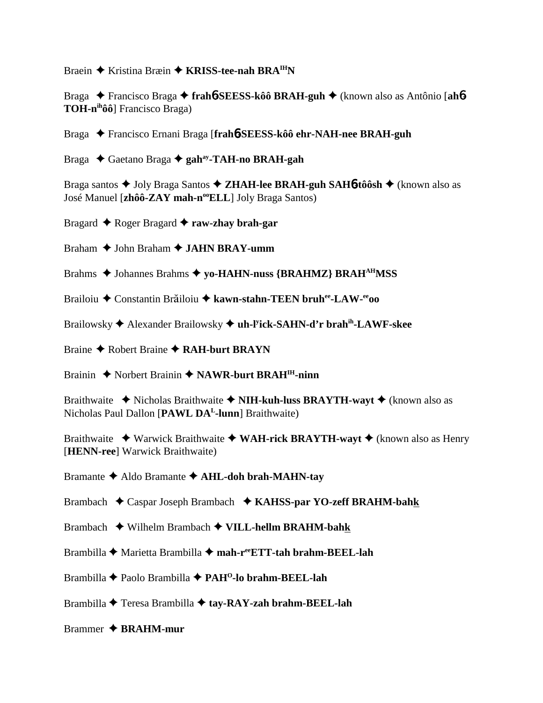Braein Kristina Bræin **KRISS-tee-nah BRAIHN**

Braga Francisco Braga **frah**6**-SEESS-kôô BRAH-guh** (known also as Antônio [**ah**6**- TOH-nihôô**] Francisco Braga)

Braga Francisco Ernani Braga [**frah**6**-SEESS-kôô ehr-NAH-nee BRAH-guh**

Braga Gaetano Braga **gahay-TAH-no BRAH-gah**

Braga santos Joly Braga Santos **ZHAH-lee BRAH-guh SAH**6**-tôôsh** (known also as José Manuel [zhôô-ZAY mah-n<sup>oo</sup>ELL] Joly Braga Santos)

Bragard Roger Bragard **raw-zhay brah-gar**

Braham **→ John Braham → JAHN BRAY-umm** 

Brahms  $\triangle$  Johannes Brahms  $\triangle$  yo-HAHN-nuss {BRAHMZ} BRAH<sup>AH</sup>MSS

Brailoiu ◆ Constantin Brăiloiu ◆ kawn-stahn-TEEN bruh<sup>ee</sup>-LAW-<sup>ee</sup>oo

Brailowsky Alexander Brailowsky **uh-ly ick-SAHN-d'r brahih-LAWF-skee**

Braine **← Robert Braine ← RAH-burt BRAYN** 

Brainin ◆ Norbert Brainin ◆ NAWR-burt BRAH<sup>IH</sup>-ninn

Braithwaite **◆** Nicholas Braithwaite ◆ NIH-kuh-luss BRAYTH-wayt ◆ (known also as Nicholas Paul Dallon [**PAWL DAL-lunn**] Braithwaite)

Braithwaite ◆ Warwick Braithwaite ◆ WAH-rick BRAYTH-wayt ◆ (known also as Henry [**HENN-ree**] Warwick Braithwaite)

Bramante Aldo Bramante **AHL-doh brah-MAHN-tay**

Brambach Caspar Joseph Brambach **KAHSS-par YO-zeff BRAHM-bahk**

Brambach Wilhelm Brambach **VILL-hellm BRAHM-bahk**

Brambilla Marietta Brambilla **mah-reeETT-tah brahm-BEEL-lah**

Brambilla Paolo Brambilla **PAHO-lo brahm-BEEL-lah**

Brambilla Teresa Brambilla **tay-RAY-zah brahm-BEEL-lah**

Brammer **BRAHM-mur**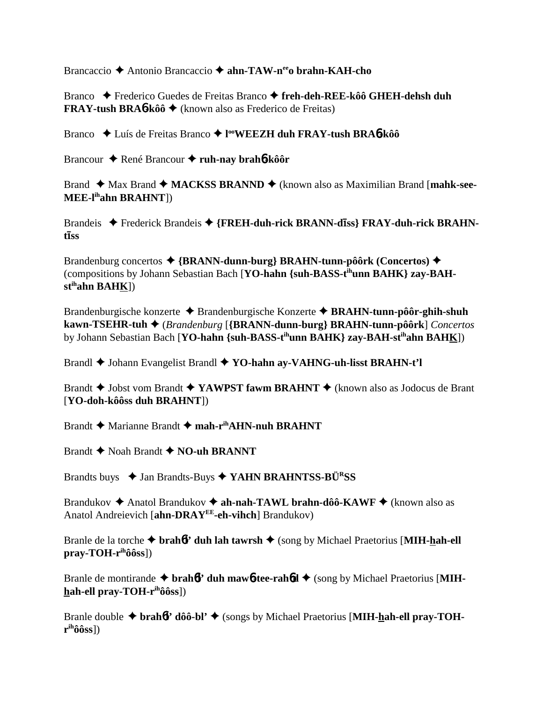Brancaccio Antonio Brancaccio **ahn-TAW-neeo brahn-KAH-cho**

Branco Frederico Guedes de Freitas Branco **freh-deh-REE-kôô GHEH-dehsh duh FRAY-tush BRA**6**-kôô** (known also as Frederico de Freitas)

Branco **→** Luís de Freitas Branco → l<sup>oo</sup>WEEZH duh FRAY-tush BRA6-kôô

Brancour ♦ René Brancour ♦ ruh-nay brah**6**-kôôr

Brand ◆ Max Brand ◆ MACKSS BRANND ◆ (known also as Maximilian Brand [mahk-see-**MEE-lihahn BRAHNT**])

Brandeis ◆ Frederick Brandeis ◆ {FREH-duh-rick BRANN-diss} FRAY-duh-rick BRAHN**t**-**ss**

Brandenburg concertos **{BRANN-dunn-burg} BRAHN-tunn-pôôrk (Concertos)** (compositions by Johann Sebastian Bach [**YO-hahn {suh-BASS-tihunn BAHK} zay-BAHstihahn BAHK**])

Brandenburgische konzerte ◆ Brandenburgische Konzerte ◆ BRAHN-tunn-pôôr-ghih-shuh **kawn-TSEHR-tuh** (*Brandenburg* [**{BRANN-dunn-burg} BRAHN-tunn-pôôrk**] *Concertos* by Johann Sebastian Bach [**YO-hahn {suh-BASS-tihunn BAHK} zay-BAH-stihahn BAHK**])

Brandl Johann Evangelist Brandl **YO-hahn ay-VAHNG-uh-lisst BRAHN-t'l**

Brandt **→** Jobst vom Brandt ◆ YAWPST fawm BRAHNT ◆ (known also as Jodocus de Brant [**YO-doh-kôôss duh BRAHNT**])

Brandt **→** Marianne Brandt ◆ mah-r<sup>ih</sup>AHN-nuh BRAHNT

Brandt  $\blacklozenge$  Noah Brandt  $\blacklozenge$  **NO-uh BRANNT** 

Brandts buys **→ Jan Brandts-Buys → YAHN BRAHNTSS-BÜ<sup>R</sup>SS** 

Brandukov **→** Anatol Brandukov → ah-nah-TAWL brahn-dôô-KAWF → (known also as Anatol Andreievich [**ahn-DRAYEE-eh-vihch**] Brandukov)

Branle de la torche **brah**6**l' duh lah tawrsh** (song by Michael Praetorius [**MIH-hah-ell pray-TOH-rihôôss**])

Branle de montirande  $\triangle$  brah<sup>6</sup>l' duh maw<sup>6</sup>-tee-rah<sup>6</sup>d  $\triangle$  (song by Michael Praetorius [MIH**hah-ell pray-TOH-rihôôss**])

Branle double  $\triangle$  brah<sup>6</sup>l' dôô-bl'  $\triangle$  (songs by Michael Praetorius [MIH-hah-ell pray-TOH**rihôôss**])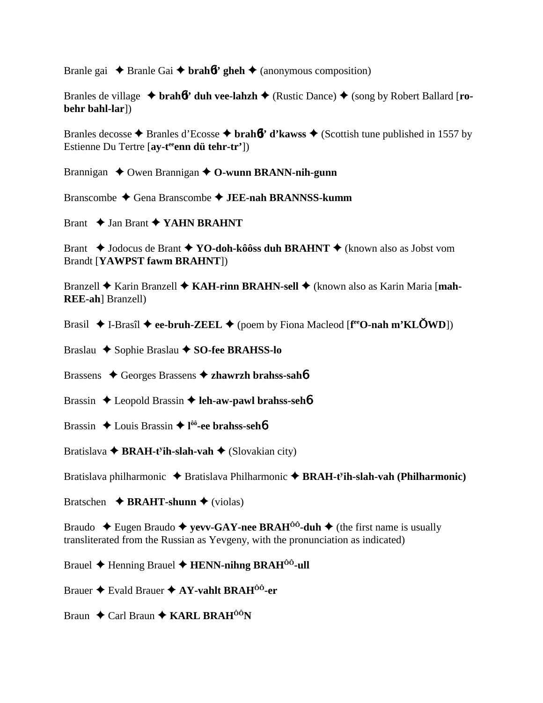Branle gai  $\triangle$  Branle Gai  $\triangle$  brah*b*l' gheh  $\triangle$  (anonymous composition)

Branles de village **↓ brah** $\frac{1}{2}$  **duh vee-lahzh ◆** (Rustic Dance) ◆ (song by Robert Ballard [**robehr bahl-lar**])

Branles decosse  $\triangle$  Branles d'Ecosse  $\triangle$  brah**6l'** d'kawss  $\triangle$  (Scottish tune published in 1557 by Estienne Du Tertre [ay-t<sup>ee</sup>enn dü tehr-tr'])

Brannigan **↓** Owen Brannigan **↓ O-wunn BRANN-nih-gunn** 

Branscombe Gena Branscombe **JEE-nah BRANNSS-kumm**

Brant  $\rightarrow$  Jan Brant  $\rightarrow$  YAHN BRAHNT

Brant ◆ Jodocus de Brant ◆ **YO-doh-kôôss duh BRAHNT** ◆ (known also as Jobst vom Brandt [**YAWPST fawm BRAHNT**])

Branzell ◆ Karin Branzell ◆ KAH-rinn BRAHN-sell ◆ (known also as Karin Maria [mah-**REE-ah**] Branzell)

Brasil ◆ I-Brasîl ◆ ee-bruh-ZEEL ◆ (poem by Fiona Macleod [f<sup>ee</sup>O-nah m'KL**OWD**])

Braslau ◆ Sophie Braslau **◆ SO-fee BRAHSS-lo** 

Brassens Georges Brassens **zhawrzh brahss-sah**6

Brassin **→** Leopold Brassin → leh-aw-pawl brahss-seh**6** 

- Brassin Louis Brassin **l ôô-ee brahss-seh**6
- Bratislava **← BRAH-t<sup>y</sup>ih-slah-vah ←** (Slovakian city)

Bratislava philharmonic ◆ Bratislava Philharmonic ◆ BRAH-t<sup>y</sup>ih-slah-vah (Philharmonic)

Bratschen  $\rightarrow$  **BRAHT-shunn**  $\rightarrow$  (violas)

Braudo  $\blacklozenge$  Eugen Braudo  $\blacklozenge$  **yevv-GAY-nee BRAH**<sup>00</sup>**-duh**  $\blacklozenge$  (the first name is usually transliterated from the Russian as Yevgeny, with the pronunciation as indicated)

Brauel **←** Henning Brauel ← **HENN-nihng BRAH<sup>ôô</sup>-ull** 

Brauer Evald Brauer **AY-vahlt BRAHÔÔ-er**

Braun **←** Carl Braun ← KARL BRAH<sup>ÔÔ</sup>N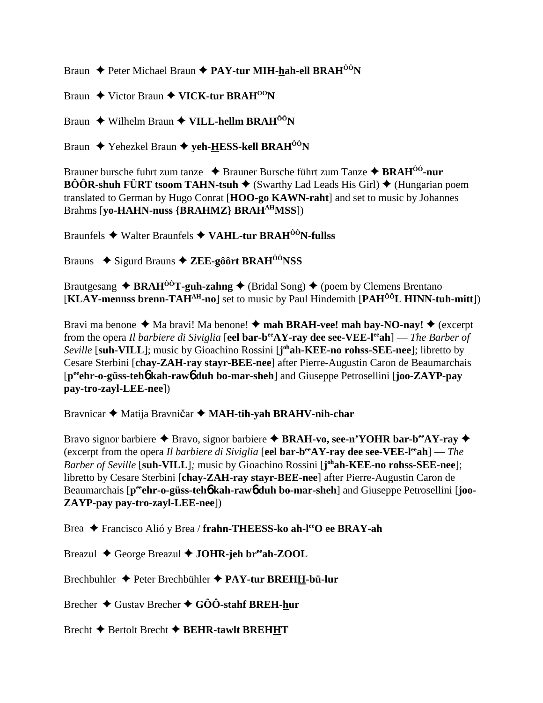Braun **←** Peter Michael Braun ← PAY-tur MIH-hah-ell BRAH<sup>ÔÔ</sup>N

Braun **→** Victor Braun ◆ VICK-tur BRAH<sup>00</sup>N

Braun ◆ Wilhelm Braun ◆ VILL-hellm BRAH<sup>ÔÔ</sup>N

Braun **↓** Yehezkel Braun **→ yeh-HESS-kell BRAH<sup>ôô</sup>N** 

Brauner bursche fuhrt zum tanze **↓** Brauner Bursche führt zum Tanze **✦ BRAH<sup>ôô</sup>-nur BÔÔR-shuh FÜRT tsoom TAHN-tsuh**  $\blacklozenge$  (Swarthy Lad Leads His Girl)  $\blacklozenge$  (Hungarian poem translated to German by Hugo Conrat [**HOO-go KAWN-raht**] and set to music by Johannes Brahms [**yo-HAHN-nuss {BRAHMZ} BRAHAHMSS**])

Braunfels Walter Braunfels **VAHL-tur BRAHÔÔN-fullss**

Brauns ◆ Sigurd Brauns **◆ ZEE-gôôrt BRAH<sup>ôô</sup>NSS** 

Brautgesang  $\triangle$  **BRAH<sup>ôô</sup>T-guh-zahng**  $\triangle$  (Bridal Song)  $\triangle$  (poem by Clemens Brentano [**KLAY-mennss brenn-TAHAH-no**] set to music by Paul Hindemith [**PAHÔÔL HINN-tuh-mitt**])

Bravi ma benone  $\triangleleft$  Ma bravi! Ma benone!  $\triangleleft$  mah BRAH-vee! mah bay-NO-nay!  $\triangleleft$  (excerpt from the opera *Il barbiere di Siviglia* [**eel bar-beeAY-ray dee see-VEE-leeah**] — *The Barber of Seville* [**suh-VILL**]; music by Gioachino Rossini [**j ohah-KEE-no rohss-SEE-nee**]; libretto by Cesare Sterbini [**chay-ZAH-ray stayr-BEE-nee**] after Pierre-Augustin Caron de Beaumarchais [**peeehr-o-güss-teh**6 **kah-raw**6 **duh bo-mar-sheh**] and Giuseppe Petrosellini [**joo-ZAYP-pay pay-tro-zayl-LEE-nee**])

Bravnicar  $\triangleq$  Matija Bravničar  $\triangleq$  MAH-tih-yah BRAHV-nih-char

Bravo signor barbiere **→** Bravo, signor barbiere → **BRAH-vo, see-n'YOHR bar-b<sup>ee</sup>AY-ray** → (excerpt from the opera *Il barbiere di Siviglia* [**eel bar-beeAY-ray dee see-VEE-leeah**] — *The Barber of Seville* [**suh-VILL**]*;* music by Gioachino Rossini [**j ohah-KEE-no rohss-SEE-nee**]; libretto by Cesare Sterbini [**chay-ZAH-ray stayr-BEE-nee**] after Pierre-Augustin Caron de Beaumarchais  $[p^{ee}$ **chr-o-güss-teh<sup>6</sup> kah-raw<sup>6</sup> duh bo-mar-sheh**] and Giuseppe Petrosellini [**joo-ZAYP-pay pay-tro-zayl-LEE-nee**])

Brea Francisco Alió y Brea / **frahn-THEESS-ko ah-leeO ee BRAY-ah**

Breazul George Breazul **JOHR-jeh breeah-ZOOL**

Brechbuhler Peter Brechbühler  **PAY-tur BREHH-bü-lur**

Brecher **→** Gustav Brecher **→ GÔÔ-stahf BREH-hur** 

Brecht  $\blacklozenge$  Bertolt Brecht  $\blacklozenge$  **BEHR-tawlt BREHHT**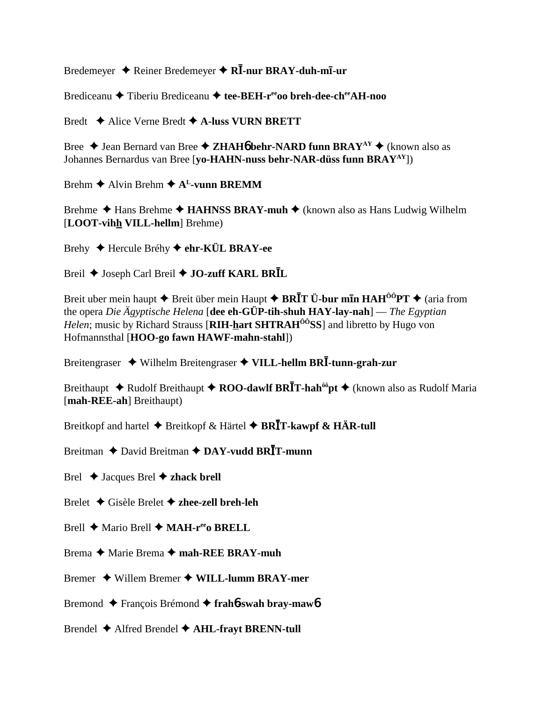Bredemeyer  $\triangle$  Reiner Bredemeyer  $\triangle$  R $\overline{I}$ -nur BRAY-duh-m $\overline{I}$ -ur

Brediceanu  $\triangle$  Tiberiu Brediceanu  $\triangle$  tee-BEH-r<sup>ee</sup> to breh-dee-ch<sup>ee</sup> AH-noo

Bredt  $\triangle$  Alice Verne Bredt  $\triangle$  A-luss VURN BRETT

Bree  $\triangle$  Jean Bernard van Bree  $\triangle$  ZHAH**<sup>6</sup>** behr-NARD funn BRAY<sup>AY</sup>  $\triangle$  (known also as Johannes Bernardus van Bree [vo-HAHN-nuss behr-NAR-düss funn BRAY<sup>AY</sup>])

Brehm  $\triangle$  Alvin Brehm  $\triangle$  A<sup>L</sup>-vunn BREMM

Brehme  $\triangle$  Hans Brehme  $\triangle$  HAHNSS BRAY-muh  $\triangle$  (known also as Hans Ludwig Wilhelm [LOOT-vihh VILL-hellm] Brehme)

Brehy  $\triangle$  Hercule Bréhy  $\triangle$  ehr-KÜL BRAY-ee

Breil ♦ Joseph Carl Breil ♦ JO-zuff KARL BRIL

Breit uber mein haupt  $\triangle$  Breit über mein Haupt  $\triangle$  BRIT Ü-bur min HAH<sup> $00$ o</sup>PT  $\triangle$  (aria from the opera Die Ägyptische Helena [dee eh-GÜP-tih-shuh  $HAY$ -lay-nah] — The Egyptian *Helen*; music by Richard Strauss [**RIH-hart SHTRAH<sup>00</sup>SS**] and libretto by Hugo von Hofmannsthal [HOO-go fawn HAWF-mahn-stahl])

Breitengraser  $\rightarrow$  Wilhelm Breitengraser  $\rightarrow$  VILL-hellm BRI-tunn-grah-zur

Breithaupt  $\triangle$  Rudolf Breithaupt  $\triangle$  ROO-dawlf BRIT-hah<sup> $\hat{\theta}$ opt  $\triangle$  (known also as Rudolf Maria</sup> [mah-REE-ah] Breithaupt)

Breitkopf and hartel  $\blacklozenge$  Breitkopf & Härtel  $\blacklozenge$  BRIT-kawpf & HÄR-tull

Breitman ◆ David Breitman ◆ DAY-vudd BRĪT-munn

Brel  $\blacklozenge$  Jacques Brel  $\blacklozenge$  zhack brell

Brelet  $\triangle$  Gisèle Brelet  $\triangle$  zhee-zell breh-leh

Brell  $\blacklozenge$  Mario Brell  $\blacklozenge$  MAH-r<sup>ee</sup>o BRELL

Brema  $\triangle$  Marie Brema  $\triangle$  mah-REE BRAY-muh

Bremer  $\triangle$  Willem Bremer  $\triangle$  WILL-lumm BRAY-mer

Bremond ◆ François Brémond ◆ frahó-swah bray-mawó

Brendel  $\triangle$  Alfred Brendel  $\triangle$  AHL-frayt BRENN-tull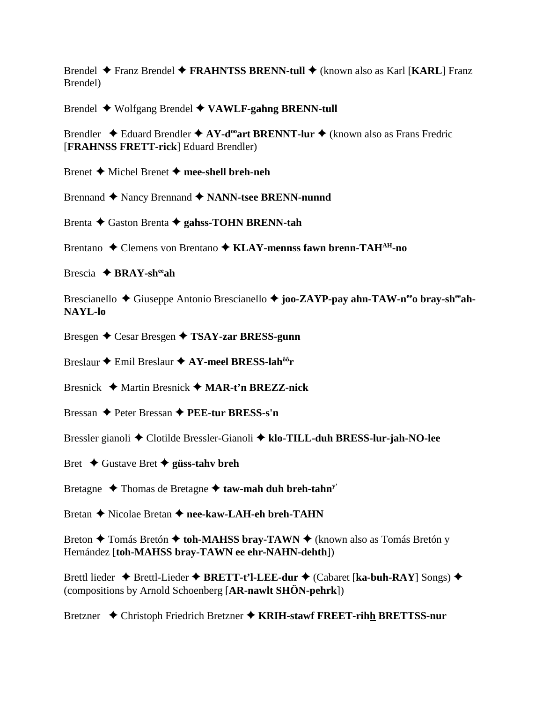Brendel Franz Brendel **FRAHNTSS BRENN-tull** (known also as Karl [**KARL**] Franz Brendel)

Brendel Wolfgang Brendel **VAWLF-gahng BRENN-tull**

Brendler  $\triangle$  Eduard Brendler  $\triangle$  AY-d<sup>oo</sup>art BRENNT-lur  $\triangle$  (known also as Frans Fredric [**FRAHNSS FRETT-rick**] Eduard Brendler)

Brenet Michel Brenet  **mee-shell breh-neh**

Brennand ◆ Nancy Brennand ◆ NANN-tsee BRENN-nunnd

Brenta Gaston Brenta **gahss-TOHN BRENN-tah**

Brentano ◆ Clemens von Brentano ◆ KLAY-mennss fawn brenn-TAH<sup>AH</sup>-no

Brescia **BRAY-sheeah**

Brescianello ◆ Giuseppe Antonio Brescianello ◆ joo-ZAYP-pay ahn-TAW-n<sup>ee</sup>o bray-sh<sup>ee</sup>ah-**NAYL-lo**

Bresgen Cesar Bresgen **TSAY-zar BRESS-gunn**

Breslaur **→** Emil Breslaur **→ AY-meel BRESS-lah<sup>ôô</sup>r** 

Bresnick Martin Bresnick **MAR-t'n BREZZ-nick**

Bressan Peter Bressan **PEE-tur BRESS-s'n**

Bressler gianoli Clotilde Bressler-Gianoli **klo-TILL-duh BRESS-lur-jah-NO-lee**

Bret Gustave Bret **güss-tahv breh**

Bretagne  $\triangle$  Thomas de Bretagne  $\triangle$  taw-mah duh breh-tahn<sup>y</sup>

Bretan **←** Nicolae Bretan ← nee-kaw-LAH-eh breh-TAHN

Breton **←** Tomás Bretón ← toh-MAHSS bray-TAWN ← (known also as Tomás Bretón y Hernández [**toh-MAHSS bray-TAWN ee ehr-NAHN-dehth**])

Brettl lieder ◆ Brettl-Lieder ◆ BRETT-t'l-LEE-dur ◆ (Cabaret [ka-buh-RAY] Songs) ◆ (compositions by Arnold Schoenberg [**AR-nawlt SHÖN-pehrk**])

Bretzner Christoph Friedrich Bretzner **KRIH-stawf FREET-rihh BRETTSS-nur**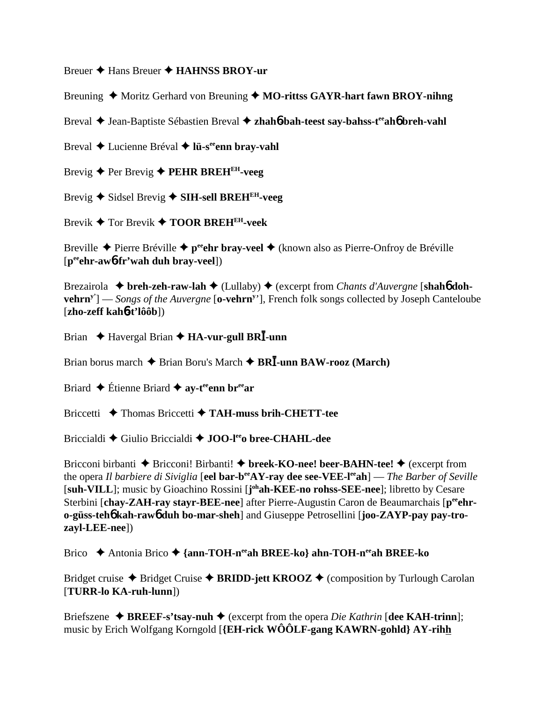Breuer Hans Breuer **HAHNSS BROY-ur**

Breuning ◆ Moritz Gerhard von Breuning ◆ MO-rittss GAYR-hart fawn BROY-nihng

Breval ♦ Jean-Baptiste Sébastien Breval ♦ zhah**6**-bah-teest say-bahss-t<sup>ee</sup>ah**6** breh-vahl

Breval **→** Lucienne Bréval → l**ü-s<sup>ee</sup>enn bray-vahl** 

Brevig Per Brevig **PEHR BREHEH-veeg**

Brevig Sidsel Brevig  **SIH-sell BREHEH-veeg**

Brevik **→** Tor Brevik **→ TOOR BREH<sup>EH</sup>-veek** 

Breville ◆ Pierre Bréville ◆ p<sup>ee</sup>ehr bray-veel ◆ (known also as Pierre-Onfroy de Bréville [**peeehr-aw**6**-fr'wah duh bray-veel**])

Brezairola **→ breh-zeh-raw-lah →** (Lullaby) ◆ (excerpt from *Chants d'Auvergne* [shah**6** doh**vehrn**<sup>y'</sup>] — *Songs of the Auvergne* [o-vehrn<sup>y'</sup>], French folk songs collected by Joseph Canteloube [**zho-zeff kah**6**-t'lôôb**])

Brian **↓** Havergal Brian **✦ HA-vur-gull BRI**-unn

Brian borus march  $\triangle$  Brian Boru's March  $\triangle$  BR**I**-unn BAW-rooz (March)

Briard **←** Étienne Briard **← ay-t<sup>ee</sup>enn br<sup>ee</sup>ar** 

Briccetti **→** Thomas Briccetti → TAH-muss brih-CHETT-tee

Briccialdi Giulio Briccialdi **JOO-leeo bree-CHAHL-dee**

Bricconi birbanti ◆ Bricconi! Birbanti! ◆ breek-KO-nee! beer-BAHN-tee! ◆ (excerpt from the opera *Il barbiere di Siviglia* [**eel bar-beeAY-ray dee see-VEE-leeah**] — *The Barber of Seville* [suh-VILL]; music by Gioachino Rossini [johah-KEE-no rohss-SEE-nee]; libretto by Cesare Sterbini [chay-ZAH-ray stayr-BEE-nee] after Pierre-Augustin Caron de Beaumarchais [peehr**o-güss-teh**6 **kah-raw**6 **duh bo-mar-sheh**] and Giuseppe Petrosellini [**joo-ZAYP-pay pay-trozayl-LEE-nee**])

Brico Antonia Brico **{ann-TOH-neeah BREE-ko} ahn-TOH-neeah BREE-ko**

Bridget cruise ◆ Bridget Cruise ◆ BRIDD-jett KROOZ ◆ (composition by Turlough Carolan [**TURR-lo KA-ruh-lunn**])

Briefszene  $\triangle$  **BREEF-s'tsay-nuh**  $\triangle$  (excerpt from the opera *Die Kathrin* [dee KAH-trinn]; music by Erich Wolfgang Korngold [**{EH-rick WÔÔLF-gang KAWRN-gohld} AY-rihh**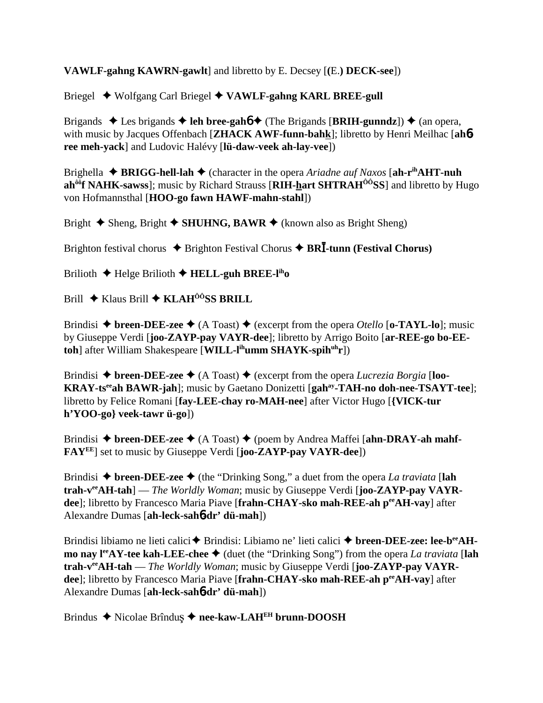# **VAWLF-gahng KAWRN-gawlt**] and libretto by E. Decsey [**(**E.**) DECK-see**])

Briegel Wolfgang Carl Briegel **VAWLF-gahng KARL BREE-gull**

Brigands ◆ Les brigands ◆ leh bree-gah6 ◆ (The Brigands [BRIH-gunndz]) ◆ (an opera, with music by Jacques Offenbach [**ZHACK AWF-funn-bahk**]; libretto by Henri Meilhac [**ah**6 **ree meh-yack**] and Ludovic Halévy [**lü-daw-veek ah-lay-vee**])

Brighella  $\triangle$  **BRIGG-hell-lah**  $\triangle$  (character in the opera *Ariadne auf Naxos* [ah-r<sup>ih</sup>**AHT-nuh ah<sup>ôô</sup>f NAHK-sawss**]; music by Richard Strauss [RIH-hart SHTRAH<sup>ÔÔ</sup>SS] and libretto by Hugo von Hofmannsthal [**HOO-go fawn HAWF-mahn-stahl**])

Bright  $\triangle$  Sheng, Bright  $\triangle$  **SHUHNG, BAWR**  $\triangle$  (known also as Bright Sheng)

Brighton festival chorus ◆ Brighton Festival Chorus ◆ BR**I**-tunn (Festival Chorus)

Brilioth  $\triangle$  Helge Brilioth  $\triangle$  **HELL-guh BREE-l<sup>ih</sup>o** 

Brill **→** Klaus Brill **→ KLAH<sup>ôÔ</sup>SS BRILL** 

Brindisi  $\triangle$  breen-DEE-zee  $\triangle$  (A Toast)  $\triangle$  (excerpt from the opera *Otello* [**o-TAYL-lo**]; music by Giuseppe Verdi [**joo-ZAYP-pay VAYR-dee**]; libretto by Arrigo Boito [**ar-REE-go bo-EEtoh**] after William Shakespeare [**WILL-lihumm SHAYK-spihuhr**])

Brindisi  $\triangle$  breen-DEE-zee  $\triangle$  (A Toast)  $\triangle$  (excerpt from the opera *Lucrezia Borgia* [loo-**KRAY-ts<sup>ee</sup>ah BAWR-jah**]; music by Gaetano Donizetti [gah<sup>ay</sup>-TAH-no doh-nee-TSAYT-tee]; libretto by Felice Romani [**fay-LEE-chay ro-MAH-nee**] after Victor Hugo [**{VICK-tur h'YOO-go} veek-tawr ü-go**])

Brindisi ◆ breen-DEE-zee ◆ (A Toast) ◆ (poem by Andrea Maffei [ahn-DRAY-ah mahf-**FAYEE**] set to music by Giuseppe Verdi [**joo-ZAYP-pay VAYR-dee**])

Brindisi  $\triangle$  breen-DEE-zee  $\triangle$  (the "Drinking Song," a duet from the opera *La traviata* [lah **trah-veeAH-tah**] — *The Worldly Woman*; music by Giuseppe Verdi [**joo-ZAYP-pay VAYRdee**]; libretto by Francesco Maria Piave [**frahn-CHAY-sko mah-REE-ah peeAH-vay**] after Alexandre Dumas [**ah-leck-sah**6**-dr' dü-mah**])

Brindisi libiamo ne lieti calici **↑** Brindisi: Libiamo ne' lieti calici **↑ breen-DEE-zee: lee-b<sup>ee</sup>AHmo nay l<sup>ee</sup>AY-tee kah-LEE-chee ♦** (duet (the "Drinking Song") from the opera *La traviata* [lah trah-v<sup>ee</sup>AH-tah — *The Worldly Woman*; music by Giuseppe Verdi [joo-ZAYP-pay VAYR**dee**]; libretto by Francesco Maria Piave [frahn-CHAY-sko mah-REE-ah peeAH-vay] after Alexandre Dumas [**ah-leck-sah**6**-dr' dü-mah**])

Brindus ◆ Nicolae Brîndus ◆ nee-kaw-LAH<sup>EH</sup> brunn-DOOSH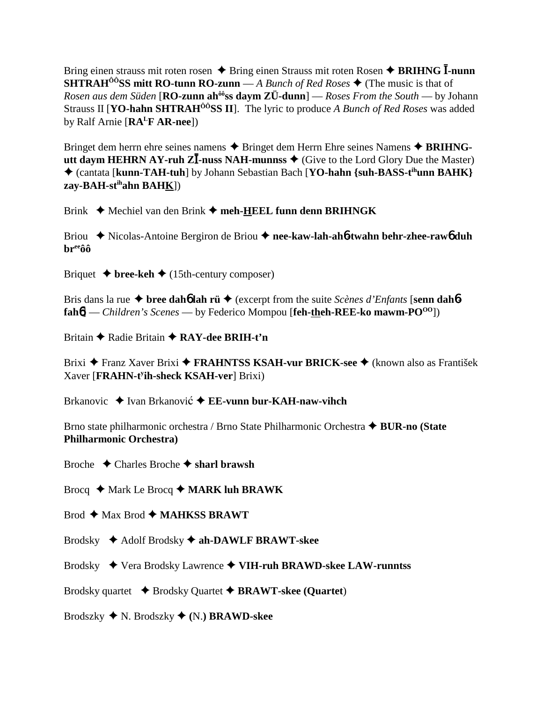Bring einen strauss mit roten rosen  $\triangle$  Bring einen Strauss mit roten Rosen  $\triangle$  BRIHNG I-nunn **SHTRAH<sup>00</sup>SS mitt RO-tunn RO-zunn** — A Bunch of Red Roses  $\blacklozenge$  (The music is that of Rosen aus dem Süden [RO-zunn ah<sup>ôô</sup>ss daym ZÜ-dunn] — Roses From the South — by Johann Strauss II [**YO-hahn SHTRAH<sup>ôô</sup>SS II**]. The lyric to produce A Bunch of Red Roses was added by Ralf Arnie  $[RA^LFAR-nee]$ 

Bringet dem herrn ehre seines namens  $\triangle$  Bringet dem Herrn Ehre seines Namens  $\triangle$  BRIHNGutt daym HEHRN AY-ruh Z $\overline{I}$ -nuss NAH-munnss  $\blacklozenge$  (Give to the Lord Glory Due the Master) ♦ (cantata [kunn-TAH-tuh] by Johann Sebastian Bach [YO-hahn {suh-BASS-t<sup>ih</sup>unn BAHK} zay-BAH-st<sup>ih</sup>ahn BAHK])

Brink  $\blacklozenge$  Mechiel van den Brink  $\blacklozenge$  meh-HEEL funn denn BRIHNGK

Briou → Nicolas-Antoine Bergiron de Briou → nee-kaw-lah-ah6-twahn behr-zhee-raw6 duh **br**ee<sub>ôô</sub>

Briquet  $\blacklozenge$  bree-keh  $\blacklozenge$  (15th-century composer)

Bris dans la rue  $\triangleq$  bree daho lah rü $\triangleq$  (excerpt from the suite *Scènes d'Enfants* [senn daho- $\text{fah6}$ ] — Children's Scenes — by Federico Mompou [feh-theh-REE-ko mawm-PO<sup>00</sup>])

Britain ◆ Radie Britain ◆ RAY-dee BRIH-t'n

Brixi ◆ Franz Xaver Brixi ◆ FRAHNTSS KSAH-vur BRICK-see ◆ (known also as František Xaver [FRAHN-t<sup>y</sup>ih-sheck KSAH-ver] Brixi)

Brkanovic  $\rightarrow$  Ivan Brkanović  $\rightarrow$  EE-vunn bur-KAH-naw-vihch

Brno state philharmonic orchestra / Brno State Philharmonic Orchestra  $\triangle$  BUR-no (State **Philharmonic Orchestra)** 

Broche  $\triangle$  Charles Broche  $\triangle$  sharl brawsh

Brocq  $\triangle$  Mark Le Brocq  $\triangle$  MARK luh BRAWK

 $\text{Brod} \triangleq \text{Max } \text{Brod} \triangleq \text{MAHKSS } \text{BRAWT}$ 

Brodsky  $\triangleleft$  Adolf Brodsky  $\triangleleft$  ah-DAWLF BRAWT-skee

Brodsky ◆ Vera Brodsky Lawrence ◆ VIH-ruh BRAWD-skee LAW-runntss

Brodsky quartet  $\rightarrow$  Brodsky Quartet  $\rightarrow$  BRAWT-skee (Quartet)

Brodszky  $\blacklozenge$  N. Brodszky  $\blacklozenge$  (N.) **BRAWD-skee**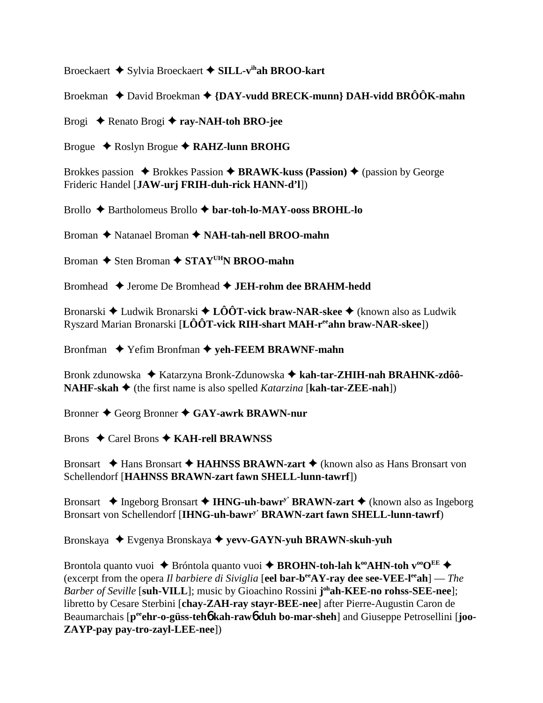Broeckaert **→** Sylvia Broeckaert → SILL-v<sup>ih</sup>ah BROO-kart

Broekman **→** David Broekman → {DAY-vudd BRECK-munn} DAH-vidd BRÔÔK-mahn

Brogi Renato Brogi **ray-NAH-toh BRO-jee**

Brogue Roslyn Brogue **RAHZ-lunn BROHG**

Brokkes passion **→** Brokkes Passion **→ BRAWK-kuss (Passion) →** (passion by George Frideric Handel [**JAW-urj FRIH-duh-rick HANN-d'l**])

Brollo Bartholomeus Brollo **bar-toh-lo-MAY-ooss BROHL-lo**

Broman **→** Natanael Broman → **NAH-tah-nell BROO-mahn** 

Broman **→** Sten Broman ◆ STAY<sup>UH</sup>N BROO-mahn

Bromhead Jerome De Bromhead **JEH-rohm dee BRAHM-hedd**

Bronarski Ludwik Bronarski **LÔÔT-vick braw-NAR-skee** (known also as Ludwik Ryszard Marian Bronarski [**LÔÔT-vick RIH-shart MAH-reeahn braw-NAR-skee**])

Bronfman ◆ Yefim Bronfman ◆ yeh-FEEM BRAWNF-mahn

Bronk zdunowska ◆ Katarzyna Bronk-Zdunowska ◆ kah-tar-ZHIH-nah BRAHNK-zdôô-**NAHF-skah ♦** (the first name is also spelled *Katarzina* [**kah-tar-ZEE-nah**])

Bronner Georg Bronner **GAY-awrk BRAWN-nur**

Brons **↓** Carel Brons **◆ KAH-rell BRAWNSS** 

Bronsart **→** Hans Bronsart → **HAHNSS BRAWN-zart** → (known also as Hans Bronsart von Schellendorf [**HAHNSS BRAWN-zart fawn SHELL-lunn-tawrf**])

Bronsart  $\triangle$  Ingeborg Bronsart  $\triangle$  **IHNG-uh-bawr<sup>y</sup> BRAWN-zart**  $\triangle$  (known also as Ingeborg Bronsart von Schellendorf [**IHNG-uh-bawry' BRAWN-zart fawn SHELL-lunn-tawrf**)

Bronskaya Evgenya Bronskaya **yevv-GAYN-yuh BRAWN-skuh-yuh**

Brontola quanto vuoi  $\triangle$  Bróntola quanto vuoi  $\triangle$  **BROHN-toh-lah k<sup>oo</sup>AHN-toh v<sup>oo</sup>O<sup>EE</sup>** (excerpt from the opera *Il barbiere di Siviglia* [**eel bar-beeAY-ray dee see-VEE-leeah**] — *The Barber of Seville* [**suh-VILL**]; music by Gioachino Rossini **j ohah-KEE-no rohss-SEE-nee**]; libretto by Cesare Sterbini [**chay-ZAH-ray stayr-BEE-nee**] after Pierre-Augustin Caron de Beaumarchais [p<sup>ee</sup>ehr-o-güss-teh**6** kah-raw**6** duh bo-mar-sheh] and Giuseppe Petrosellini [joo-**ZAYP-pay pay-tro-zayl-LEE-nee**])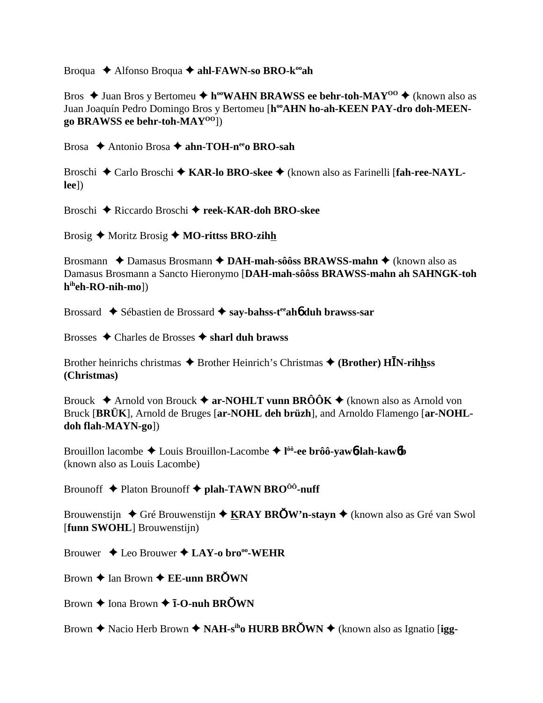Broqua  $\triangle$  Alfonso Broqua  $\triangle$  ahl-FAWN-so BRO-k<sup>oo</sup>ah

Bros  $\triangle$  Juan Bros y Bertomeu  $\triangle$  h<sup>oo</sup>WAHN BRAWSS ee behr-toh-MAY<sup>00</sup>  $\triangle$  (known also as Juan Joaquín Pedro Domingo Bros y Bertomeu [h<sup>oo</sup>AHN ho-ah-KEEN PAY-dro doh-MEENgo BRAWSS ee behr-toh- $MAY^{00}]$ 

Brosa ◆ Antonio Brosa ◆ ahn-TOH-n<sup>ee</sup>o BRO-sah

Broschi ◆ Carlo Broschi ◆ KAR-lo BRO-skee ◆ (known also as Farinelli [fah-ree-NAYL- $[ee]$ 

Broschi ◆ Riccardo Broschi ◆ reek-KAR-doh BRO-skee

Brosig  $\triangle$  Moritz Brosig  $\triangle$  MO-rittss BRO-zihh

Brosmann  $\triangle$  Damasus Brosmann  $\triangle$  DAH-mah-sôôss BRAWSS-mahn  $\triangle$  (known also as Damasus Brosmann a Sancto Hieronymo [DAH-mah-sôôss BRAWSS-mahn ah SAHNGK-toh h<sup>ih</sup>eh-RO-nih-mo])

Brossard  $\triangle$  Sébastien de Brossard  $\triangle$  say-bahss-t<sup>ee</sup> aho duh brawss-sar

Brosses  $\triangle$  Charles de Brosses  $\triangle$  sharl duh brawss

Brother heinrichs christmas  $\triangle$  Brother Heinrich's Christmas  $\triangle$  (Brother) HIN-rihhss (Christmas)

Brouck  $\triangle$  Arnold von Brouck  $\triangle$  ar-NOHLT vunn BRÔÔK  $\triangle$  (known also as Arnold von Bruck [BRÜK], Arnold de Bruges [ar-NOHL deh brüzh], and Arnoldo Flamengo [ar-NOHLdoh flah-MAYN-gol)

Brouillon lacombe  $\triangle$  Louis Brouillon-Lacombe  $\triangle$  l<sup> $\hat{0}$ </sup> ee brôô-yaw**<sup>6</sup>-lah-kaw<sup>6</sup>b** (known also as Louis Lacombe)

Brounoff  $\triangle$  Platon Brounoff  $\triangle$  plah-TAWN BRO<sup>ôô</sup>-nuff

Brouwenstijn  $\triangle$  Gré Brouwenstijn  $\triangle$  KRAY BROW'n-stayn  $\triangle$  (known also as Gré van Swol [funn SWOHL] Brouwenstijn)

Brouwer  $\triangle$  Leo Brouwer  $\triangle$  LAY-o bro<sup>oo</sup>-WEHR

Brown  $\triangle$  Ian Brown  $\triangle$  EE-unn BROWN

Brown  $\triangle$  Iona Brown  $\triangle$  **I-O-nuh BROWN** 

Brown  $\triangle$  Nacio Herb Brown  $\triangle$  NAH-s<sup>ih</sup>o HURB BROWN  $\triangle$  (known also as Ignatio [igg-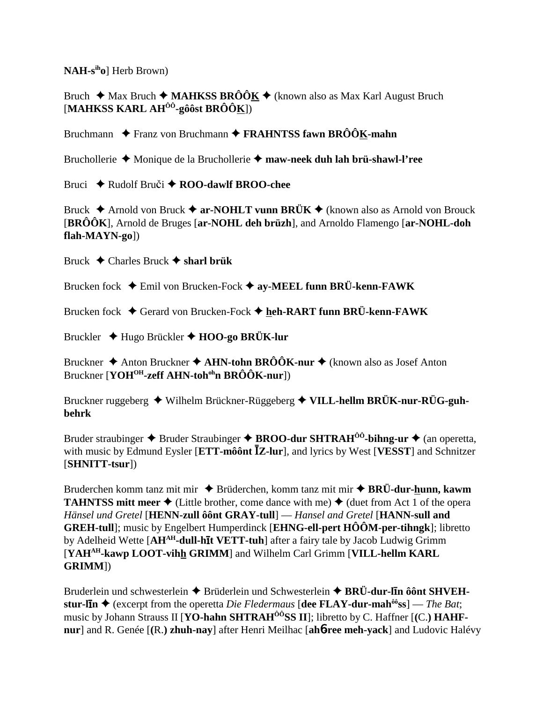$NAH-s<sup>ih</sup>ol$  Herb Brown)

Bruch  $\triangleq$  Max Bruch  $\triangleq$  **MAHKSS BRÔÔK**  $\triangleq$  (known also as Max Karl August Bruch [MAHKSS KARL AH $^{00}$ -gôôst BRÔÔK])

Bruchmann  $\triangle$  Franz von Bruchmann  $\triangle$  FRAHNTSS fawn BRÔÔK-mahn

Bruchollerie  $\triangle$  Monique de la Bruchollerie  $\triangle$  maw-neek duh lah brü-shawl-l'ree

Bruci  $\triangle$  Rudolf Bruči  $\triangle$  ROO-dawlf BROO-chee

Bruck  $\triangle$  Arnold von Bruck  $\triangle$  ar-NOHLT vunn BRÜK  $\triangle$  (known also as Arnold von Brouck  $[BR\hat{O}\hat{O}K]$ , Arnold de Bruges  $[ar-NOHL]$  deh brüzh], and Arnoldo Flamengo  $[ar-NOHL]$ -doh flah-MAYN-gol)

Bruck  $\triangle$  Charles Bruck  $\triangle$  sharl briik

Brucken fock  $\blacklozenge$  Emil von Brucken-Fock  $\blacklozenge$  ay-MEEL funn BRÜ-kenn-FAWK

Brucken fock  $\triangle$  Gerard von Brucken-Fock  $\triangle$  heh-RART funn BRÜ-kenn-FAWK

Bruckler  $\triangleq$  Hugo Brückler  $\triangleq$  HOO-go BRÜK-lur

Bruckner  $\triangle$  Anton Bruckner  $\triangle$  AHN-tohn BRÔÔK-nur  $\triangle$  (known also as Josef Anton Bruckner [YOH<sup>OH</sup>-zeff AHN-toh<sup>oh</sup>n BRÔÔK-nur])

Bruckner ruggeberg ◆ Wilhelm Brückner-Rüggeberg ◆ VILL-hellm BRÜK-nur-RÜG-guh**behrk** 

Bruder straubinger  $\triangle$  Bruder Straubinger  $\triangle$  BROO-dur SHTRAH<sup> $\hat{0}$ 0-bihng-ur  $\triangle$  (an operetta,</sup> with music by Edmund Eysler [ETT-môônt  $\bar{Z}$ -lur], and lyrics by West [VESST] and Schnitzer  $[SHNITT-tsur]$ 

Bruderchen komm tanz mit mir  $\triangle$  Brüderchen, komm tanz mit mir  $\triangle$  BRÜ-dur-hunn, kawm **TAHNTSS mitt meer**  $\triangle$  (Little brother, come dance with me)  $\triangle$  (duet from Act 1 of the opera Hänsel und Gretel [HENN-zull ôônt GRAY-tull] - Hansel and Gretel [HANN-sull and **GREH-tull**; music by Engelbert Humperdinck [**EHNG-ell-pert**  $H\hat{O}\hat{O}M$ **-per-tihngk**]; libretto by Adelheid Wette [AH<sup>AH</sup>-dull-hit VETT-tuh] after a fairy tale by Jacob Ludwig Grimm [YAH<sup>AH</sup>-kawp LOOT-vihh GRIMM] and Wilhelm Carl Grimm [VILL-hellm KARL] GRIMM])

Bruderlein und schwesterlein  $\triangle$  Brüderlein und Schwesterlein  $\triangle$  BRÜ-dur-lin ô ont SHVEHstur-lin  $\triangle$  (excerpt from the operetta *Die Fledermaus* [dee FLAY-dur-mah<sup> $\hat{\omega}$ ss] — *The Bat*;</sup> music by Johann Strauss II [YO-hahn SHTRAH<sup>00</sup>SS II]; libretto by C. Haffner [(C.) HAHFnur] and R. Genée [(R.) zhuh-nay] after Henri Meilhac [ah6-ree meh-vack] and Ludovic Halévy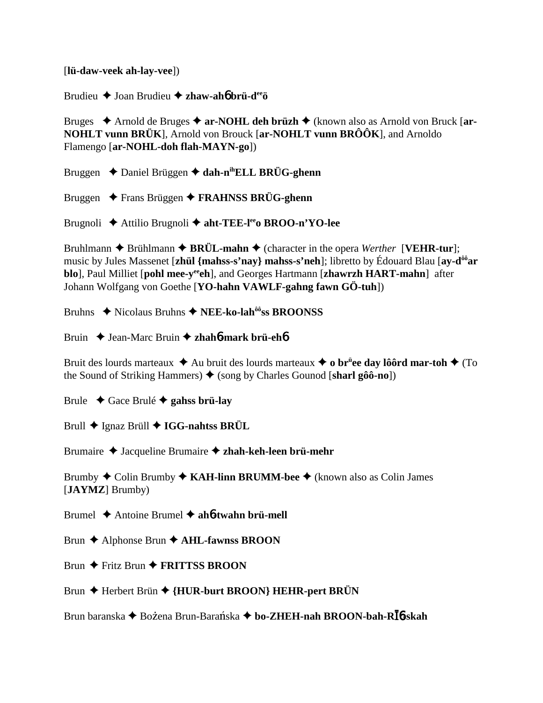[**lü-daw-veek ah-lay-vee**])

Brudieu Joan Brudieu **zhaw-ah**6 **brü-deeö**

Bruges ◆ Arnold de Bruges ◆ ar-NOHL deh brüzh ◆ (known also as Arnold von Bruck [ar-**NOHLT vunn BRÜK**], Arnold von Brouck [**ar-NOHLT vunn BRÔÔK**], and Arnoldo Flamengo [**ar-NOHL-doh flah-MAYN-go**])

Bruggen **→** Daniel Brüggen → dah-n<sup>ih</sup>ELL BRÜG-ghenn

Bruggen Frans Brüggen **FRAHNSS BRÜG-ghenn**

Brugnoli Attilio Brugnoli **aht-TEE-leeo BROO-n'YO-lee**

Bruhlmann  $\triangle$  Brühlmann  $\triangle$  BRÜL-mahn  $\triangle$  (character in the opera *Werther* [**VEHR-tur**]; music by Jules Massenet [**zhül {mahss-s'nay} mahss-s'neh**]; libretto by Édouard Blau [**ay-dôôar blo**], Paul Milliet [**pohl mee-y<sup>ee</sup>ch**], and Georges Hartmann [**zhawrzh HART-mahn**] after Johann Wolfgang von Goethe [**YO-hahn VAWLF-gahng fawn GÖ-tuh**])

Bruhns **→** Nicolaus Bruhns → NEE-ko-lah<sup>ôô</sup>ss BROONSS

Bruin Jean-Marc Bruin **zhah**6**-mark brü-eh**6

Bruit des lourds marteaux  $\triangleq$  Au bruit des lourds marteaux  $\triangleq$  o br<sup>ü</sup>ee day lôôrd mar-toh  $\triangleq$  (To the Sound of Striking Hammers) **→** (song by Charles Gounod [**sharl gôô-no**])

Brule Gace Brulé **gahss brü-lay**

Brull ◆ Ignaz Brüll **◆ IGG-nahtss BRÜL** 

Brumaire Jacqueline Brumaire **zhah-keh-leen brü-mehr**

Brumby ◆ Colin Brumby ◆ **KAH-linn BRUMM-bee** ◆ (known also as Colin James [**JAYMZ**] Brumby)

Brumel Antoine Brumel **ah**6**-twahn brü-mell**

Brun **←** Alphonse Brun ← AHL-fawnss BROON

Brun **←** Fritz Brun **← FRITTSS BROON** 

Brun ◆ Herbert Brün ◆ {HUR-burt BROON} HEHR-pert BRÜN

Brun baranska ◆ Bożena Brun-Barańska ◆ bo-ZHEH-nah BROON-bah-R**Ī**6-skah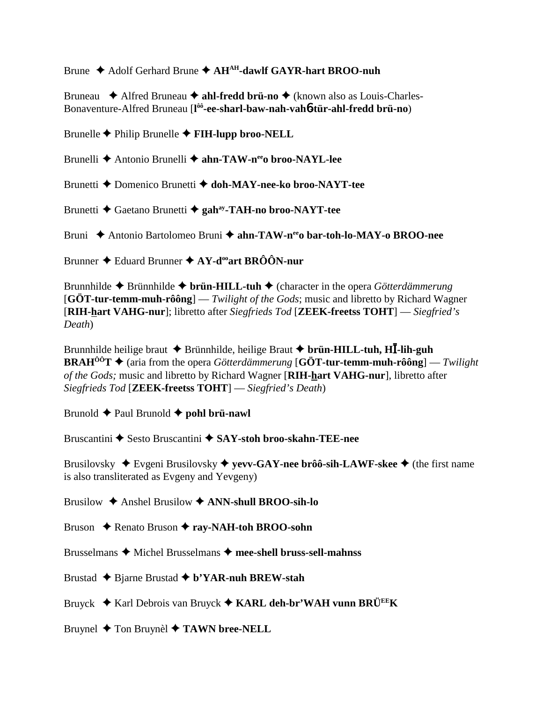Brune ◆ Adolf Gerhard Brune ◆ AH<sup>AH</sup>-dawlf GAYR-hart BROO-nuh

Bruneau **→** Alfred Bruneau → **ahl-fredd brü-no** → (known also as Louis-Charles-Bonaventure-Alfred Bruneau [**l ôô-ee-sharl-baw-nah-vah**6**-tür-ahl-fredd brü-no**)

Brunelle Philip Brunelle **FIH-lupp broo-NELL**

Brunelli **→** Antonio Brunelli → ahn-TAW-n<sup>ee</sup>o broo-NAYL-lee

Brunetti Domenico Brunetti **doh-MAY-nee-ko broo-NAYT-tee**

Brunetti Gaetano Brunetti **gahay-TAH-no broo-NAYT-tee**

Bruni Antonio Bartolomeo Bruni **ahn-TAW-neeo bar-toh-lo-MAY-o BROO-nee**

Brunner ◆ Eduard Brunner ◆ AY-d<sup>oo</sup>art BRÔÔN-nur

Brunnhilde Brünnhilde **brün-HILL-tuh** (character in the opera *Götterdämmerung* [**GÖT-tur-temm-muh-rôông**] — *Twilight of the Gods*; music and libretto by Richard Wagner [**RIH-hart VAHG-nur**]; libretto after *Siegfrieds Tod* [**ZEEK-freetss TOHT**] — *Siegfried's Death*)

Brunnhilde heilige braut  $\triangle$  Brünnhilde, heilige Braut  $\triangle$  brün-HILL-tuh, H**I**-lih-guh **BRAH<sup>ôô</sup>T**  $\triangleq$  (aria from the opera *Götterdämmerung* [**GÖT-tur-temm-muh-rôông**] — *Twilight of the Gods;* music and libretto by Richard Wagner [**RIH-hart VAHG-nur**], libretto after *Siegfrieds Tod* [**ZEEK-freetss TOHT**] — *Siegfried's Death*)

Brunold **←** Paul Brunold ← **pohl brü-nawl** 

Bruscantini **◆** Sesto Bruscantini ◆ SAY-stoh broo-skahn-TEE-nee

Brusilovsky ◆ Evgeni Brusilovsky ◆ yevv-GAY-nee brôô-sih-LAWF-skee ◆ (the first name is also transliterated as Evgeny and Yevgeny)

Brusilow Anshel Brusilow **ANN-shull BROO-sih-lo**

Bruson **← Renato Bruson ← ray-NAH-toh BROO-sohn** 

Brusselmans Michel Brusselmans **mee-shell bruss-sell-mahnss**

Brustad Bjarne Brustad **b'YAR-nuh BREW-stah**

Bruyck Karl Debrois van Bruyck **KARL deh-br'WAH vunn BRÜEEK**

Bruynel **→** Ton Bruynèl **→ TAWN bree-NELL**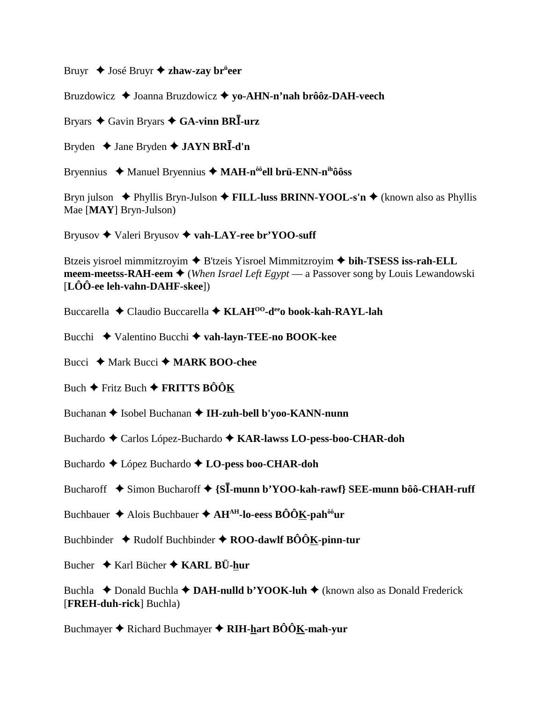Bruyr ◆ José Bruyr ◆ **zhaw-zay br<sup>ü</sup>eer** 

Bruzdowicz **→** Joanna Bruzdowicz → **vo-AHN-n'nah brôôz-DAH-veech** 

Bryars Gavin Bryars **GA-vinn BR-urz**

Bryden  $\triangle$  Jane Bryden  $\triangle$  **JAYN BRI**-d'n

Bryennius Manuel Bryennius **MAH-nôôell brü-ENN-nihôôss**

Bryn julson **→** Phyllis Bryn-Julson **→ FILL-luss BRINN-YOOL-s'n →** (known also as Phyllis Mae [**MAY**] Bryn-Julson)

Bryusov **→** Valeri Bryusov ◆ vah-LAY-ree br'YOO-suff

Btzeis yisroel mimmitzroyim  $\triangle$  B'tzeis Yisroel Mimmitzroyim  $\triangle$  bih-TSESS iss-rah-ELL **meem-meetss-RAH-eem**  $\blacklozenge$  (*When Israel Left Egypt* — a Passover song by Louis Lewandowski [**LÔÔ-ee leh-vahn-DAHF-skee**])

Buccarella Claudio Buccarella **KLAHOO-deeo book-kah-RAYL-lah**

Bucchi Valentino Bucchi **vah-layn-TEE-no BOOK-kee**

Bucci **→** Mark Bucci → **MARK BOO-chee** 

Buch  $\div$  Fritz Buch  $\div$  **FRITTS BÔÔK** 

Buchanan **→** Isobel Buchanan → **IH-zuh-bell b'yoo-KANN-nunn** 

Buchardo Carlos López-Buchardo **KAR-lawss LO-pess-boo-CHAR-doh**

Buchardo López Buchardo **LO-pess boo-CHAR-doh**

Bucharoff **→** Simon Bucharoff → {S**I-munn b'YOO-kah-rawf**} SEE-munn bôô-CHAH-ruff

Buchbauer Alois Buchbauer **AHAH-lo-eess BÔÔK-pahôôur**

Buchbinder  $\triangle$  Rudolf Buchbinder  $\triangle$  ROO-dawlf BÔÔK-pinn-tur

Bucher Karl Bücher **KARL BÜ-hur**

Buchla  $\triangle$  Donald Buchla  $\triangle$  **DAH-nulld b'YOOK-luh**  $\triangle$  (known also as Donald Frederick [**FREH-duh-rick**] Buchla)

Buchmayer **→** Richard Buchmayer ◆ RIH-hart BÔÔK-mah-yur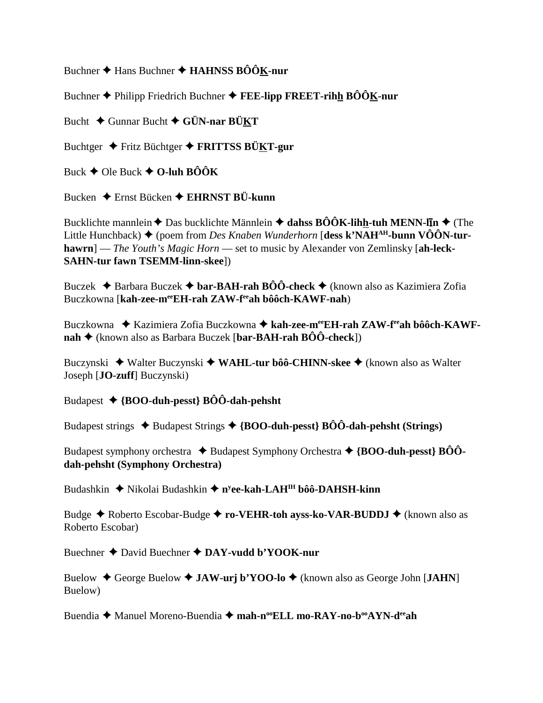Buchner **↑** Hans Buchner **↑ HAHNSS BÔÔK-nur** 

Buchner Philipp Friedrich Buchner **FEE-lipp FREET-rihh BÔÔK-nur**

Bucht Gunnar Bucht **GÜN-nar BÜKT**

Buchtger Fritz Büchtger **FRITTSS BÜKT-gur**

Buck  $\blacklozenge$  Ole Buck  $\blacklozenge$  O-luh BÔÔK

Bucken Ernst Bücken **EHRNST BÜ-kunn**

Bucklichte mannlein ◆ Das bucklichte Männlein ◆ dahss BÔÔK-lih<u>h</u>-tuh MENN-līn ◆ (The Little Hunchback) ♦ (poem from *Des Knaben Wunderhorn* [**dess k'NAH<sup>AH</sup>-bunn VÔÔN-turhawrn**] — *The Youth's Magic Horn* — set to music by Alexander von Zemlinsky [**ah-leck-SAHN-tur fawn TSEMM-linn-skee**])

Buczek Barbara Buczek **bar-BAH-rah BÔÔ-check** (known also as Kazimiera Zofia Buczkowna [**kah-zee-meeEH-rah ZAW-feeah bôôch-KAWF-nah**)

Buczkowna ◆ Kazimiera Zofia Buczkowna ◆ kah-zee-m<sup>ee</sup>EH-rah ZAW-f<sup>ee</sup>ah bôôch-KAWF**nah** (known also as Barbara Buczek [**bar-BAH-rah BÔÔ-check**])

Buczynski ◆ Walter Buczynski ◆ WA**HL-tur bôô-CHINN-skee** ◆ (known also as Walter Joseph [**JO-zuff**] Buczynski)

Budapest **{BOO-duh-pesst} BÔÔ-dah-pehsht**

Budapest strings  $\triangle$  Budapest Strings  $\triangle$  {BOO-duh-pesst} BÔÔ-dah-pehsht (Strings)

Budapest symphony orchestra **↓** Budapest Symphony Orchestra **→ {BOO-duh-pesst} BÔÔdah-pehsht (Symphony Orchestra)**

Budashkin ◆ Nikolai Budashkin ◆ n<sup>y</sup>ee-kah-LAH<sup>IH</sup> bôô-DAHSH-kinn

Budge **→** Roberto Escobar-Budge **→ ro-VEHR-toh ayss-ko-VAR-BUDDJ →** (known also as Roberto Escobar)

Buechner David Buechner **DAY-vudd b'YOOK-nur**

Buelow ◆ George Buelow ◆ **JAW-urj b'YOO-lo** ◆ (known also as George John [**JAHN**] Buelow)

Buendia ◆ Manuel Moreno-Buendia ◆ mah-n<sup>oo</sup>ELL mo-RAY-no-b<sup>oo</sup>AYN-d<sup>ee</sup>ah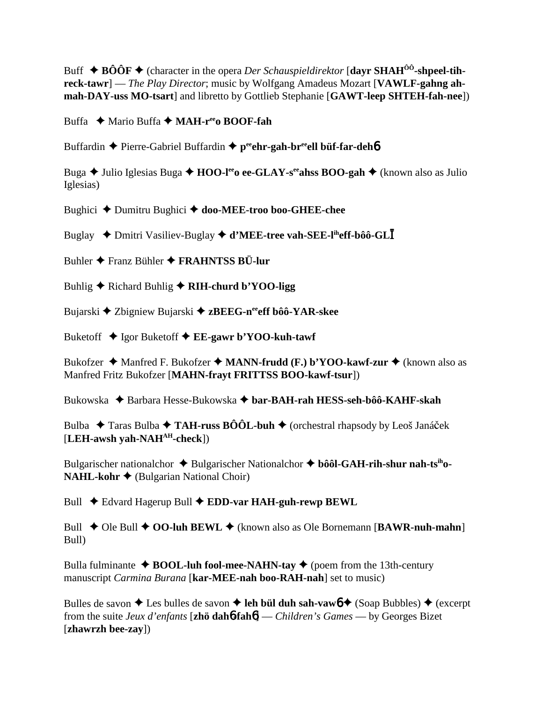Buff  $\triangle$  **BÔÔF**  $\triangle$  (character in the opera *Der Schauspieldirektor* [dayr SHAH<sup>ÔÔ</sup>-shpeel-tih**reck-tawr**] — *The Play Director*; music by Wolfgang Amadeus Mozart [**VAWLF-gahng ahmah-DAY-uss MO-tsart**] and libretto by Gottlieb Stephanie [**GAWT-leep SHTEH-fah-nee**])

Buffa **→** Mario Buffa ◆ **MAH-r<sup>ee</sup>o BOOF-fah** 

Buffardin **←** Pierre-Gabriel Buffardin ← peehr-gah-breell büf-far-deh6

Buga **→** Julio Iglesias Buga → **HOO-l<sup>ee</sup>o ee-GLAY-s<sup>ee</sup>ahss BOO-gah** → (known also as Julio Iglesias)

Bughici Dumitru Bughici **doo-MEE-troo boo-GHEE-chee**

Buglay ◆ Dmitri Vasiliev-Buglay ◆ **d'MEE-tree vah-SEE-l<sup>ih</sup>eff-bôô-GL** 

Buhler Franz Bühler **FRAHNTSS BÜ-lur**

Buhlig **→** Richard Buhlig **→ RIH-churd b'YOO-ligg** 

Bujarski **→** Zbigniew Bujarski → zBEEG-n<sup>ee</sup>eff bôô-YAR-skee

Buketoff Igor Buketoff **EE-gawr b'YOO-kuh-tawf**

Bukofzer  $\triangleq$  Manfred F. Bukofzer  $\triangleq$  **MANN-frudd (F.) b'YOO-kawf-zur**  $\triangleq$  (known also as Manfred Fritz Bukofzer [**MAHN-frayt FRITTSS BOO-kawf-tsur**])

Bukowska ◆ Barbara Hesse-Bukowska ◆ bar-BAH-rah HESS-seh-bôô-KAHF-skah

Bulba  $\rightarrow$  Taras Bulba  $\rightarrow$  TAH-russ BÔÔL-buh  $\rightarrow$  (orchestral rhapsody by Leoš Janáček [**LEH-awsh yah-NAHAH-check**])

Bulgarischer nationalchor ◆ Bulgarischer Nationalchor ◆ bôôl-GAH-rih-shur nah-ts<sup>ih</sup>o-**NAHL-kohr ♦** (Bulgarian National Choir)

Bull **←** Edvard Hagerup Bull ← **EDD-var HAH-guh-rewp BEWL** 

Bull ◆ Ole Bull ◆ OO-luh BEWL ◆ (known also as Ole Bornemann [BAWR-nuh-mahn] Bull)

Bulla fulminante  $\triangle$  **BOOL-luh fool-mee-NAHN-tay**  $\triangle$  (poem from the 13th-century manuscript *Carmina Burana* [**kar-MEE-nah boo-RAH-nah**] set to music)

Bulles de savon  $\triangle$  Les bulles de savon  $\triangle$  leh bül duh sah-vaw $6 \triangle$  (Soap Bubbles)  $\triangle$  (excerpt from the suite *Jeux d'enfants* [**zhö dah**6**-fah**6] — *Children's Games* — by Georges Bizet [**zhawrzh bee-zay**])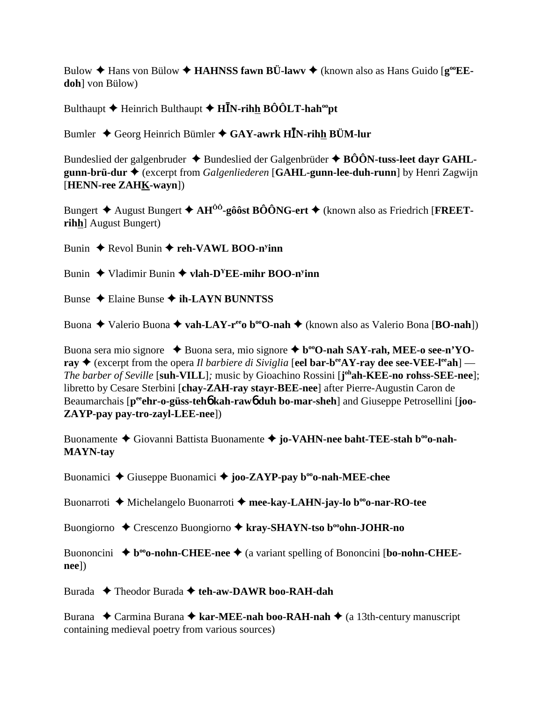Bulow  $\triangle$  Hans von Bülow  $\triangle$  **HAHNSS fawn BÜ-lawv**  $\triangle$  (known also as Hans Guido [ $g^{\omega}$ **EEdoh**] von Bülow)

Bulthaupt  $\blacklozenge$  Heinrich Bulthaupt  $\blacklozenge$  H**I**N-rihh BOOLT-hah<sup>oo</sup>pt

Bumler ◆ Georg Heinrich Bümler ◆ GAY-awrk H**I**N-rihh BÜM-lur

Bundeslied der galgenbruder  $\triangle$  Bundeslied der Galgenbrüder  $\triangle$  BÔÔN-tuss-leet dayr GAHL**gunn-brü-dur**  (excerpt from *Galgenliederen* [**GAHL-gunn-lee-duh-runn**] by Henri Zagwijn [**HENN-ree ZAHK-wayn**])

Bungert  $\triangle$  August Bungert  $\triangle$  AH<sup> $\hat{O}$ </sup>-gôôst BÔÔNG-ert  $\triangle$  (known also as Friedrich [FREET**rihh**] August Bungert)

Bunin ♦ Revol Bunin ♦ reh-VAWL BOO-n<sup>y</sup>inn

Bunin Vladimir Bunin **vlah-DYEE-mihr BOO-ny inn**

Bunse Elaine Bunse **ih-LAYN BUNNTSS**

Buona ◆ Valerio Buona ◆ **vah-LAY-r<sup>ee</sup>o b<sup>oo</sup>O-nah** ◆ (known also as Valerio Bona [**BO-nah**])

Buona sera mio signore **→** Buona sera, mio signore ◆ b<sup>oo</sup>O-nah SAY-rah, MEE-o see-n'YO**ray**  $\blacklozenge$  (excerpt from the opera *Il barbiere di Siviglia* [eel bar-b<sup>ee</sup>AY-ray dee see-VEE-l<sup>ee</sup>ah] — *The barber of Seville* [**suh-VILL**]*;* music by Gioachino Rossini [**j ohah-KEE-no rohss-SEE-nee**]; libretto by Cesare Sterbini [**chay-ZAH-ray stayr-BEE-nee**] after Pierre-Augustin Caron de Beaumarchais [p<sup>ee</sup>ehr-o-güss-teh**6** kah-raw**6** duh bo-mar-sheh] and Giuseppe Petrosellini [joo-**ZAYP-pay pay-tro-zayl-LEE-nee**])

Buonamente ◆ Giovanni Battista Buonamente ◆ jo-VAHN-nee baht-TEE-stah b<sup>oo</sup>o-nah-**MAYN-tay**

Buonamici **→** Giuseppe Buonamici → **joo-ZAYP-pay b<sup>oo</sup>o-nah-MEE-chee** 

Buonarroti **→** Michelangelo Buonarroti → mee-kay-LAHN-jay-lo b<sup>oo</sup>o-nar-RO-tee

Buongiorno ◆ Crescenzo Buongiorno ◆ kray-SHAYN-tso b<sup>oo</sup>ohn-JOHR-no

Buononcini  $\triangle$  **b**<sup>oo</sup>**o-nohn-CHEE-nee**  $\triangle$  (a variant spelling of Bononcini [**bo-nohn-CHEEnee**])

Burada **→** Theodor Burada → teh-aw-DAWR boo-RAH-dah

Burana ◆ Carmina Burana ◆ kar-MEE-nah boo-RAH-nah ◆ (a 13th-century manuscript containing medieval poetry from various sources)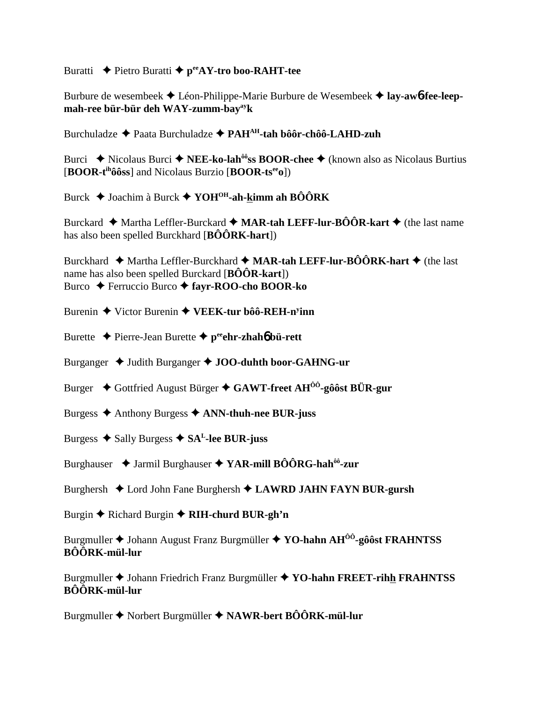### Buratti **←** Pietro Buratti ← p<sup>ee</sup>AY-tro boo-RAHT-tee

Burbure de wesembeek  $\triangle$  Léon-Philippe-Marie Burbure de Wesembeek  $\triangle$  **lay-aw6-fee-leepmah-ree bür-bür deh WAY-zumm-bayayk**

Burchuladze Paata Burchuladze **PAHAH-tah bôôr-chôô-LAHD-zuh**

Burci **◆** Nicolaus Burci ◆ **NEE-ko-lah<sup>ôô</sup>ss BOOR-chee** ◆ (known also as Nicolaus Burtius [**BOOR-tihôôss**] and Nicolaus Burzio [**BOOR-tseeo**])

Burck Joachim à Burck **YOHOH-ah-kimm ah BÔÔRK**

Burckard  $\blacklozenge$  Martha Leffler-Burckard  $\blacklozenge$  **MAR-tah LEFF-lur-BÔÔR-kart**  $\blacklozenge$  (the last name has also been spelled Burckhard [**BÔÔRK-hart**])

Burckhard  $\blacklozenge$  Martha Leffler-Burckhard  $\blacklozenge$  **MAR-tah LEFF-lur-BÔÔRK-hart**  $\blacklozenge$  (the last name has also been spelled Burckard [**BÔÔR-kart**]) Burco Ferruccio Burco **fayr-ROO-cho BOOR-ko**

Burenin Victor Burenin **VEEK-tur bôô-REH-ny inn**

Burette  $\triangle$  Pierre-Jean Burette  $\triangle$  p<sup>ee</sup>ehr-zhah**ó** bü-rett

Burganger  $\triangleleft$  Judith Burganger  $\triangleleft$  JOO-duhth boor-GAHNG-ur

Burger **→** Gottfried August Bürger → GAWT-freet AH<sup>00</sup>-gôôst BÜR-gur

Burgess Anthony Burgess **ANN-thuh-nee BUR-juss**

Burgess  $\triangle$  Sally Burgess  $\triangle$  SA<sup>L</sup>-lee BUR-juss

Burghauser Jarmil Burghauser **YAR-mill BÔÔRG-hahôô-zur**

Burghersh  $\triangle$  Lord John Fane Burghersh  $\triangle$  LAWRD JAHN FAYN BUR-gursh

Burgin **←** Richard Burgin ← RIH-churd BUR-gh'n

Burgmuller Johann August Franz Burgmüller **YO-hahn AHÔÔ-gôôst FRAHNTSS BÔÔRK-mül-lur**

Burgmuller Johann Friedrich Franz Burgmüller **YO-hahn FREET-rihh FRAHNTSS BÔÔRK-mül-lur**

Burgmuller Norbert Burgmüller **NAWR-bert BÔÔRK-mül-lur**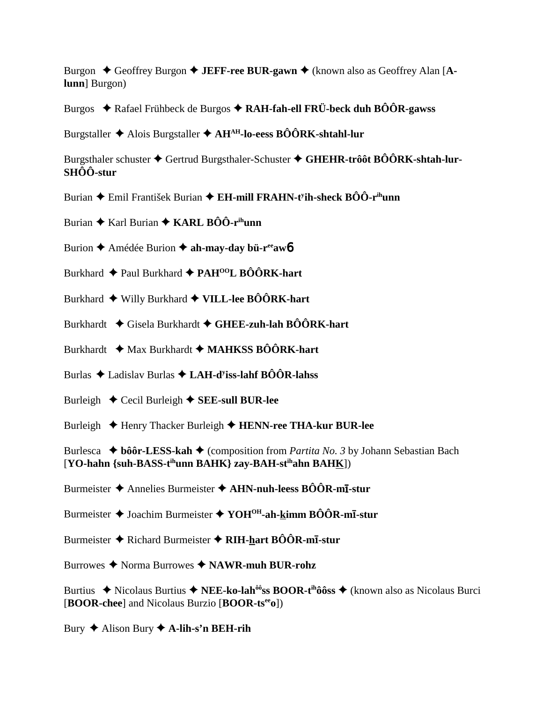Burgon  $\triangle$  Geoffrey Burgon  $\triangle$  JEFF-ree BUR-gawn  $\triangle$  (known also as Geoffrey Alan [Alunn] Burgon)

Burgos  $\triangle$  Rafael Frühbeck de Burgos  $\triangle$  RAH-fah-ell FRÜ-beck duh BÔÔR-gawss

Burgstaller  $\triangle$  Alois Burgstaller  $\triangle$  AH<sup>AH</sup>-lo-eess BÔÔRK-shtahl-lur

Burgsthaler schuster  $\triangle$  Gertrud Burgsthaler-Schuster  $\triangle$  GHEHR-trôôt BÔÔRK-shtah-lur- $SH<sup>o</sup>$ Ô-stur

- Burian  $\triangle$  Emil František Burian  $\triangle$  EH-mill FRAHN-t<sup>y</sup>ih-sheck BÔÔ-r<sup>in</sup>unn
- Burian  $\triangle$  Karl Burian  $\triangle$  KARL BÔÔ-r<sup>ih</sup>unn
- Burion  $\triangle$  Amédée Burion  $\triangle$  ah-may-day bü-r<sup>ee</sup>aw6
- Burkhard  $\triangle$  Paul Burkhard  $\triangle$  PAH<sup>00</sup>L BÔÔRK-hart
- Burkhard  $\blacklozenge$  Willy Burkhard  $\blacklozenge$  VILL-lee BÔÔRK-hart
- Burkhardt ◆ Gisela Burkhardt ◆ GHEE-zuh-lah BÔÔRK-hart
- Burkhardt  $\rightarrow$  Max Burkhardt  $\rightarrow$  MAHKSS BÔÔRK-hart

Burlas  $\triangle$  Ladislav Burlas  $\triangle$  LAH-d<sup>y</sup>iss-lahf BÔÔR-lahss

- Burleigh  $\triangle$  Cecil Burleigh  $\triangle$  SEE-sull BUR-lee
- Burleigh ♦ Henry Thacker Burleigh ♦ HENN-ree THA-kur BUR-lee

Burlesca  $\blacklozenge$  bôôr-LESS-kah  $\blacklozenge$  (composition from *Partita No. 3* by Johann Sebastian Bach [YO-hahn {suh-BASS-t<sup>ih</sup>unn BAHK} zay-BAH-st<sup>ih</sup>ahn BAHK])

Burmeister  $\triangle$  Annelies Burmeister  $\triangle$  AHN-nuh-leess BÔÔR-m**1**-stur

- Burmeister  $\triangle$  Joachim Burmeister  $\triangle$  YOH<sup>OH</sup>-ah-kimm BÔÔR-m**I**-stur
- Burmeister  $\triangle$  Richard Burmeister  $\triangle$  RIH-hart BÔÔR-mī-stur
- Burrowes  $\blacklozenge$  Norma Burrowes  $\blacklozenge$  NAWR-muh BUR-rohz

Burtius  $\blacklozenge$  Nicolaus Burtius  $\blacklozenge$  NEE-ko-lah<sup>ôô</sup>ss BOOR-t<sup>ih</sup>ôôss  $\blacklozenge$  (known also as Nicolaus Burci [BOOR-chee] and Nicolaus Burzio [BOOR-ts<sup>ee</sup>o])

Bury  $\triangle$  Alison Bury  $\triangle$  A-lih-s'n BEH-rih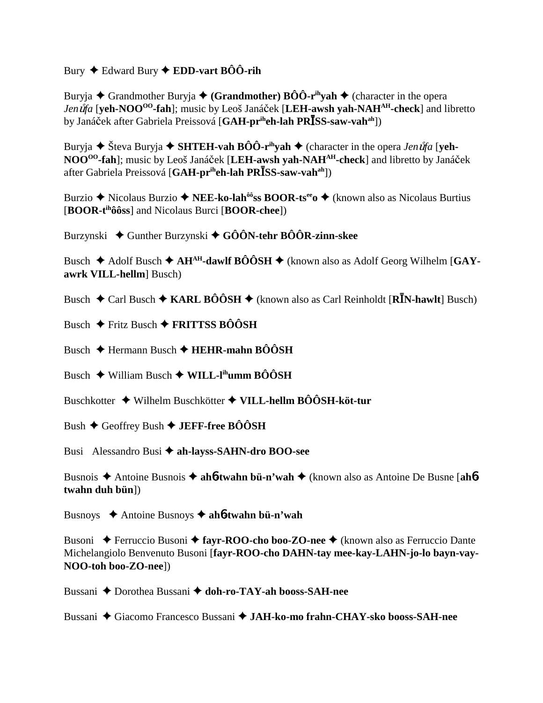Bury Edward Bury **EDD-vart BÔÔ-rih**

Buryja **←** Grandmother Buryja ← (Grandmother) **BÔÔ-r<sup>ih</sup>yah ←** (character in the opera *Jen úfa* [**yeh-NOO<sup>OO</sup>-fah**]; music by Leoš Janáček [LEH-awsh yah-NAH<sup>AH</sup>-check] and libretto by Janáek after Gabriela Preissová [**GAH-priheh-lah PRSS-saw-vahah**])

Buryja  $\blacklozenge$  Števa Buryja  $\blacklozenge$  **SHTEH-vah BÔÔ-r<sup>ih</sup>yah**  $\blacklozenge$  (character in the opera *Jen uta* [**yeh-NOO<sup>00</sup>-fah**]; music by Leoš Janáček [LEH-awsh yah-NAH<sup>AH</sup>-check] and libretto by Janáček after Gabriela Preissová [**GAH-priheh-lah PRSS-saw-vahah**])

Burzio **→** Nicolaus Burzio → **NEE-ko-lah<sup>ôô</sup>ss BOOR-ts<sup>ee</sup>o →** (known also as Nicolaus Burtius [**BOOR-tihôôss**] and Nicolaus Burci [**BOOR-chee**])

Burzynski Gunther Burzynski **GÔÔN-tehr BÔÔR-zinn-skee**

Busch  $\triangle$  Adolf Busch  $\triangle$  AH<sup>AH</sup>-dawlf BÔÔSH  $\triangle$  (known also as Adolf Georg Wilhelm [GAY**awrk VILL-hellm**] Busch)

Busch  $\blacklozenge$  Carl Busch  $\blacklozenge$  **KARL BÔÔSH**  $\blacklozenge$  (known also as Carl Reinholdt [**RI**N-hawlt] Busch)

Busch **←** Fritz Busch ← FRITTSS BÔÔSH

Busch Hermann Busch **HEHR-mahn BÔÔSH**

Busch **→** William Busch ◆ WILL-l<sup>ih</sup>umm BÔÔSH

Buschkotter Wilhelm Buschkötter **VILL-hellm BÔÔSH-köt-tur**

Bush Geoffrey Bush **JEFF-free BÔÔSH**

Busi Alessandro Busi **ah-layss-SAHN-dro BOO-see**

Busnois Antoine Busnois  **ah**6**-twahn bü-n'wah** (known also as Antoine De Busne [**ah**6 **twahn duh bün**])

Busnoys Antoine Busnoys **ah**6**-twahn bü-n'wah**

Busoni ◆ Ferruccio Busoni ◆ fayr-ROO-cho boo-ZO-nee ◆ (known also as Ferruccio Dante Michelangiolo Benvenuto Busoni [**fayr-ROO-cho DAHN-tay mee-kay-LAHN-jo-lo bayn-vay-NOO-toh boo-ZO-nee**])

Bussani **→** Dorothea Bussani → doh-ro-TAY-ah booss-SAH-nee

Bussani Giacomo Francesco Bussani **JAH-ko-mo frahn-CHAY-sko booss-SAH-nee**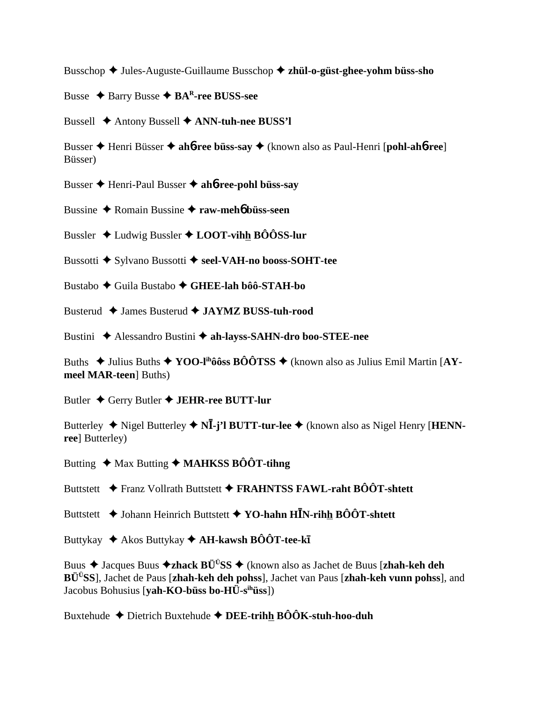Busschop Jules-Auguste-Guillaume Busschop **zhül-o-güst-ghee-yohm büss-sho**

Busse Barry Busse **BAR-ree BUSS-see**

Bussell Antony Bussell **ANN-tuh-nee BUSS'l**

Busser Henri Büsser **ah**6**-ree büss-say** (known also as Paul-Henri [**pohl-ah**6**-ree**] Büsser)

Busser Henri-Paul Busser **ah**6**-ree-pohl büss-say**

Bussine Romain Bussine **raw-meh**6 **büss-seen**

Bussler Ludwig Bussler **LOOT-vihh BÔÔSS-lur**

Bussotti ◆ Sylvano Bussotti ◆ seel-VAH-no booss-SOHT-tee

Bustabo Guila Bustabo **GHEE-lah bôô-STAH-bo**

Busterud James Busterud  **JAYMZ BUSS-tuh-rood**

Bustini Alessandro Bustini **ah-layss-SAHN-dro boo-STEE-nee**

Buths  $\blacklozenge$  Julius Buths  $\blacklozenge$  **YOO-l<sup>ih</sup>ôôss BÔÔTSS**  $\blacklozenge$  (known also as Julius Emil Martin [AY**meel MAR-teen**] Buths)

Butler Gerry Butler **JEHR-ree BUTT-lur**

Butterley  $\blacklozenge$  Nigel Butterley  $\blacklozenge$  N**I**-j'l BUTT-tur-lee  $\blacklozenge$  (known also as Nigel Henry [**HENNree**] Butterley)

Butting  $\triangleleft$  Max Butting  $\triangleleft$  **MAHKSS BÔÔT-tihng** 

Buttstett **→** Franz Vollrath Buttstett → FRAHNTSS FAWL-raht BÔÔT-shtett

Buttstett **→** Johann Heinrich Buttstett → YO-hahn H**I**N-rihh BÔÔT-shtett

Buttykay ◆ Akos Buttykay ◆ **AH-kawsh BÔÔT-tee-kī** 

Buus Jacques Buus **zhack BÜÜSS** (known also as Jachet de Buus [**zhah-keh deh BÜÜSS**], Jachet de Paus [**zhah-keh deh pohss**], Jachet van Paus [**zhah-keh vunn pohss**], and Jacobus Bohusius [**yah-KO-büss bo-HÜ-sihüss**])

Buxtehude Dietrich Buxtehude **DEE-trihh BÔÔK-stuh-hoo-duh**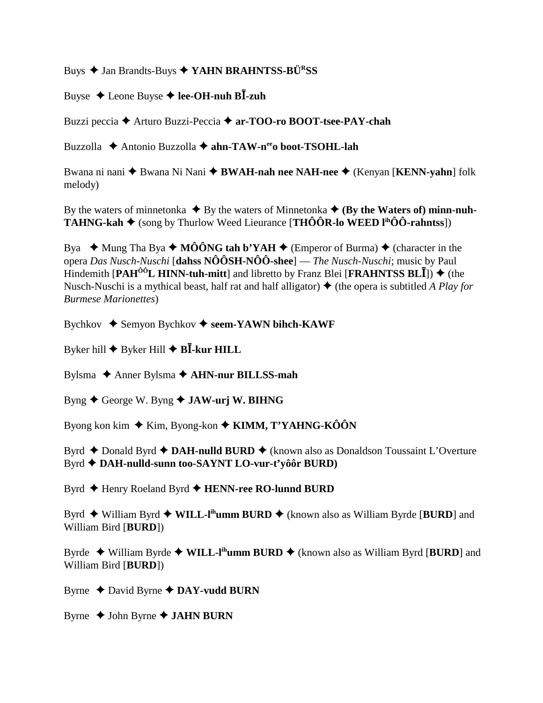Buys  $\triangle$  Jan Brandts-Buys  $\triangle$  YAHN BRAHNTSS-BÜ<sup>R</sup>SS

Buyse  $\triangle$  Leone Buyse  $\triangle$  lee-OH-nuh BI-zuh

Buzzi peccia → Arturo Buzzi-Peccia → ar-TOO-ro BOOT-tsee-PAY-chah

Buzzolla ◆ Antonio Buzzolla ◆ ahn-TAW-n<sup>ee</sup>o boot-TSOHL-lah

Bwana ni nani ◆ Bwana Ni Nani ◆ BWAH-nah nee NAH-nee ◆ (Kenyan [KENN-yahn] folk melody)

By the waters of minnetonka  $\blacklozenge$  By the waters of Minnetonka  $\blacklozenge$  (By the Waters of) minn-nuh-**TAHNG-kah**  $\blacklozenge$  (song by Thurlow Weed Lieurance [**THÔÔR-lo WEED**  $I^{ih}$ **ÔÔ-rahntss**])

Bya  $\blacklozenge$  Mung Tha Bya  $\blacklozenge$  MÔÔNG tah b'YAH  $\blacklozenge$  (Emperor of Burma)  $\blacklozenge$  (character in the opera Das Nusch-Nuschi [dahss  $N\hat{O}\hat{O}SH-N\hat{O}\hat{O}$ -shee] — The Nusch-Nuschi; music by Paul Hindemith [PAH<sup> $00$ </sup>L HINN-tuh-mitt] and libretto by Franz Blei [FRAHNTSS BLI])  $\blacklozenge$  (the Nusch-Nuschi is a mythical beast, half rat and half alligator)  $\triangle$  (the opera is subtitled A Play for **Burmese Marionettes**)

Bychkov  $\triangle$  Semyon Bychkov  $\triangle$  seem-YAWN bihch-KAWF

Byker hill  $\blacklozenge$  Byker Hill  $\blacklozenge$  BI-kur HILL

Bylsma  $\triangle$  Anner Bylsma  $\triangle$  AHN-nur BILLSS-mah

Byng  $\blacklozenge$  George W. Byng  $\blacklozenge$  JAW-urj W. BIHNG

Byong kon kim  $\triangle$  Kim, Byong-kon  $\triangle$  KIMM, T'YAHNG-KÔÔN

Byrd  $\triangle$  Donald Byrd  $\triangle$  DAH-nulld BURD  $\triangle$  (known also as Donaldson Toussaint L'Overture Byrd ◆ DAH-nulld-sunn too-SAYNT LO-vur-t'yôôr BURD)

Byrd ◆ Henry Roeland Byrd ◆ HENN-ree RO-lunnd BURD

Byrd  $\blacklozenge$  William Byrd  $\blacklozenge$  WILL-I<sup>th</sup>umm BURD  $\blacklozenge$  (known also as William Byrde [BURD] and William Bird [BURD])

Byrde  $\blacklozenge$  William Byrde  $\blacklozenge$  WILL-I<sup>th</sup>umm BURD  $\blacklozenge$  (known also as William Byrd [BURD] and William Bird [BURD])

Byrne  $\triangle$  David Byrne  $\triangle$  DAY-vudd BURN

Byrne  $\triangle$  John Byrne  $\triangle$  JAHN BURN